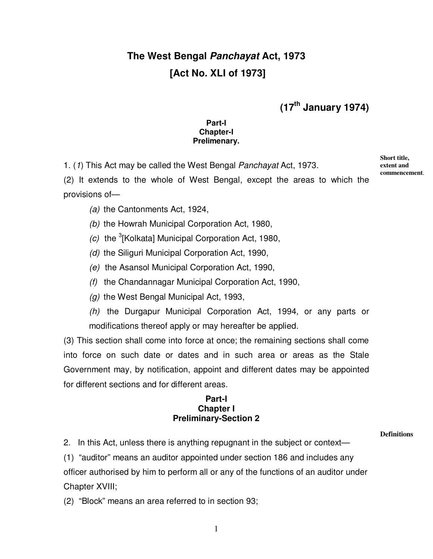# **The West Bengal Panchayat Act, 1973 [Act No. XLI of 1973]**

**(17th January 1974)** 

#### **Part-I Chapter-I Prelimenary.**

1. (1) This Act may be called the West Bengal Panchayat Act, 1973.

**Short title, extent and commencement**.

(2) It extends to the whole of West Bengal, except the areas to which the provisions of—

(a) the Cantonments Act, 1924,

(b) the Howrah Municipal Corporation Act, 1980,

- $(c)$  the <sup>3</sup>[Kolkata] Municipal Corporation Act, 1980,
- (d) the Siliguri Municipal Corporation Act, 1990,
- (e) the Asansol Municipal Corporation Act, 1990,
- (f) the Chandannagar Municipal Corporation Act, 1990,
- (g) the West Bengal Municipal Act, 1993,

(h) the Durgapur Municipal Corporation Act, 1994, or any parts or modifications thereof apply or may hereafter be applied.

(3) This section shall come into force at once; the remaining sections shall come into force on such date or dates and in such area or areas as the Stale Government may, by notification, appoint and different dates may be appointed for different sections and for different areas.

### **Part-I Chapter I Preliminary-Section 2**

**Definitions**

2. In this Act, unless there is anything repugnant in the subject or context—

(1) "auditor" means an auditor appointed under section 186 and includes any officer authorised by him to perform all or any of the functions of an auditor under Chapter XVIII;

(2) "Block" means an area referred to in section 93;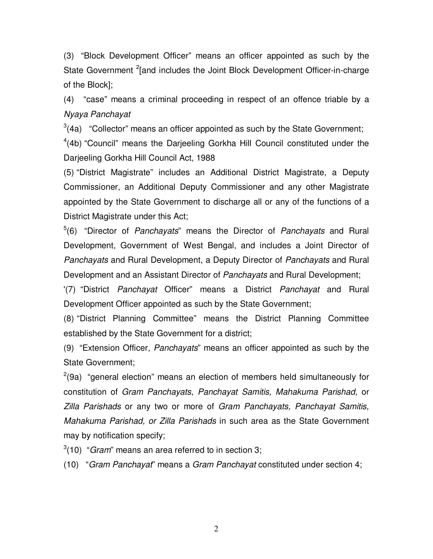(3) "Block Development Officer" means an officer appointed as such by the State Government <sup>2</sup> [and includes the Joint Block Development Officer-in-charge of the Block];

(4) "case" means a criminal proceeding in respect of an offence triable by a Nyaya Panchayat

 $3(4a)$  "Collector" means an officer appointed as such by the State Government;

<sup>4</sup>(4b) "Council" means the Darjeeling Gorkha Hill Council constituted under the Darjeeling Gorkha Hill Council Act, 1988

(5) "District Magistrate" includes an Additional District Magistrate, a Deputy Commissioner, an Additional Deputy Commissioner and any other Magistrate appointed by the State Government to discharge all or any of the functions of a District Magistrate under this Act;

 $5(6)$  "Director of Panchayats" means the Director of Panchayats and Rural Development, Government of West Bengal, and includes a Joint Director of Panchayats and Rural Development, a Deputy Director of Panchayats and Rural Development and an Assistant Director of Panchayats and Rural Development;

'(7) "District Panchayat Officer" means a District Panchayat and Rural Development Officer appointed as such by the State Government;

(8) "District Planning Committee" means the District Planning Committee established by the State Government for a district;

(9) "Extension Officer, Panchayats" means an officer appointed as such by the State Government;

 $2$ (9a) "general election" means an election of members held simultaneously for constitution of Gram Panchayats, Panchayat Samitis, Mahakuma Parishad, or Zilla Parishads or any two or more of Gram Panchayats, Panchayat Samitis, Mahakuma Parishad, or Zilla Parishads in such area as the State Government may by notification specify;

 $3(10)$  "Gram" means an area referred to in section 3;

(10) "Gram Panchayat" means a Gram Panchayat constituted under section 4;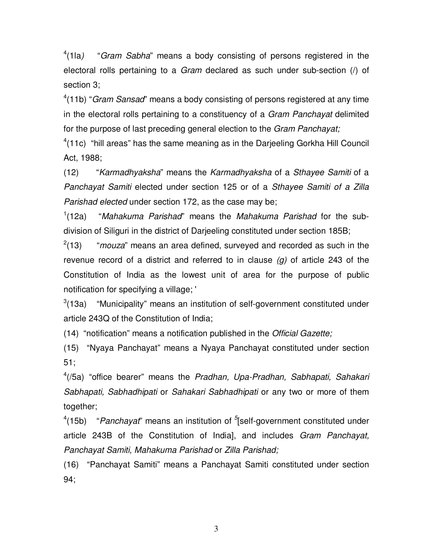$4(1|a)$ "Gram Sabha" means a body consisting of persons registered in the electoral rolls pertaining to a Gram declared as such under sub-section (/) of section 3;

 $4(11b)$  "Gram Sansad" means a body consisting of persons registered at any time in the electoral rolls pertaining to a constituency of a Gram Panchayat delimited for the purpose of last preceding general election to the Gram Panchayat;

 $4(11c)$  "hill areas" has the same meaning as in the Darjeeling Gorkha Hill Council Act, 1988;

(12) "Karmadhyaksha" means the Karmadhyaksha of a Sthayee Samiti of a Panchayat Samiti elected under section 125 or of a Sthayee Samiti of a Zilla Parishad elected under section 172, as the case may be;

 $(12a)$ "Mahakuma Parishad" means the Mahakuma Parishad for the subdivision of Siliguri in the district of Darjeeling constituted under section 185B;

 $^{2}(13)$ "mouza" means an area defined, surveyed and recorded as such in the revenue record of a district and referred to in clause  $(q)$  of article 243 of the Constitution of India as the lowest unit of area for the purpose of public notification for specifying a village; '

<sup>3</sup>(13a) "Municipality" means an institution of self-government constituted under article 243Q of the Constitution of India;

(14) "notification" means a notification published in the Official Gazette;

(15) "Nyaya Panchayat" means a Nyaya Panchayat constituted under section 51;

 $4/5a$ ) "office bearer" means the Pradhan, Upa-Pradhan, Sabhapati, Sahakari Sabhapati, Sabhadhipati or Sahakari Sabhadhipati or any two or more of them together;

 $^{4}(15b)$  "Panchayat" means an institution of  $^{5}$ [self-government constituted under article 243B of the Constitution of India], and includes Gram Panchayat, Panchayat Samiti, Mahakuma Parishad or Zilla Parishad;

(16) "Panchayat Samiti" means a Panchayat Samiti constituted under section 94;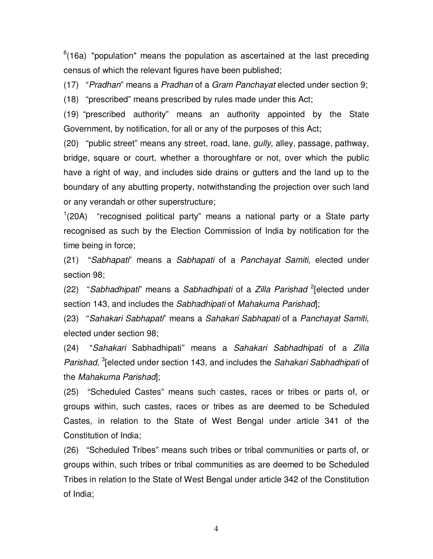$6(16a)$  "population" means the population as ascertained at the last preceding census of which the relevant figures have been published;

(17) "Pradhan" means a Pradhan of a Gram Panchayat elected under section 9;

(18) "prescribed" means prescribed by rules made under this Act;

(19) "prescribed authority" means an authority appointed by the State Government, by notification, for all or any of the purposes of this Act;

(20) "public street" means any street, road, lane, *gully*, alley, passage, pathway, bridge, square or court, whether a thoroughfare or not, over which the public have a right of way, and includes side drains or gutters and the land up to the boundary of any abutting property, notwithstanding the projection over such land or any verandah or other superstructure;

 $1$ (20A) "recognised political party" means a national party or a State party recognised as such by the Election Commission of India by notification for the time being in force;

(21) "Sabhapati" means a Sabhapati of a Panchayat Samiti, elected under section 98;

(22) "Sabhadhipati" means a Sabhadhipati of a Zilla Parishad <sup>2</sup>[elected under section 143, and includes the Sabhadhipati of Mahakuma Parishad];

(23) "Sahakari Sabhapati" means a Sahakari Sabhapati of a Panchayat Samiti, elected under section 98;

(24) "Sahakari Sabhadhipati" means a Sahakari Sabhadhipati of a Zilla Parishad, <sup>3</sup> [elected under section 143, and includes the Sahakari Sabhadhipati of the Mahakuma Parishad];

(25) "Scheduled Castes" means such castes, races or tribes or parts of, or groups within, such castes, races or tribes as are deemed to be Scheduled Castes, in relation to the State of West Bengal under article 341 of the Constitution of India;

(26) "Scheduled Tribes" means such tribes or tribal communities or parts of, or groups within, such tribes or tribal communities as are deemed to be Scheduled Tribes in relation to the State of West Bengal under article 342 of the Constitution of India;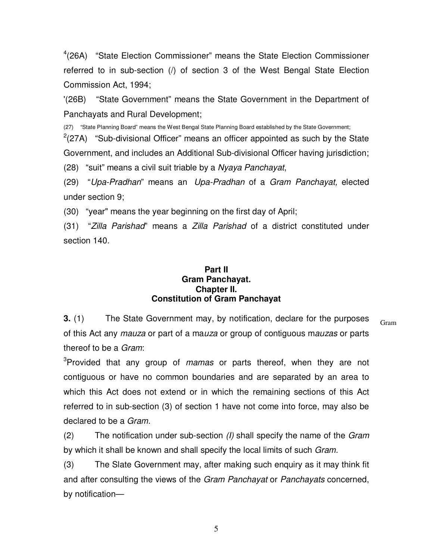<sup>4</sup>(26A) "State Election Commissioner" means the State Election Commissioner referred to in sub-section (/) of section 3 of the West Bengal State Election Commission Act, 1994;

'(26B) "State Government" means the State Government in the Department of Panchayats and Rural Development;

(27) "State Planning Board" means the West Bengal State Planning Board established by the State Government;

 $2(27A)$  "Sub-divisional Officer" means an officer appointed as such by the State Government, and includes an Additional Sub-divisional Officer having jurisdiction;

(28) "suit" means a civil suit triable by a Nyaya Panchayat,

(29) "Upa-Pradhan" means an Upa-Pradhan of a Gram Panchayat, elected under section 9;

(30) "year" means the year beginning on the first day of April;

(31) "Zilla Parishad" means a Zilla Parishad of a district constituted under section 140.

### **Part II Gram Panchayat. Chapter II. Constitution of Gram Panchayat**

Gram **3.** (1) The State Government may, by notification, declare for the purposes of this Act any *mauza* or part of a mauza or group of contiguous mauzas or parts thereof to be a Gram:

<sup>3</sup>Provided that any group of mamas or parts thereof, when they are not contiguous or have no common boundaries and are separated by an area to which this Act does not extend or in which the remaining sections of this Act referred to in sub-section (3) of section 1 have not come into force, may also be declared to be a Gram.

 $(2)$  The notification under sub-section  $(1)$  shall specify the name of the *Gram* by which it shall be known and shall specify the local limits of such Gram.

(3) The Slate Government may, after making such enquiry as it may think fit and after consulting the views of the Gram Panchayat or Panchayats concerned, by notification—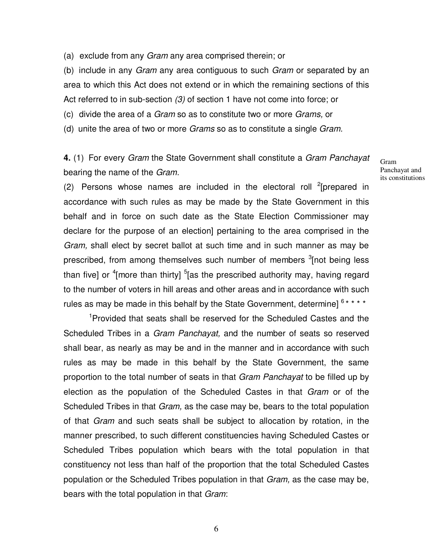(a) exclude from any Gram any area comprised therein; or

(b) include in any *Gram* any area contiguous to such *Gram* or separated by an area to which this Act does not extend or in which the remaining sections of this Act referred to in sub-section (3) of section 1 have not come into force; or

(c) divide the area of a Gram so as to constitute two or more Grams, or

(d) unite the area of two or more Grams so as to constitute a single Gram.

**4.** (1) For every Gram the State Government shall constitute a Gram Panchayat bearing the name of the Gram.

Gram Panchayat and its constitutions

(2) Persons whose names are included in the electoral roll <sup>2</sup>[prepared in accordance with such rules as may be made by the State Government in this behalf and in force on such date as the State Election Commissioner may declare for the purpose of an election] pertaining to the area comprised in the Gram, shall elect by secret ballot at such time and in such manner as may be prescribed, from among themselves such number of members <sup>3</sup>[not being less than five] or <sup>4</sup>[more than thirty] <sup>5</sup>[as the prescribed authority may, having regard to the number of voters in hill areas and other areas and in accordance with such rules as may be made in this behalf by the State Government, determine]  $6***$ 

<sup>1</sup>Provided that seats shall be reserved for the Scheduled Castes and the Scheduled Tribes in a Gram Panchayat, and the number of seats so reserved shall bear, as nearly as may be and in the manner and in accordance with such rules as may be made in this behalf by the State Government, the same proportion to the total number of seats in that Gram Panchayat to be filled up by election as the population of the Scheduled Castes in that Gram or of the Scheduled Tribes in that *Gram*, as the case may be, bears to the total population of that Gram and such seats shall be subject to allocation by rotation, in the manner prescribed, to such different constituencies having Scheduled Castes or Scheduled Tribes population which bears with the total population in that constituency not less than half of the proportion that the total Scheduled Castes population or the Scheduled Tribes population in that Gram, as the case may be, bears with the total population in that Gram: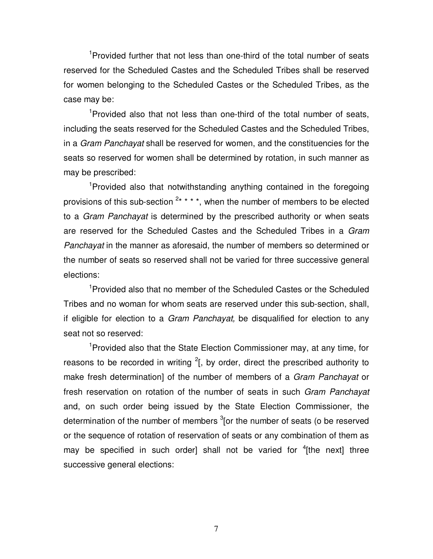<sup>1</sup>Provided further that not less than one-third of the total number of seats reserved for the Scheduled Castes and the Scheduled Tribes shall be reserved for women belonging to the Scheduled Castes or the Scheduled Tribes, as the case may be:

<sup>1</sup>Provided also that not less than one-third of the total number of seats, including the seats reserved for the Scheduled Castes and the Scheduled Tribes, in a Gram Panchayat shall be reserved for women, and the constituencies for the seats so reserved for women shall be determined by rotation, in such manner as may be prescribed:

<sup>1</sup>Provided also that notwithstanding anything contained in the foregoing provisions of this sub-section  $2***$ , when the number of members to be elected to a Gram Panchayat is determined by the prescribed authority or when seats are reserved for the Scheduled Castes and the Scheduled Tribes in a Gram Panchayat in the manner as aforesaid, the number of members so determined or the number of seats so reserved shall not be varied for three successive general elections:

<sup>1</sup>Provided also that no member of the Scheduled Castes or the Scheduled Tribes and no woman for whom seats are reserved under this sub-section, shall, if eligible for election to a *Gram Panchayat*, be disqualified for election to any seat not so reserved:

<sup>1</sup>Provided also that the State Election Commissioner may, at any time, for reasons to be recorded in writing  $2$ [, by order, direct the prescribed authority to make fresh determination] of the number of members of a Gram Panchayat or fresh reservation on rotation of the number of seats in such Gram Panchayat and, on such order being issued by the State Election Commissioner, the determination of the number of members  $3$  [or the number of seats (o be reserved or the sequence of rotation of reservation of seats or any combination of them as may be specified in such order] shall not be varied for  ${}^{4}$ [the next] three successive general elections: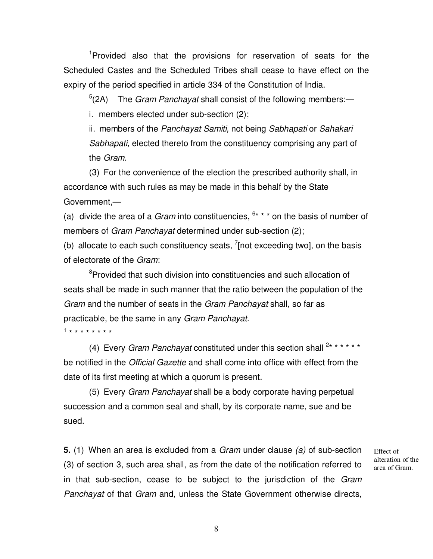<sup>1</sup>Provided also that the provisions for reservation of seats for the Scheduled Castes and the Scheduled Tribes shall cease to have effect on the expiry of the period specified in article 334 of the Constitution of India.

 $5$ (2A) The *Gram Panchayat* shall consist of the following members:—

i. members elected under sub-section (2);

ii. members of the Panchayat Samiti, not being Sabhapati or Sahakari Sabhapati, elected thereto from the constituency comprising any part of the Gram.

(3) For the convenience of the election the prescribed authority shall, in accordance with such rules as may be made in this behalf by the State Government,—

(a) divide the area of a *Gram* into constituencies,  $6***$  on the basis of number of members of *Gram Panchayat* determined under sub-section (2);

(b) allocate to each such constituency seats,  $^7$ [not exceeding two], on the basis of electorate of the Gram:

<sup>8</sup>Provided that such division into constituencies and such allocation of seats shall be made in such manner that the ratio between the population of the Gram and the number of seats in the Gram Panchayat shall, so far as practicable, be the same in any Gram Panchayat. 1 \* \* \* \* \* \* \* \*

(4) Every Gram Panchayat constituted under this section shall  $2******$ be notified in the Official Gazette and shall come into office with effect from the date of its first meeting at which a quorum is present.

(5) Every Gram Panchayat shall be a body corporate having perpetual succession and a common seal and shall, by its corporate name, sue and be sued.

**5.** (1) When an area is excluded from a Gram under clause (a) of sub-section (3) of section 3, such area shall, as from the date of the notification referred to in that sub-section, cease to be subject to the jurisdiction of the Gram Panchayat of that Gram and, unless the State Government otherwise directs,

Effect of alteration of the area of Gram.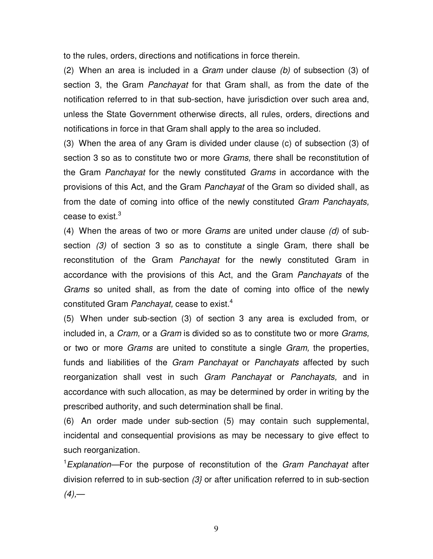to the rules, orders, directions and notifications in force therein.

(2) When an area is included in a  $Gram$  under clause (b) of subsection (3) of section 3, the Gram Panchayat for that Gram shall, as from the date of the notification referred to in that sub-section, have jurisdiction over such area and, unless the State Government otherwise directs, all rules, orders, directions and notifications in force in that Gram shall apply to the area so included.

(3) When the area of any Gram is divided under clause (c) of subsection (3) of section 3 so as to constitute two or more *Grams*, there shall be reconstitution of the Gram Panchayat for the newly constituted Grams in accordance with the provisions of this Act, and the Gram Panchayat of the Gram so divided shall, as from the date of coming into office of the newly constituted Gram Panchayats, cease to exist. $3$ 

(4) When the areas of two or more Grams are united under clause  $(d)$  of subsection (3) of section 3 so as to constitute a single Gram, there shall be reconstitution of the Gram Panchayat for the newly constituted Gram in accordance with the provisions of this Act, and the Gram Panchayats of the Grams so united shall, as from the date of coming into office of the newly constituted Gram Panchayat, cease to exist.<sup>4</sup>

(5) When under sub-section (3) of section 3 any area is excluded from, or included in, a *Cram*, or a *Gram* is divided so as to constitute two or more *Grams*, or two or more *Grams* are united to constitute a single *Gram*, the properties, funds and liabilities of the Gram Panchayat or Panchayats affected by such reorganization shall vest in such Gram Panchayat or Panchayats, and in accordance with such allocation, as may be determined by order in writing by the prescribed authority, and such determination shall be final.

(6) An order made under sub-section (5) may contain such supplemental, incidental and consequential provisions as may be necessary to give effect to such reorganization.

<sup>1</sup>Explanation—For the purpose of reconstitution of the Gram Panchayat after division referred to in sub-section  $(3)$  or after unification referred to in sub-section  $(4)$ ,—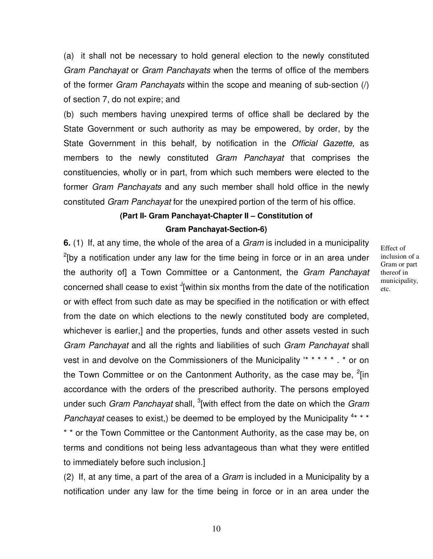(a) it shall not be necessary to hold general election to the newly constituted Gram Panchayat or Gram Panchayats when the terms of office of the members of the former Gram Panchayats within the scope and meaning of sub-section (/) of section 7, do not expire; and

(b) such members having unexpired terms of office shall be declared by the State Government or such authority as may be empowered, by order, by the State Government in this behalf, by notification in the Official Gazette, as members to the newly constituted Gram Panchayat that comprises the constituencies, wholly or in part, from which such members were elected to the former Gram Panchayats and any such member shall hold office in the newly constituted Gram Panchayat for the unexpired portion of the term of his office.

### **(Part II- Gram Panchayat-Chapter II – Constitution of Gram Panchayat-Section-6)**

**6.** (1) If, at any time, the whole of the area of a Gram is included in a municipality  $2$ [by a notification under any law for the time being in force or in an area under the authority of a Town Committee or a Cantonment, the Gram Panchayat concerned shall cease to exist  $J$ [within six months from the date of the notification or with effect from such date as may be specified in the notification or with effect from the date on which elections to the newly constituted body are completed, whichever is earlier,] and the properties, funds and other assets vested in such Gram Panchayat and all the rights and liabilities of such Gram Panchayat shall vest in and devolve on the Commissioners of the Municipality '\* \* \* \* \* . \* or on the Town Committee or on the Cantonment Authority, as the case may be,  ${}^{2}$ [in accordance with the orders of the prescribed authority. The persons employed under such *Gram Panchayat* shall, <sup>3</sup>[with effect from the date on which the *Gram* Panchayat ceases to exist,) be deemed to be employed by the Municipality  $4***$ 

\* \* or the Town Committee or the Cantonment Authority, as the case may be, on terms and conditions not being less advantageous than what they were entitled to immediately before such inclusion.]

(2) If, at any time, a part of the area of a Gram is included in a Municipality by a notification under any law for the time being in force or in an area under the Effect of inclusion of a Gram or part thereof in municipality, etc.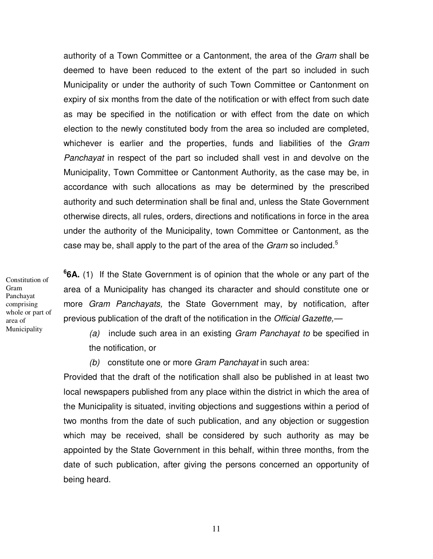authority of a Town Committee or a Cantonment, the area of the Gram shall be deemed to have been reduced to the extent of the part so included in such Municipality or under the authority of such Town Committee or Cantonment on expiry of six months from the date of the notification or with effect from such date as may be specified in the notification or with effect from the date on which election to the newly constituted body from the area so included are completed, whichever is earlier and the properties, funds and liabilities of the Gram Panchayat in respect of the part so included shall vest in and devolve on the Municipality, Town Committee or Cantonment Authority, as the case may be, in accordance with such allocations as may be determined by the prescribed authority and such determination shall be final and, unless the State Government otherwise directs, all rules, orders, directions and notifications in force in the area under the authority of the Municipality, town Committee or Cantonment, as the case may be, shall apply to the part of the area of the *Gram* so included.<sup>5</sup>

Constitution of Gram Panchayat comprising whole or part of area of Municipality

**6 6A.** (1) If the State Government is of opinion that the whole or any part of the area of a Municipality has changed its character and should constitute one or more Gram Panchayats, the State Government may, by notification, after previous publication of the draft of the notification in the Official Gazette,—

(a) include such area in an existing Gram Panchayat to be specified in the notification, or

(b) constitute one or more Gram Panchayat in such area:

Provided that the draft of the notification shall also be published in at least two local newspapers published from any place within the district in which the area of the Municipality is situated, inviting objections and suggestions within a period of two months from the date of such publication, and any objection or suggestion which may be received, shall be considered by such authority as may be appointed by the State Government in this behalf, within three months, from the date of such publication, after giving the persons concerned an opportunity of being heard.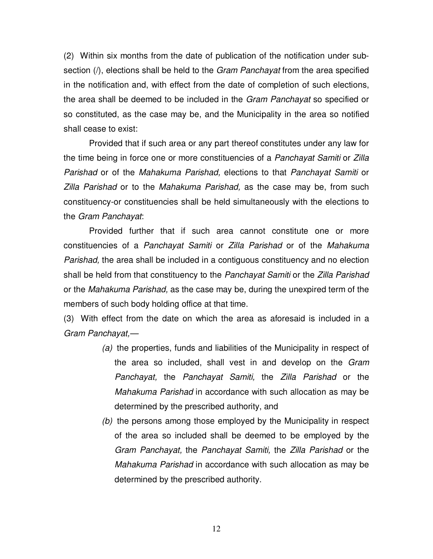(2) Within six months from the date of publication of the notification under subsection (*i*), elections shall be held to the *Gram Panchayat* from the area specified in the notification and, with effect from the date of completion of such elections, the area shall be deemed to be included in the *Gram Panchayat* so specified or so constituted, as the case may be, and the Municipality in the area so notified shall cease to exist:

Provided that if such area or any part thereof constitutes under any law for the time being in force one or more constituencies of a Panchayat Samiti or Zilla Parishad or of the Mahakuma Parishad, elections to that Panchayat Samiti or Zilla Parishad or to the Mahakuma Parishad, as the case may be, from such constituency-or constituencies shall be held simultaneously with the elections to the Gram Panchavat:

Provided further that if such area cannot constitute one or more constituencies of a Panchayat Samiti or Zilla Parishad or of the Mahakuma Parishad, the area shall be included in a contiguous constituency and no election shall be held from that constituency to the Panchayat Samiti or the Zilla Parishad or the Mahakuma Parishad, as the case may be, during the unexpired term of the members of such body holding office at that time.

(3) With effect from the date on which the area as aforesaid is included in a Gram Panchayat,—

- (a) the properties, funds and liabilities of the Municipality in respect of the area so included, shall vest in and develop on the Gram Panchayat, the Panchayat Samiti, the Zilla Parishad or the Mahakuma Parishad in accordance with such allocation as may be determined by the prescribed authority, and
- (b) the persons among those employed by the Municipality in respect of the area so included shall be deemed to be employed by the Gram Panchayat, the Panchayat Samiti, the Zilla Parishad or the Mahakuma Parishad in accordance with such allocation as may be determined by the prescribed authority.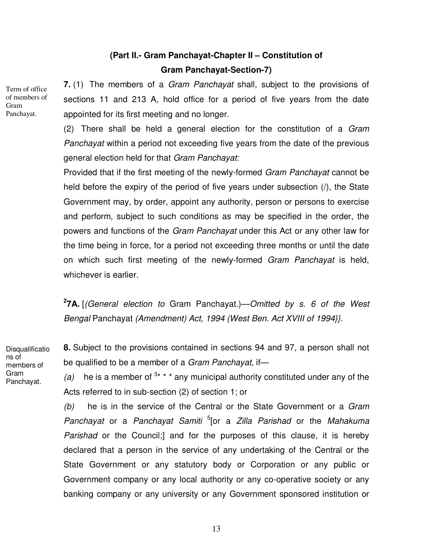# **(Part II.- Gram Panchayat-Chapter II – Constitution of Gram Panchayat-Section-7)**

Term of office of members of Gram Panchayat.

**7.** (1) The members of a Gram Panchayat shall, subject to the provisions of sections 11 and 213 A, hold office for a period of five years from the date appointed for its first meeting and no longer.

(2) There shall be held a general election for the constitution of a Gram Panchayat within a period not exceeding five years from the date of the previous general election held for that Gram Panchayat:

Provided that if the first meeting of the newly-formed Gram Panchayat cannot be held before the expiry of the period of five years under subsection (/), the State Government may, by order, appoint any authority, person or persons to exercise and perform, subject to such conditions as may be specified in the order, the powers and functions of the Gram Panchayat under this Act or any other law for the time being in force, for a period not exceeding three months or until the date on which such first meeting of the newly-formed Gram Panchayat is held, whichever is earlier.

**2 7A.** [(General election to Gram Panchayat.)—Omitted by s. 6 of the West Bengal Panchayat (Amendment) Act, 1994 (West Ben. Act XVIII of 1994}}.

**Disqualificatio** ns of members of Gram Panchayat.

**8.** Subject to the provisions contained in sections 94 and 97, a person shall not be qualified to be a member of a Gram Panchayat, if-

(a) he is a member of  $3* * *$  any municipal authority constituted under any of the Acts referred to in sub-section (2) of section 1; or

 $(b)$  he is in the service of the Central or the State Government or a Gram Panchayat or a Panchayat Samiti <sup>5</sup>[or a Zilla Parishad or the Mahakuma Parishad or the Council;] and for the purposes of this clause, it is hereby declared that a person in the service of any undertaking of the Central or the State Government or any statutory body or Corporation or any public or Government company or any local authority or any co-operative society or any banking company or any university or any Government sponsored institution or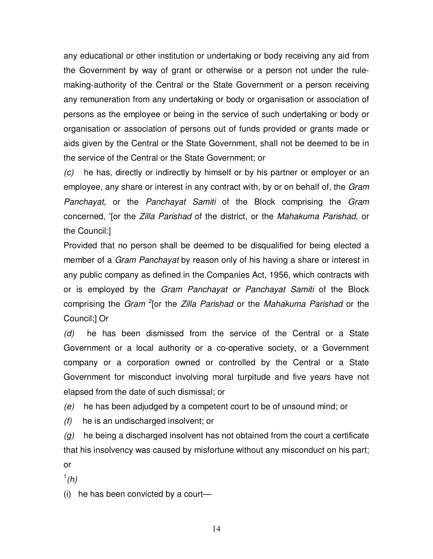any educational or other institution or undertaking or body receiving any aid from the Government by way of grant or otherwise or a person not under the rulemaking-authority of the Central or the State Government or a person receiving any remuneration from any undertaking or body or organisation or association of persons as the employee or being in the service of such undertaking or body or organisation or association of persons out of funds provided or grants made or aids given by the Central or the State Government, shall not be deemed to be in the service of the Central or the State Government; or

(c) he has, directly or indirectly by himself or by his partner or employer or an employee, any share or interest in any contract with, by or on behalf of, the Gram Panchayat, or the Panchayat Samiti of the Block comprising the Gram concerned, '[or the Zilla Parishad of the district, or the Mahakuma Parishad, or the Council:]

Provided that no person shall be deemed to be disqualified for being elected a member of a *Gram Panchayat* by reason only of his having a share or interest in any public company as defined in the Companies Act, 1956, which contracts with or is employed by the Gram Panchayat or Panchayat Samiti of the Block comprising the Gram <sup>2</sup>[or the Zilla Parishad or the Mahakuma Parishad or the Council;] Or

 $(d)$  he has been dismissed from the service of the Central or a State Government or a local authority or a co-operative society, or a Government company or a corporation owned or controlled by the Central or a State Government for misconduct involving moral turpitude and five years have not elapsed from the date of such dismissal; or

(e) he has been adjudged by a competent court to be of unsound mind; or

(f) he is an undischarged insolvent; or

 $(q)$  he being a discharged insolvent has not obtained from the court a certificate that his insolvency was caused by misfortune without any misconduct on his part; or

 $\frac{1}{h}$ 

(i) he has been convicted by a court—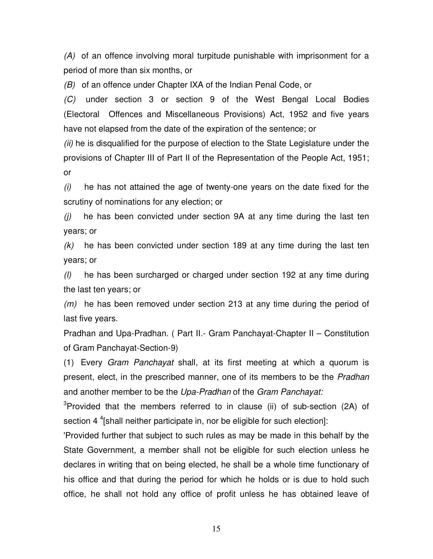(A) of an offence involving moral turpitude punishable with imprisonment for a period of more than six months, or

(B) of an offence under Chapter IXA of the Indian Penal Code, or

(C) under section 3 or section 9 of the West Bengal Local Bodies (Electoral Offences and Miscellaneous Provisions) Act, 1952 and five years have not elapsed from the date of the expiration of the sentence; or

(ii) he is disqualified for the purpose of election to the State Legislature under the provisions of Chapter III of Part II of the Representation of the People Act, 1951; or

 $(i)$  he has not attained the age of twenty-one years on the date fixed for the scrutiny of nominations for any election; or

 $(i)$  he has been convicted under section 9A at any time during the last ten years; or

 $(k)$  he has been convicted under section 189 at any time during the last ten years; or

(l) he has been surcharged or charged under section 192 at any time during the last ten years; or

 $(m)$  he has been removed under section 213 at any time during the period of last five years.

Pradhan and Upa-Pradhan. ( Part II.- Gram Panchayat-Chapter II – Constitution of Gram Panchayat-Section-9)

(1) Every Gram Panchayat shall, at its first meeting at which a quorum is present, elect, in the prescribed manner, one of its members to be the Pradhan and another member to be the Upa-Pradhan of the Gram Panchayat:

<sup>3</sup>Provided that the members referred to in clause (ii) of sub-section (2A) of section 4<sup>4</sup> [shall neither participate in, nor be eligible for such election]:

'Provided further that subject to such rules as may be made in this behalf by the State Government, a member shall not be eligible for such election unless he declares in writing that on being elected, he shall be a whole time functionary of his office and that during the period for which he holds or is due to hold such office, he shall not hold any office of profit unless he has obtained leave of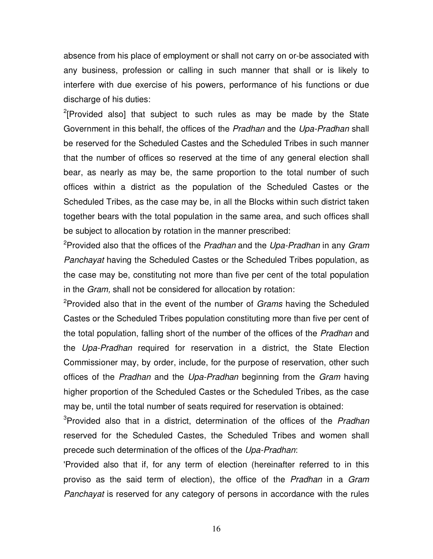absence from his place of employment or shall not carry on or-be associated with any business, profession or calling in such manner that shall or is likely to interfere with due exercise of his powers, performance of his functions or due discharge of his duties:

 $2$ [Provided also] that subject to such rules as may be made by the State Government in this behalf, the offices of the Pradhan and the Upa-Pradhan shall be reserved for the Scheduled Castes and the Scheduled Tribes in such manner that the number of offices so reserved at the time of any general election shall bear, as nearly as may be, the same proportion to the total number of such offices within a district as the population of the Scheduled Castes or the Scheduled Tribes, as the case may be, in all the Blocks within such district taken together bears with the total population in the same area, and such offices shall be subject to allocation by rotation in the manner prescribed:

<sup>2</sup>Provided also that the offices of the Pradhan and the Upa-Pradhan in any Gram Panchayat having the Scheduled Castes or the Scheduled Tribes population, as the case may be, constituting not more than five per cent of the total population in the Gram, shall not be considered for allocation by rotation:

<sup>2</sup>Provided also that in the event of the number of *Grams* having the Scheduled Castes or the Scheduled Tribes population constituting more than five per cent of the total population, falling short of the number of the offices of the *Pradhan* and the Upa-Pradhan required for reservation in a district, the State Election Commissioner may, by order, include, for the purpose of reservation, other such offices of the Pradhan and the Upa-Pradhan beginning from the Gram having higher proportion of the Scheduled Castes or the Scheduled Tribes, as the case may be, until the total number of seats required for reservation is obtained:

<sup>3</sup>Provided also that in a district, determination of the offices of the Pradhan reserved for the Scheduled Castes, the Scheduled Tribes and women shall precede such determination of the offices of the Upa-Pradhan:

'Provided also that if, for any term of election (hereinafter referred to in this proviso as the said term of election), the office of the *Pradhan* in a Gram Panchayat is reserved for any category of persons in accordance with the rules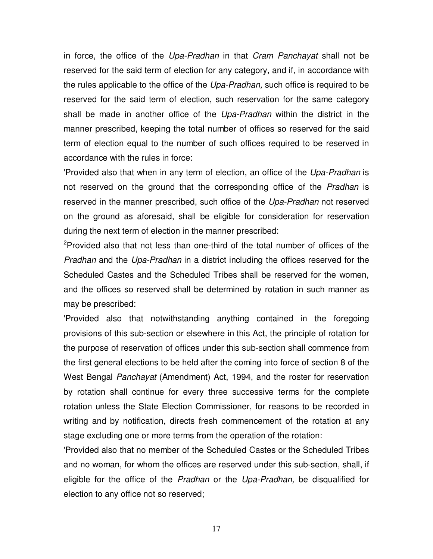in force, the office of the Upa-Pradhan in that Cram Panchayat shall not be reserved for the said term of election for any category, and if, in accordance with the rules applicable to the office of the Upa-Pradhan, such office is required to be reserved for the said term of election, such reservation for the same category shall be made in another office of the Upa-Pradhan within the district in the manner prescribed, keeping the total number of offices so reserved for the said term of election equal to the number of such offices required to be reserved in accordance with the rules in force:

'Provided also that when in any term of election, an office of the Upa-Pradhan is not reserved on the ground that the corresponding office of the *Pradhan* is reserved in the manner prescribed, such office of the Upa-Pradhan not reserved on the ground as aforesaid, shall be eligible for consideration for reservation during the next term of election in the manner prescribed:

<sup>2</sup>Provided also that not less than one-third of the total number of offices of the Pradhan and the Upa-Pradhan in a district including the offices reserved for the Scheduled Castes and the Scheduled Tribes shall be reserved for the women, and the offices so reserved shall be determined by rotation in such manner as may be prescribed:

'Provided also that notwithstanding anything contained in the foregoing provisions of this sub-section or elsewhere in this Act, the principle of rotation for the purpose of reservation of offices under this sub-section shall commence from the first general elections to be held after the coming into force of section 8 of the West Bengal Panchayat (Amendment) Act, 1994, and the roster for reservation by rotation shall continue for every three successive terms for the complete rotation unless the State Election Commissioner, for reasons to be recorded in writing and by notification, directs fresh commencement of the rotation at any stage excluding one or more terms from the operation of the rotation:

'Provided also that no member of the Scheduled Castes or the Scheduled Tribes and no woman, for whom the offices are reserved under this sub-section, shall, if eligible for the office of the Pradhan or the Upa-Pradhan, be disqualified for election to any office not so reserved;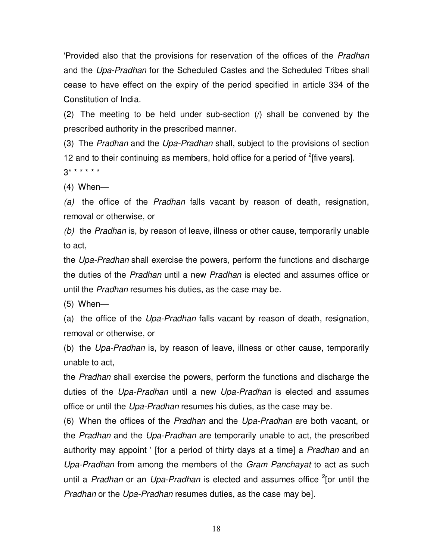'Provided also that the provisions for reservation of the offices of the Pradhan and the Upa-Pradhan for the Scheduled Castes and the Scheduled Tribes shall cease to have effect on the expiry of the period specified in article 334 of the Constitution of India.

(2) The meeting to be held under sub-section (/) shall be convened by the prescribed authority in the prescribed manner.

(3) The Pradhan and the Upa-Pradhan shall, subject to the provisions of section 12 and to their continuing as members, hold office for a period of  $2$ [five years].  $3******$ 

(4) When—

(a) the office of the Pradhan falls vacant by reason of death, resignation, removal or otherwise, or

(b) the Pradhan is, by reason of leave, illness or other cause, temporarily unable to act,

the Upa-Pradhan shall exercise the powers, perform the functions and discharge the duties of the Pradhan until a new Pradhan is elected and assumes office or until the Pradhan resumes his duties, as the case may be.

(5) When—

(a) the office of the Upa-Pradhan falls vacant by reason of death, resignation, removal or otherwise, or

(b) the Upa-Pradhan is, by reason of leave, illness or other cause, temporarily unable to act,

the Pradhan shall exercise the powers, perform the functions and discharge the duties of the Upa-Pradhan until a new Upa-Pradhan is elected and assumes office or until the Upa-Pradhan resumes his duties, as the case may be.

(6) When the offices of the Pradhan and the Upa-Pradhan are both vacant, or the Pradhan and the Upa-Pradhan are temporarily unable to act, the prescribed authority may appoint ' [for a period of thirty days at a time] a Pradhan and an Upa-Pradhan from among the members of the Gram Panchayat to act as such until a Pradhan or an Upa-Pradhan is elected and assumes office <sup>2</sup>[or until the Pradhan or the Upa-Pradhan resumes duties, as the case may be].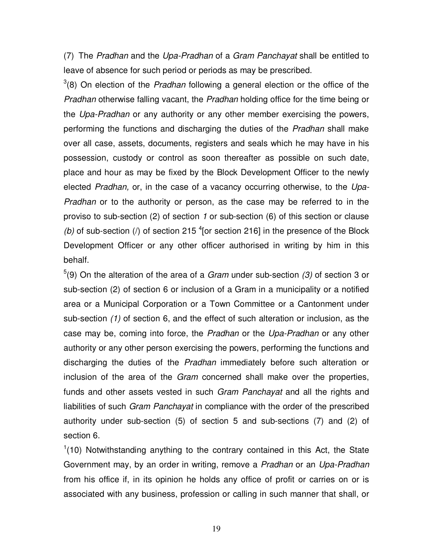(7) The Pradhan and the Upa-Pradhan of a Gram Panchayat shall be entitled to leave of absence for such period or periods as may be prescribed.

 $3(8)$  On election of the *Pradhan* following a general election or the office of the Pradhan otherwise falling vacant, the Pradhan holding office for the time being or the Upa-Pradhan or any authority or any other member exercising the powers, performing the functions and discharging the duties of the Pradhan shall make over all case, assets, documents, registers and seals which he may have in his possession, custody or control as soon thereafter as possible on such date, place and hour as may be fixed by the Block Development Officer to the newly elected Pradhan, or, in the case of a vacancy occurring otherwise, to the Upa-Pradhan or to the authority or person, as the case may be referred to in the proviso to sub-section (2) of section 1 or sub-section (6) of this section or clause (b) of sub-section (/) of section 215  $^{4}$  [or section 216] in the presence of the Block Development Officer or any other officer authorised in writing by him in this behalf.

 $5(9)$  On the alteration of the area of a *Gram* under sub-section (3) of section 3 or sub-section (2) of section 6 or inclusion of a Gram in a municipality or a notified area or a Municipal Corporation or a Town Committee or a Cantonment under sub-section (1) of section 6, and the effect of such alteration or inclusion, as the case may be, coming into force, the Pradhan or the Upa-Pradhan or any other authority or any other person exercising the powers, performing the functions and discharging the duties of the Pradhan immediately before such alteration or inclusion of the area of the Gram concerned shall make over the properties, funds and other assets vested in such Gram Panchayat and all the rights and liabilities of such *Gram Panchayat* in compliance with the order of the prescribed authority under sub-section (5) of section 5 and sub-sections (7) and (2) of section 6.

 $1(10)$  Notwithstanding anything to the contrary contained in this Act, the State Government may, by an order in writing, remove a Pradhan or an Upa-Pradhan from his office if, in its opinion he holds any office of profit or carries on or is associated with any business, profession or calling in such manner that shall, or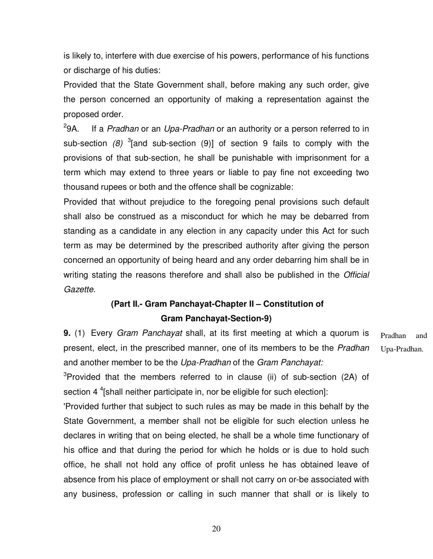is likely to, interfere with due exercise of his powers, performance of his functions or discharge of his duties:

Provided that the State Government shall, before making any such order, give the person concerned an opportunity of making a representation against the proposed order.

 $^{2}9A.$ If a Pradhan or an Upa-Pradhan or an authority or a person referred to in sub-section  $(8)$  <sup>3</sup>[and sub-section  $(9)$ ] of section 9 fails to comply with the provisions of that sub-section, he shall be punishable with imprisonment for a term which may extend to three years or liable to pay fine not exceeding two thousand rupees or both and the offence shall be cognizable:

Provided that without prejudice to the foregoing penal provisions such default shall also be construed as a misconduct for which he may be debarred from standing as a candidate in any election in any capacity under this Act for such term as may be determined by the prescribed authority after giving the person concerned an opportunity of being heard and any order debarring him shall be in writing stating the reasons therefore and shall also be published in the Official Gazette.

### **(Part II.- Gram Panchayat-Chapter II – Constitution of Gram Panchayat-Section-9)**

**9.** (1) Every Gram Panchayat shall, at its first meeting at which a quorum is present, elect, in the prescribed manner, one of its members to be the Pradhan and another member to be the Upa-Pradhan of the Gram Panchayat: Pradhan and Upa-Pradhan.

 $3$ Provided that the members referred to in clause (ii) of sub-section (2A) of section 4<sup>4</sup> [shall neither participate in, nor be eligible for such election]:

'Provided further that subject to such rules as may be made in this behalf by the State Government, a member shall not be eligible for such election unless he declares in writing that on being elected, he shall be a whole time functionary of his office and that during the period for which he holds or is due to hold such office, he shall not hold any office of profit unless he has obtained leave of absence from his place of employment or shall not carry on or-be associated with any business, profession or calling in such manner that shall or is likely to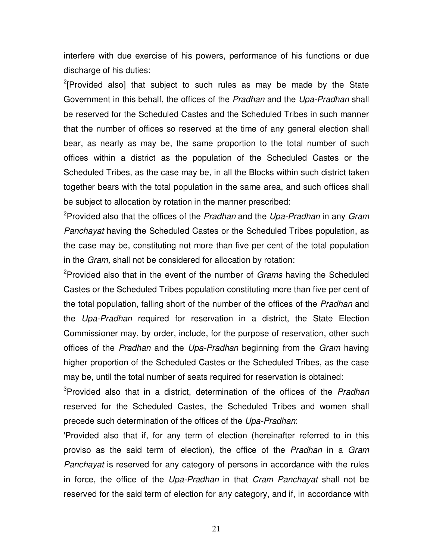interfere with due exercise of his powers, performance of his functions or due discharge of his duties:

 $2$ [Provided also] that subject to such rules as may be made by the State Government in this behalf, the offices of the Pradhan and the Upa-Pradhan shall be reserved for the Scheduled Castes and the Scheduled Tribes in such manner that the number of offices so reserved at the time of any general election shall bear, as nearly as may be, the same proportion to the total number of such offices within a district as the population of the Scheduled Castes or the Scheduled Tribes, as the case may be, in all the Blocks within such district taken together bears with the total population in the same area, and such offices shall be subject to allocation by rotation in the manner prescribed:

<sup>2</sup>Provided also that the offices of the Pradhan and the Upa-Pradhan in any Gram Panchayat having the Scheduled Castes or the Scheduled Tribes population, as the case may be, constituting not more than five per cent of the total population in the Gram, shall not be considered for allocation by rotation:

<sup>2</sup>Provided also that in the event of the number of *Grams* having the Scheduled Castes or the Scheduled Tribes population constituting more than five per cent of the total population, falling short of the number of the offices of the *Pradhan* and the Upa-Pradhan required for reservation in a district, the State Election Commissioner may, by order, include, for the purpose of reservation, other such offices of the Pradhan and the Upa-Pradhan beginning from the Gram having higher proportion of the Scheduled Castes or the Scheduled Tribes, as the case may be, until the total number of seats required for reservation is obtained:

<sup>3</sup>Provided also that in a district, determination of the offices of the Pradhan reserved for the Scheduled Castes, the Scheduled Tribes and women shall precede such determination of the offices of the Upa-Pradhan:

'Provided also that if, for any term of election (hereinafter referred to in this proviso as the said term of election), the office of the Pradhan in a Gram Panchayat is reserved for any category of persons in accordance with the rules in force, the office of the Upa-Pradhan in that Cram Panchayat shall not be reserved for the said term of election for any category, and if, in accordance with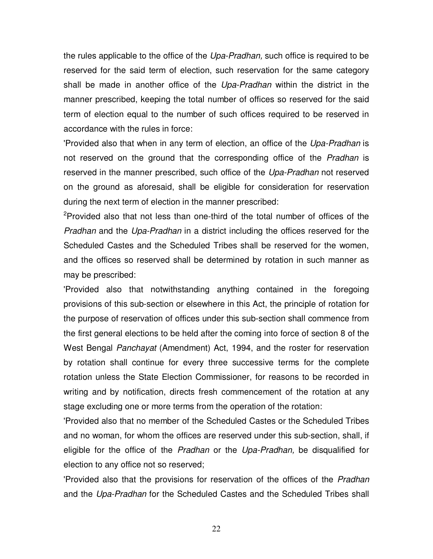the rules applicable to the office of the Upa-Pradhan, such office is required to be reserved for the said term of election, such reservation for the same category shall be made in another office of the Upa-Pradhan within the district in the manner prescribed, keeping the total number of offices so reserved for the said term of election equal to the number of such offices required to be reserved in accordance with the rules in force:

'Provided also that when in any term of election, an office of the Upa-Pradhan is not reserved on the ground that the corresponding office of the *Pradhan* is reserved in the manner prescribed, such office of the Upa-Pradhan not reserved on the ground as aforesaid, shall be eligible for consideration for reservation during the next term of election in the manner prescribed:

<sup>2</sup>Provided also that not less than one-third of the total number of offices of the Pradhan and the Upa-Pradhan in a district including the offices reserved for the Scheduled Castes and the Scheduled Tribes shall be reserved for the women, and the offices so reserved shall be determined by rotation in such manner as may be prescribed:

'Provided also that notwithstanding anything contained in the foregoing provisions of this sub-section or elsewhere in this Act, the principle of rotation for the purpose of reservation of offices under this sub-section shall commence from the first general elections to be held after the coming into force of section 8 of the West Bengal Panchayat (Amendment) Act, 1994, and the roster for reservation by rotation shall continue for every three successive terms for the complete rotation unless the State Election Commissioner, for reasons to be recorded in writing and by notification, directs fresh commencement of the rotation at any stage excluding one or more terms from the operation of the rotation:

'Provided also that no member of the Scheduled Castes or the Scheduled Tribes and no woman, for whom the offices are reserved under this sub-section, shall, if eligible for the office of the Pradhan or the Upa-Pradhan, be disqualified for election to any office not so reserved;

'Provided also that the provisions for reservation of the offices of the Pradhan and the Upa-Pradhan for the Scheduled Castes and the Scheduled Tribes shall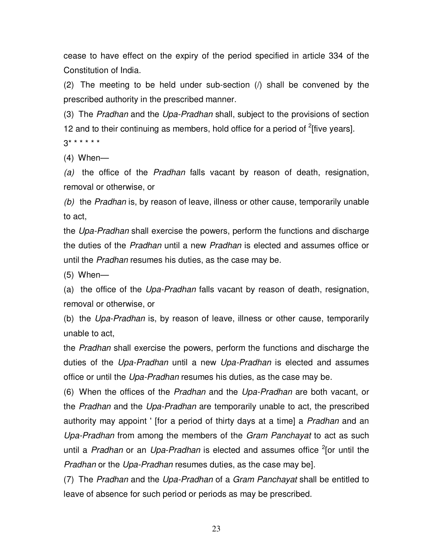cease to have effect on the expiry of the period specified in article 334 of the Constitution of India.

(2) The meeting to be held under sub-section (/) shall be convened by the prescribed authority in the prescribed manner.

(3) The Pradhan and the Upa-Pradhan shall, subject to the provisions of section 12 and to their continuing as members, hold office for a period of  $2$ [five years].

 $3******$ 

(4) When—

(a) the office of the Pradhan falls vacant by reason of death, resignation, removal or otherwise, or

(b) the Pradhan is, by reason of leave, illness or other cause, temporarily unable to act,

the Upa-Pradhan shall exercise the powers, perform the functions and discharge the duties of the Pradhan until a new Pradhan is elected and assumes office or until the Pradhan resumes his duties, as the case may be.

(5) When—

(a) the office of the Upa-Pradhan falls vacant by reason of death, resignation, removal or otherwise, or

(b) the Upa-Pradhan is, by reason of leave, illness or other cause, temporarily unable to act,

the *Pradhan* shall exercise the powers, perform the functions and discharge the duties of the Upa-Pradhan until a new Upa-Pradhan is elected and assumes office or until the Upa-Pradhan resumes his duties, as the case may be.

(6) When the offices of the Pradhan and the Upa-Pradhan are both vacant, or the Pradhan and the Upa-Pradhan are temporarily unable to act, the prescribed authority may appoint ' [for a period of thirty days at a time] a *Pradhan* and an Upa-Pradhan from among the members of the Gram Panchayat to act as such until a Pradhan or an Upa-Pradhan is elected and assumes office <sup>2</sup>[or until the Pradhan or the Upa-Pradhan resumes duties, as the case may be].

(7) The Pradhan and the Upa-Pradhan of a Gram Panchayat shall be entitled to leave of absence for such period or periods as may be prescribed.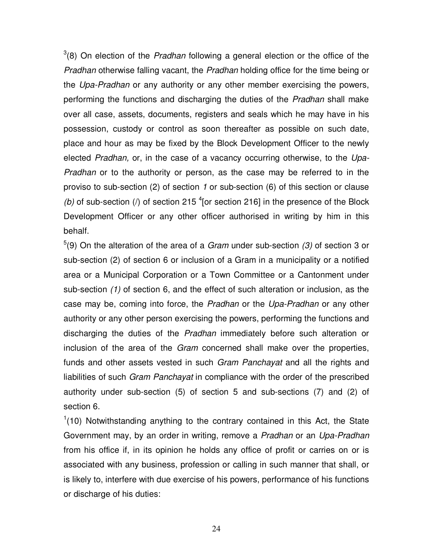$3(8)$  On election of the *Pradhan* following a general election or the office of the Pradhan otherwise falling vacant, the Pradhan holding office for the time being or the Upa-Pradhan or any authority or any other member exercising the powers, performing the functions and discharging the duties of the Pradhan shall make over all case, assets, documents, registers and seals which he may have in his possession, custody or control as soon thereafter as possible on such date, place and hour as may be fixed by the Block Development Officer to the newly elected Pradhan, or, in the case of a vacancy occurring otherwise, to the Upa-Pradhan or to the authority or person, as the case may be referred to in the proviso to sub-section (2) of section 1 or sub-section (6) of this section or clause (b) of sub-section (*l*) of section 215<sup>4</sup> [or section 216] in the presence of the Block Development Officer or any other officer authorised in writing by him in this behalf.

 $5(9)$  On the alteration of the area of a *Gram* under sub-section (3) of section 3 or sub-section (2) of section 6 or inclusion of a Gram in a municipality or a notified area or a Municipal Corporation or a Town Committee or a Cantonment under sub-section (1) of section 6, and the effect of such alteration or inclusion, as the case may be, coming into force, the Pradhan or the Upa-Pradhan or any other authority or any other person exercising the powers, performing the functions and discharging the duties of the Pradhan immediately before such alteration or inclusion of the area of the Gram concerned shall make over the properties, funds and other assets vested in such Gram Panchayat and all the rights and liabilities of such *Gram Panchayat* in compliance with the order of the prescribed authority under sub-section (5) of section 5 and sub-sections (7) and (2) of section 6.

 $1(10)$  Notwithstanding anything to the contrary contained in this Act, the State Government may, by an order in writing, remove a Pradhan or an Upa-Pradhan from his office if, in its opinion he holds any office of profit or carries on or is associated with any business, profession or calling in such manner that shall, or is likely to, interfere with due exercise of his powers, performance of his functions or discharge of his duties: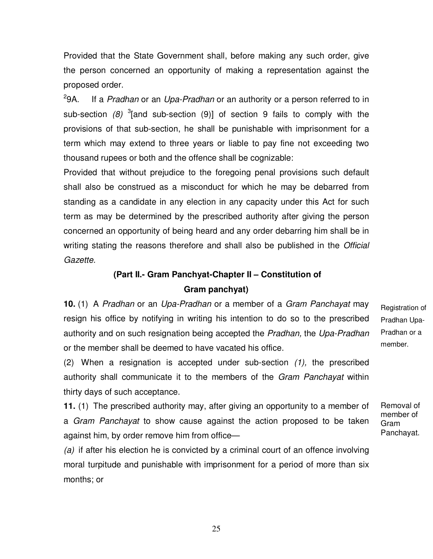Provided that the State Government shall, before making any such order, give the person concerned an opportunity of making a representation against the proposed order.

 $29A$ . If a Pradhan or an Upa-Pradhan or an authority or a person referred to in sub-section  $(8)$  <sup>3</sup>[and sub-section  $(9)$ ] of section 9 fails to comply with the provisions of that sub-section, he shall be punishable with imprisonment for a term which may extend to three years or liable to pay fine not exceeding two thousand rupees or both and the offence shall be cognizable:

Provided that without prejudice to the foregoing penal provisions such default shall also be construed as a misconduct for which he may be debarred from standing as a candidate in any election in any capacity under this Act for such term as may be determined by the prescribed authority after giving the person concerned an opportunity of being heard and any order debarring him shall be in writing stating the reasons therefore and shall also be published in the *Official* Gazette.

# **(Part II.- Gram Panchyat-Chapter II – Constitution of Gram panchyat)**

**10.** (1) A Pradhan or an Upa-Pradhan or a member of a Gram Panchayat may resign his office by notifying in writing his intention to do so to the prescribed authority and on such resignation being accepted the Pradhan, the Upa-Pradhan or the member shall be deemed to have vacated his office.

(2) When a resignation is accepted under sub-section (1), the prescribed authority shall communicate it to the members of the Gram Panchayat within thirty days of such acceptance.

**11.** (1) The prescribed authority may, after giving an opportunity to a member of a *Gram Panchayat* to show cause against the action proposed to be taken against him, by order remove him from office—

(a) if after his election he is convicted by a criminal court of an offence involving moral turpitude and punishable with imprisonment for a period of more than six months; or

Registration of Pradhan Upa-Pradhan or a member.

member of Gram Panchayat.

Removal of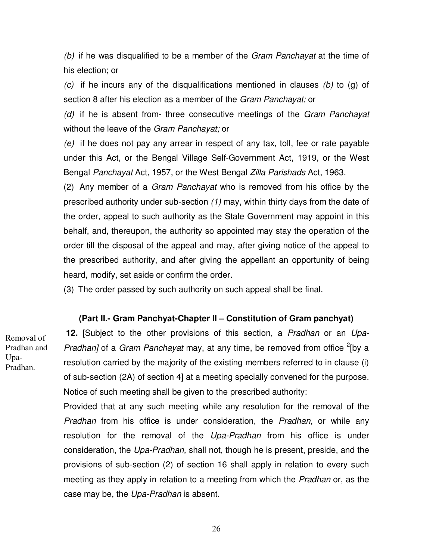(b) if he was disqualified to be a member of the *Gram Panchayat* at the time of his election; or

(c) if he incurs any of the disqualifications mentioned in clauses (b) to (g) of section 8 after his election as a member of the Gram Panchayat; or

 $(d)$  if he is absent from- three consecutive meetings of the Gram Panchayat without the leave of the Gram Panchayat; or

(e) if he does not pay any arrear in respect of any tax, toll, fee or rate payable under this Act, or the Bengal Village Self-Government Act, 1919, or the West Bengal Panchayat Act, 1957, or the West Bengal Zilla Parishads Act, 1963.

(2) Any member of a Gram Panchayat who is removed from his office by the prescribed authority under sub-section (1) may, within thirty days from the date of the order, appeal to such authority as the Stale Government may appoint in this behalf, and, thereupon, the authority so appointed may stay the operation of the order till the disposal of the appeal and may, after giving notice of the appeal to the prescribed authority, and after giving the appellant an opportunity of being heard, modify, set aside or confirm the order.

(3) The order passed by such authority on such appeal shall be final.

### **(Part II.- Gram Panchyat-Chapter II – Constitution of Gram panchyat)**

**12.** [Subject to the other provisions of this section, a Pradhan or an Upa-Pradhan] of a Gram Panchayat may, at any time, be removed from office <sup>2</sup>[by a resolution carried by the majority of the existing members referred to in clause (i) of sub-section (2A) of section 4] at a meeting specially convened for the purpose. Notice of such meeting shall be given to the prescribed authority:

Provided that at any such meeting while any resolution for the removal of the Pradhan from his office is under consideration, the Pradhan, or while any resolution for the removal of the Upa-Pradhan from his office is under consideration, the Upa-Pradhan, shall not, though he is present, preside, and the provisions of sub-section (2) of section 16 shall apply in relation to every such meeting as they apply in relation to a meeting from which the *Pradhan* or, as the case may be, the Upa-Pradhan is absent.

Removal of Pradhan and Upa-Pradhan.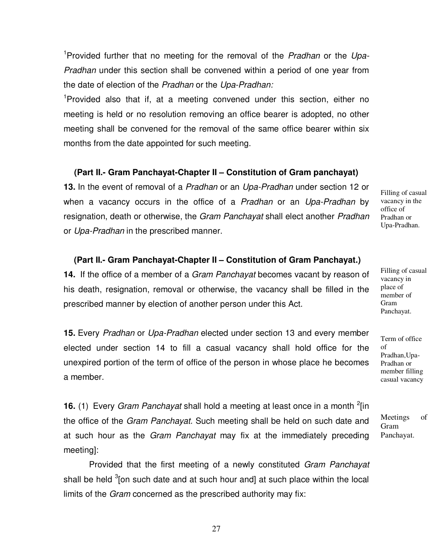<sup>1</sup>Provided further that no meeting for the removal of the *Pradhan* or the Upa-Pradhan under this section shall be convened within a period of one year from the date of election of the Pradhan or the Upa-Pradhan:

<sup>1</sup>Provided also that if, at a meeting convened under this section, either no meeting is held or no resolution removing an office bearer is adopted, no other meeting shall be convened for the removal of the same office bearer within six months from the date appointed for such meeting.

### **(Part II.- Gram Panchayat-Chapter II – Constitution of Gram panchayat)**

**13.** In the event of removal of a Pradhan or an Upa-Pradhan under section 12 or when a vacancy occurs in the office of a Pradhan or an Upa-Pradhan by resignation, death or otherwise, the Gram Panchayat shall elect another Pradhan or Upa-Pradhan in the prescribed manner.

### **(Part II.- Gram Panchayat-Chapter II – Constitution of Gram Panchayat.)**

**14.** If the office of a member of a Gram Panchayat becomes vacant by reason of his death, resignation, removal or otherwise, the vacancy shall be filled in the prescribed manner by election of another person under this Act.

**15.** Every Pradhan or Upa-Pradhan elected under section 13 and every member elected under section 14 to fill a casual vacancy shall hold office for the unexpired portion of the term of office of the person in whose place he becomes a member.

**16.** (1) Every Gram Panchayat shall hold a meeting at least once in a month <sup>2</sup>[in the office of the *Gram Panchayat*. Such meeting shall be held on such date and at such hour as the *Gram Panchayat* may fix at the immediately preceding meeting]:

Provided that the first meeting of a newly constituted *Gram Panchayat* shall be held <sup>3</sup>[on such date and at such hour and] at such place within the local limits of the *Gram* concerned as the prescribed authority may fix:

vacancy in the office of Pradhan or Upa-Pradhan.

Filling of casual

Filling of casual vacancy in place of member of Gram Panchayat.

Term of office of Pradhan,Upa-Pradhan or member filling casual vacancy

Meetings of Gram Panchayat.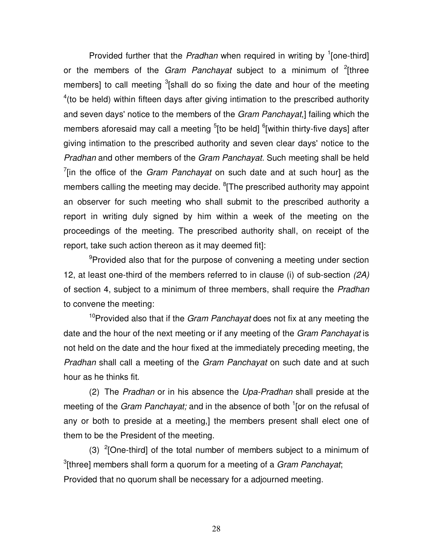Provided further that the Pradhan when required in writing by  $\frac{1}{2}$  [one-third] or the members of the *Gram Panchayat* subject to a minimum of  $2$ <sup>2</sup>[three members] to call meeting  $3$ [shall do so fixing the date and hour of the meeting  $4$ (to be held) within fifteen days after giving intimation to the prescribed authority and seven days' notice to the members of the Gram Panchayat,] failing which the members aforesaid may call a meeting <sup>5</sup>[to be held] <sup>6</sup>[within thirty-five days] after giving intimation to the prescribed authority and seven clear days' notice to the Pradhan and other members of the Gram Panchayat. Such meeting shall be held  $7$ [in the office of the *Gram Panchayat* on such date and at such hour] as the members calling the meeting may decide. <sup>8</sup>[The prescribed authority may appoint an observer for such meeting who shall submit to the prescribed authority a report in writing duly signed by him within a week of the meeting on the proceedings of the meeting. The prescribed authority shall, on receipt of the report, take such action thereon as it may deemed fit]:

<sup>9</sup>Provided also that for the purpose of convening a meeting under section 12, at least one-third of the members referred to in clause (i) of sub-section (2A) of section 4, subject to a minimum of three members, shall require the Pradhan to convene the meeting:

<sup>10</sup>Provided also that if the *Gram Panchavat* does not fix at any meeting the date and the hour of the next meeting or if any meeting of the Gram Panchayat is not held on the date and the hour fixed at the immediately preceding meeting, the Pradhan shall call a meeting of the Gram Panchayat on such date and at such hour as he thinks fit.

(2) The Pradhan or in his absence the Upa-Pradhan shall preside at the meeting of the Gram Panchayat; and in the absence of both <sup>1</sup>[or on the refusal of any or both to preside at a meeting,] the members present shall elect one of them to be the President of the meeting.

(3)  $2$ [One-third] of the total number of members subject to a minimum of <sup>3</sup>[three] members shall form a quorum for a meeting of a *Gram Panchayat*; Provided that no quorum shall be necessary for a adjourned meeting.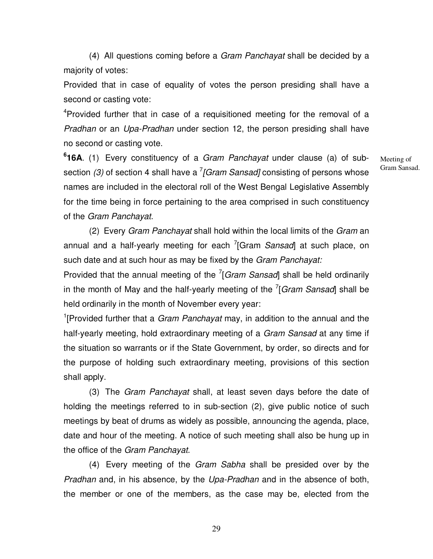(4) All questions coming before a Gram Panchayat shall be decided by a majority of votes:

Provided that in case of equality of votes the person presiding shall have a second or casting vote:

<sup>4</sup>Provided further that in case of a requisitioned meeting for the removal of a Pradhan or an Upa-Pradhan under section 12, the person presiding shall have no second or casting vote.

**6 16A**. (1) Every constituency of a Gram Panchayat under clause (a) of subsection (3) of section 4 shall have a  $^{7}$ [Gram Sansad] consisting of persons whose names are included in the electoral roll of the West Bengal Legislative Assembly for the time being in force pertaining to the area comprised in such constituency of the Gram Panchayat.

Meeting of Gram Sansad.

(2) Every Gram Panchayat shall hold within the local limits of the Gram an annual and a half-yearly meeting for each <sup>7</sup>[Gram Sansad] at such place, on such date and at such hour as may be fixed by the Gram Panchayat:

Provided that the annual meeting of the  $7$ [Gram Sansad] shall be held ordinarily in the month of May and the half-yearly meeting of the  $7$ [Gram Sansad] shall be held ordinarily in the month of November every year:

<sup>1</sup>[Provided further that a *Gram Panchayat* may, in addition to the annual and the half-yearly meeting, hold extraordinary meeting of a Gram Sansad at any time if the situation so warrants or if the State Government, by order, so directs and for the purpose of holding such extraordinary meeting, provisions of this section shall apply.

(3) The Gram Panchayat shall, at least seven days before the date of holding the meetings referred to in sub-section (2), give public notice of such meetings by beat of drums as widely as possible, announcing the agenda, place, date and hour of the meeting. A notice of such meeting shall also be hung up in the office of the Gram Panchayat.

(4) Every meeting of the Gram Sabha shall be presided over by the Pradhan and, in his absence, by the Upa-Pradhan and in the absence of both, the member or one of the members, as the case may be, elected from the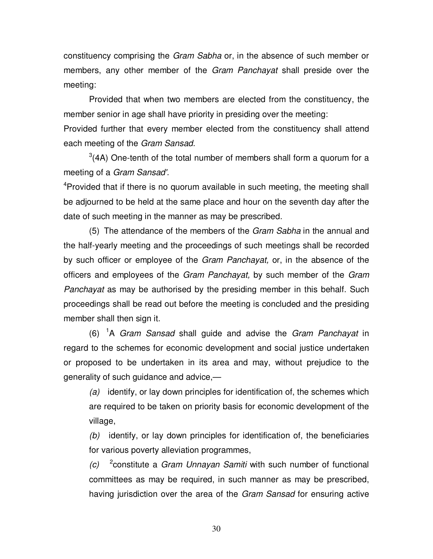constituency comprising the *Gram Sabha* or, in the absence of such member or members, any other member of the *Gram Panchayat* shall preside over the meeting:

Provided that when two members are elected from the constituency, the member senior in age shall have priority in presiding over the meeting:

Provided further that every member elected from the constituency shall attend each meeting of the Gram Sansad.

 $3(4A)$  One-tenth of the total number of members shall form a quorum for a meeting of a Gram Sansad'.

<sup>4</sup>Provided that if there is no quorum available in such meeting, the meeting shall be adjourned to be held at the same place and hour on the seventh day after the date of such meeting in the manner as may be prescribed.

(5) The attendance of the members of the Gram Sabha in the annual and the half-yearly meeting and the proceedings of such meetings shall be recorded by such officer or employee of the Gram Panchayat, or, in the absence of the officers and employees of the Gram Panchayat, by such member of the Gram Panchayat as may be authorised by the presiding member in this behalf. Such proceedings shall be read out before the meeting is concluded and the presiding member shall then sign it.

 $(6)$  <sup>1</sup>A Gram Sansad shall guide and advise the Gram Panchayat in regard to the schemes for economic development and social justice undertaken or proposed to be undertaken in its area and may, without prejudice to the generality of such guidance and advice,—

 $(a)$  identify, or lay down principles for identification of, the schemes which are required to be taken on priority basis for economic development of the village,

(b) identify, or lay down principles for identification of, the beneficiaries for various poverty alleviation programmes,

 $(c)$  <sup>2</sup> constitute a *Gram Unnayan Samiti* with such number of functional committees as may be required, in such manner as may be prescribed, having jurisdiction over the area of the Gram Sansad for ensuring active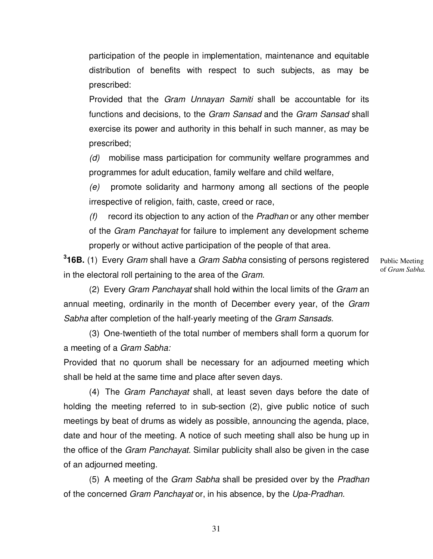participation of the people in implementation, maintenance and equitable distribution of benefits with respect to such subjects, as may be prescribed:

Provided that the Gram Unnayan Samiti shall be accountable for its functions and decisions, to the Gram Sansad and the Gram Sansad shall exercise its power and authority in this behalf in such manner, as may be prescribed;

(d) mobilise mass participation for community welfare programmes and programmes for adult education, family welfare and child welfare,

(e) promote solidarity and harmony among all sections of the people irrespective of religion, faith, caste, creed or race,

 $(f)$  record its objection to any action of the *Pradhan* or any other member of the Gram Panchayat for failure to implement any development scheme properly or without active participation of the people of that area.

**3 16B.** (1) Every Gram shall have a Gram Sabha consisting of persons registered in the electoral roll pertaining to the area of the Gram.

Public Meeting of *Gram Sabha.*

(2) Every Gram Panchayat shall hold within the local limits of the Gram an annual meeting, ordinarily in the month of December every year, of the Gram Sabha after completion of the half-yearly meeting of the Gram Sansads.

(3) One-twentieth of the total number of members shall form a quorum for a meeting of a Gram Sabha:

Provided that no quorum shall be necessary for an adjourned meeting which shall be held at the same time and place after seven days.

(4) The Gram Panchayat shall, at least seven days before the date of holding the meeting referred to in sub-section (2), give public notice of such meetings by beat of drums as widely as possible, announcing the agenda, place, date and hour of the meeting. A notice of such meeting shall also be hung up in the office of the Gram Panchayat. Similar publicity shall also be given in the case of an adjourned meeting.

(5) A meeting of the Gram Sabha shall be presided over by the Pradhan of the concerned Gram Panchayat or, in his absence, by the Upa-Pradhan.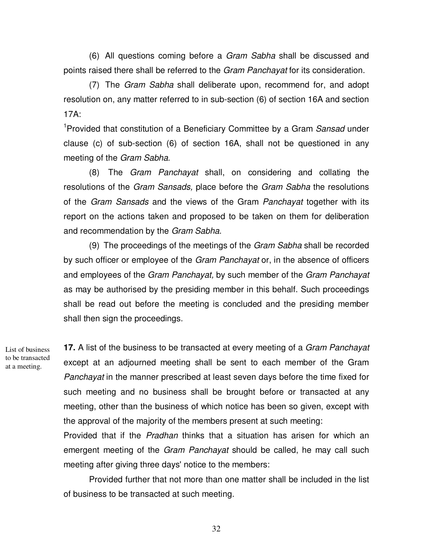(6) All questions coming before a Gram Sabha shall be discussed and points raised there shall be referred to the *Gram Panchayat* for its consideration.

(7) The Gram Sabha shall deliberate upon, recommend for, and adopt resolution on, any matter referred to in sub-section (6) of section 16A and section 17A:

<sup>1</sup>Provided that constitution of a Beneficiary Committee by a Gram Sansad under clause (c) of sub-section (6) of section 16A, shall not be questioned in any meeting of the Gram Sabha.

(8) The Gram Panchayat shall, on considering and collating the resolutions of the Gram Sansads, place before the Gram Sabha the resolutions of the Gram Sansads and the views of the Gram Panchayat together with its report on the actions taken and proposed to be taken on them for deliberation and recommendation by the Gram Sabha.

(9) The proceedings of the meetings of the *Gram Sabha* shall be recorded by such officer or employee of the *Gram Panchayat* or, in the absence of officers and employees of the Gram Panchayat, by such member of the Gram Panchayat as may be authorised by the presiding member in this behalf. Such proceedings shall be read out before the meeting is concluded and the presiding member shall then sign the proceedings.

List of business to be transacted at a meeting.

**17.** A list of the business to be transacted at every meeting of a Gram Panchayat except at an adjourned meeting shall be sent to each member of the Gram Panchayat in the manner prescribed at least seven days before the time fixed for such meeting and no business shall be brought before or transacted at any meeting, other than the business of which notice has been so given, except with the approval of the majority of the members present at such meeting:

Provided that if the Pradhan thinks that a situation has arisen for which an emergent meeting of the Gram Panchayat should be called, he may call such meeting after giving three days' notice to the members:

Provided further that not more than one matter shall be included in the list of business to be transacted at such meeting.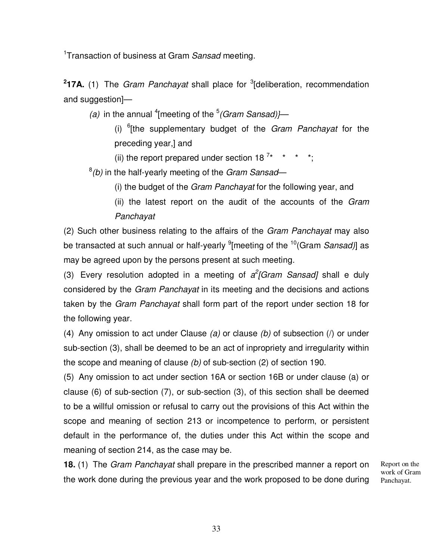<sup>1</sup>Transaction of business at Gram Sansad meeting.

<sup>2</sup>17A. (1) The *Gram Panchayat* shall place for <sup>3</sup>[deliberation, recommendation and suggestion]—

(a) in the annual <sup>4</sup> [meeting of the  $5$  (Gram Sansad)}—

(i)  $6$ [the supplementary budget of the Gram Panchayat for the preceding year,] and

(ii) the report prepared under section 18<sup>7\*</sup> \* \* \*;

 $^{8}$ (b) in the half-yearly meeting of the Gram Sansad—

(i) the budget of the Gram Panchayat for the following year, and

(ii) the latest report on the audit of the accounts of the Gram Panchayat

(2) Such other business relating to the affairs of the Gram Panchayat may also be transacted at such annual or half-yearly <sup>9</sup>[meeting of the <sup>10</sup>(Gram *Sansad)*] as may be agreed upon by the persons present at such meeting.

(3) Every resolution adopted in a meeting of  $a^2$ [Gram Sansad] shall e duly considered by the Gram Panchayat in its meeting and the decisions and actions taken by the Gram Panchayat shall form part of the report under section 18 for the following year.

(4) Any omission to act under Clause (a) or clause (b) of subsection ( $\ell$ ) or under sub-section (3), shall be deemed to be an act of inpropriety and irregularity within the scope and meaning of clause (b) of sub-section (2) of section 190.

(5) Any omission to act under section 16A or section 16B or under clause (a) or clause (6) of sub-section (7), or sub-section (3), of this section shall be deemed to be a willful omission or refusal to carry out the provisions of this Act within the scope and meaning of section 213 or incompetence to perform, or persistent default in the performance of, the duties under this Act within the scope and meaning of section 214, as the case may be.

**18.** (1) The Gram Panchayat shall prepare in the prescribed manner a report on the work done during the previous year and the work proposed to be done during

Report on the work of Gram Panchayat.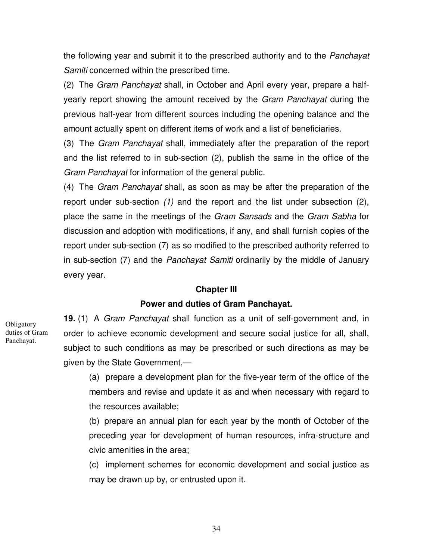the following year and submit it to the prescribed authority and to the *Panchayat* Samiti concerned within the prescribed time.

(2) The Gram Panchayat shall, in October and April every year, prepare a halfyearly report showing the amount received by the Gram Panchayat during the previous half-year from different sources including the opening balance and the amount actually spent on different items of work and a list of beneficiaries.

(3) The Gram Panchayat shall, immediately after the preparation of the report and the list referred to in sub-section (2), publish the same in the office of the Gram Panchayat for information of the general public.

(4) The Gram Panchayat shall, as soon as may be after the preparation of the report under sub-section (1) and the report and the list under subsection (2), place the same in the meetings of the Gram Sansads and the Gram Sabha for discussion and adoption with modifications, if any, and shall furnish copies of the report under sub-section (7) as so modified to the prescribed authority referred to in sub-section (7) and the Panchayat Samiti ordinarily by the middle of January every year.

### **Chapter III**

### **Power and duties of Gram Panchayat.**

**Obligatory** duties of Gram Panchayat.

**19.** (1) A Gram Panchayat shall function as a unit of self-government and, in order to achieve economic development and secure social justice for all, shall, subject to such conditions as may be prescribed or such directions as may be given by the State Government,—

(a) prepare a development plan for the five-year term of the office of the members and revise and update it as and when necessary with regard to the resources available;

(b) prepare an annual plan for each year by the month of October of the preceding year for development of human resources, infra-structure and civic amenities in the area;

(c) implement schemes for economic development and social justice as may be drawn up by, or entrusted upon it.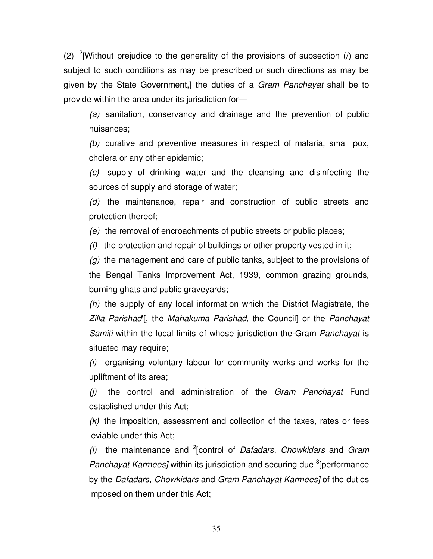(2) <sup>2</sup>[Without prejudice to the generality of the provisions of subsection ( $\ell$ ) and subject to such conditions as may be prescribed or such directions as may be given by the State Government,] the duties of a *Gram Panchayat* shall be to provide within the area under its jurisdiction for—

(a) sanitation, conservancy and drainage and the prevention of public nuisances;

(b) curative and preventive measures in respect of malaria, small pox, cholera or any other epidemic;

(c) supply of drinking water and the cleansing and disinfecting the sources of supply and storage of water;

(d) the maintenance, repair and construction of public streets and protection thereof;

(e) the removal of encroachments of public streets or public places;

 $(f)$  the protection and repair of buildings or other property vested in it;

 $(q)$  the management and care of public tanks, subject to the provisions of the Bengal Tanks Improvement Act, 1939, common grazing grounds, burning ghats and public graveyards;

 $(h)$  the supply of any local information which the District Magistrate, the Zilla Parishad'[, the Mahakuma Parishad, the Council] or the Panchayat Samiti within the local limits of whose jurisdiction the-Gram Panchayat is situated may require;

(i) organising voluntary labour for community works and works for the upliftment of its area;

 $(j)$  the control and administration of the Gram Panchayat Fund established under this Act;

 $(k)$  the imposition, assessment and collection of the taxes, rates or fees leviable under this Act;

(I) the maintenance and <sup>2</sup> [control of *Dafadars*, *Chowkidars* and *Gram* Panchayat Karmees] within its jurisdiction and securing due <sup>3</sup> [performance by the Dafadars, Chowkidars and Gram Panchayat Karmees] of the duties imposed on them under this Act;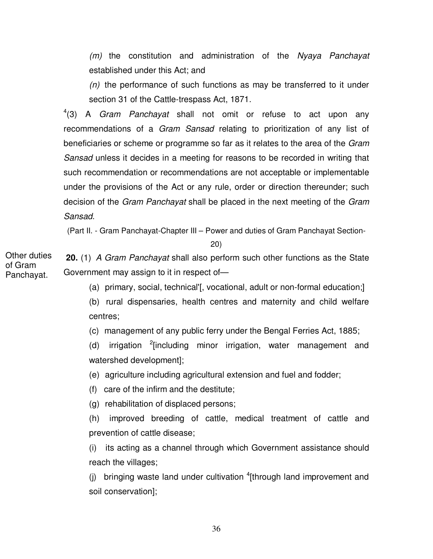(m) the constitution and administration of the Nyaya Panchayat established under this Act; and

 $(n)$  the performance of such functions as may be transferred to it under section 31 of the Cattle-trespass Act, 1871.

 $4(3)$  A *Gram Panchayat* shall not omit or refuse to act upon any recommendations of a *Gram Sansad* relating to prioritization of any list of beneficiaries or scheme or programme so far as it relates to the area of the Gram Sansad unless it decides in a meeting for reasons to be recorded in writing that such recommendation or recommendations are not acceptable or implementable under the provisions of the Act or any rule, order or direction thereunder; such decision of the *Gram Panchayat* shall be placed in the next meeting of the *Gram* Sansad.

(Part II. - Gram Panchayat-Chapter III – Power and duties of Gram Panchayat Section-

20)

 **20.** (1) A Gram Panchayat shall also perform such other functions as the State Government may assign to it in respect of— Other duties

(a) primary, social, technical'[, vocational, adult or non-formal education;]

(b) rural dispensaries, health centres and maternity and child welfare centres;

(c) management of any public ferry under the Bengal Ferries Act, 1885;

(d) irrigation <sup>2</sup>[including minor irrigation, water management and watershed development];

(e) agriculture including agricultural extension and fuel and fodder;

(f) care of the infirm and the destitute;

(g) rehabilitation of displaced persons;

(h) improved breeding of cattle, medical treatment of cattle and prevention of cattle disease;

(i) its acting as a channel through which Government assistance should reach the villages;

(j) bringing waste land under cultivation  ${}^{4}$ [through land improvement and soil conservation];

of Gram Panchayat.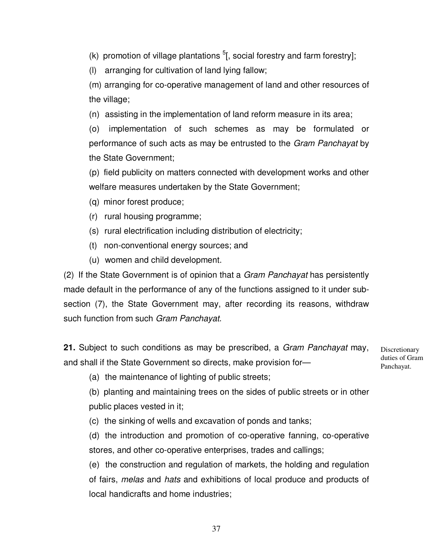(k) promotion of village plantations  $5$ [, social forestry and farm forestry];

(l) arranging for cultivation of land lying fallow;

(m) arranging for co-operative management of land and other resources of the village;

(n) assisting in the implementation of land reform measure in its area;

(o) implementation of such schemes as may be formulated or performance of such acts as may be entrusted to the Gram Panchayat by the State Government;

(p) field publicity on matters connected with development works and other welfare measures undertaken by the State Government;

- (q) minor forest produce;
- (r) rural housing programme;
- (s) rural electrification including distribution of electricity;
- (t) non-conventional energy sources; and
- (u) women and child development.

(2) If the State Government is of opinion that a Gram Panchayat has persistently made default in the performance of any of the functions assigned to it under subsection (7), the State Government may, after recording its reasons, withdraw such function from such Gram Panchavat.

**21.** Subject to such conditions as may be prescribed, a Gram Panchayat may, and shall if the State Government so directs, make provision for—

Discretionary duties of Gram Panchayat.

(a) the maintenance of lighting of public streets;

(b) planting and maintaining trees on the sides of public streets or in other public places vested in it;

(c) the sinking of wells and excavation of ponds and tanks;

(d) the introduction and promotion of co-operative fanning, co-operative stores, and other co-operative enterprises, trades and callings;

(e) the construction and regulation of markets, the holding and regulation of fairs, melas and hats and exhibitions of local produce and products of local handicrafts and home industries;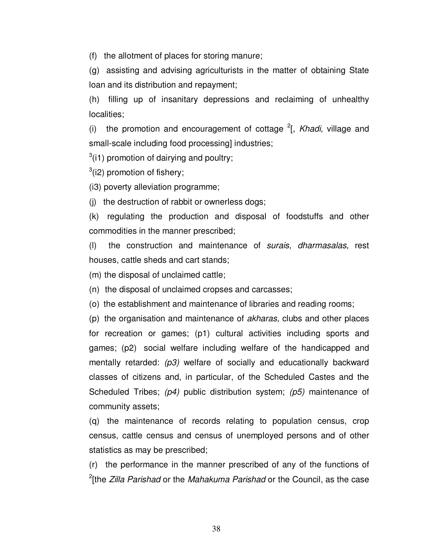(f) the allotment of places for storing manure;

(g) assisting and advising agriculturists in the matter of obtaining State loan and its distribution and repayment;

(h) filling up of insanitary depressions and reclaiming of unhealthy localities;

(i) the promotion and encouragement of cottage  $2$ [, Khadi, village and small-scale including food processing] industries;

 $3(11)$  promotion of dairying and poultry;

 $3$ (i2) promotion of fishery;

(i3) poverty alleviation programme;

(j) the destruction of rabbit or ownerless dogs;

(k) regulating the production and disposal of foodstuffs and other commodities in the manner prescribed;

(l) the construction and maintenance of surais, dharmasalas, rest houses, cattle sheds and cart stands;

(m) the disposal of unclaimed cattle;

(n) the disposal of unclaimed cropses and carcasses;

(o) the establishment and maintenance of libraries and reading rooms;

(p) the organisation and maintenance of akharas, clubs and other places for recreation or games; (p1) cultural activities including sports and games; (p2) social welfare including welfare of the handicapped and mentally retarded:  $(p3)$  welfare of socially and educationally backward classes of citizens and, in particular, of the Scheduled Castes and the Scheduled Tribes;  $(p4)$  public distribution system;  $(p5)$  maintenance of community assets;

(q) the maintenance of records relating to population census, crop census, cattle census and census of unemployed persons and of other statistics as may be prescribed;

(r) the performance in the manner prescribed of any of the functions of <sup>2</sup>[the *Zilla Parishad* or the *Mahakuma Parishad* or the Council, as the case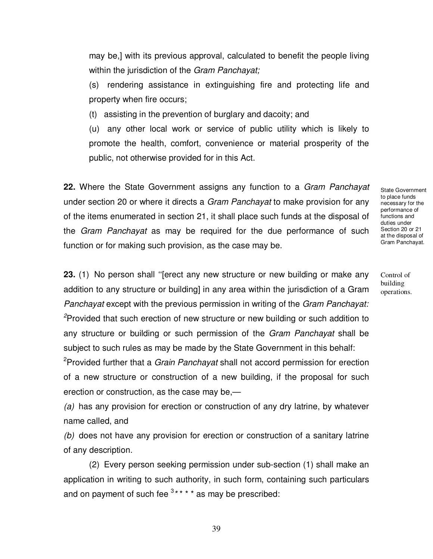may be,] with its previous approval, calculated to benefit the people living within the jurisdiction of the *Gram Panchayat*;

(s) rendering assistance in extinguishing fire and protecting life and property when fire occurs;

(t) assisting in the prevention of burglary and dacoity; and

(u) any other local work or service of public utility which is likely to promote the health, comfort, convenience or material prosperity of the public, not otherwise provided for in this Act.

**22.** Where the State Government assigns any function to a Gram Panchayat under section 20 or where it directs a *Gram Panchayat* to make provision for any of the items enumerated in section 21, it shall place such funds at the disposal of the Gram Panchayat as may be required for the due performance of such function or for making such provision, as the case may be.

**23.** (1) No person shall ''[erect any new structure or new building or make any addition to any structure or building] in any area within the jurisdiction of a Gram Panchayat except with the previous permission in writing of the Gram Panchayat: <sup>2</sup>Provided that such erection of new structure or new building or such addition to any structure or building or such permission of the Gram Panchayat shall be subject to such rules as may be made by the State Government in this behalf:

<sup>2</sup>Provided further that a *Grain Panchayat* shall not accord permission for erection of a new structure or construction of a new building, if the proposal for such erection or construction, as the case may be,—

(a) has any provision for erection or construction of any dry latrine, by whatever name called, and

(b) does not have any provision for erection or construction of a sanitary latrine of any description.

(2) Every person seeking permission under sub-section (1) shall make an application in writing to such authority, in such form, containing such particulars and on payment of such fee  $3****$  as may be prescribed:

State Government to place funds necessary for the performance of functions and duties under Section 20 or 21 at the disposal of Gram Panchayat.

Control of building operations.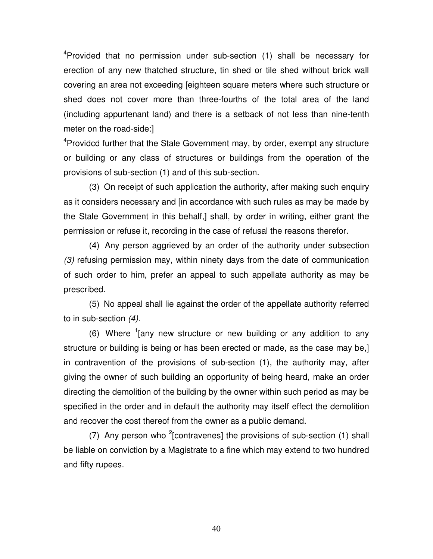<sup>4</sup>Provided that no permission under sub-section (1) shall be necessary for erection of any new thatched structure, tin shed or tile shed without brick wall covering an area not exceeding [eighteen square meters where such structure or shed does not cover more than three-fourths of the total area of the land (including appurtenant land) and there is a setback of not less than nine-tenth meter on the road-side:]

<sup>4</sup>Providcd further that the Stale Government may, by order, exempt any structure or building or any class of structures or buildings from the operation of the provisions of sub-section (1) and of this sub-section.

(3) On receipt of such application the authority, after making such enquiry as it considers necessary and [in accordance with such rules as may be made by the Stale Government in this behalf,] shall, by order in writing, either grant the permission or refuse it, recording in the case of refusal the reasons therefor.

(4) Any person aggrieved by an order of the authority under subsection (3) refusing permission may, within ninety days from the date of communication of such order to him, prefer an appeal to such appellate authority as may be prescribed.

(5) No appeal shall lie against the order of the appellate authority referred to in sub-section (4).

 $(6)$  Where  $(1)$  any new structure or new building or any addition to any structure or building is being or has been erected or made, as the case may be,] in contravention of the provisions of sub-section (1), the authority may, after giving the owner of such building an opportunity of being heard, make an order directing the demolition of the building by the owner within such period as may be specified in the order and in default the authority may itself effect the demolition and recover the cost thereof from the owner as a public demand.

(7) Any person who <sup>2</sup> [contravenes] the provisions of sub-section (1) shall be liable on conviction by a Magistrate to a fine which may extend to two hundred and fifty rupees.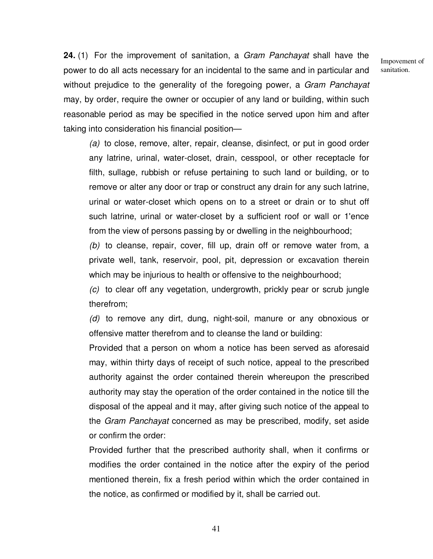Impovement of sanitation.

**24.** (1) For the improvement of sanitation, a Gram Panchayat shall have the power to do all acts necessary for an incidental to the same and in particular and without prejudice to the generality of the foregoing power, a Gram Panchayat may, by order, require the owner or occupier of any land or building, within such reasonable period as may be specified in the notice served upon him and after taking into consideration his financial position—

(a) to close, remove, alter, repair, cleanse, disinfect, or put in good order any latrine, urinal, water-closet, drain, cesspool, or other receptacle for filth, sullage, rubbish or refuse pertaining to such land or building, or to remove or alter any door or trap or construct any drain for any such latrine, urinal or water-closet which opens on to a street or drain or to shut off such latrine, urinal or water-closet by a sufficient roof or wall or 1'ence from the view of persons passing by or dwelling in the neighbourhood;

(b) to cleanse, repair, cover, fill up, drain off or remove water from, a private well, tank, reservoir, pool, pit, depression or excavation therein which may be injurious to health or offensive to the neighbourhood;

(c) to clear off any vegetation, undergrowth, prickly pear or scrub jungle therefrom;

(d) to remove any dirt, dung, night-soil, manure or any obnoxious or offensive matter therefrom and to cleanse the land or building:

Provided that a person on whom a notice has been served as aforesaid may, within thirty days of receipt of such notice, appeal to the prescribed authority against the order contained therein whereupon the prescribed authority may stay the operation of the order contained in the notice till the disposal of the appeal and it may, after giving such notice of the appeal to the Gram Panchayat concerned as may be prescribed, modify, set aside or confirm the order:

Provided further that the prescribed authority shall, when it confirms or modifies the order contained in the notice after the expiry of the period mentioned therein, fix a fresh period within which the order contained in the notice, as confirmed or modified by it, shall be carried out.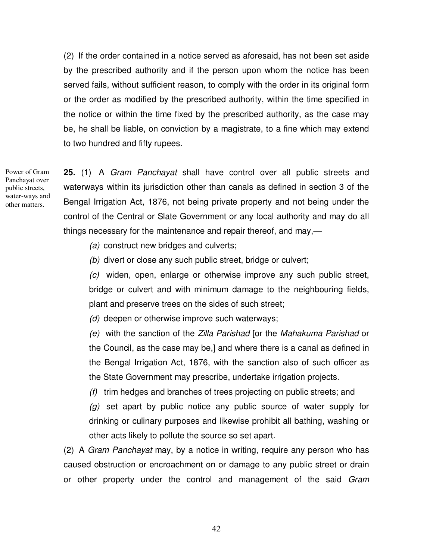(2) If the order contained in a notice served as aforesaid, has not been set aside by the prescribed authority and if the person upon whom the notice has been served fails, without sufficient reason, to comply with the order in its original form or the order as modified by the prescribed authority, within the time specified in the notice or within the time fixed by the prescribed authority, as the case may be, he shall be liable, on conviction by a magistrate, to a fine which may extend to two hundred and fifty rupees.

Power of Gram Panchayat over public streets, water-ways and other matters.

**25.** (1) A Gram Panchayat shall have control over all public streets and waterways within its jurisdiction other than canals as defined in section 3 of the Bengal Irrigation Act, 1876, not being private property and not being under the control of the Central or Slate Government or any local authority and may do all things necessary for the maintenance and repair thereof, and may,—

(a) construct new bridges and culverts;

(b) divert or close any such public street, bridge or culvert;

(c) widen, open, enlarge or otherwise improve any such public street, bridge or culvert and with minimum damage to the neighbouring fields, plant and preserve trees on the sides of such street;

(d) deepen or otherwise improve such waterways;

(e) with the sanction of the Zilla Parishad [or the Mahakuma Parishad or the Council, as the case may be,] and where there is a canal as defined in the Bengal Irrigation Act, 1876, with the sanction also of such officer as the State Government may prescribe, undertake irrigation projects.

(f) trim hedges and branches of trees projecting on public streets; and

 $(q)$  set apart by public notice any public source of water supply for drinking or culinary purposes and likewise prohibit all bathing, washing or other acts likely to pollute the source so set apart.

(2) A Gram Panchayat may, by a notice in writing, require any person who has caused obstruction or encroachment on or damage to any public street or drain or other property under the control and management of the said Gram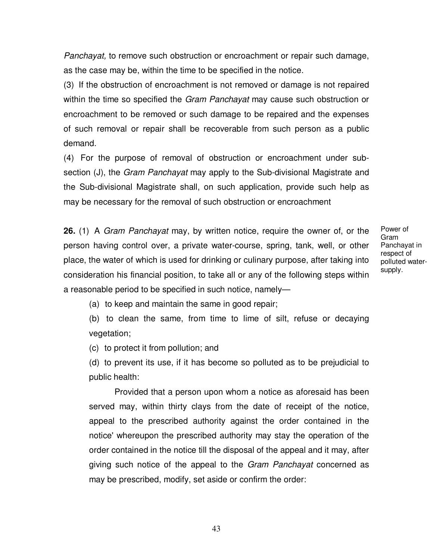Panchayat, to remove such obstruction or encroachment or repair such damage, as the case may be, within the time to be specified in the notice.

(3) If the obstruction of encroachment is not removed or damage is not repaired within the time so specified the *Gram Panchayat* may cause such obstruction or encroachment to be removed or such damage to be repaired and the expenses of such removal or repair shall be recoverable from such person as a public demand.

(4) For the purpose of removal of obstruction or encroachment under subsection (J), the *Gram Panchayat* may apply to the Sub-divisional Magistrate and the Sub-divisional Magistrate shall, on such application, provide such help as may be necessary for the removal of such obstruction or encroachment

**26.** (1) A Gram Panchayat may, by written notice, require the owner of, or the person having control over, a private water-course, spring, tank, well, or other place, the water of which is used for drinking or culinary purpose, after taking into consideration his financial position, to take all or any of the following steps within a reasonable period to be specified in such notice, namely—

Power of Gram Panchayat in respect of polluted watersupply.

(a) to keep and maintain the same in good repair;

(b) to clean the same, from time to lime of silt, refuse or decaying vegetation;

(c) to protect it from pollution; and

(d) to prevent its use, if it has become so polluted as to be prejudicial to public health:

Provided that a person upon whom a notice as aforesaid has been served may, within thirty clays from the date of receipt of the notice, appeal to the prescribed authority against the order contained in the notice' whereupon the prescribed authority may stay the operation of the order contained in the notice till the disposal of the appeal and it may, after giving such notice of the appeal to the Gram Panchayat concerned as may be prescribed, modify, set aside or confirm the order: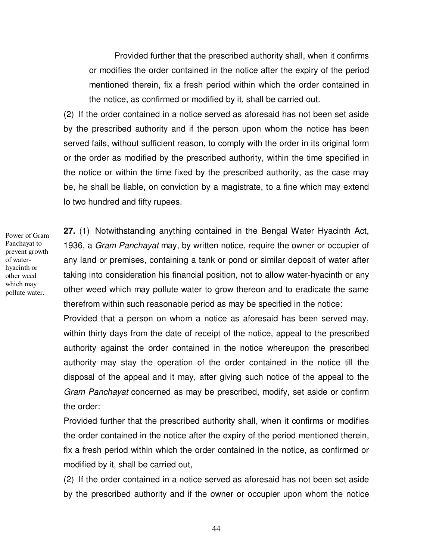Provided further that the prescribed authority shall, when it confirms or modifies the order contained in the notice after the expiry of the period mentioned therein, fix a fresh period within which the order contained in the notice, as confirmed or modified by it, shall be carried out.

(2) If the order contained in a notice served as aforesaid has not been set aside by the prescribed authority and if the person upon whom the notice has been served fails, without sufficient reason, to comply with the order in its original form or the order as modified by the prescribed authority, within the time specified in the notice or within the time fixed by the prescribed authority, as the case may be, he shall be liable, on conviction by a magistrate, to a fine which may extend lo two hundred and fifty rupees.

Power of Gram Panchayat to prevent growth of waterhyacinth or other weed which may pollute water.

**27.** (1) Notwithstanding anything contained in the Bengal Water Hyacinth Act, 1936, a Gram Panchayat may, by written notice, require the owner or occupier of any land or premises, containing a tank or pond or similar deposit of water after taking into consideration his financial position, not to allow water-hyacinth or any other weed which may pollute water to grow thereon and to eradicate the same therefrom within such reasonable period as may be specified in the notice:

Provided that a person on whom a notice as aforesaid has been served may, within thirty days from the date of receipt of the notice, appeal to the prescribed authority against the order contained in the notice whereupon the prescribed authority may stay the operation of the order contained in the notice till the disposal of the appeal and it may, after giving such notice of the appeal to the Gram Panchayat concerned as may be prescribed, modify, set aside or confirm the order:

Provided further that the prescribed authority shall, when it confirms or modifies the order contained in the notice after the expiry of the period mentioned therein, fix a fresh period within which the order contained in the notice, as confirmed or modified by it, shall be carried out,

(2) If the order contained in a notice served as aforesaid has not been set aside by the prescribed authority and if the owner or occupier upon whom the notice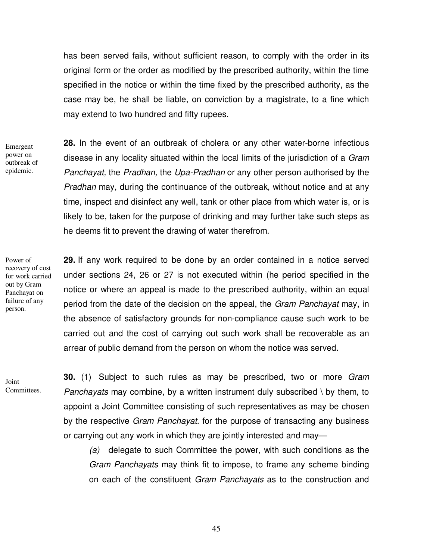has been served fails, without sufficient reason, to comply with the order in its original form or the order as modified by the prescribed authority, within the time specified in the notice or within the time fixed by the prescribed authority, as the case may be, he shall be liable, on conviction by a magistrate, to a fine which may extend to two hundred and fifty rupees.

Emergent power on outbreak of epidemic.

**28.** In the event of an outbreak of cholera or any other water-borne infectious disease in any locality situated within the local limits of the jurisdiction of a *Gram* Panchayat, the Pradhan, the Upa-Pradhan or any other person authorised by the Pradhan may, during the continuance of the outbreak, without notice and at any time, inspect and disinfect any well, tank or other place from which water is, or is likely to be, taken for the purpose of drinking and may further take such steps as he deems fit to prevent the drawing of water therefrom.

Power of recovery of cost for work carried out by Gram Panchayat on failure of any person.

**29.** If any work required to be done by an order contained in a notice served under sections 24, 26 or 27 is not executed within (he period specified in the notice or where an appeal is made to the prescribed authority, within an equal period from the date of the decision on the appeal, the Gram Panchayat may, in the absence of satisfactory grounds for non-compliance cause such work to be carried out and the cost of carrying out such work shall be recoverable as an arrear of public demand from the person on whom the notice was served.

Joint Committees. **30.** (1) Subject to such rules as may be prescribed, two or more Gram Panchayats may combine, by a written instrument duly subscribed  $\setminus$  by them, to appoint a Joint Committee consisting of such representatives as may be chosen by the respective *Gram Panchayat*. for the purpose of transacting any business or carrying out any work in which they are jointly interested and may—

(a) delegate to such Committee the power, with such conditions as the Gram Panchayats may think fit to impose, to frame any scheme binding on each of the constituent Gram Panchayats as to the construction and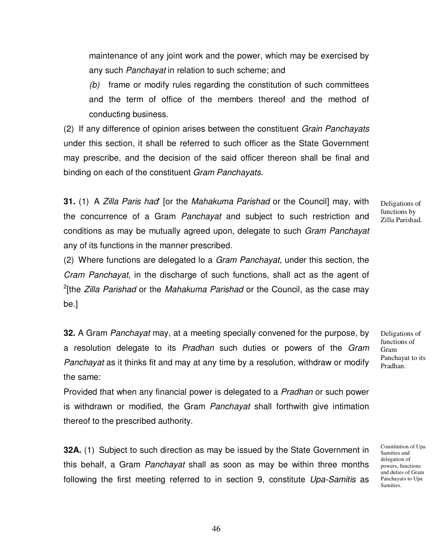maintenance of any joint work and the power, which may be exercised by any such Panchayat in relation to such scheme; and

(b) frame or modify rules regarding the constitution of such committees and the term of office of the members thereof and the method of conducting business.

(2) If any difference of opinion arises between the constituent Grain Panchayats under this section, it shall be referred to such officer as the State Government may prescribe, and the decision of the said officer thereon shall be final and binding on each of the constituent Gram Panchayats.

**31.** (1) A Zilla Paris had' [or the Mahakuma Parishad or the Council] may, with the concurrence of a Gram Panchayat and subject to such restriction and conditions as may be mutually agreed upon, delegate to such Gram Panchayat any of its functions in the manner prescribed.

Deligations of functions by Zilla Parishad.

(2) Where functions are delegated lo a Gram Panchayat, under this section, the Cram Panchayat, in the discharge of such functions, shall act as the agent of <sup>2</sup>[the *Zilla Parishad* or the *Mahakuma Parishad* or the Council, as the case may be.]

**32.** A Gram Panchayat may, at a meeting specially convened for the purpose, by a resolution delegate to its Pradhan such duties or powers of the Gram Panchayat as it thinks fit and may at any time by a resolution, withdraw or modify the same:

Provided that when any financial power is delegated to a Pradhan or such power is withdrawn or modified, the Gram Panchayat shall forthwith give intimation thereof to the prescribed authority.

**32A.** (1) Subject to such direction as may be issued by the State Government in this behalf, a Gram *Panchayat* shall as soon as may be within three months following the first meeting referred to in section 9, constitute Upa-Samitis as

Deligations of functions of Gram Panchayat to its Pradhan.

Constitution of Upa Samities and delegation of powers, functions and duties of Gram Panchayats to Upa Samities.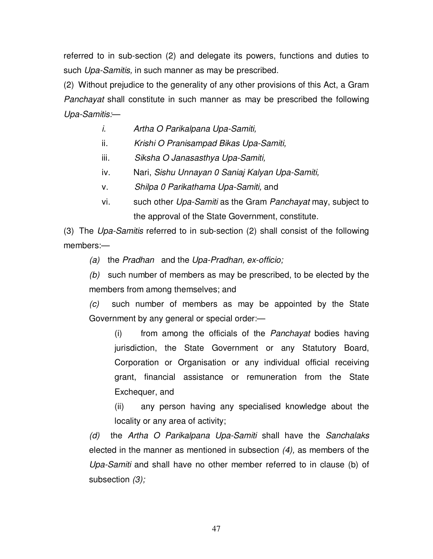referred to in sub-section (2) and delegate its powers, functions and duties to such Upa-Samitis, in such manner as may be prescribed.

(2) Without prejudice to the generality of any other provisions of this Act, a Gram Panchayat shall constitute in such manner as may be prescribed the following Upa-Samitis:—

- i. Artha O Parikalpana Upa-Samiti,
- ii. Krishi O Pranisampad Bikas Upa-Samiti,
- iii. Siksha O Janasasthya Upa-Samiti,
- iv. Nari, Sishu Unnayan 0 Saniaj Kalyan Upa-Samiti,
- v. Shilpa 0 Parikathama Upa-Samiti, and
- vi. such other Upa-Samiti as the Gram Panchayat may, subject to the approval of the State Government, constitute.

(3) The Upa-Samitis referred to in sub-section (2) shall consist of the following members:—

(a) the Pradhan and the Upa-Pradhan, ex-officio;

 $(b)$  such number of members as may be prescribed, to be elected by the members from among themselves; and

(c) such number of members as may be appointed by the State Government by any general or special order:—

(i) from among the officials of the Panchayat bodies having jurisdiction, the State Government or any Statutory Board, Corporation or Organisation or any individual official receiving grant, financial assistance or remuneration from the State Exchequer, and

(ii) any person having any specialised knowledge about the locality or any area of activity;

(d) the Artha O Parikalpana Upa-Samiti shall have the Sanchalaks elected in the manner as mentioned in subsection (4), as members of the Upa-Samiti and shall have no other member referred to in clause (b) of subsection (3);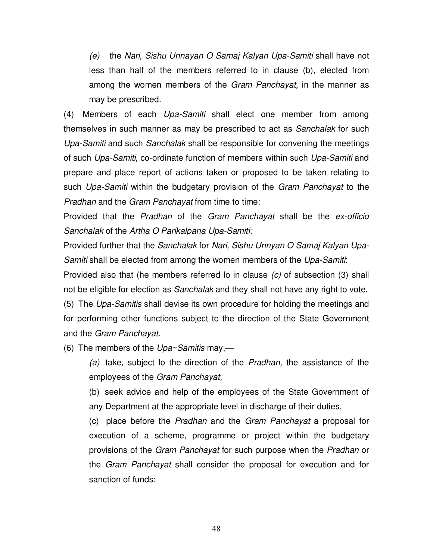(e) the Nari, Sishu Unnayan O Samaj Kalyan Upa-Samiti shall have not less than half of the members referred to in clause (b), elected from among the women members of the Gram Panchayat, in the manner as may be prescribed.

(4) Members of each Upa-Samiti shall elect one member from among themselves in such manner as may be prescribed to act as Sanchalak for such Upa-Samiti and such Sanchalak shall be responsible for convening the meetings of such Upa-Samiti, co-ordinate function of members within such Upa-Samiti and prepare and place report of actions taken or proposed to be taken relating to such Upa-Samiti within the budgetary provision of the Gram Panchayat to the Pradhan and the Gram Panchayat from time to time:

Provided that the Pradhan of the Gram Panchayat shall be the ex-officio Sanchalak of the Artha O Parikalpana Upa-Samiti:

Provided further that the Sanchalak for Nari, Sishu Unnyan O Samaj Kalyan Upa-Samiti shall be elected from among the women members of the Upa-Samiti:

Provided also that (he members referred lo in clause (c) of subsection (3) shall not be eligible for election as Sanchalak and they shall not have any right to vote. (5) The Upa-Samitis shall devise its own procedure for holding the meetings and for performing other functions subject to the direction of the State Government and the Gram Panchayat.

(6) The members of the  $Upa \sim Samitis$  may,—

(a) take, subject lo the direction of the Pradhan, the assistance of the employees of the Gram Panchayat,

(b) seek advice and help of the employees of the State Government of any Department at the appropriate level in discharge of their duties,

(c) place before the Pradhan and the Gram Panchayat a proposal for execution of a scheme, programme or project within the budgetary provisions of the Gram Panchayat for such purpose when the Pradhan or the Gram Panchayat shall consider the proposal for execution and for sanction of funds: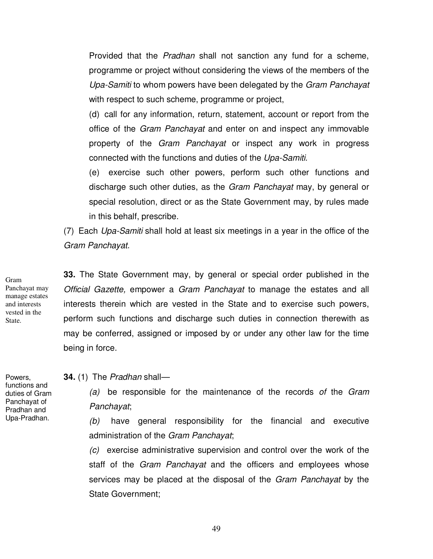Provided that the *Pradhan* shall not sanction any fund for a scheme, programme or project without considering the views of the members of the Upa-Samiti to whom powers have been delegated by the Gram Panchayat with respect to such scheme, programme or project,

(d) call for any information, return, statement, account or report from the office of the Gram Panchayat and enter on and inspect any immovable property of the *Gram Panchayat* or inspect any work in progress connected with the functions and duties of the Upa-Samiti.

(e) exercise such other powers, perform such other functions and discharge such other duties, as the Gram Panchayat may, by general or special resolution, direct or as the State Government may, by rules made in this behalf, prescribe.

(7) Each Upa-Samiti shall hold at least six meetings in a year in the office of the Gram Panchayat.

**33.** The State Government may, by general or special order published in the Official Gazette, empower a Gram Panchayat to manage the estates and all interests therein which are vested in the State and to exercise such powers, perform such functions and discharge such duties in connection therewith as may be conferred, assigned or imposed by or under any other law for the time being in force.

**34.** (1) The Pradhan shall—

 $(a)$  be responsible for the maintenance of the records of the Gram Panchayat;

(b) have general responsibility for the financial and executive administration of the Gram Panchayat;

(c) exercise administrative supervision and control over the work of the staff of the *Gram Panchayat* and the officers and employees whose services may be placed at the disposal of the Gram Panchayat by the State Government;

Gram Panchayat may manage estates and interests vested in the State.

Powers, functions and duties of Gram Panchayat of Pradhan and Upa-Pradhan.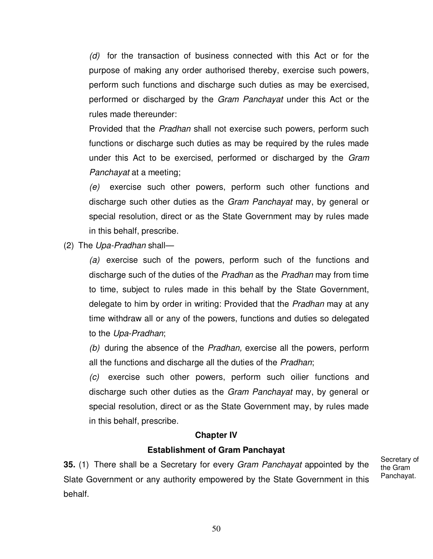(d) for the transaction of business connected with this Act or for the purpose of making any order authorised thereby, exercise such powers, perform such functions and discharge such duties as may be exercised, performed or discharged by the Gram Panchayat under this Act or the rules made thereunder:

Provided that the *Pradhan* shall not exercise such powers, perform such functions or discharge such duties as may be required by the rules made under this Act to be exercised, performed or discharged by the Gram Panchayat at a meeting;

(e) exercise such other powers, perform such other functions and discharge such other duties as the Gram Panchayat may, by general or special resolution, direct or as the State Government may by rules made in this behalf, prescribe.

(2) The Upa-Pradhan shall—

(a) exercise such of the powers, perform such of the functions and discharge such of the duties of the Pradhan as the Pradhan may from time to time, subject to rules made in this behalf by the State Government, delegate to him by order in writing: Provided that the *Pradhan* may at any time withdraw all or any of the powers, functions and duties so delegated to the Upa-Pradhan;

(b) during the absence of the Pradhan, exercise all the powers, perform all the functions and discharge all the duties of the Pradhan;

(c) exercise such other powers, perform such oilier functions and discharge such other duties as the Gram Panchayat may, by general or special resolution, direct or as the State Government may, by rules made in this behalf, prescribe.

## **Chapter IV**

## **Establishment of Gram Panchayat**

**35.** (1) There shall be a Secretary for every Gram Panchayat appointed by the Slate Government or any authority empowered by the State Government in this behalf.

Secretary of the Gram Panchayat.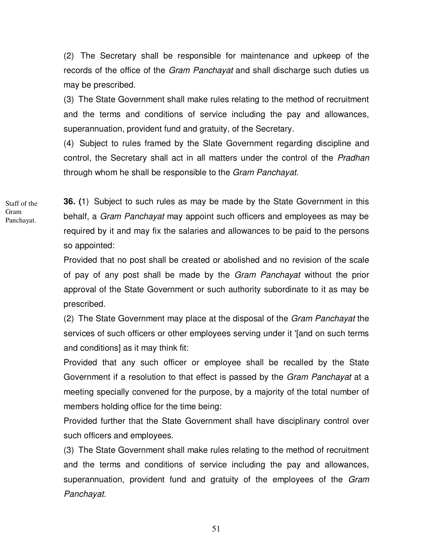(2) The Secretary shall be responsible for maintenance and upkeep of the records of the office of the *Gram Panchayat* and shall discharge such duties us may be prescribed.

(3) The State Government shall make rules relating to the method of recruitment and the terms and conditions of service including the pay and allowances, superannuation, provident fund and gratuity, of the Secretary.

(4) Subject to rules framed by the Slate Government regarding discipline and control, the Secretary shall act in all matters under the control of the Pradhan through whom he shall be responsible to the Gram Panchayat.

Staff of the Gram Panchayat.

**36. (**1) Subject to such rules as may be made by the State Government in this behalf, a Gram Panchayat may appoint such officers and employees as may be required by it and may fix the salaries and allowances to be paid to the persons so appointed:

Provided that no post shall be created or abolished and no revision of the scale of pay of any post shall be made by the Gram Panchayat without the prior approval of the State Government or such authority subordinate to it as may be prescribed.

(2) The State Government may place at the disposal of the Gram Panchayat the services of such officers or other employees serving under it '[and on such terms and conditions] as it may think fit:

Provided that any such officer or employee shall be recalled by the State Government if a resolution to that effect is passed by the *Gram Panchayat* at a meeting specially convened for the purpose, by a majority of the total number of members holding office for the time being:

Provided further that the State Government shall have disciplinary control over such officers and employees.

(3) The State Government shall make rules relating to the method of recruitment and the terms and conditions of service including the pay and allowances, superannuation, provident fund and gratuity of the employees of the Gram Panchayat.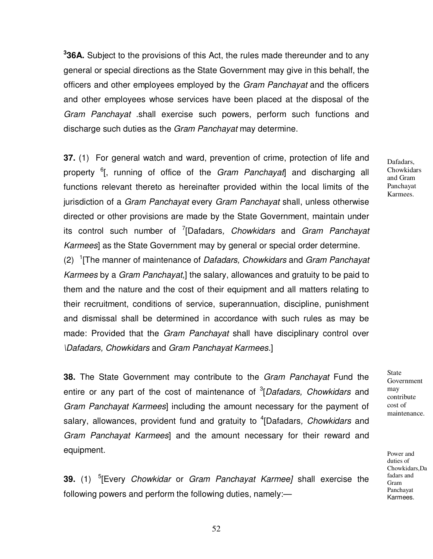**3 36A.** Subject to the provisions of this Act, the rules made thereunder and to any general or special directions as the State Government may give in this behalf, the officers and other employees employed by the Gram Panchayat and the officers and other employees whose services have been placed at the disposal of the Gram Panchayat .shall exercise such powers, perform such functions and discharge such duties as the *Gram Panchayat* may determine.

**37.** (1) For general watch and ward, prevention of crime, protection of life and property <sup>6</sup>[, running of office of the Gram Panchayat] and discharging all functions relevant thereto as hereinafter provided within the local limits of the jurisdiction of a Gram Panchayat every Gram Panchayat shall, unless otherwise directed or other provisions are made by the State Government, maintain under its control such number of <sup>7</sup>[Dafadars, *Chowkidars* and Gram Panchayat Karmees] as the State Government may by general or special order determine.

(2)  $1$ <sup>T</sup> The manner of maintenance of *Dafadars, Chowkidars* and *Gram Panchayat* Karmees by a Gram Panchayat,] the salary, allowances and gratuity to be paid to them and the nature and the cost of their equipment and all matters relating to their recruitment, conditions of service, superannuation, discipline, punishment and dismissal shall be determined in accordance with such rules as may be made: Provided that the Gram Panchayat shall have disciplinary control over \Dafadars, Chowkidars and Gram Panchayat Karmees.]

**38.** The State Government may contribute to the Gram Panchayat Fund the entire or any part of the cost of maintenance of <sup>3</sup>[Dafadars, Chowkidars and Gram Panchayat Karmees] including the amount necessary for the payment of salary, allowances, provident fund and gratuity to <sup>4</sup>[Dafadars, *Chowkidars* and Gram Panchayat Karmees] and the amount necessary for their reward and equipment.

**39.** (1) 5 [Every Chowkidar or Gram Panchayat Karmee] shall exercise the following powers and perform the following duties, namely:—

Dafadars, **Chowkidars** and Gram Panchayat Karmees.

State Government may contribute cost of maintenance.

Power and duties of Chowkidars,Da fadars and Gram Panchayat Karmees.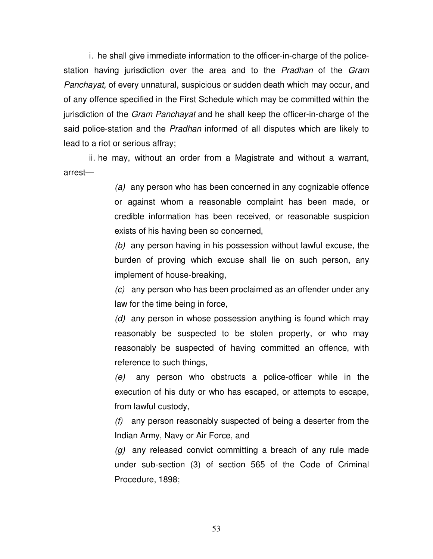i. he shall give immediate information to the officer-in-charge of the policestation having jurisdiction over the area and to the Pradhan of the Gram Panchayat, of every unnatural, suspicious or sudden death which may occur, and of any offence specified in the First Schedule which may be committed within the jurisdiction of the Gram Panchayat and he shall keep the officer-in-charge of the said police-station and the Pradhan informed of all disputes which are likely to lead to a riot or serious affray;

 ii. he may, without an order from a Magistrate and without a warrant, arrest—

> (a) any person who has been concerned in any cognizable offence or against whom a reasonable complaint has been made, or credible information has been received, or reasonable suspicion exists of his having been so concerned,

> (b) any person having in his possession without lawful excuse, the burden of proving which excuse shall lie on such person, any implement of house-breaking,

> (c) any person who has been proclaimed as an offender under any law for the time being in force,

> (d) any person in whose possession anything is found which may reasonably be suspected to be stolen property, or who may reasonably be suspected of having committed an offence, with reference to such things,

> (e) any person who obstructs a police-officer while in the execution of his duty or who has escaped, or attempts to escape, from lawful custody,

> $(f)$  any person reasonably suspected of being a deserter from the Indian Army, Navy or Air Force, and

> $(q)$  any released convict committing a breach of any rule made under sub-section (3) of section 565 of the Code of Criminal Procedure, 1898;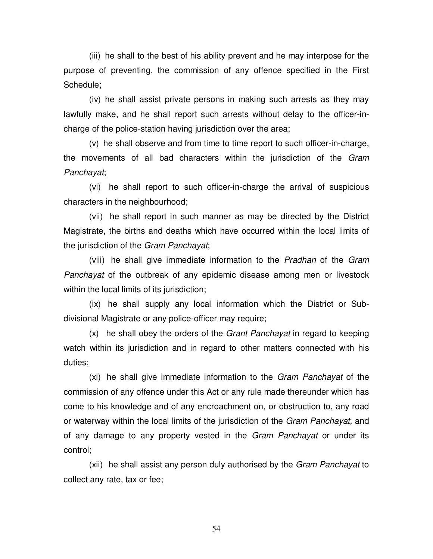(iii) he shall to the best of his ability prevent and he may interpose for the purpose of preventing, the commission of any offence specified in the First Schedule;

 (iv) he shall assist private persons in making such arrests as they may lawfully make, and he shall report such arrests without delay to the officer-incharge of the police-station having jurisdiction over the area;

 (v) he shall observe and from time to time report to such officer-in-charge, the movements of all bad characters within the jurisdiction of the Gram Panchayat;

 (vi) he shall report to such officer-in-charge the arrival of suspicious characters in the neighbourhood;

 (vii) he shall report in such manner as may be directed by the District Magistrate, the births and deaths which have occurred within the local limits of the jurisdiction of the Gram Panchayat;

 (viii) he shall give immediate information to the Pradhan of the Gram Panchayat of the outbreak of any epidemic disease among men or livestock within the local limits of its jurisdiction;

 (ix) he shall supply any local information which the District or Subdivisional Magistrate or any police-officer may require;

 $(x)$  he shall obey the orders of the *Grant Panchayat* in regard to keeping watch within its jurisdiction and in regard to other matters connected with his duties;

 (xi) he shall give immediate information to the Gram Panchayat of the commission of any offence under this Act or any rule made thereunder which has come to his knowledge and of any encroachment on, or obstruction to, any road or waterway within the local limits of the jurisdiction of the *Gram Panchayat*, and of any damage to any property vested in the Gram Panchayat or under its control;

(xii) he shall assist any person duly authorised by the Gram Panchayat to collect any rate, tax or fee;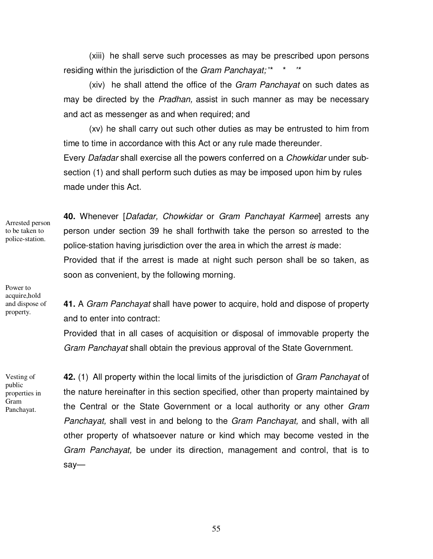(xiii) he shall serve such processes as may be prescribed upon persons residing within the jurisdiction of the Gram Panchayat; "\*

 (xiv) he shall attend the office of the Gram Panchayat on such dates as may be directed by the Pradhan, assist in such manner as may be necessary and act as messenger as and when required; and

 (xv) he shall carry out such other duties as may be entrusted to him from time to time in accordance with this Act or any rule made thereunder.

Every Dafadar shall exercise all the powers conferred on a Chowkidar under subsection (1) and shall perform such duties as may be imposed upon him by rules made under this Act.

Arrested person to be taken to police-station.

**40.** Whenever [Dafadar, Chowkidar or Gram Panchayat Karmee] arrests any person under section 39 he shall forthwith take the person so arrested to the police-station having jurisdiction over the area in which the arrest is made: Provided that if the arrest is made at night such person shall be so taken, as soon as convenient, by the following morning.

Power to acquire,hold and dispose of property.

**41.** A Gram Panchayat shall have power to acquire, hold and dispose of property and to enter into contract:

Provided that in all cases of acquisition or disposal of immovable property the Gram Panchayat shall obtain the previous approval of the State Government.

Vesting of public properties in Gram Panchayat.

**42.** (1) All property within the local limits of the jurisdiction of Gram Panchayat of the nature hereinafter in this section specified, other than property maintained by the Central or the State Government or a local authority or any other Gram Panchayat, shall vest in and belong to the Gram Panchayat, and shall, with all other property of whatsoever nature or kind which may become vested in the Gram Panchayat, be under its direction, management and control, that is to say—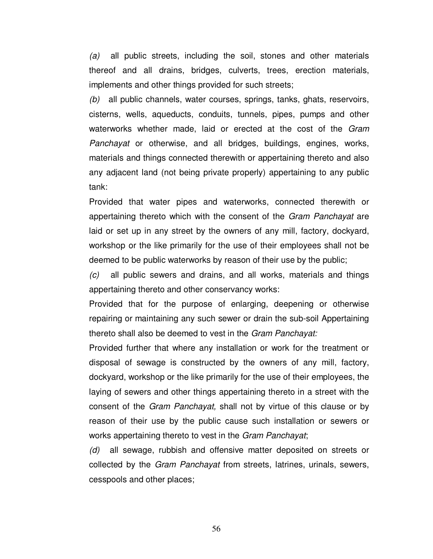(a) all public streets, including the soil, stones and other materials thereof and all drains, bridges, culverts, trees, erection materials, implements and other things provided for such streets;

(b) all public channels, water courses, springs, tanks, ghats, reservoirs, cisterns, wells, aqueducts, conduits, tunnels, pipes, pumps and other waterworks whether made, laid or erected at the cost of the Gram Panchayat or otherwise, and all bridges, buildings, engines, works, materials and things connected therewith or appertaining thereto and also any adjacent land (not being private properly) appertaining to any public tank:

Provided that water pipes and waterworks, connected therewith or appertaining thereto which with the consent of the Gram Panchayat are laid or set up in any street by the owners of any mill, factory, dockyard, workshop or the like primarily for the use of their employees shall not be deemed to be public waterworks by reason of their use by the public;

(c) all public sewers and drains, and all works, materials and things appertaining thereto and other conservancy works:

Provided that for the purpose of enlarging, deepening or otherwise repairing or maintaining any such sewer or drain the sub-soil Appertaining thereto shall also be deemed to vest in the Gram Panchayat:

Provided further that where any installation or work for the treatment or disposal of sewage is constructed by the owners of any mill, factory, dockyard, workshop or the like primarily for the use of their employees, the laying of sewers and other things appertaining thereto in a street with the consent of the Gram Panchayat, shall not by virtue of this clause or by reason of their use by the public cause such installation or sewers or works appertaining thereto to vest in the Gram Panchayat;

(d) all sewage, rubbish and offensive matter deposited on streets or collected by the Gram Panchayat from streets, latrines, urinals, sewers, cesspools and other places;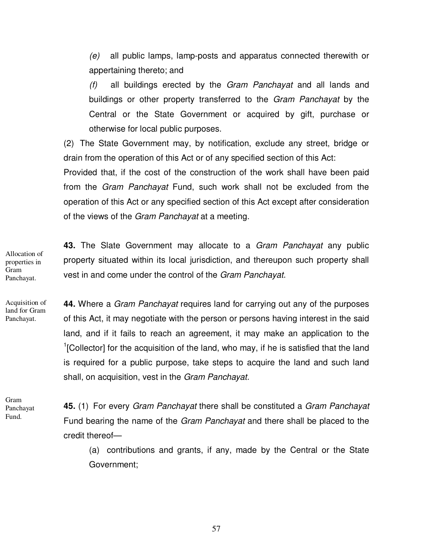$(e)$  all public lamps, lamp-posts and apparatus connected therewith or appertaining thereto; and

 $(f)$  all buildings erected by the *Gram Panchayat* and all lands and buildings or other property transferred to the Gram Panchayat by the Central or the State Government or acquired by gift, purchase or otherwise for local public purposes.

(2) The State Government may, by notification, exclude any street, bridge or drain from the operation of this Act or of any specified section of this Act:

Provided that, if the cost of the construction of the work shall have been paid from the Gram Panchayat Fund, such work shall not be excluded from the operation of this Act or any specified section of this Act except after consideration of the views of the *Gram Panchayat* at a meeting.

**43.** The Slate Government may allocate to a Gram Panchayat any public property situated within its local jurisdiction, and thereupon such property shall vest in and come under the control of the Gram Panchayat. Allocation of properties in Panchayat.

Acquisition of land for Gram Panchayat.

Gram

**44.** Where a Gram Panchayat requires land for carrying out any of the purposes of this Act, it may negotiate with the person or persons having interest in the said land, and if it fails to reach an agreement, it may make an application to the <sup>1</sup>[Collector] for the acquisition of the land, who may, if he is satisfied that the land is required for a public purpose, take steps to acquire the land and such land shall, on acquisition, vest in the Gram Panchayat.

Gram Panchayat Fund.

**45.** (1) For every Gram Panchayat there shall be constituted a Gram Panchayat Fund bearing the name of the Gram Panchayat and there shall be placed to the credit thereof—

(a) contributions and grants, if any, made by the Central or the State Government;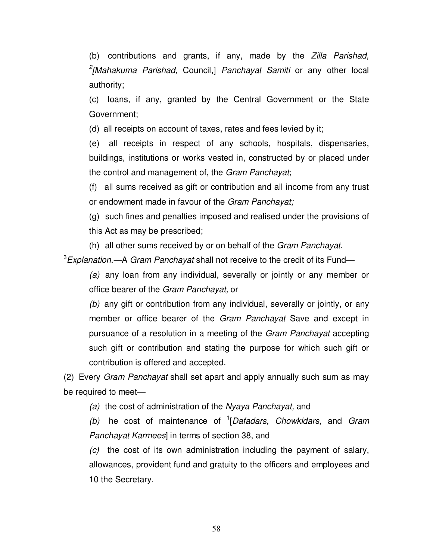(b) contributions and grants, if any, made by the Zilla Parishad, <sup>2</sup>[Mahakuma Parishad, Council,] Panchayat Samiti or any other local authority;

(c) loans, if any, granted by the Central Government or the State Government;

(d) all receipts on account of taxes, rates and fees levied by it;

(e) all receipts in respect of any schools, hospitals, dispensaries, buildings, institutions or works vested in, constructed by or placed under the control and management of, the Gram Panchayat;

(f) all sums received as gift or contribution and all income from any trust or endowment made in favour of the Gram Panchayat;

(g) such fines and penalties imposed and realised under the provisions of this Act as may be prescribed;

(h) all other sums received by or on behalf of the Gram Panchayat.

 $3$ Explanation.—A Gram Panchayat shall not receive to the credit of its Fund—

(a) any loan from any individual, severally or jointly or any member or office bearer of the Gram Panchayat, or

(b) any gift or contribution from any individual, severally or jointly, or any member or office bearer of the Gram Panchayat Save and except in pursuance of a resolution in a meeting of the Gram Panchayat accepting such gift or contribution and stating the purpose for which such gift or contribution is offered and accepted.

(2) Every Gram Panchayat shall set apart and apply annually such sum as may be required to meet—

(a) the cost of administration of the Nyaya Panchayat, and

(b) he cost of maintenance of  ${}^{1}[Dafadars, Chowkidars, and Gram]$ Panchayat Karmees] in terms of section 38, and

(c) the cost of its own administration including the payment of salary, allowances, provident fund and gratuity to the officers and employees and 10 the Secretary.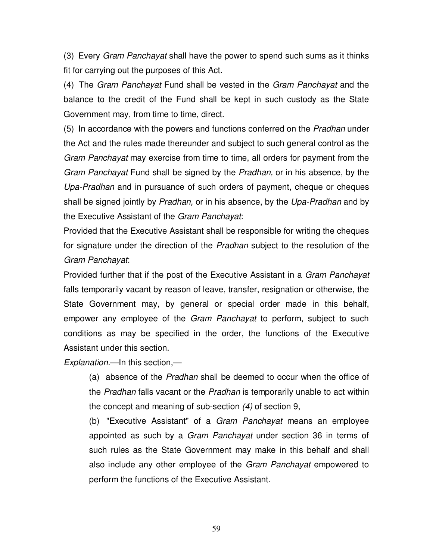(3) Every Gram Panchayat shall have the power to spend such sums as it thinks fit for carrying out the purposes of this Act.

(4) The Gram Panchayat Fund shall be vested in the Gram Panchayat and the balance to the credit of the Fund shall be kept in such custody as the State Government may, from time to time, direct.

(5) In accordance with the powers and functions conferred on the Pradhan under the Act and the rules made thereunder and subject to such general control as the Gram Panchayat may exercise from time to time, all orders for payment from the Gram Panchayat Fund shall be signed by the Pradhan, or in his absence, by the Upa-Pradhan and in pursuance of such orders of payment, cheque or cheques shall be signed jointly by Pradhan, or in his absence, by the Upa-Pradhan and by the Executive Assistant of the Gram Panchayat:

Provided that the Executive Assistant shall be responsible for writing the cheques for signature under the direction of the Pradhan subject to the resolution of the Gram Panchayat:

Provided further that if the post of the Executive Assistant in a Gram Panchayat falls temporarily vacant by reason of leave, transfer, resignation or otherwise, the State Government may, by general or special order made in this behalf, empower any employee of the *Gram Panchayat* to perform, subject to such conditions as may be specified in the order, the functions of the Executive Assistant under this section.

Explanation.—In this section,—

(a) absence of the Pradhan shall be deemed to occur when the office of the Pradhan falls vacant or the Pradhan is temporarily unable to act within the concept and meaning of sub-section (4) of section 9,

(b) "Executive Assistant" of a Gram Panchayat means an employee appointed as such by a Gram Panchayat under section 36 in terms of such rules as the State Government may make in this behalf and shall also include any other employee of the Gram Panchayat empowered to perform the functions of the Executive Assistant.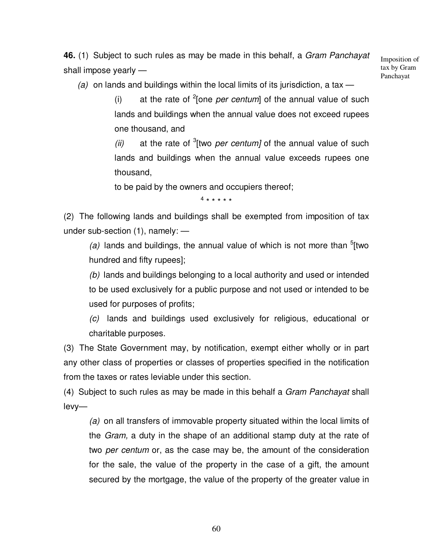**46.** (1) Subject to such rules as may be made in this behalf, a Gram Panchayat shall impose yearly —

Imposition of tax by Gram Panchayat

(a) on lands and buildings within the local limits of its jurisdiction, a tax  $-$ 

(i) at the rate of  $2$ [one *per centum*] of the annual value of such lands and buildings when the annual value does not exceed rupees one thousand, and

(ii) at the rate of  $3$ [two *per centum]* of the annual value of such lands and buildings when the annual value exceeds rupees one thousand,

to be paid by the owners and occupiers thereof;

4 \* \* \* \* \*

(2) The following lands and buildings shall be exempted from imposition of tax under sub-section (1), namely: —

(a) lands and buildings, the annual value of which is not more than  $5$ [two hundred and fifty rupees];

(b) lands and buildings belonging to a local authority and used or intended to be used exclusively for a public purpose and not used or intended to be used for purposes of profits;

(c) lands and buildings used exclusively for religious, educational or charitable purposes.

(3) The State Government may, by notification, exempt either wholly or in part any other class of properties or classes of properties specified in the notification from the taxes or rates leviable under this section.

(4) Subject to such rules as may be made in this behalf a Gram Panchayat shall levy—

(a) on all transfers of immovable property situated within the local limits of the Gram, a duty in the shape of an additional stamp duty at the rate of two per centum or, as the case may be, the amount of the consideration for the sale, the value of the property in the case of a gift, the amount secured by the mortgage, the value of the property of the greater value in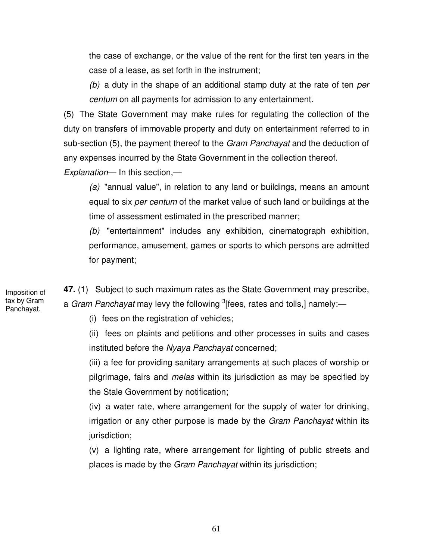the case of exchange, or the value of the rent for the first ten years in the case of a lease, as set forth in the instrument;

(b) a duty in the shape of an additional stamp duty at the rate of ten per centum on all payments for admission to any entertainment.

(5) The State Government may make rules for regulating the collection of the duty on transfers of immovable property and duty on entertainment referred to in sub-section (5), the payment thereof to the *Gram Panchayat* and the deduction of any expenses incurred by the State Government in the collection thereof.

Explanation— In this section,—

(a) "annual value", in relation to any land or buildings, means an amount equal to six per centum of the market value of such land or buildings at the time of assessment estimated in the prescribed manner;

(b) "entertainment" includes any exhibition, cinematograph exhibition, performance, amusement, games or sports to which persons are admitted for payment;

**47.** (1) Subject to such maximum rates as the State Government may prescribe, a *Gram Panchayat* may levy the following <sup>3</sup>[fees, rates and tolls,] namely:—

(i) fees on the registration of vehicles;

(ii) fees on plaints and petitions and other processes in suits and cases instituted before the Nyaya Panchayat concerned;

(iii) a fee for providing sanitary arrangements at such places of worship or pilgrimage, fairs and melas within its jurisdiction as may be specified by the Stale Government by notification;

(iv) a water rate, where arrangement for the supply of water for drinking, irrigation or any other purpose is made by the *Gram Panchayat* within its jurisdiction;

(v) a lighting rate, where arrangement for lighting of public streets and places is made by the Gram Panchayat within its jurisdiction;

Imposition of tax by Gram Panchayat.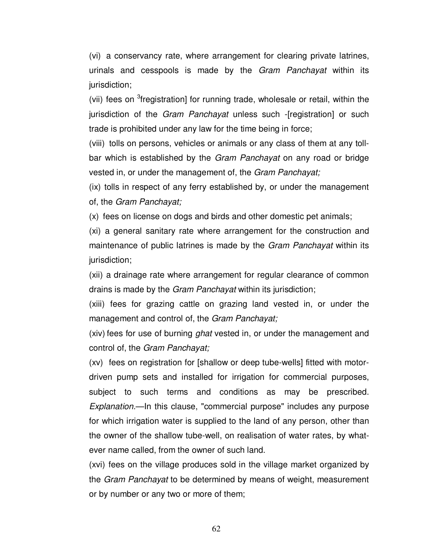(vi) a conservancy rate, where arrangement for clearing private latrines, urinals and cesspools is made by the Gram Panchayat within its jurisdiction;

(vii) fees on <sup>3</sup>fregistration] for running trade, wholesale or retail, within the jurisdiction of the *Gram Panchayat* unless such -[registration] or such trade is prohibited under any law for the time being in force;

(viii) tolls on persons, vehicles or animals or any class of them at any tollbar which is established by the *Gram Panchayat* on any road or bridge vested in, or under the management of, the Gram Panchayat;

(ix) tolls in respect of any ferry established by, or under the management of, the Gram Panchayat;

(x) fees on license on dogs and birds and other domestic pet animals;

(xi) a general sanitary rate where arrangement for the construction and maintenance of public latrines is made by the Gram Panchayat within its jurisdiction;

(xii) a drainage rate where arrangement for regular clearance of common drains is made by the Gram Panchayat within its jurisdiction;

(xiii) fees for grazing cattle on grazing land vested in, or under the management and control of, the Gram Panchayat;

(xiv) fees for use of burning *ghat* vested in, or under the management and control of, the Gram Panchayat;

(xv) fees on registration for [shallow or deep tube-wells] fitted with motordriven pump sets and installed for irrigation for commercial purposes, subject to such terms and conditions as may be prescribed. Explanation.—In this clause, "commercial purpose" includes any purpose for which irrigation water is supplied to the land of any person, other than the owner of the shallow tube-well, on realisation of water rates, by whatever name called, from the owner of such land.

(xvi) fees on the village produces sold in the village market organized by the Gram Panchayat to be determined by means of weight, measurement or by number or any two or more of them;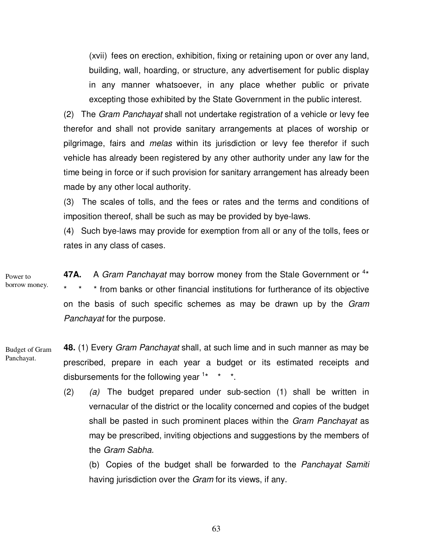(xvii) fees on erection, exhibition, fixing or retaining upon or over any land, building, wall, hoarding, or structure, any advertisement for public display in any manner whatsoever, in any place whether public or private excepting those exhibited by the State Government in the public interest.

(2) The Gram Panchayat shall not undertake registration of a vehicle or levy fee therefor and shall not provide sanitary arrangements at places of worship or pilgrimage, fairs and *melas* within its jurisdiction or levy fee therefor if such vehicle has already been registered by any other authority under any law for the time being in force or if such provision for sanitary arrangement has already been made by any other local authority.

(3) The scales of tolls, and the fees or rates and the terms and conditions of imposition thereof, shall be such as may be provided by bye-laws.

(4) Such bye-laws may provide for exemption from all or any of the tolls, fees or rates in any class of cases.

47A. A Gram Panchayat may borrow money from the Stale Government or <sup>4\*</sup> \* from banks or other financial institutions for furtherance of its objective on the basis of such specific schemes as may be drawn up by the Gram Panchayat for the purpose. Power to borrow money.

- **48.** (1) Every Gram Panchayat shall, at such lime and in such manner as may be prescribed, prepare in each year a budget or its estimated receipts and disbursements for the following year  $1* * * *$ . Budget of Gram Panchayat.
	- $(2)$   $(a)$  The budget prepared under sub-section  $(1)$  shall be written in vernacular of the district or the locality concerned and copies of the budget shall be pasted in such prominent places within the *Gram Panchayat* as may be prescribed, inviting objections and suggestions by the members of the Gram Sabha.

(b) Copies of the budget shall be forwarded to the Panchayat Samiti having jurisdiction over the *Gram* for its views, if any.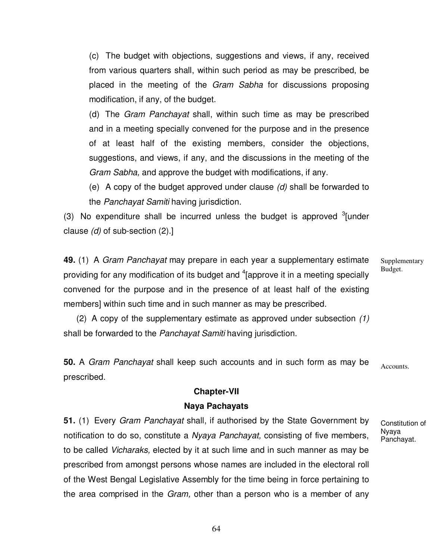(c) The budget with objections, suggestions and views, if any, received from various quarters shall, within such period as may be prescribed, be placed in the meeting of the Gram Sabha for discussions proposing modification, if any, of the budget.

(d) The Gram Panchayat shall, within such time as may be prescribed and in a meeting specially convened for the purpose and in the presence of at least half of the existing members, consider the objections, suggestions, and views, if any, and the discussions in the meeting of the Gram Sabha, and approve the budget with modifications, if any.

(e) A copy of the budget approved under clause  $(d)$  shall be forwarded to the Panchayat Samiti having jurisdiction.

(3) No expenditure shall be incurred unless the budget is approved  $3$ [under clause  $(d)$  of sub-section  $(2).$ ]

**49.** (1) A Gram Panchayat may prepare in each year a supplementary estimate providing for any modification of its budget and  $4$  [approve it in a meeting specially convened for the purpose and in the presence of at least half of the existing members] within such time and in such manner as may be prescribed.

 (2) A copy of the supplementary estimate as approved under subsection (1) shall be forwarded to the Panchayat Samiti having jurisdiction.

**50.** A Gram Panchayat shall keep such accounts and in such form as may be prescribed.

## **Chapter-VII**

## **Naya Pachayats**

**51.** (1) Every Gram Panchayat shall, if authorised by the State Government by notification to do so, constitute a Nyaya Panchayat, consisting of five members, to be called Vicharaks, elected by it at such lime and in such manner as may be prescribed from amongst persons whose names are included in the electoral roll of the West Bengal Legislative Assembly for the time being in force pertaining to the area comprised in the *Gram*, other than a person who is a member of any Supplementary Budget.

Accounts.

Constitution of Nyaya Panchayat.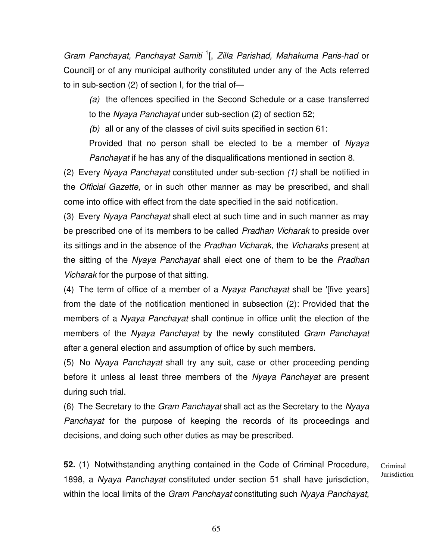Gram Panchayat, Panchayat Samiti<sup>1</sup>[, Zilla Parishad, Mahakuma Paris-had or Council] or of any municipal authority constituted under any of the Acts referred to in sub-section (2) of section I, for the trial of—

(a) the offences specified in the Second Schedule or a case transferred to the Nyaya Panchayat under sub-section (2) of section 52;

(b) all or any of the classes of civil suits specified in section  $61$ :

Provided that no person shall be elected to be a member of Nyaya Panchayat if he has any of the disqualifications mentioned in section 8.

(2) Every Nyaya Panchayat constituted under sub-section (1) shall be notified in the Official Gazette, or in such other manner as may be prescribed, and shall come into office with effect from the date specified in the said notification.

(3) Every Nyaya Panchayat shall elect at such time and in such manner as may be prescribed one of its members to be called Pradhan Vicharak to preside over its sittings and in the absence of the Pradhan Vicharak, the Vicharaks present at the sitting of the Nyaya Panchayat shall elect one of them to be the Pradhan Vicharak for the purpose of that sitting.

(4) The term of office of a member of a Nyaya Panchayat shall be '[five years] from the date of the notification mentioned in subsection (2): Provided that the members of a *Nyaya Panchayat* shall continue in office unlit the election of the members of the Nyaya Panchayat by the newly constituted Gram Panchayat after a general election and assumption of office by such members.

(5) No Nyaya Panchayat shall try any suit, case or other proceeding pending before it unless al least three members of the Nyaya Panchayat are present during such trial.

(6) The Secretary to the Gram Panchayat shall act as the Secretary to the Nyaya Panchayat for the purpose of keeping the records of its proceedings and decisions, and doing such other duties as may be prescribed.

**52.** (1) Notwithstanding anything contained in the Code of Criminal Procedure, 1898, a Nyaya Panchayat constituted under section 51 shall have jurisdiction, within the local limits of the Gram Panchayat constituting such Nyaya Panchayat,

Criminal **Jurisdiction**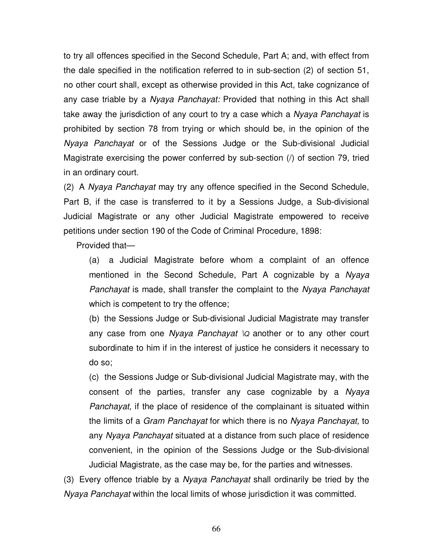to try all offences specified in the Second Schedule, Part A; and, with effect from the dale specified in the notification referred to in sub-section (2) of section 51, no other court shall, except as otherwise provided in this Act, take cognizance of any case triable by a Nyaya Panchayat: Provided that nothing in this Act shall take away the jurisdiction of any court to try a case which a Nyaya Panchayat is prohibited by section 78 from trying or which should be, in the opinion of the Nyaya Panchayat or of the Sessions Judge or the Sub-divisional Judicial Magistrate exercising the power conferred by sub-section (/) of section 79, tried in an ordinary court.

(2) A Nyaya Panchayat may try any offence specified in the Second Schedule, Part B, if the case is transferred to it by a Sessions Judge, a Sub-divisional Judicial Magistrate or any other Judicial Magistrate empowered to receive petitions under section 190 of the Code of Criminal Procedure, 1898:

Provided that—

(a) a Judicial Magistrate before whom a complaint of an offence mentioned in the Second Schedule, Part A cognizable by a Nyaya Panchayat is made, shall transfer the complaint to the Nyaya Panchayat which is competent to try the offence;

(b) the Sessions Judge or Sub-divisional Judicial Magistrate may transfer any case from one Nyaya Panchayat  $\log$  another or to any other court subordinate to him if in the interest of justice he considers it necessary to do so;

(c) the Sessions Judge or Sub-divisional Judicial Magistrate may, with the consent of the parties, transfer any case cognizable by a Nyaya Panchayat, if the place of residence of the complainant is situated within the limits of a Gram Panchayat for which there is no Nyaya Panchayat, to any Nyaya Panchayat situated at a distance from such place of residence convenient, in the opinion of the Sessions Judge or the Sub-divisional Judicial Magistrate, as the case may be, for the parties and witnesses.

(3) Every offence triable by a Nyaya Panchayat shall ordinarily be tried by the Nyaya Panchayat within the local limits of whose jurisdiction it was committed.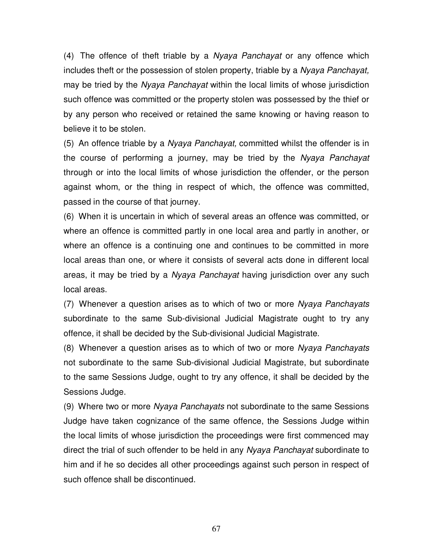(4) The offence of theft triable by a *Nyaya Panchayat* or any offence which includes theft or the possession of stolen property, triable by a Nyaya Panchayat, may be tried by the Nyaya Panchayat within the local limits of whose jurisdiction such offence was committed or the property stolen was possessed by the thief or by any person who received or retained the same knowing or having reason to believe it to be stolen.

(5) An offence triable by a Nyaya Panchayat, committed whilst the offender is in the course of performing a journey, may be tried by the Nyaya Panchayat through or into the local limits of whose jurisdiction the offender, or the person against whom, or the thing in respect of which, the offence was committed, passed in the course of that journey.

(6) When it is uncertain in which of several areas an offence was committed, or where an offence is committed partly in one local area and partly in another, or where an offence is a continuing one and continues to be committed in more local areas than one, or where it consists of several acts done in different local areas, it may be tried by a Nyaya Panchayat having jurisdiction over any such local areas.

(7) Whenever a question arises as to which of two or more Nyaya Panchayats subordinate to the same Sub-divisional Judicial Magistrate ought to try any offence, it shall be decided by the Sub-divisional Judicial Magistrate.

(8) Whenever a question arises as to which of two or more Nyaya Panchayats not subordinate to the same Sub-divisional Judicial Magistrate, but subordinate to the same Sessions Judge, ought to try any offence, it shall be decided by the Sessions Judge.

(9) Where two or more Nyaya Panchayats not subordinate to the same Sessions Judge have taken cognizance of the same offence, the Sessions Judge within the local limits of whose jurisdiction the proceedings were first commenced may direct the trial of such offender to be held in any Nyaya Panchayat subordinate to him and if he so decides all other proceedings against such person in respect of such offence shall be discontinued.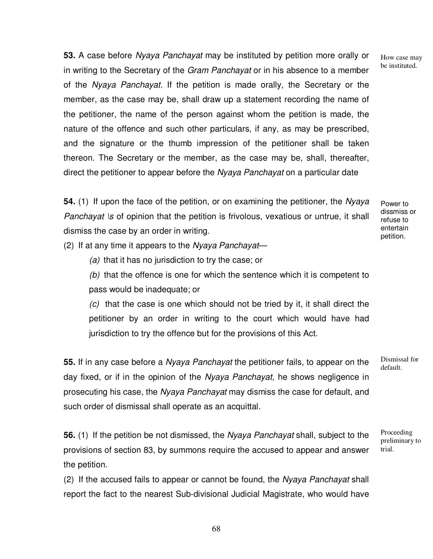**53.** A case before Nyaya Panchayat may be instituted by petition more orally or in writing to the Secretary of the Gram Panchayat or in his absence to a member of the Nyaya Panchayat. If the petition is made orally, the Secretary or the member, as the case may be, shall draw up a statement recording the name of the petitioner, the name of the person against whom the petition is made, the nature of the offence and such other particulars, if any, as may be prescribed, and the signature or the thumb impression of the petitioner shall be taken thereon. The Secretary or the member, as the case may be, shall, thereafter, direct the petitioner to appear before the Nyaya Panchayat on a particular date

**54.** (1) If upon the face of the petition, or on examining the petitioner, the Nyaya Panchayat \s of opinion that the petition is frivolous, vexatious or untrue, it shall dismiss the case by an order in writing.

Power to dissmiss or refuse to entertain petition.

(2) If at any time it appears to the Nyaya Panchayat—

(a) that it has no jurisdiction to try the case; or

(b) that the offence is one for which the sentence which it is competent to pass would be inadequate; or

 $(c)$  that the case is one which should not be tried by it, it shall direct the petitioner by an order in writing to the court which would have had jurisdiction to try the offence but for the provisions of this Act.

**55.** If in any case before a Nyaya Panchayat the petitioner fails, to appear on the day fixed, or if in the opinion of the Nyaya Panchayat, he shows negligence in prosecuting his case, the Nyaya Panchayat may dismiss the case for default, and such order of dismissal shall operate as an acquittal.

**56.** (1) If the petition be not dismissed, the Nyaya Panchayat shall, subject to the provisions of section 83, by summons require the accused to appear and answer the petition.

(2) If the accused fails to appear or cannot be found, the Nyaya Panchayat shall report the fact to the nearest Sub-divisional Judicial Magistrate, who would have Dismissal for default.

Proceeding preliminary to trial.

How case may be instituted.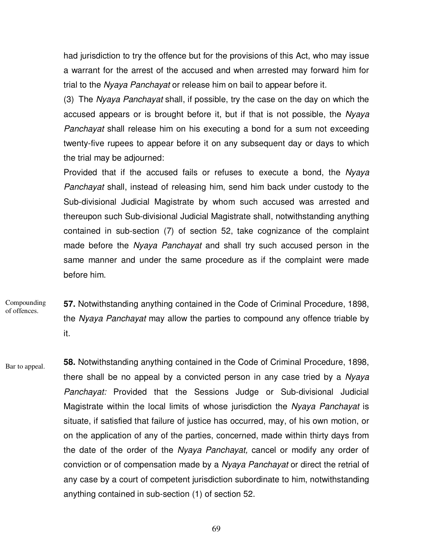had jurisdiction to try the offence but for the provisions of this Act, who may issue a warrant for the arrest of the accused and when arrested may forward him for trial to the Nyaya Panchayat or release him on bail to appear before it.

(3) The Nyaya Panchayat shall, if possible, try the case on the day on which the accused appears or is brought before it, but if that is not possible, the Nyaya Panchayat shall release him on his executing a bond for a sum not exceeding twenty-five rupees to appear before it on any subsequent day or days to which the trial may be adjourned:

Provided that if the accused fails or refuses to execute a bond, the Nyaya Panchayat shall, instead of releasing him, send him back under custody to the Sub-divisional Judicial Magistrate by whom such accused was arrested and thereupon such Sub-divisional Judicial Magistrate shall, notwithstanding anything contained in sub-section (7) of section 52, take cognizance of the complaint made before the *Nyaya Panchayat* and shall try such accused person in the same manner and under the same procedure as if the complaint were made before him.

- **57.** Notwithstanding anything contained in the Code of Criminal Procedure, 1898, the *Nyaya Panchayat* may allow the parties to compound any offence triable by it. Compounding of offences.
- **58.** Notwithstanding anything contained in the Code of Criminal Procedure, 1898, there shall be no appeal by a convicted person in any case tried by a Nyaya Panchayat: Provided that the Sessions Judge or Sub-divisional Judicial Magistrate within the local limits of whose jurisdiction the Nyaya Panchayat is situate, if satisfied that failure of justice has occurred, may, of his own motion, or on the application of any of the parties, concerned, made within thirty days from the date of the order of the Nyaya Panchayat, cancel or modify any order of conviction or of compensation made by a Nyaya Panchayat or direct the retrial of any case by a court of competent jurisdiction subordinate to him, notwithstanding anything contained in sub-section (1) of section 52. Bar to appeal.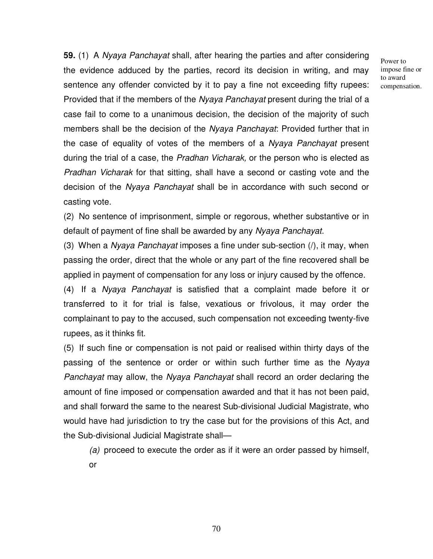**59.** (1) A Nyaya Panchayat shall, after hearing the parties and after considering the evidence adduced by the parties, record its decision in writing, and may sentence any offender convicted by it to pay a fine not exceeding fifty rupees: Provided that if the members of the Nyaya Panchayat present during the trial of a case fail to come to a unanimous decision, the decision of the majority of such members shall be the decision of the Nyaya Panchayat: Provided further that in the case of equality of votes of the members of a Nyaya Panchayat present during the trial of a case, the Pradhan Vicharak, or the person who is elected as Pradhan Vicharak for that sitting, shall have a second or casting vote and the decision of the Nyaya Panchayat shall be in accordance with such second or casting vote.

(2) No sentence of imprisonment, simple or regorous, whether substantive or in default of payment of fine shall be awarded by any Nyaya Panchayat.

(3) When a *Nyaya Panchayat* imposes a fine under sub-section  $($ ), it may, when passing the order, direct that the whole or any part of the fine recovered shall be applied in payment of compensation for any loss or injury caused by the offence.

(4) If a Nyaya Panchayat is satisfied that a complaint made before it or transferred to it for trial is false, vexatious or frivolous, it may order the complainant to pay to the accused, such compensation not exceeding twenty-five rupees, as it thinks fit.

(5) If such fine or compensation is not paid or realised within thirty days of the passing of the sentence or order or within such further time as the Nyaya Panchayat may allow, the Nyaya Panchayat shall record an order declaring the amount of fine imposed or compensation awarded and that it has not been paid, and shall forward the same to the nearest Sub-divisional Judicial Magistrate, who would have had jurisdiction to try the case but for the provisions of this Act, and the Sub-divisional Judicial Magistrate shall—

(a) proceed to execute the order as if it were an order passed by himself, or

Power to impose fine or to award compensation.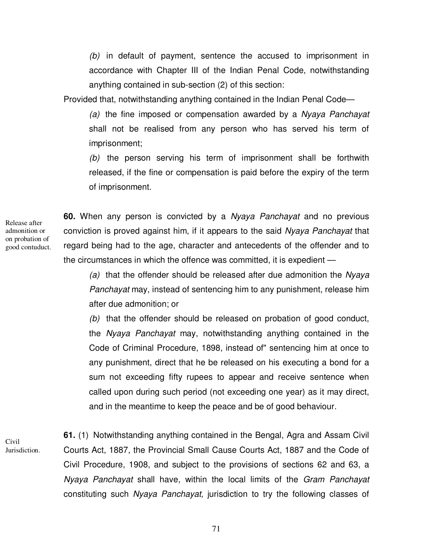$(b)$  in default of payment, sentence the accused to imprisonment in accordance with Chapter III of the Indian Penal Code, notwithstanding anything contained in sub-section (2) of this section:

Provided that, notwithstanding anything contained in the Indian Penal Code—

(a) the fine imposed or compensation awarded by a Nyaya Panchayat shall not be realised from any person who has served his term of imprisonment;

(b) the person serving his term of imprisonment shall be forthwith released, if the fine or compensation is paid before the expiry of the term of imprisonment.

Release after admonition or on probation of good contuduct.

**60.** When any person is convicted by a Nyaya Panchayat and no previous conviction is proved against him, if it appears to the said Nyaya Panchayat that regard being had to the age, character and antecedents of the offender and to the circumstances in which the offence was committed, it is expedient —

(a) that the offender should be released after due admonition the Nyaya Panchayat may, instead of sentencing him to any punishment, release him after due admonition; or

(b) that the offender should be released on probation of good conduct, the Nyaya Panchayat may, notwithstanding anything contained in the Code of Criminal Procedure, 1898, instead of" sentencing him at once to any punishment, direct that he be released on his executing a bond for a sum not exceeding fifty rupees to appear and receive sentence when called upon during such period (not exceeding one year) as it may direct, and in the meantime to keep the peace and be of good behaviour.

Civil Jurisdiction. **61.** (1) Notwithstanding anything contained in the Bengal, Agra and Assam Civil Courts Act, 1887, the Provincial Small Cause Courts Act, 1887 and the Code of Civil Procedure, 1908, and subject to the provisions of sections 62 and 63, a Nyaya Panchayat shall have, within the local limits of the Gram Panchayat constituting such Nyaya Panchayat, jurisdiction to try the following classes of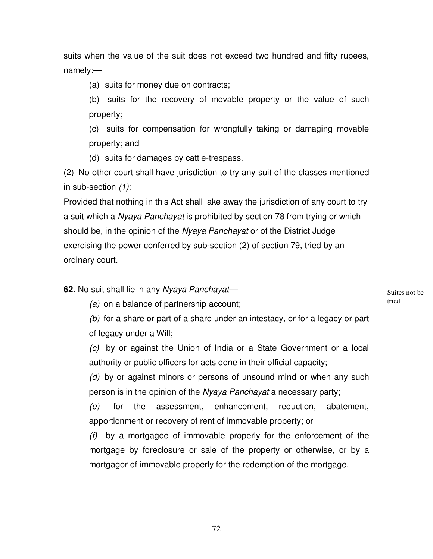suits when the value of the suit does not exceed two hundred and fifty rupees, namely:—

(a) suits for money due on contracts;

(b) suits for the recovery of movable property or the value of such property;

(c) suits for compensation for wrongfully taking or damaging movable property; and

(d) suits for damages by cattle-trespass.

(2) No other court shall have jurisdiction to try any suit of the classes mentioned in sub-section (1):

Provided that nothing in this Act shall lake away the jurisdiction of any court to try a suit which a Nyaya Panchayat is prohibited by section 78 from trying or which should be, in the opinion of the Nyaya Panchayat or of the District Judge exercising the power conferred by sub-section (2) of section 79, tried by an ordinary court.

**62.** No suit shall lie in any Nyaya Panchayat—

Suites not be tried.

(a) on a balance of partnership account;

(b) for a share or part of a share under an intestacy, or for a legacy or part of legacy under a Will;

(c) by or against the Union of India or a State Government or a local authority or public officers for acts done in their official capacity;

(d) by or against minors or persons of unsound mind or when any such person is in the opinion of the Nyaya Panchayat a necessary party;

(e) for the assessment, enhancement, reduction, abatement, apportionment or recovery of rent of immovable property; or

(f) by a mortgagee of immovable properly for the enforcement of the mortgage by foreclosure or sale of the property or otherwise, or by a mortgagor of immovable properly for the redemption of the mortgage.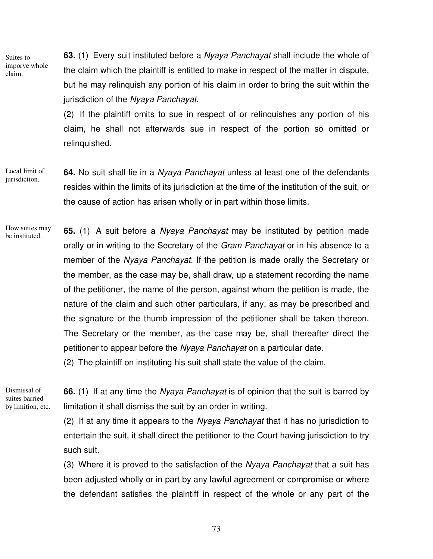Suites to imporve whole claim.

**63.** (1) Every suit instituted before a Nyaya Panchayat shall include the whole of the claim which the plaintiff is entitled to make in respect of the matter in dispute, but he may relinquish any portion of his claim in order to bring the suit within the jurisdiction of the Nyaya Panchayat.

(2) If the plaintiff omits to sue in respect of or relinquishes any portion of his claim, he shall not afterwards sue in respect of the portion so omitted or relinquished.

**64.** No suit shall lie in a Nyaya Panchayat unless at least one of the defendants resides within the limits of its jurisdiction at the time of the institution of the suit, or the cause of action has arisen wholly or in part within those limits. Local limit of jurisdiction.

**65.** (1) A suit before a Nyaya Panchayat may be instituted by petition made orally or in writing to the Secretary of the Gram Panchayat or in his absence to a member of the Nyaya Panchayat. If the petition is made orally the Secretary or the member, as the case may be, shall draw, up a statement recording the name of the petitioner, the name of the person, against whom the petition is made, the nature of the claim and such other particulars, if any, as may be prescribed and the signature or the thumb impression of the petitioner shall be taken thereon. The Secretary or the member, as the case may be, shall thereafter direct the petitioner to appear before the Nyaya Panchayat on a particular date. How suites may be instituted.

(2) The plaintiff on instituting his suit shall state the value of the claim.

Dismissal of suites barried by limition, etc.

**66.** (1) If at any time the Nyaya Panchayat is of opinion that the suit is barred by limitation it shall dismiss the suit by an order in writing.

(2) If at any time it appears to the Nyaya Panchayat that it has no jurisdiction to entertain the suit, it shall direct the petitioner to the Court having jurisdiction to try such suit.

(3) Where it is proved to the satisfaction of the Nyaya Panchayat that a suit has been adjusted wholly or in part by any lawful agreement or compromise or where the defendant satisfies the plaintiff in respect of the whole or any part of the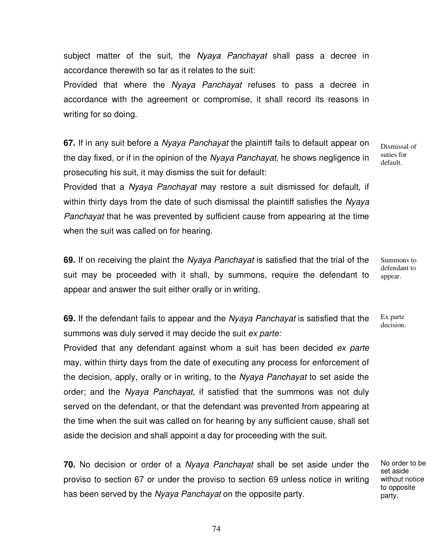subject matter of the suit, the Nyaya Panchayat shall pass a decree in accordance therewith so far as it relates to the suit:

Provided that where the Nyaya Panchayat refuses to pass a decree in accordance with the agreement or compromise, it shall record its reasons in writing for so doing.

**67.** If in any suit before a Nyaya Panchayat the plaintiff fails to default appear on the day fixed, or if in the opinion of the Nyaya Panchayat, he shows negligence in prosecuting his suit, it may dismiss the suit for default:

Dismissal of suties for default.

Provided that a Nyaya Panchayat may restore a suit dismissed for default, if within thirty days from the date of such dismissal the plaintiff satisfies the Nyaya Panchayat that he was prevented by sufficient cause from appearing at the time when the suit was called on for hearing.

**69.** If on receiving the plaint the Nyaya Panchayat is satisfied that the trial of the suit may be proceeded with it shall, by summons, require the defendant to appear and answer the suit either orally or in writing.

defendant to appear.

Summons to

**69.** If the defendant fails to appear and the Nyaya Panchayat is satisfied that the summons was duly served it may decide the suit ex parte: Ex parte

Provided that any defendant against whom a suit has been decided ex parte may, within thirty days from the date of executing any process for enforcement of the decision, apply, orally or in writing, to the Nyaya Panchayat to set aside the order; and the Nyaya Panchayat, if satisfied that the summons was not duly served on the defendant, or that the defendant was prevented from appearing at the time when the suit was called on for hearing by any sufficient cause, shall set aside the decision and shall appoint a day for proceeding with the suit.

**70.** No decision or order of a Nyaya Panchayat shall be set aside under the proviso to section 67 or under the proviso to section 69 unless notice in writing has been served by the Nyaya Panchayat on the opposite party.

decision.

No order to be set aside without notice to opposite party.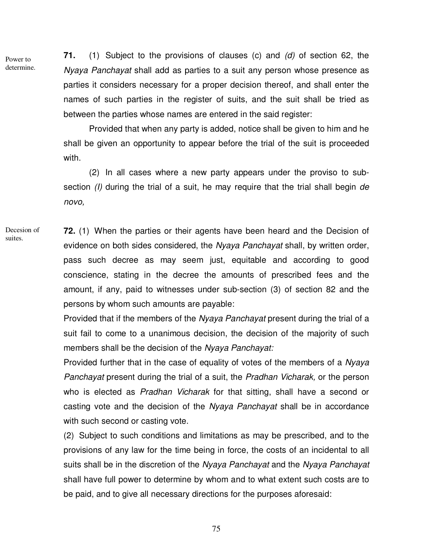Power to determine. **71.** (1) Subject to the provisions of clauses (c) and (d) of section 62, the Nyaya Panchayat shall add as parties to a suit any person whose presence as parties it considers necessary for a proper decision thereof, and shall enter the names of such parties in the register of suits, and the suit shall be tried as between the parties whose names are entered in the said register:

Provided that when any party is added, notice shall be given to him and he shall be given an opportunity to appear before the trial of the suit is proceeded with.

(2) In all cases where a new party appears under the proviso to subsection (*I*) during the trial of a suit, he may require that the trial shall begin de novo,

**72.** (1) When the parties or their agents have been heard and the Decision of evidence on both sides considered, the Nyaya Panchayat shall, by written order, pass such decree as may seem just, equitable and according to good conscience, stating in the decree the amounts of prescribed fees and the amount, if any, paid to witnesses under sub-section (3) of section 82 and the persons by whom such amounts are payable: Decesion of suites.

> Provided that if the members of the Nyaya Panchayat present during the trial of a suit fail to come to a unanimous decision, the decision of the majority of such members shall be the decision of the Nyaya Panchayat:

> Provided further that in the case of equality of votes of the members of a Nyaya Panchayat present during the trial of a suit, the Pradhan Vicharak, or the person who is elected as Pradhan Vicharak for that sitting, shall have a second or casting vote and the decision of the Nyaya Panchayat shall be in accordance with such second or casting vote.

> (2) Subject to such conditions and limitations as may be prescribed, and to the provisions of any law for the time being in force, the costs of an incidental to all suits shall be in the discretion of the Nyaya Panchayat and the Nyaya Panchayat shall have full power to determine by whom and to what extent such costs are to be paid, and to give all necessary directions for the purposes aforesaid:

> > 75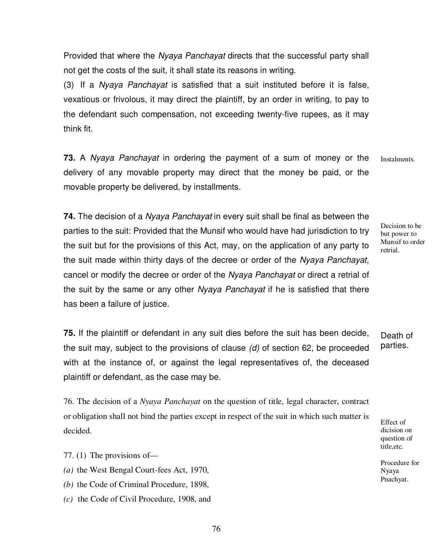Provided that where the Nyaya Panchayat directs that the successful party shall not get the costs of the suit, it shall state its reasons in writing.

(3) If a Nyaya Panchayat is satisfied that a suit instituted before it is false, vexatious or frivolous, it may direct the plaintiff, by an order in writing, to pay to the defendant such compensation, not exceeding twenty-five rupees, as it may think fit.

**73.** A Nyaya Panchayat in ordering the payment of a sum of money or the delivery of any movable property may direct that the money be paid, or the movable property be delivered, by installments. **Instalments** 

**74.** The decision of a Nyaya Panchayat in every suit shall be final as between the parties to the suit: Provided that the Munsif who would have had jurisdiction to try the suit but for the provisions of this Act, may, on the application of any party to the suit made within thirty days of the decree or order of the Nyaya Panchayat, cancel or modify the decree or order of the Nyaya Panchayat or direct a retrial of the suit by the same or any other Nyaya Panchayat if he is satisfied that there has been a failure of justice.

**75.** If the plaintiff or defendant in any suit dies before the suit has been decide, the suit may, subject to the provisions of clause  $(d)$  of section 62, be proceeded with at the instance of, or against the legal representatives of, the deceased plaintiff or defendant, as the case may be.

76. The decision of a *Nyaya Panchayat* on the question of title, legal character, contract or obligation shall not bind the parties except in respect of the suit in which such matter is decided.

77. (1) The provisions of—

*(a)* the West Bengal Court-fees Act, 1970,

*(b)* the Code of Criminal Procedure, 1898,

*(c)* the Code of Civil Procedure, 1908, and

Decision to be but power to Munsif to order retrial.

Death of parties.

Effect of dicision on question of title,etc.

Procedure for Nyaya Pnachyat.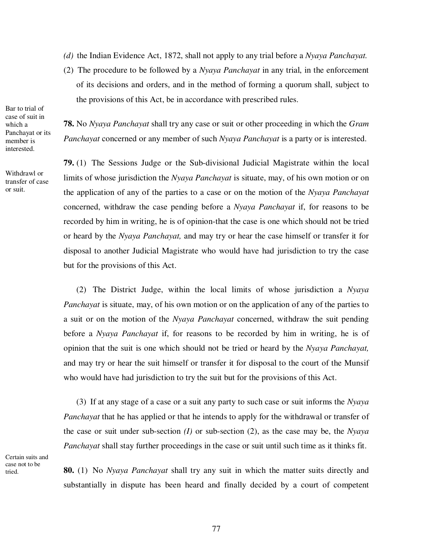- *(d)* the Indian Evidence Act, 1872, shall not apply to any trial before a *Nyaya Panchayat.*
- (2) The procedure to be followed by a *Nyaya Panchayat* in any trial, in the enforcement of its decisions and orders, and in the method of forming a quorum shall, subject to the provisions of this Act, be in accordance with prescribed rules.

Bar to trial of case of suit in which a Panchayat or its member is interested.

Withdrawl or transfer of case or suit.

**78.** No *Nyaya Panchayat* shall try any case or suit or other proceeding in which the *Gram Panchayat* concerned or any member of such *Nyaya Panchayat* is a party or is interested.

**79.** (1) The Sessions Judge or the Sub-divisional Judicial Magistrate within the local limits of whose jurisdiction the *Nyaya Panchayat* is situate, may, of his own motion or on the application of any of the parties to a case or on the motion of the *Nyaya Panchayat*  concerned, withdraw the case pending before a *Nyaya Panchayat* if, for reasons to be recorded by him in writing, he is of opinion-that the case is one which should not be tried or heard by the *Nyaya Panchayat,* and may try or hear the case himself or transfer it for disposal to another Judicial Magistrate who would have had jurisdiction to try the case but for the provisions of this Act.

(2) The District Judge, within the local limits of whose jurisdiction a *Nyaya Panchayat* is situate, may, of his own motion or on the application of any of the parties to a suit or on the motion of the *Nyaya Panchayat* concerned, withdraw the suit pending before a *Nyaya Panchayat* if, for reasons to be recorded by him in writing, he is of opinion that the suit is one which should not be tried or heard by the *Nyaya Panchayat,*  and may try or hear the suit himself or transfer it for disposal to the court of the Munsif who would have had jurisdiction to try the suit but for the provisions of this Act.

(3) If at any stage of a case or a suit any party to such case or suit informs the *Nyaya Panchayat* that he has applied or that he intends to apply for the withdrawal or transfer of the case or suit under sub-section *(I)* or sub-section (2), as the case may be, the *Nyaya Panchayat* shall stay further proceedings in the case or suit until such time as it thinks fit.

Certain suits and case not to be tried.

**80.** (1) No *Nyaya Panchayat* shall try any suit in which the matter suits directly and substantially in dispute has been heard and finally decided by a court of competent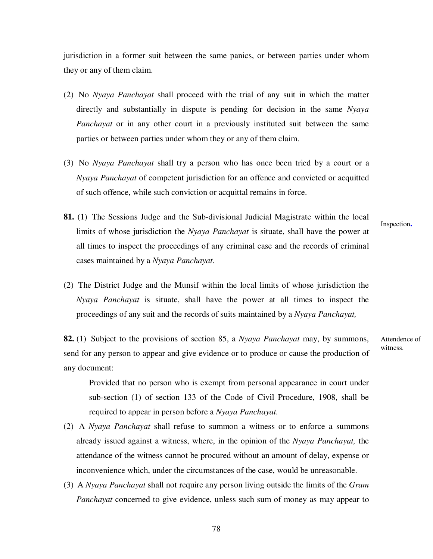jurisdiction in a former suit between the same panics, or between parties under whom they or any of them claim.

- (2) No *Nyaya Panchayat* shall proceed with the trial of any suit in which the matter directly and substantially in dispute is pending for decision in the same *Nyaya Panchayat* or in any other court in a previously instituted suit between the same parties or between parties under whom they or any of them claim.
- (3) No *Nyaya Panchayat* shall try a person who has once been tried by a court or a *Nyaya Panchayat* of competent jurisdiction for an offence and convicted or acquitted of such offence, while such conviction or acquittal remains in force.
- **81.** (1) The Sessions Judge and the Sub-divisional Judicial Magistrate within the local limits of whose jurisdiction the *Nyaya Panchayat* is situate, shall have the power at all times to inspect the proceedings of any criminal case and the records of criminal cases maintained by a *Nyaya Panchayat.*

Inspection**.** 

(2) The District Judge and the Munsif within the local limits of whose jurisdiction the *Nyaya Panchayat* is situate, shall have the power at all times to inspect the proceedings of any suit and the records of suits maintained by a *Nyaya Panchayat,*

**82.** (1) Subject to the provisions of section 85, a *Nyaya Panchayat* may, by summons, send for any person to appear and give evidence or to produce or cause the production of any document: Attendence of witness.

Provided that no person who is exempt from personal appearance in court under sub-section (1) of section 133 of the Code of Civil Procedure, 1908, shall be required to appear in person before a *Nyaya Panchayat.*

- (2) A *Nyaya Panchayat* shall refuse to summon a witness or to enforce a summons already issued against a witness, where, in the opinion of the *Nyaya Panchayat,* the attendance of the witness cannot be procured without an amount of delay, expense or inconvenience which, under the circumstances of the case, would be unreasonable.
- (3) A *Nyaya Panchayat* shall not require any person living outside the limits of the *Gram Panchayat* concerned to give evidence, unless such sum of money as may appear to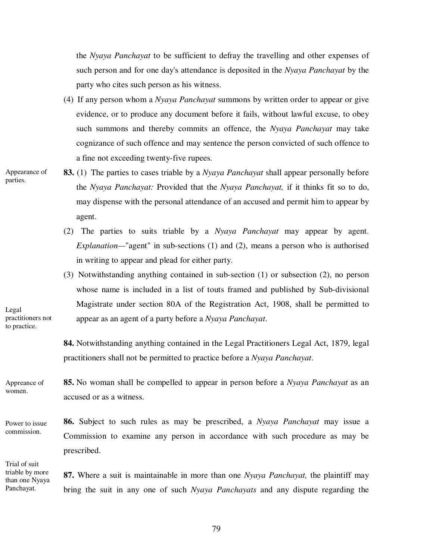the *Nyaya Panchayat* to be sufficient to defray the travelling and other expenses of such person and for one day's attendance is deposited in the *Nyaya Panchayat* by the party who cites such person as his witness.

- (4) If any person whom a *Nyaya Panchayat* summons by written order to appear or give evidence, or to produce any document before it fails, without lawful excuse, to obey such summons and thereby commits an offence, the *Nyaya Panchayat* may take cognizance of such offence and may sentence the person convicted of such offence to a fine not exceeding twenty-five rupees.
- Appearance of parties.
- **83.** (1) The parties to cases triable by a *Nyaya Panchayat* shall appear personally before the *Nyaya Panchayat:* Provided that the *Nyaya Panchayat,* if it thinks fit so to do, may dispense with the personal attendance of an accused and permit him to appear by agent.
	- (2) The parties to suits triable by a *Nyaya Panchayat* may appear by agent. *Explanation—*"agent" in sub-sections (1) and (2), means a person who is authorised in writing to appear and plead for either party.
- (3) Notwithstanding anything contained in sub-section (1) or subsection (2), no person whose name is included in a list of touts framed and published by Sub-divisional Magistrate under section 80A of the Registration Act, 1908, shall be permitted to appear as an agent of a party before a *Nyaya Panchayat*.

**84.** Notwithstanding anything contained in the Legal Practitioners Legal Act, 1879, legal practitioners shall not be permitted to practice before a *Nyaya Panchayat*.

**85.** No woman shall be compelled to appear in person before a *Nyaya Panchayat* as an accused or as a witness. Appreance of women.

Power to issue commission.

Legal

practitioners not to practice.

Trial of suit triable by more than one Nyaya Panchayat.

**86.** Subject to such rules as may be prescribed, a *Nyaya Panchayat* may issue a Commission to examine any person in accordance with such procedure as may be prescribed.

**87.** Where a suit is maintainable in more than one *Nyaya Panchayat,* the plaintiff may bring the suit in any one of such *Nyaya Panchayats* and any dispute regarding the

79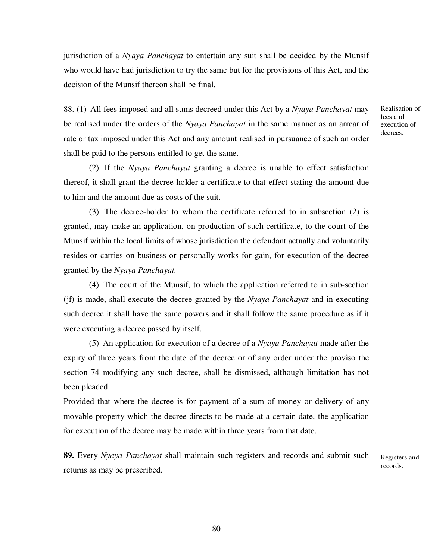jurisdiction of a *Nyaya Panchayat* to entertain any suit shall be decided by the Munsif who would have had jurisdiction to try the same but for the provisions of this Act, and the decision of the Munsif thereon shall be final.

88. (1) All fees imposed and all sums decreed under this Act by a *Nyaya Panchayat* may be realised under the orders of the *Nyaya Panchayat* in the same manner as an arrear of rate or tax imposed under this Act and any amount realised in pursuance of such an order shall be paid to the persons entitled to get the same.

(2) If the *Nyaya Panchayat* granting a decree is unable to effect satisfaction thereof, it shall grant the decree-holder a certificate to that effect stating the amount due to him and the amount due as costs of the suit.

(3) The decree-holder to whom the certificate referred to in subsection (2) is granted, may make an application, on production of such certificate, to the court of the Munsif within the local limits of whose jurisdiction the defendant actually and voluntarily resides or carries on business or personally works for gain, for execution of the decree granted by the *Nyaya Panchayat.*

(4) The court of the Munsif, to which the application referred to in sub-section (jf) is made, shall execute the decree granted by the *Nyaya Panchayat* and in executing such decree it shall have the same powers and it shall follow the same procedure as if it were executing a decree passed by itself.

(5) An application for execution of a decree of a *Nyaya Panchayat* made after the expiry of three years from the date of the decree or of any order under the proviso the section 74 modifying any such decree, shall be dismissed, although limitation has not been pleaded:

Provided that where the decree is for payment of a sum of money or delivery of any movable property which the decree directs to be made at a certain date, the application for execution of the decree may be made within three years from that date.

**89.** Every *Nyaya Panchayat* shall maintain such registers and records and submit such returns as may be prescribed. Registers and records.

Realisation of fees and execution of decrees.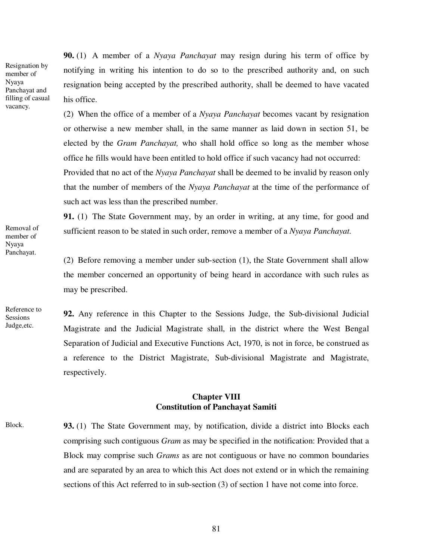Resignation by member of Nyaya Panchayat and filling of casual vacancy.

**90.** (1) A member of a *Nyaya Panchayat* may resign during his term of office by notifying in writing his intention to do so to the prescribed authority and, on such resignation being accepted by the prescribed authority, shall be deemed to have vacated his office.

(2) When the office of a member of a *Nyaya Panchayat* becomes vacant by resignation or otherwise a new member shall, in the same manner as laid down in section 51, be elected by the *Gram Panchayat,* who shall hold office so long as the member whose office he fills would have been entitled to hold office if such vacancy had not occurred: Provided that no act of the *Nyaya Panchayat* shall be deemed to be invalid by reason only that the number of members of the *Nyaya Panchayat* at the time of the performance of such act was less than the prescribed number.

**91.** (1) The State Government may, by an order in writing, at any time, for good and sufficient reason to be stated in such order, remove a member of a *Nyaya Panchayat.* 

(2) Before removing a member under sub-section (1), the State Government shall allow the member concerned an opportunity of being heard in accordance with such rules as may be prescribed.

**92.** Any reference in this Chapter to the Sessions Judge, the Sub-divisional Judicial Magistrate and the Judicial Magistrate shall, in the district where the West Bengal Separation of Judicial and Executive Functions Act, 1970, is not in force, be construed as a reference to the District Magistrate, Sub-divisional Magistrate and Magistrate, respectively.

## **Chapter VIII Constitution of Panchayat Samiti**

**93.** (1) The State Government may, by notification, divide a district into Blocks each comprising such contiguous *Gram* as may be specified in the notification: Provided that a Block may comprise such *Grams* as are not contiguous or have no common boundaries and are separated by an area to which this Act does not extend or in which the remaining sections of this Act referred to in sub-section (3) of section 1 have not come into force. Block.

Removal of member of Nyaya Panchayat.

Reference to **Sessions** Judge,etc.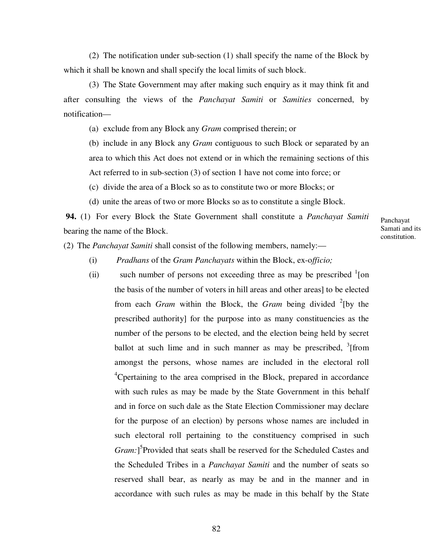(2) The notification under sub-section (1) shall specify the name of the Block by which it shall be known and shall specify the local limits of such block.

(3) The State Government may after making such enquiry as it may think fit and after consulting the views of the *Panchayat Samiti* or *Samities* concerned, by notification—

(a) exclude from any Block any *Gram* comprised therein; or

(b) include in any Block any *Gram* contiguous to such Block or separated by an area to which this Act does not extend or in which the remaining sections of this Act referred to in sub-section (3) of section 1 have not come into force; or

(c) divide the area of a Block so as to constitute two or more Blocks; or

(d) unite the areas of two or more Blocks so as to constitute a single Block.

 **94.** (1) For every Block the State Government shall constitute a *Panchayat Samiti*  bearing the name of the Block.

Panchayat Samati and its constitution.

(2) The *Panchayat Samiti* shall consist of the following members, namely:—

- (i) *Pradhans* of the *Gram Panchayats* within the Block, ex-o*fficio;*
- (ii) such number of persons not exceeding three as may be prescribed  $\frac{1}{2}$ [on the basis of the number of voters in hill areas and other areas] to be elected from each *Gram* within the Block, the *Gram* being divided <sup>2</sup>[by the prescribed authority] for the purpose into as many constituencies as the number of the persons to be elected, and the election being held by secret ballot at such lime and in such manner as may be prescribed,  $3$  [from amongst the persons, whose names are included in the electoral roll <sup>4</sup>Cpertaining to the area comprised in the Block, prepared in accordance with such rules as may be made by the State Government in this behalf and in force on such dale as the State Election Commissioner may declare for the purpose of an election) by persons whose names are included in such electoral roll pertaining to the constituency comprised in such Gram:<sup>]5</sup>Provided that seats shall be reserved for the Scheduled Castes and the Scheduled Tribes in a *Panchayat Samiti* and the number of seats so reserved shall bear, as nearly as may be and in the manner and in accordance with such rules as may be made in this behalf by the State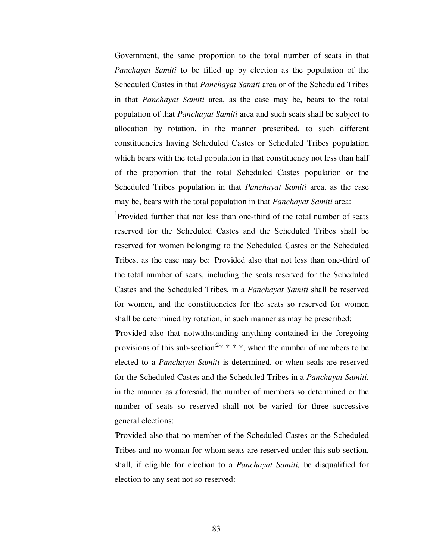Government, the same proportion to the total number of seats in that *Panchayat Samiti* to be filled up by election as the population of the Scheduled Castes in that *Panchayat Samiti* area or of the Scheduled Tribes in that *Panchayat Samiti* area, as the case may be, bears to the total population of that *Panchayat Samiti* area and such seats shall be subject to allocation by rotation, in the manner prescribed, to such different constituencies having Scheduled Castes or Scheduled Tribes population which bears with the total population in that constituency not less than half of the proportion that the total Scheduled Castes population or the Scheduled Tribes population in that *Panchayat Samiti* area, as the case may be, bears with the total population in that *Panchayat Samiti* area:

<sup>1</sup>Provided further that not less than one-third of the total number of seats reserved for the Scheduled Castes and the Scheduled Tribes shall be reserved for women belonging to the Scheduled Castes or the Scheduled Tribes, as the case may be: 'Provided also that not less than one-third of the total number of seats, including the seats reserved for the Scheduled Castes and the Scheduled Tribes, in a *Panchayat Samiti* shall be reserved for women, and the constituencies for the seats so reserved for women shall be determined by rotation, in such manner as may be prescribed:

'Provided also that notwithstanding anything contained in the foregoing provisions of this sub-section<sup>:2\*</sup> \* \* \*, when the number of members to be elected to a *Panchayat Samiti* is determined, or when seals are reserved for the Scheduled Castes and the Scheduled Tribes in a *Panchayat Samiti,*  in the manner as aforesaid, the number of members so determined or the number of seats so reserved shall not be varied for three successive general elections:

'Provided also that no member of the Scheduled Castes or the Scheduled Tribes and no woman for whom seats are reserved under this sub-section, shall, if eligible for election to a *Panchayat Samiti,* be disqualified for election to any seat not so reserved: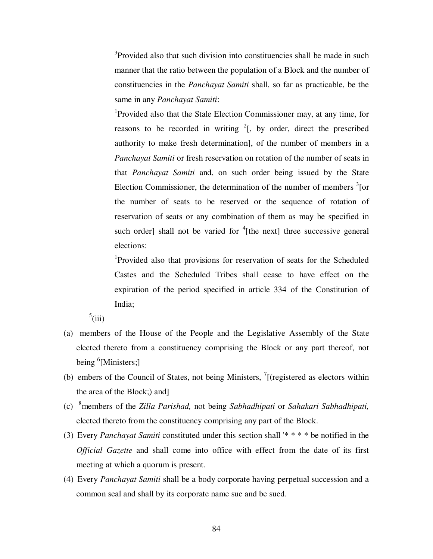<sup>3</sup>Provided also that such division into constituencies shall be made in such manner that the ratio between the population of a Block and the number of constituencies in the *Panchayat Samiti* shall, so far as practicable, be the same in any *Panchayat Samiti*:

<sup>1</sup>Provided also that the Stale Election Commissioner may, at any time, for reasons to be recorded in writing  $2$ [, by order, direct the prescribed authority to make fresh determination], of the number of members in a *Panchayat Samiti* or fresh reservation on rotation of the number of seats in that *Panchayat Samiti* and, on such order being issued by the State Election Commissioner, the determination of the number of members  $\frac{3}{2}$  [or the number of seats to be reserved or the sequence of rotation of reservation of seats or any combination of them as may be specified in such order] shall not be varied for  ${}^{4}$ [the next] three successive general elections:

<sup>1</sup>Provided also that provisions for reservation of seats for the Scheduled Castes and the Scheduled Tribes shall cease to have effect on the expiration of the period specified in article 334 of the Constitution of India;

 $5$ (iii)

- (a) members of the House of the People and the Legislative Assembly of the State elected thereto from a constituency comprising the Block or any part thereof, not being <sup>6</sup>[Ministers;]
- (b) embers of the Council of States, not being Ministers,  $\frac{7}{1}$  (registered as electors within the area of the Block;) and]
- (c) <sup>8</sup>members of the *Zilla Parishad,* not being *Sabhadhipati* or *Sahakari Sabhadhipati,*  elected thereto from the constituency comprising any part of the Block.
- (3) Every *Panchayat Samiti* constituted under this section shall '\* \* \* \* be notified in the *Official Gazette* and shall come into office with effect from the date of its first meeting at which a quorum is present.
- (4) Every *Panchayat Samiti* shall be a body corporate having perpetual succession and a common seal and shall by its corporate name sue and be sued.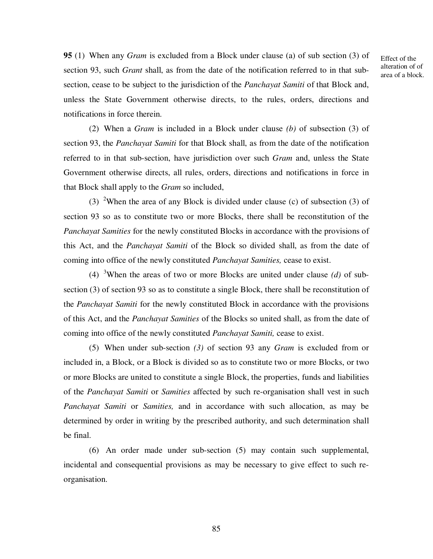**95** (1) When any *Gram* is excluded from a Block under clause (a) of sub section (3) of section 93, such *Grant* shall, as from the date of the notification referred to in that subsection, cease to be subject to the jurisdiction of the *Panchayat Samiti* of that Block and, unless the State Government otherwise directs, to the rules, orders, directions and notifications in force therein.

Effect of the alteration of of area of a block.

(2) When a *Gram* is included in a Block under clause *(b)* of subsection (3) of section 93, the *Panchayat Samiti* for that Block shall, as from the date of the notification referred to in that sub-section, have jurisdiction over such *Gram* and, unless the State Government otherwise directs, all rules, orders, directions and notifications in force in that Block shall apply to the *Gram* so included,

(3) <sup>2</sup>When the area of any Block is divided under clause (c) of subsection (3) of section 93 so as to constitute two or more Blocks, there shall be reconstitution of the *Panchayat Samities* for the newly constituted Blocks in accordance with the provisions of this Act, and the *Panchayat Samiti* of the Block so divided shall, as from the date of coming into office of the newly constituted *Panchayat Samities,* cease to exist.

(4) <sup>3</sup>When the areas of two or more Blocks are united under clause *(d)* of subsection (3) of section 93 so as to constitute a single Block, there shall be reconstitution of the *Panchayat Samiti* for the newly constituted Block in accordance with the provisions of this Act, and the *Panchayat Samities* of the Blocks so united shall, as from the date of coming into office of the newly constituted *Panchayat Samiti,* cease to exist.

(5) When under sub-section *(3)* of section 93 any *Gram* is excluded from or included in, a Block, or a Block is divided so as to constitute two or more Blocks, or two or more Blocks are united to constitute a single Block, the properties, funds and liabilities of the *Panchayat Samiti* or *Samities* affected by such re-organisation shall vest in such *Panchayat Samiti* or *Samities,* and in accordance with such allocation, as may be determined by order in writing by the prescribed authority, and such determination shall be final.

(6) An order made under sub-section (5) may contain such supplemental, incidental and consequential provisions as may be necessary to give effect to such reorganisation.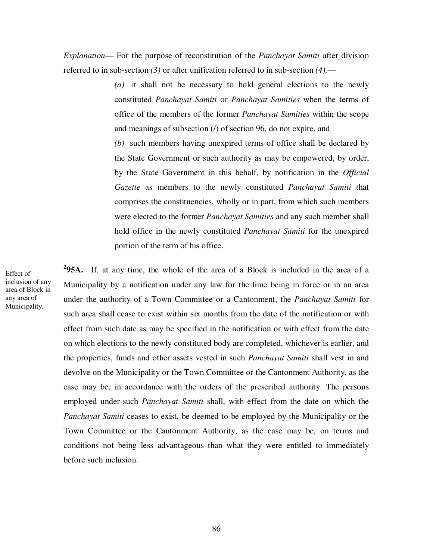*Explanation*— For the purpose of reconstitution of the *Panchayat Samiti* after division referred to in sub-section *(3)* or after unification referred to in sub-section *(4),*—

> *(a)* it shall not be necessary to hold general elections to the newly constituted *Panchayat Samiti* or *Panchayat Samities* when the terms of office of the members of the former *Panchayat Samities* within the scope and meanings of subsection  $(1)$  of section 96, do not expire, and

> *(b)* such members having unexpired terms of office shall be declared by the State Government or such authority as may be empowered, by order, by the State Government in this behalf, by notification in the *Official Gazette* as members to the newly constituted *Panchayat Samiti* that comprises the constituencies, wholly or in part, from which such members were elected to the former *Panchayat Samities* and any such member shall hold office in the newly constituted *Panchayat Samiti* for the unexpired portion of the term of his office.

**2 95A.** If, at any time, the whole of the area of a Block is included in the area of a Municipality by a notification under any law for the lime being in force or in an area under the authority of a Town Committee or a Cantonment, the *Panchayat Samiti* for such area shall cease to exist within six months from the date of the notification or with effect from such date as may be specified in the notification or with effect from the date on which elections to the newly constituted body are completed, whichever is earlier, and the properties, funds and other assets vested in such *Panchayat Samiti* shall vest in and devolve on the Municipality or the Town Committee or the Cantonment Authority, as the case may be, in accordance with the orders of the prescribed authority. The persons employed under-such *Panchayat Samiti* shall, with effect from the date on which the *Panchayat Samiti* ceases to exist, be deemed to be employed by the Municipality or the Town Committee or the Cantonment Authority, as the case may be, on terms and conditions not being less advantageous than what they were entitled to immediately before such inclusion.

Effect of inclusion of any area of Block in any area of Municipality.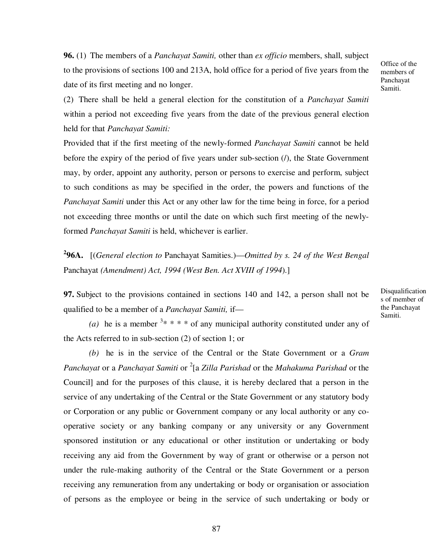**96.** (1) The members of a *Panchayat Samiti,* other than *ex officio* members, shall, subject to the provisions of sections 100 and 213A, hold office for a period of five years from the date of its first meeting and no longer.

Office of the members of Panchayat Samiti.

(2) There shall be held a general election for the constitution of a *Panchayat Samiti*  within a period not exceeding five years from the date of the previous general election held for that *Panchayat Samiti:*

Provided that if the first meeting of the newly-formed *Panchayat Samiti* cannot be held before the expiry of the period of five years under sub-section (/), the State Government may, by order, appoint any authority, person or persons to exercise and perform, subject to such conditions as may be specified in the order, the powers and functions of the *Panchayat Samiti* under this Act or any other law for the time being in force, for a period not exceeding three months or until the date on which such first meeting of the newlyformed *Panchayat Samiti* is held, whichever is earlier.

**2 96A.** [(*General election to* Panchayat Samities.)—*Omitted by s. 24 of the West Bengal*  Panchayat *(Amendment) Act, 1994 (West Ben. Act XVIII of 1994*).]

**97.** Subject to the provisions contained in sections 140 and 142, a person shall not be qualified to be a member of a *Panchayat Samiti,* ifDisqualification s of member of the Panchayat Samiti.

(a) he is a member  $3* * * *$  of any municipal authority constituted under any of the Acts referred to in sub-section (2) of section 1; or

*(b)* he is in the service of the Central or the State Government or a *Gram*  Panchayat or a *Panchayat Samiti* or <sup>2</sup>[a *Zilla Parishad* or the *Mahakuma Parishad* or the Council] and for the purposes of this clause, it is hereby declared that a person in the service of any undertaking of the Central or the State Government or any statutory body or Corporation or any public or Government company or any local authority or any cooperative society or any banking company or any university or any Government sponsored institution or any educational or other institution or undertaking or body receiving any aid from the Government by way of grant or otherwise or a person not under the rule-making authority of the Central or the State Government or a person receiving any remuneration from any undertaking or body or organisation or association of persons as the employee or being in the service of such undertaking or body or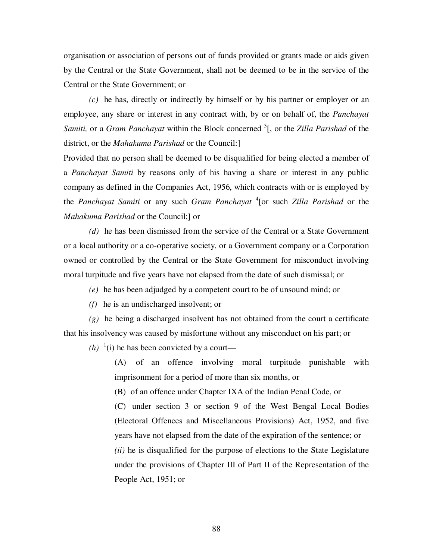organisation or association of persons out of funds provided or grants made or aids given by the Central or the State Government, shall not be deemed to be in the service of the Central or the State Government; or

*(c)* he has, directly or indirectly by himself or by his partner or employer or an employee, any share or interest in any contract with, by or on behalf of, the *Panchayat*  Samiti, or a *Gram Panchayat* within the Block concerned <sup>3</sup>[, or the *Zilla Parishad* of the district, or the *Mahakuma Parishad* or the Council:]

Provided that no person shall be deemed to be disqualified for being elected a member of a *Panchayat Samiti* by reasons only of his having a share or interest in any public company as defined in the Companies Act, 1956, which contracts with or is employed by the *Panchayat Samiti* or any such *Gram Panchayat* <sup>4</sup> [or such *Zilla Parishad* or the *Mahakuma Parishad* or the Council;] or

*(d)* he has been dismissed from the service of the Central or a State Government or a local authority or a co-operative society, or a Government company or a Corporation owned or controlled by the Central or the State Government for misconduct involving moral turpitude and five years have not elapsed from the date of such dismissal; or

- *(e)* he has been adjudged by a competent court to be of unsound mind; or
- *(f)* he is an undischarged insolvent; or

*(g)* he being a discharged insolvent has not obtained from the court a certificate that his insolvency was caused by misfortune without any misconduct on his part; or

 $(h)$ <sup>1</sup>(i) he has been convicted by a court—

(A) of an offence involving moral turpitude punishable with imprisonment for a period of more than six months, or

(B) of an offence under Chapter IXA of the Indian Penal Code, or

(C) under section 3 or section 9 of the West Bengal Local Bodies (Electoral Offences and Miscellaneous Provisions) Act, 1952, and five years have not elapsed from the date of the expiration of the sentence; or *(ii)* he is disqualified for the purpose of elections to the State Legislature under the provisions of Chapter III of Part II of the Representation of the People Act, 1951; or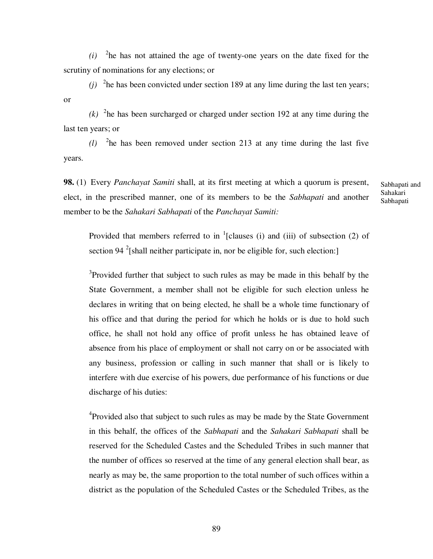$(i)$  <sup>2</sup>he has not attained the age of twenty-one years on the date fixed for the scrutiny of nominations for any elections; or

(*j*)  $^{2}$ he has been convicted under section 189 at any lime during the last ten years; or

 $(k)$  <sup>2</sup>he has been surcharged or charged under section 192 at any time during the last ten years; or

 $(l)$  <sup>2</sup>he has been removed under section 213 at any time during the last five years.

**98.** (1) Every *Panchayat Samiti* shall, at its first meeting at which a quorum is present, elect, in the prescribed manner, one of its members to be the *Sabhapati* and another member to be the *Sahakari Sabhapati* of the *Panchayat Samiti:* 

Sabhapati and Sahakari Sabhapati

Provided that members referred to in  $<sup>1</sup>$ [clauses (i) and (iii) of subsection (2) of</sup> section 94 $2$ [shall neither participate in, nor be eligible for, such election:]

<sup>3</sup>Provided further that subject to such rules as may be made in this behalf by the State Government, a member shall not be eligible for such election unless he declares in writing that on being elected, he shall be a whole time functionary of his office and that during the period for which he holds or is due to hold such office, he shall not hold any office of profit unless he has obtained leave of absence from his place of employment or shall not carry on or be associated with any business, profession or calling in such manner that shall or is likely to interfere with due exercise of his powers, due performance of his functions or due discharge of his duties:

<sup>4</sup> Provided also that subject to such rules as may be made by the State Government in this behalf, the offices of the *Sabhapati* and the *Sahakari Sabhapati* shall be reserved for the Scheduled Castes and the Scheduled Tribes in such manner that the number of offices so reserved at the time of any general election shall bear, as nearly as may be, the same proportion to the total number of such offices within a district as the population of the Scheduled Castes or the Scheduled Tribes, as the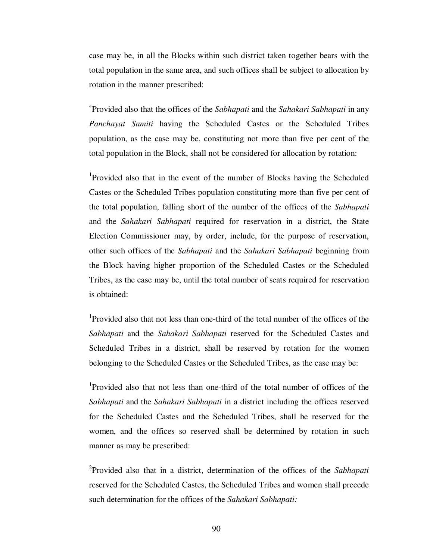case may be, in all the Blocks within such district taken together bears with the total population in the same area, and such offices shall be subject to allocation by rotation in the manner prescribed:

4 Provided also that the offices of the *Sabhapati* and the *Sahakari Sabhapati* in any *Panchayat Samiti* having the Scheduled Castes or the Scheduled Tribes population, as the case may be, constituting not more than five per cent of the total population in the Block, shall not be considered for allocation by rotation:

<sup>1</sup>Provided also that in the event of the number of Blocks having the Scheduled Castes or the Scheduled Tribes population constituting more than five per cent of the total population, falling short of the number of the offices of the *Sabhapati*  and the *Sahakari Sabhapati* required for reservation in a district, the State Election Commissioner may, by order, include, for the purpose of reservation, other such offices of the *Sabhapati* and the *Sahakari Sabhapati* beginning from the Block having higher proportion of the Scheduled Castes or the Scheduled Tribes, as the case may be, until the total number of seats required for reservation is obtained:

1 Provided also that not less than one-third of the total number of the offices of the *Sabhapati* and the *Sahakari Sabhapati* reserved for the Scheduled Castes and Scheduled Tribes in a district, shall be reserved by rotation for the women belonging to the Scheduled Castes or the Scheduled Tribes, as the case may be:

1 Provided also that not less than one-third of the total number of offices of the *Sabhapati* and the *Sahakari Sabhapati* in a district including the offices reserved for the Scheduled Castes and the Scheduled Tribes, shall be reserved for the women, and the offices so reserved shall be determined by rotation in such manner as may be prescribed:

2 Provided also that in a district, determination of the offices of the *Sabhapati*  reserved for the Scheduled Castes, the Scheduled Tribes and women shall precede such determination for the offices of the *Sahakari Sabhapati:*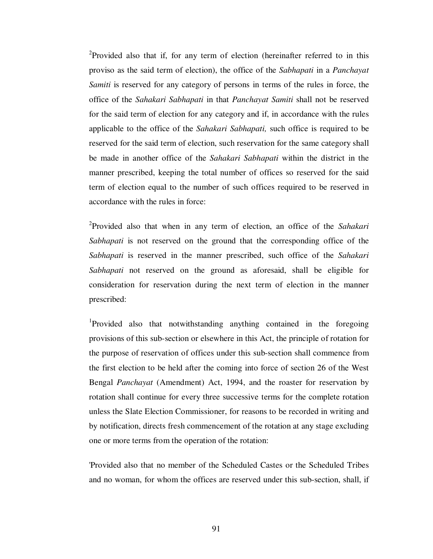<sup>2</sup>Provided also that if, for any term of election (hereinafter referred to in this proviso as the said term of election), the office of the *Sabhapati* in a *Panchayat Samiti* is reserved for any category of persons in terms of the rules in force, the office of the *Sahakari Sabhapati* in that *Panchayat Samiti* shall not be reserved for the said term of election for any category and if, in accordance with the rules applicable to the office of the *Sahakari Sabhapati,* such office is required to be reserved for the said term of election, such reservation for the same category shall be made in another office of the *Sahakari Sabhapati* within the district in the manner prescribed, keeping the total number of offices so reserved for the said term of election equal to the number of such offices required to be reserved in accordance with the rules in force:

2 Provided also that when in any term of election, an office of the *Sahakari Sabhapati* is not reserved on the ground that the corresponding office of the *Sabhapati* is reserved in the manner prescribed, such office of the *Sahakari Sabhapati* not reserved on the ground as aforesaid, shall be eligible for consideration for reservation during the next term of election in the manner prescribed:

<sup>1</sup>Provided also that notwithstanding anything contained in the foregoing provisions of this sub-section or elsewhere in this Act, the principle of rotation for the purpose of reservation of offices under this sub-section shall commence from the first election to be held after the coming into force of section 26 of the West Bengal *Panchayat* (Amendment) Act, 1994, and the roaster for reservation by rotation shall continue for every three successive terms for the complete rotation unless the Slate Election Commissioner, for reasons to be recorded in writing and by notification, directs fresh commencement of the rotation at any stage excluding one or more terms from the operation of the rotation:

'Provided also that no member of the Scheduled Castes or the Scheduled Tribes and no woman, for whom the offices are reserved under this sub-section, shall, if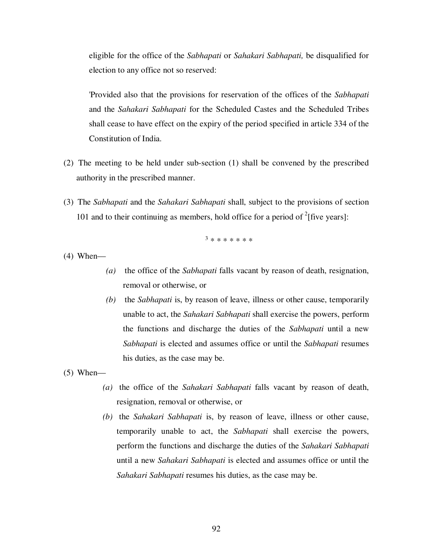eligible for the office of the *Sabhapati* or *Sahakari Sabhapati,* be disqualified for election to any office not so reserved:

'Provided also that the provisions for reservation of the offices of the *Sabhapati*  and the *Sahakari Sabhapati* for the Scheduled Castes and the Scheduled Tribes shall cease to have effect on the expiry of the period specified in article 334 of the Constitution of India.

- (2) The meeting to be held under sub-section (1) shall be convened by the prescribed authority in the prescribed manner.
- (3) The *Sabhapati* and the *Sahakari Sabhapati* shall, subject to the provisions of section 101 and to their continuing as members, hold office for a period of  $2$ [five years]:

3 \* \* \* \* \* \* \*

(4) When—

- *(a)* the office of the *Sabhapati* falls vacant by reason of death, resignation, removal or otherwise, or
- *(b)* the *Sabhapati* is, by reason of leave, illness or other cause, temporarily unable to act, the *Sahakari Sabhapati* shall exercise the powers, perform the functions and discharge the duties of the *Sabhapati* until a new *Sabhapati* is elected and assumes office or until the *Sabhapati* resumes his duties, as the case may be.

 $(5)$  When—

- *(a)* the office of the *Sahakari Sabhapati* falls vacant by reason of death, resignation, removal or otherwise, or
- *(b)* the *Sahakari Sabhapati* is, by reason of leave, illness or other cause, temporarily unable to act, the *Sabhapati* shall exercise the powers, perform the functions and discharge the duties of the *Sahakari Sabhapati*  until a new *Sahakari Sabhapati* is elected and assumes office or until the *Sahakari Sabhapati* resumes his duties, as the case may be.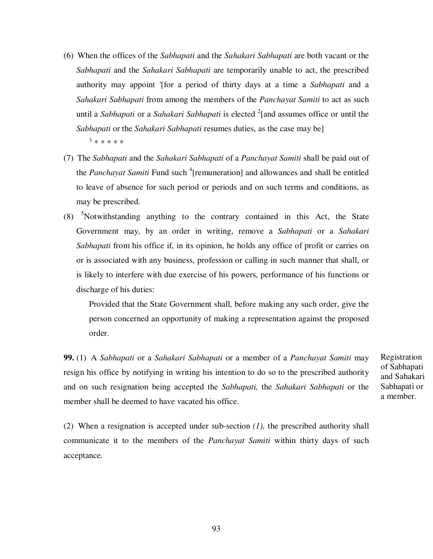- (6) When the offices of the *Sabhapati* and the *Sahakari Sabhapati* are both vacant or the *Sabhapati* and the *Sahakari Sabhapati* are temporarily unable to act, the prescribed authority may appoint '[for a period of thirty days at a time a *Sabhapati* and a *Sahakari Sabhapati* from among the members of the *Panchayat Samiti* to act as such until a *Sabhapati* or a *Sahakari Sabhapati* is elected <sup>2</sup>[and assumes office or until the *Sabhapati* or the *Sahakari Sabhapati* resumes duties, as the case may be] 3 \* \* \* \* \*
- (7) The *Sabhapati* and the *Sahakari Sabhapati* of a *Panchayat Samiti* shall be paid out of the *Panchayat Samiti* Fund such <sup>4</sup>[remuneration] and allowances and shall be entitled to leave of absence for such period or periods and on such terms and conditions, as may be prescribed.
- (8) <sup>5</sup>Notwithstanding anything to the contrary contained in this Act, the State Government may, by an order in writing, remove a *Sabhapati* or a *Sahakari Sabhapati* from his office if, in its opinion, he holds any office of profit or carries on or is associated with any business, profession or calling in such manner that shall, or is likely to interfere with due exercise of his powers, performance of his functions or discharge of his duties:

Provided that the State Government shall, before making any such order, give the person concerned an opportunity of making a representation against the proposed order.

**99.** (1) A *Sabhapati* or a *Sahakari Sabhapati* or a member of a *Panchayat Samiti* may resign his office by notifying in writing his intention to do so to the prescribed authority and on such resignation being accepted the *Sabhapati,* the *Sahakari Sabhapati* or the member shall be deemed to have vacated his office.

Registration of Sabhapati and Sahakari Sabhapati or a member.

(2) When a resignation is accepted under sub-section *(1),* the prescribed authority shall communicate it to the members of the *Panchayat Samiti* within thirty days of such acceptance.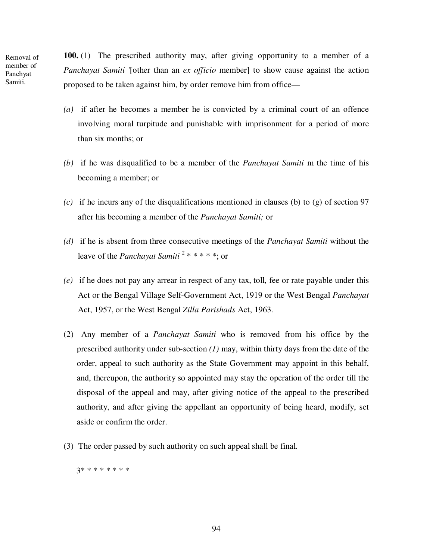Removal of member of Panchyat Samiti.

**100.** (1) The prescribed authority may, after giving opportunity to a member of a *Panchayat Samiti* '[other than an *ex officio* member] to show cause against the action proposed to be taken against him, by order remove him from office—

- *(a)* if after he becomes a member he is convicted by a criminal court of an offence involving moral turpitude and punishable with imprisonment for a period of more than six months; or
- *(b)* if he was disqualified to be a member of the *Panchayat Samiti* m the time of his becoming a member; or
- *(c)* if he incurs any of the disqualifications mentioned in clauses (b) to (g) of section 97 after his becoming a member of the *Panchayat Samiti;* or
- *(d)* if he is absent from three consecutive meetings of the *Panchayat Samiti* without the leave of the *Panchayat Samiti* <sup>2</sup> \* \* \* \* \*; or
- *(e)* if he does not pay any arrear in respect of any tax, toll, fee or rate payable under this Act or the Bengal Village Self-Government Act, 1919 or the West Bengal *Panchayat*  Act, 1957, or the West Bengal *Zilla Parishads* Act, 1963.
- (2) Any member of a *Panchayat Samiti* who is removed from his office by the prescribed authority under sub-section *(1)* may, within thirty days from the date of the order, appeal to such authority as the State Government may appoint in this behalf, and, thereupon, the authority so appointed may stay the operation of the order till the disposal of the appeal and may, after giving notice of the appeal to the prescribed authority, and after giving the appellant an opportunity of being heard, modify, set aside or confirm the order.
- (3) The order passed by such authority on such appeal shall be final.

3\* \* \* \* \* \* \* \*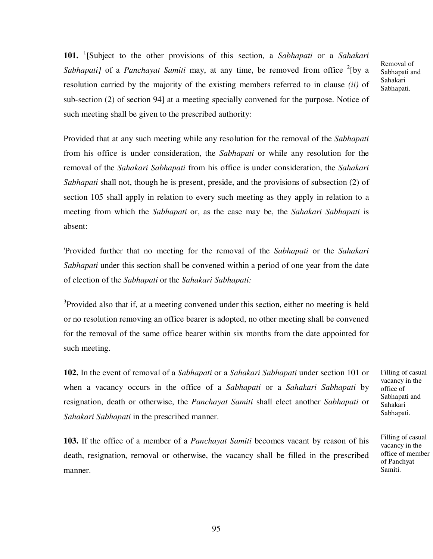**101.** <sup>1</sup> [Subject to the other provisions of this section, a *Sabhapati* or a *Sahakari*  Sabhapati] of a *Panchayat Samiti* may, at any time, be removed from office <sup>2</sup>[by a resolution carried by the majority of the existing members referred to in clause *(ii)* of sub-section (2) of section 94] at a meeting specially convened for the purpose. Notice of such meeting shall be given to the prescribed authority:

Provided that at any such meeting while any resolution for the removal of the *Sabhapati*  from his office is under consideration, the *Sabhapati* or while any resolution for the removal of the *Sahakari Sabhapati* from his office is under consideration, the *Sahakari Sabhapati* shall not, though he is present, preside, and the provisions of subsection (2) of section 105 shall apply in relation to every such meeting as they apply in relation to a meeting from which the *Sabhapati* or, as the case may be, the *Sahakari Sabhapati* is absent:

'Provided further that no meeting for the removal of the *Sabhapati* or the *Sahakari Sabhapati* under this section shall be convened within a period of one year from the date of election of the *Sabhapati* or the *Sahakari Sabhapati:* 

<sup>3</sup>Provided also that if, at a meeting convened under this section, either no meeting is held or no resolution removing an office bearer is adopted, no other meeting shall be convened for the removal of the same office bearer within six months from the date appointed for such meeting.

**102.** In the event of removal of a *Sabhapati* or a *Sahakari Sabhapati* under section 101 or when a vacancy occurs in the office of a *Sabhapati* or a *Sahakari Sabhapati* by resignation, death or otherwise, the *Panchayat Samiti* shall elect another *Sabhapati* or *Sahakari Sabhapati* in the prescribed manner.

**103.** If the office of a member of a *Panchayat Samiti* becomes vacant by reason of his death, resignation, removal or otherwise, the vacancy shall be filled in the prescribed manner.

Filling of casual vacancy in the office of Sabhapati and Sahakari Sabhapati.

Removal of Sabhapati and Sahakari Sabhapati.

Filling of casual vacancy in the office of member of Panchyat Samiti.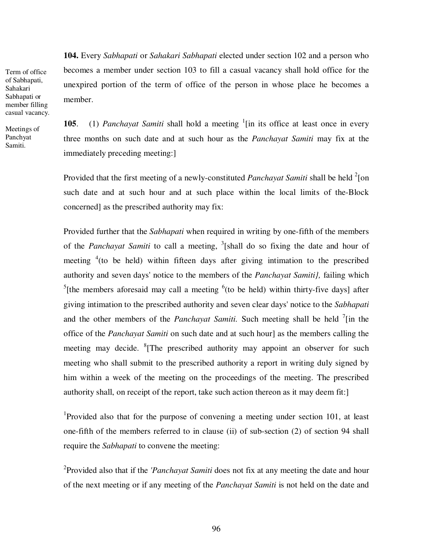**104.** Every *Sabhapati* or *Sahakari Sabhapati* elected under section 102 and a person who becomes a member under section 103 to fill a casual vacancy shall hold office for the unexpired portion of the term of office of the person in whose place he becomes a member.

Sabhapati or member filling casual vacancy. Meetings of

Term of office of Sabhapati, Sahakari

Panchyat Samiti.

**105**. (1) *Panchayat Samiti* shall hold a meeting <sup>1</sup>[in its office at least once in every three months on such date and at such hour as the *Panchayat Samiti* may fix at the immediately preceding meeting:]

Provided that the first meeting of a newly-constituted *Panchayat Samiti* shall be held <sup>2</sup>[on such date and at such hour and at such place within the local limits of the-Block concerned] as the prescribed authority may fix:

Provided further that the *Sabhapati* when required in writing by one-fifth of the members of the *Panchayat Samiti* to call a meeting, <sup>3</sup>[shall do so fixing the date and hour of meeting  $4$  (to be held) within fifteen days after giving intimation to the prescribed authority and seven days' notice to the members of the *Panchayat Samiti},* failing which <sup>5</sup>[the members aforesaid may call a meeting  $6$ (to be held) within thirty-five days] after giving intimation to the prescribed authority and seven clear days' notice to the *Sabhapati*  and the other members of the *Panchayat Samiti*. Such meeting shall be held <sup>7</sup>[in the office of the *Panchayat Samiti* on such date and at such hour] as the members calling the meeting may decide. <sup>8</sup>[The prescribed authority may appoint an observer for such meeting who shall submit to the prescribed authority a report in writing duly signed by him within a week of the meeting on the proceedings of the meeting. The prescribed authority shall, on receipt of the report, take such action thereon as it may deem fit:]

<sup>1</sup>Provided also that for the purpose of convening a meeting under section 101, at least one-fifth of the members referred to in clause (ii) of sub-section (2) of section 94 shall require the *Sabhapati* to convene the meeting:

2 Provided also that if the *'Panchayat Samiti* does not fix at any meeting the date and hour of the next meeting or if any meeting of the *Panchayat Samiti* is not held on the date and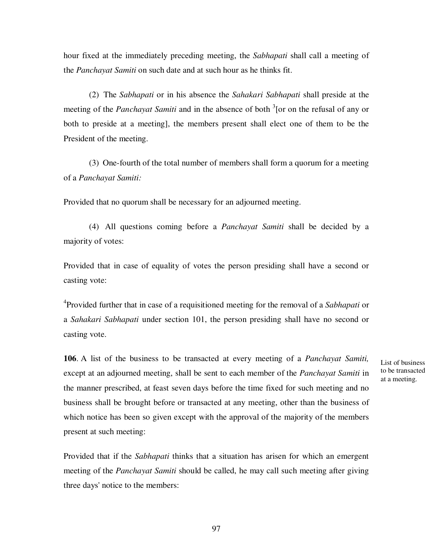hour fixed at the immediately preceding meeting, the *Sabhapati* shall call a meeting of the *Panchayat Samiti* on such date and at such hour as he thinks fit.

(2) The *Sabhapati* or in his absence the *Sahakari Sabhapati* shall preside at the meeting of the *Panchayat Samiti* and in the absence of both <sup>3</sup>[or on the refusal of any or both to preside at a meeting], the members present shall elect one of them to be the President of the meeting.

(3) One-fourth of the total number of members shall form a quorum for a meeting of a *Panchayat Samiti:* 

Provided that no quorum shall be necessary for an adjourned meeting.

(4) All questions coming before a *Panchayat Samiti* shall be decided by a majority of votes:

Provided that in case of equality of votes the person presiding shall have a second or casting vote:

4 Provided further that in case of a requisitioned meeting for the removal of a *Sabhapati* or a *Sahakari Sabhapati* under section 101, the person presiding shall have no second or casting vote.

**106**. A list of the business to be transacted at every meeting of a *Panchayat Samiti,*  except at an adjourned meeting, shall be sent to each member of the *Panchayat Samiti* in the manner prescribed, at feast seven days before the time fixed for such meeting and no business shall be brought before or transacted at any meeting, other than the business of which notice has been so given except with the approval of the majority of the members present at such meeting:

Provided that if the *Sabhapati* thinks that a situation has arisen for which an emergent meeting of the *Panchayat Samiti* should be called, he may call such meeting after giving three days' notice to the members:

List of business to be transacted at a meeting.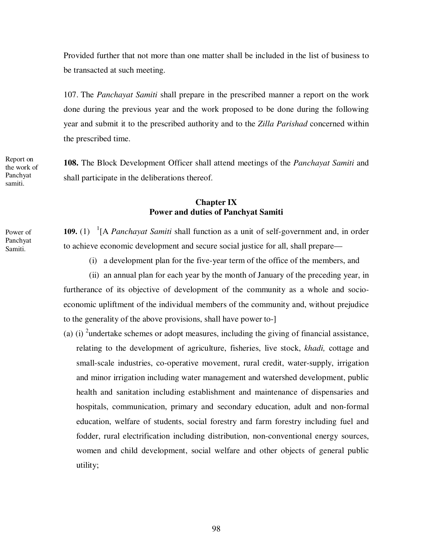Provided further that not more than one matter shall be included in the list of business to be transacted at such meeting.

107. The *Panchayat Samiti* shall prepare in the prescribed manner a report on the work done during the previous year and the work proposed to be done during the following year and submit it to the prescribed authority and to the *Zilla Parishad* concerned within the prescribed time.

**108.** The Block Development Officer shall attend meetings of the *Panchayat Samiti* and shall participate in the deliberations thereof.

## **Chapter IX Power and duties of Panchyat Samiti**

109. (1) <sup>1</sup>[A *Panchayat Samiti* shall function as a unit of self-government and, in order to achieve economic development and secure social justice for all, shall prepare—

(i) a development plan for the five-year term of the office of the members, and

(ii) an annual plan for each year by the month of January of the preceding year, in furtherance of its objective of development of the community as a whole and socioeconomic upliftment of the individual members of the community and, without prejudice to the generality of the above provisions, shall have power to-]

(a) (i) <sup>2</sup>undertake schemes or adopt measures, including the giving of financial assistance, relating to the development of agriculture, fisheries, live stock, *khadi,* cottage and small-scale industries, co-operative movement, rural credit, water-supply, irrigation and minor irrigation including water management and watershed development, public health and sanitation including establishment and maintenance of dispensaries and hospitals, communication, primary and secondary education, adult and non-formal education, welfare of students, social forestry and farm forestry including fuel and fodder, rural electrification including distribution, non-conventional energy sources, women and child development, social welfare and other objects of general public utility;

Report on the work of Panchyat samiti.

Power of Panchyat Samiti.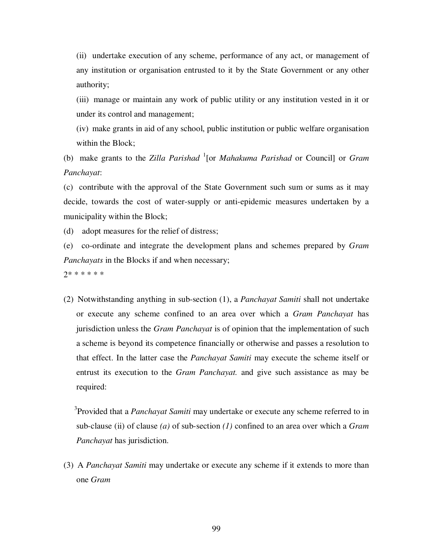(ii) undertake execution of any scheme, performance of any act, or management of any institution or organisation entrusted to it by the State Government or any other authority;

(iii) manage or maintain any work of public utility or any institution vested in it or under its control and management;

(iv) make grants in aid of any school, public institution or public welfare organisation within the Block;

(b) make grants to the *Zilla Parishad* <sup>1</sup> [or *Mahakuma Parishad* or Council] or *Gram Panchayat*:

(c) contribute with the approval of the State Government such sum or sums as it may decide, towards the cost of water-supply or anti-epidemic measures undertaken by a municipality within the Block;

(d) adopt measures for the relief of distress;

(e) co-ordinate and integrate the development plans and schemes prepared by *Gram Panchayats* in the Blocks if and when necessary;

2\* \* \* \* \* \*

(2) Notwithstanding anything in sub-section (1), a *Panchayat Samiti* shall not undertake or execute any scheme confined to an area over which a *Gram Panchayat* has jurisdiction unless the *Gram Panchayat* is of opinion that the implementation of such a scheme is beyond its competence financially or otherwise and passes a resolution to that effect. In the latter case the *Panchayat Samiti* may execute the scheme itself or entrust its execution to the *Gram Panchayat.* and give such assistance as may be required:

3 Provided that a *Panchayat Samiti* may undertake or execute any scheme referred to in sub-clause (ii) of clause *(a)* of sub-section *(1)* confined to an area over which a *Gram Panchayat* has jurisdiction.

(3) A *Panchayat Samiti* may undertake or execute any scheme if it extends to more than one *Gram*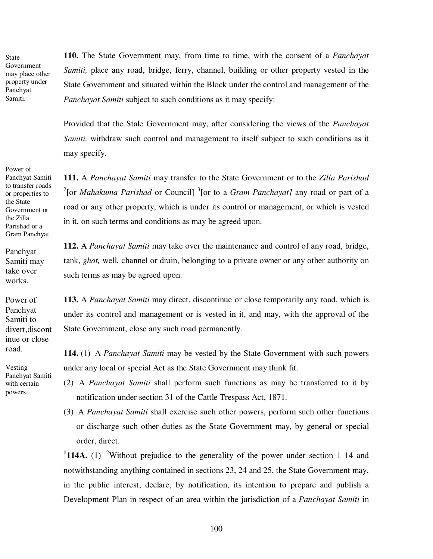State Government may place other property under Panchyat Samiti.

Power of Panchyat Samiti to transfer roads or properties to the State Government or the Zilla Parishad or a Gram Panchyat.

Panchyat Samiti may take over works.

Power of Panchyat Samiti to divert,discont inue or close road.

Vesting Panchyat Samiti with certain powers.

**110.** The State Government may, from time to time, with the consent of a *Panchayat Samiti,* place any road, bridge, ferry, channel, building or other property vested in the State Government and situated within the Block under the control and management of the *Panchayat Samiti* subject to such conditions as it may specify:

Provided that the Stale Government may, after considering the views of the *Panchayat Samiti*, withdraw such control and management to itself subject to such conditions as it may specify.

**111.** A *Panchayat Samiti* may transfer to the State Government or to the *Zilla Parishad*  <sup>2</sup>[or *Mahakuma Parishad* or Council] <sup>3</sup>[or to a *Gram Panchayat]* any road or part of a road or any other property, which is under its control or management, or which is vested in it, on such terms and conditions as may be agreed upon.

**112.** A *Panchayat Samiti* may take over the maintenance and control of any road, bridge, tank, *ghat,* well, channel or drain, belonging to a private owner or any other authority on such terms as may be agreed upon.

**113.** A *Panchayat Samiti* may direct, discontinue or close temporarily any road, which is under its control and management or is vested in it, and may, with the approval of the State Government, close any such road permanently.

**114.** (1) A *Panchayat Samiti* may be vested by the State Government with such powers under any local or special Act as the State Government may think fit.

- (2) A *Panchayat Samiti* shall perform such functions as may be transferred to it by notification under section 31 of the Cattle Trespass Act, 1871.
- (3) A *Panchayat Samiti* shall exercise such other powers, perform such other functions or discharge such other duties as the State Government may, by general or special order, direct.

<sup>1</sup>114A. (1) <sup>2</sup>Without prejudice to the generality of the power under section 1 14 and notwithstanding anything contained in sections 23, 24 and 25, the State Government may, in the public interest, declare, by notification, its intention to prepare and publish a Development Plan in respect of an area within the jurisdiction of a *Panchayat Samiti* in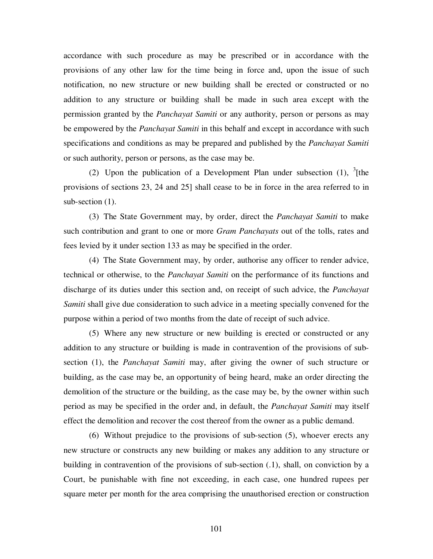accordance with such procedure as may be prescribed or in accordance with the provisions of any other law for the time being in force and, upon the issue of such notification, no new structure or new building shall be erected or constructed or no addition to any structure or building shall be made in such area except with the permission granted by the *Panchayat Samiti* or any authority, person or persons as may be empowered by the *Panchayat Samiti* in this behalf and except in accordance with such specifications and conditions as may be prepared and published by the *Panchayat Samiti*  or such authority, person or persons, as the case may be.

(2) Upon the publication of a Development Plan under subsection  $(1)$ , <sup>3</sup>[the provisions of sections 23, 24 and 25] shall cease to be in force in the area referred to in sub-section  $(1)$ .

(3) The State Government may, by order, direct the *Panchayat Samiti* to make such contribution and grant to one or more *Gram Panchayats* out of the tolls, rates and fees levied by it under section 133 as may be specified in the order.

(4) The State Government may, by order, authorise any officer to render advice, technical or otherwise, to the *Panchayat Samiti* on the performance of its functions and discharge of its duties under this section and, on receipt of such advice, the *Panchayat Samiti* shall give due consideration to such advice in a meeting specially convened for the purpose within a period of two months from the date of receipt of such advice.

(5) Where any new structure or new building is erected or constructed or any addition to any structure or building is made in contravention of the provisions of subsection (1), the *Panchayat Samiti* may, after giving the owner of such structure or building, as the case may be, an opportunity of being heard, make an order directing the demolition of the structure or the building, as the case may be, by the owner within such period as may be specified in the order and, in default, the *Panchayat Samiti* may itself effect the demolition and recover the cost thereof from the owner as a public demand.

(6) Without prejudice to the provisions of sub-section (5), whoever erects any new structure or constructs any new building or makes any addition to any structure or building in contravention of the provisions of sub-section (.1), shall, on conviction by a Court, be punishable with fine not exceeding, in each case, one hundred rupees per square meter per month for the area comprising the unauthorised erection or construction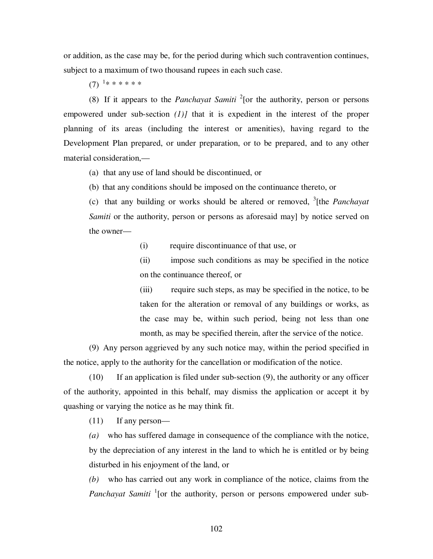or addition, as the case may be, for the period during which such contravention continues, subject to a maximum of two thousand rupees in each such case.

 $(7)$ <sup>1</sup>\* \* \* \* \* \*

(8) If it appears to the *Panchayat Samiti* <sup>2</sup> [or the authority, person or persons empowered under sub-section *(1)]* that it is expedient in the interest of the proper planning of its areas (including the interest or amenities), having regard to the Development Plan prepared, or under preparation, or to be prepared, and to any other material consideration,—

(a) that any use of land should be discontinued, or

(b) that any conditions should be imposed on the continuance thereto, or

(c) that any building or works should be altered or removed, <sup>3</sup> [the *Panchayat Samiti* or the authority, person or persons as aforesaid may] by notice served on the owner—

(i) require discontinuance of that use, or

(ii) impose such conditions as may be specified in the notice on the continuance thereof, or

(iii) require such steps, as may be specified in the notice, to be taken for the alteration or removal of any buildings or works, as the case may be, within such period, being not less than one month, as may be specified therein, after the service of the notice.

(9) Any person aggrieved by any such notice may, within the period specified in the notice, apply to the authority for the cancellation or modification of the notice.

(10) If an application is filed under sub-section (9), the authority or any officer of the authority, appointed in this behalf, may dismiss the application or accept it by quashing or varying the notice as he may think fit.

(11) If any person—

*(a)* who has suffered damage in consequence of the compliance with the notice, by the depreciation of any interest in the land to which he is entitled or by being disturbed in his enjoyment of the land, or

*(b)* who has carried out any work in compliance of the notice, claims from the Panchayat Samiti<sup>1</sup> [or the authority, person or persons empowered under sub-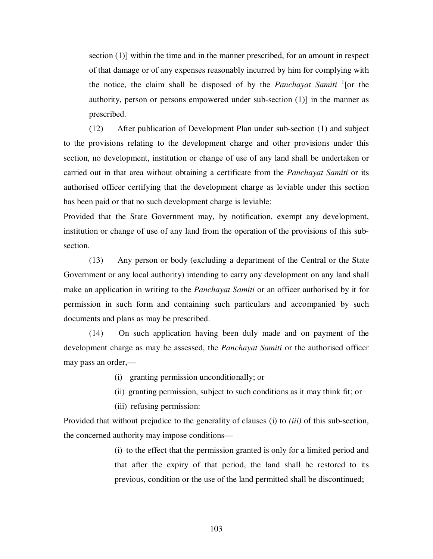section (1)] within the time and in the manner prescribed, for an amount in respect of that damage or of any expenses reasonably incurred by him for complying with the notice, the claim shall be disposed of by the *Panchayat Samiti* <sup>1</sup> [or the authority, person or persons empowered under sub-section (1)] in the manner as prescribed.

(12) After publication of Development Plan under sub-section (1) and subject to the provisions relating to the development charge and other provisions under this section, no development, institution or change of use of any land shall be undertaken or carried out in that area without obtaining a certificate from the *Panchayat Samiti* or its authorised officer certifying that the development charge as leviable under this section has been paid or that no such development charge is leviable:

Provided that the State Government may, by notification, exempt any development, institution or change of use of any land from the operation of the provisions of this subsection.

(13) Any person or body (excluding a department of the Central or the State Government or any local authority) intending to carry any development on any land shall make an application in writing to the *Panchayat Samiti* or an officer authorised by it for permission in such form and containing such particulars and accompanied by such documents and plans as may be prescribed.

(14) On such application having been duly made and on payment of the development charge as may be assessed, the *Panchayat Samiti* or the authorised officer may pass an order,—

- (i) granting permission unconditionally; or
- (ii) granting permission, subject to such conditions as it may think fit; or
- (iii) refusing permission:

Provided that without prejudice to the generality of clauses (i) to *(iii)* of this sub-section, the concerned authority may impose conditions—

> (i) to the effect that the permission granted is only for a limited period and that after the expiry of that period, the land shall be restored to its previous, condition or the use of the land permitted shall be discontinued;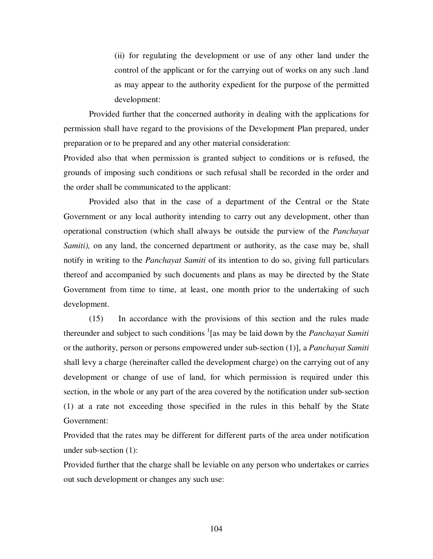(ii) for regulating the development or use of any other land under the control of the applicant or for the carrying out of works on any such .land as may appear to the authority expedient for the purpose of the permitted development:

Provided further that the concerned authority in dealing with the applications for permission shall have regard to the provisions of the Development Plan prepared, under preparation or to be prepared and any other material consideration:

Provided also that when permission is granted subject to conditions or is refused, the grounds of imposing such conditions or such refusal shall be recorded in the order and the order shall be communicated to the applicant:

Provided also that in the case of a department of the Central or the State Government or any local authority intending to carry out any development, other than operational construction (which shall always be outside the purview of the *Panchayat Samiti*), on any land, the concerned department or authority, as the case may be, shall notify in writing to the *Panchayat Samiti* of its intention to do so, giving full particulars thereof and accompanied by such documents and plans as may be directed by the State Government from time to time, at least, one month prior to the undertaking of such development.

(15) In accordance with the provisions of this section and the rules made thereunder and subject to such conditions <sup>1</sup>[as may be laid down by the *Panchayat Samiti* or the authority, person or persons empowered under sub-section (1)], a *Panchayat Samiti*  shall levy a charge (hereinafter called the development charge) on the carrying out of any development or change of use of land, for which permission is required under this section, in the whole or any part of the area covered by the notification under sub-section (1) at a rate not exceeding those specified in the rules in this behalf by the State Government:

Provided that the rates may be different for different parts of the area under notification under sub-section (1):

Provided further that the charge shall be leviable on any person who undertakes or carries out such development or changes any such use: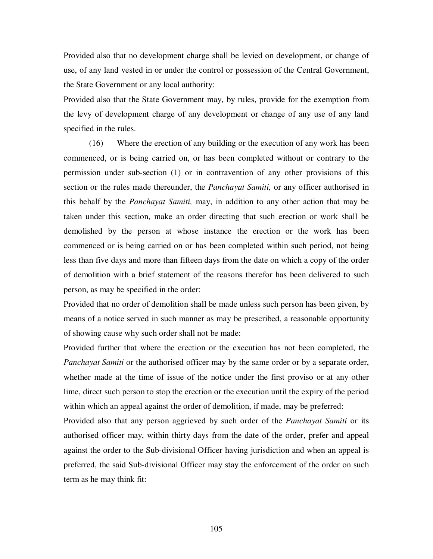Provided also that no development charge shall be levied on development, or change of use, of any land vested in or under the control or possession of the Central Government, the State Government or any local authority:

Provided also that the State Government may, by rules, provide for the exemption from the levy of development charge of any development or change of any use of any land specified in the rules.

(16) Where the erection of any building or the execution of any work has been commenced, or is being carried on, or has been completed without or contrary to the permission under sub-section (1) or in contravention of any other provisions of this section or the rules made thereunder, the *Panchayat Samiti,* or any officer authorised in this behalf by the *Panchayat Samiti,* may, in addition to any other action that may be taken under this section, make an order directing that such erection or work shall be demolished by the person at whose instance the erection or the work has been commenced or is being carried on or has been completed within such period, not being less than five days and more than fifteen days from the date on which a copy of the order of demolition with a brief statement of the reasons therefor has been delivered to such person, as may be specified in the order:

Provided that no order of demolition shall be made unless such person has been given, by means of a notice served in such manner as may be prescribed, a reasonable opportunity of showing cause why such order shall not be made:

Provided further that where the erection or the execution has not been completed, the *Panchayat Samiti* or the authorised officer may by the same order or by a separate order, whether made at the time of issue of the notice under the first proviso or at any other lime, direct such person to stop the erection or the execution until the expiry of the period within which an appeal against the order of demolition, if made, may be preferred:

Provided also that any person aggrieved by such order of the *Panchayat Samiti* or its authorised officer may, within thirty days from the date of the order, prefer and appeal against the order to the Sub-divisional Officer having jurisdiction and when an appeal is preferred, the said Sub-divisional Officer may stay the enforcement of the order on such term as he may think fit: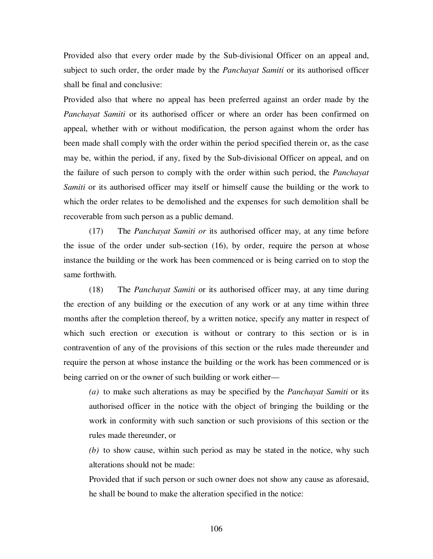Provided also that every order made by the Sub-divisional Officer on an appeal and, subject to such order, the order made by the *Panchayat Samiti* or its authorised officer shall be final and conclusive:

Provided also that where no appeal has been preferred against an order made by the *Panchayat Samiti* or its authorised officer or where an order has been confirmed on appeal, whether with or without modification, the person against whom the order has been made shall comply with the order within the period specified therein or, as the case may be, within the period, if any, fixed by the Sub-divisional Officer on appeal, and on the failure of such person to comply with the order within such period, the *Panchayat Samiti* or its authorised officer may itself or himself cause the building or the work to which the order relates to be demolished and the expenses for such demolition shall be recoverable from such person as a public demand.

(17) The *Panchayat Samiti or* its authorised officer may, at any time before the issue of the order under sub-section (16), by order, require the person at whose instance the building or the work has been commenced or is being carried on to stop the same forthwith.

(18) The *Panchayat Samiti* or its authorised officer may, at any time during the erection of any building or the execution of any work or at any time within three months after the completion thereof, by a written notice, specify any matter in respect of which such erection or execution is without or contrary to this section or is in contravention of any of the provisions of this section or the rules made thereunder and require the person at whose instance the building or the work has been commenced or is being carried on or the owner of such building or work either—

*(a)* to make such alterations as may be specified by the *Panchayat Samiti* or its authorised officer in the notice with the object of bringing the building or the work in conformity with such sanction or such provisions of this section or the rules made thereunder, or

*(b)* to show cause, within such period as may be stated in the notice, why such alterations should not be made:

Provided that if such person or such owner does not show any cause as aforesaid, he shall be bound to make the alteration specified in the notice: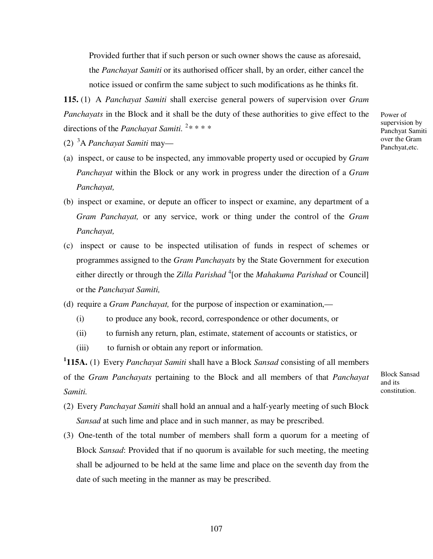Provided further that if such person or such owner shows the cause as aforesaid, the *Panchayat Samiti* or its authorised officer shall, by an order, either cancel the notice issued or confirm the same subject to such modifications as he thinks fit.

**115.** (1) A *Panchayat Samiti* shall exercise general powers of supervision over *Gram Panchayats* in the Block and it shall be the duty of these authorities to give effect to the directions of the *Panchayat Samiti.*<sup>2</sup>\*\*\*\*

- (2) <sup>3</sup>A *Panchayat Samiti* may—
- (a) inspect, or cause to be inspected, any immovable property used or occupied by *Gram Panchayat* within the Block or any work in progress under the direction of a *Gram Panchayat,*
- (b) inspect or examine, or depute an officer to inspect or examine, any department of a *Gram Panchayat,* or any service, work or thing under the control of the *Gram Panchayat,*
- (c) inspect or cause to be inspected utilisation of funds in respect of schemes or programmes assigned to the *Gram Panchayats* by the State Government for execution either directly or through the *Zilla Parishad* <sup>4</sup>[or the *Mahakuma Parishad* or Council] or the *Panchayat Samiti,*
- (d) require a *Gram Panchayat,* for the purpose of inspection or examination,—
	- (i) to produce any book, record, correspondence or other documents, or
	- (ii) to furnish any return, plan, estimate, statement of accounts or statistics, or
	- (iii) to furnish or obtain any report or information.

**1 115A.** (1) Every *Panchayat Samiti* shall have a Block *Sansad* consisting of all members of the *Gram Panchayats* pertaining to the Block and all members of that *Panchayat Samiti.*

Block Sansad and its constitution.

- (2) Every *Panchayat Samiti* shall hold an annual and a half-yearly meeting of such Block *Sansad* at such lime and place and in such manner, as may be prescribed.
- (3) One-tenth of the total number of members shall form a quorum for a meeting of Block *Sansad*: Provided that if no quorum is available for such meeting, the meeting shall be adjourned to be held at the same lime and place on the seventh day from the date of such meeting in the manner as may be prescribed.

Power of supervision by Panchyat Samiti over the Gram Panchyat,etc.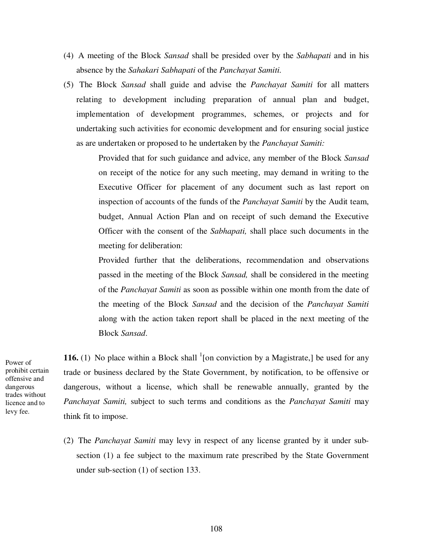- (4) A meeting of the Block *Sansad* shall be presided over by the *Sabhapati* and in his absence by the *Sahakari Sabhapati* of the *Panchayat Samiti.*
- (5) The Block *Sansad* shall guide and advise the *Panchayat Samiti* for all matters relating to development including preparation of annual plan and budget, implementation of development programmes, schemes, or projects and for undertaking such activities for economic development and for ensuring social justice as are undertaken or proposed to he undertaken by the *Panchayat Samiti:*

Provided that for such guidance and advice, any member of the Block *Sansad*  on receipt of the notice for any such meeting, may demand in writing to the Executive Officer for placement of any document such as last report on inspection of accounts of the funds of the *Panchayat Samiti* by the Audit team, budget, Annual Action Plan and on receipt of such demand the Executive Officer with the consent of the *Sabhapati,* shall place such documents in the meeting for deliberation:

Provided further that the deliberations, recommendation and observations passed in the meeting of the Block *Sansad,* shall be considered in the meeting of the *Panchayat Samiti* as soon as possible within one month from the date of the meeting of the Block *Sansad* and the decision of the *Panchayat Samiti*  along with the action taken report shall be placed in the next meeting of the Block *Sansad*.

Power of prohibit certain offensive and dangerous trades without licence and to levy fee.

**116.** (1) No place within a Block shall  $\frac{1}{2}$  [on conviction by a Magistrate,] be used for any trade or business declared by the State Government, by notification, to be offensive or dangerous, without a license, which shall be renewable annually, granted by the *Panchayat Samiti,* subject to such terms and conditions as the *Panchayat Samiti* may think fit to impose.

(2) The *Panchayat Samiti* may levy in respect of any license granted by it under subsection (1) a fee subject to the maximum rate prescribed by the State Government under sub-section (1) of section 133.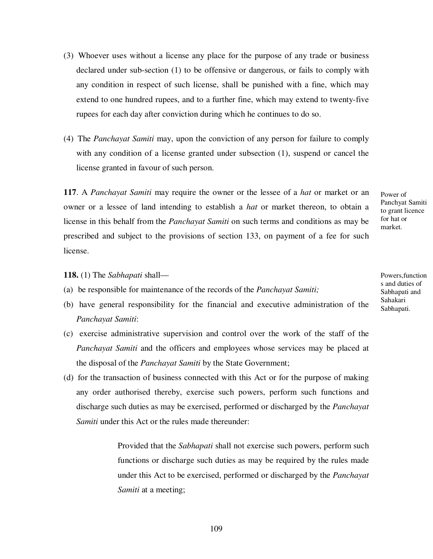- (3) Whoever uses without a license any place for the purpose of any trade or business declared under sub-section (1) to be offensive or dangerous, or fails to comply with any condition in respect of such license, shall be punished with a fine, which may extend to one hundred rupees, and to a further fine, which may extend to twenty-five rupees for each day after conviction during which he continues to do so.
- (4) The *Panchayat Samiti* may, upon the conviction of any person for failure to comply with any condition of a license granted under subsection  $(1)$ , suspend or cancel the license granted in favour of such person.

**117**. A *Panchayat Samiti* may require the owner or the lessee of a *hat* or market or an owner or a lessee of land intending to establish a *hat* or market thereon, to obtain a license in this behalf from the *Panchayat Samiti* on such terms and conditions as may be prescribed and subject to the provisions of section 133, on payment of a fee for such license.

#### **118.** (1) The *Sabhapati* shall—

- (a) be responsible for maintenance of the records of the *Panchayat Samiti;*
- (b) have general responsibility for the financial and executive administration of the *Panchayat Samiti*:
- (c) exercise administrative supervision and control over the work of the staff of the *Panchayat Samiti* and the officers and employees whose services may be placed at the disposal of the *Panchayat Samiti* by the State Government;
- (d) for the transaction of business connected with this Act or for the purpose of making any order authorised thereby, exercise such powers, perform such functions and discharge such duties as may be exercised, performed or discharged by the *Panchayat Samiti* under this Act or the rules made thereunder:

Provided that the *Sabhapati* shall not exercise such powers, perform such functions or discharge such duties as may be required by the rules made under this Act to be exercised, performed or discharged by the *Panchayat Samiti* at a meeting;

Powers,function s and duties of Sabhapati and Sahakari Sabhapati.

Power of Panchyat Samiti to grant licence for hat or market.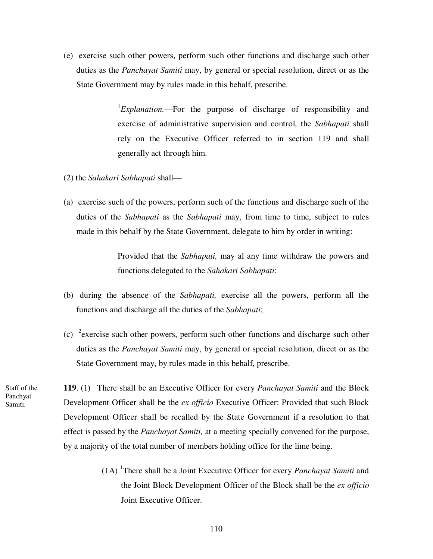(e) exercise such other powers, perform such other functions and discharge such other duties as the *Panchayat Samiti* may, by general or special resolution, direct or as the State Government may by rules made in this behalf, prescribe.

> <sup>1</sup>*Explanation*.—For the purpose of discharge of responsibility and exercise of administrative supervision and control, the *Sabhapati* shall rely on the Executive Officer referred to in section 119 and shall generally act through him.

- (2) the *Sahakari Sabhapati* shall—
- (a) exercise such of the powers, perform such of the functions and discharge such of the duties of the *Sabhapati* as the *Sabhapati* may, from time to time, subject to rules made in this behalf by the State Government, delegate to him by order in writing:

Provided that the *Sabhapati,* may al any time withdraw the powers and functions delegated to the *Sahakari Sabhapati*:

- (b) during the absence of the *Sabhapati,* exercise all the powers, perform all the functions and discharge all the duties of the *Sabhapati*;
- (c) <sup>2</sup> exercise such other powers, perform such other functions and discharge such other duties as the *Panchayat Samiti* may, by general or special resolution, direct or as the State Government may, by rules made in this behalf, prescribe.

**119**. (1) There shall be an Executive Officer for every *Panchayat Samiti* and the Block Development Officer shall be the *ex officio* Executive Officer: Provided that such Block Development Officer shall be recalled by the State Government if a resolution to that effect is passed by the *Panchayat Samiti,* at a meeting specially convened for the purpose, by a majority of the total number of members holding office for the lime being.

> (1A) <sup>1</sup> There shall be a Joint Executive Officer for every *Panchayat Samiti* and the Joint Block Development Officer of the Block shall be the *ex officio*  Joint Executive Officer.

Staff of the Panchyat Samiti.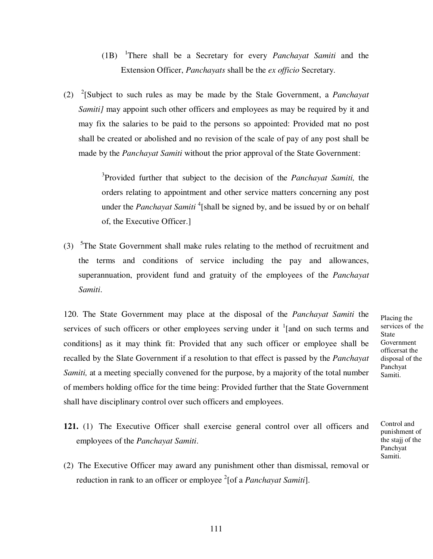- (1B) <sup>1</sup> There shall be a Secretary for every *Panchayat Samiti* and the Extension Officer, *Panchayats* shall be the *ex officio* Secretary.
- (2) 2 [Subject to such rules as may be made by the Stale Government, a *Panchayat Samiti]* may appoint such other officers and employees as may be required by it and may fix the salaries to be paid to the persons so appointed: Provided mat no post shall be created or abolished and no revision of the scale of pay of any post shall be made by the *Panchayat Samiti* without the prior approval of the State Government:

3 Provided further that subject to the decision of the *Panchayat Samiti,* the orders relating to appointment and other service matters concerning any post under the *Panchayat Samiti* <sup>4</sup> [shall be signed by, and be issued by or on behalf of, the Executive Officer.]

(3)  $5$ The State Government shall make rules relating to the method of recruitment and the terms and conditions of service including the pay and allowances, superannuation, provident fund and gratuity of the employees of the *Panchayat Samiti*.

120. The State Government may place at the disposal of the *Panchayat Samiti* the services of such officers or other employees serving under it  $\frac{1}{2}$  [and on such terms and conditions] as it may think fit: Provided that any such officer or employee shall be recalled by the Slate Government if a resolution to that effect is passed by the *Panchayat Samiti*, at a meeting specially convened for the purpose, by a majority of the total number of members holding office for the time being: Provided further that the State Government shall have disciplinary control over such officers and employees.

Placing the services of the **State** Government officersat the disposal of the Panchyat Samiti.

Control and punishment of the stajj of the Panchyat Samiti.

- **121.** (1) The Executive Officer shall exercise general control over all officers and employees of the *Panchayat Samiti*.
- (2) The Executive Officer may award any punishment other than dismissal, removal or reduction in rank to an officer or employee <sup>2</sup>[of a *Panchayat Samiti*].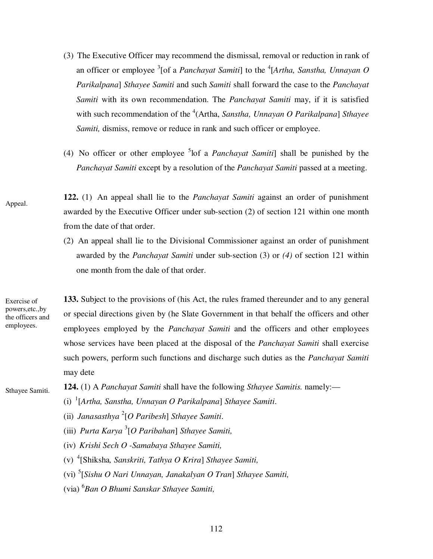- (3) The Executive Officer may recommend the dismissal, removal or reduction in rank of an officer or employee <sup>3</sup>[of a *Panchayat Samiti*] to the <sup>4</sup>[Artha, Sanstha, Unnayan O *Parikalpana*] *Sthayee Samiti* and such *Samiti* shall forward the case to the *Panchayat Samiti* with its own recommendation. The *Panchayat Samiti* may, if it is satisfied with such recommendation of the <sup>4</sup>(Artha, *Sanstha, Unnayan O Parikalpana*] Sthayee *Samiti*, dismiss, remove or reduce in rank and such officer or employee.
- (4) No officer or other employee <sup>5</sup> lof a *Panchayat Samiti*] shall be punished by the *Panchayat Samiti* except by a resolution of the *Panchayat Samiti* passed at a meeting.
- **122.** (1) An appeal shall lie to the *Panchayat Samiti* against an order of punishment awarded by the Executive Officer under sub-section (2) of section 121 within one month from the date of that order.
	- (2) An appeal shall lie to the Divisional Commissioner against an order of punishment awarded by the *Panchayat Samiti* under sub-section (3) or *(4)* of section 121 within one month from the dale of that order.

Exercise of powers,etc.,by the officers and employees.

Appeal.

**133.** Subject to the provisions of (his Act, the rules framed thereunder and to any general or special directions given by (he Slate Government in that behalf the officers and other employees employed by the *Panchayat Samiti* and the officers and other employees whose services have been placed at the disposal of the *Panchayat Samiti* shall exercise such powers, perform such functions and discharge such duties as the *Panchayat Samiti*  may dete

Sthayee Samiti.

- **124.** (1) A *Panchayat Samiti* shall have the following *Sthayee Samitis.* namely:—
	- (i) 1 [*Artha, Sanstha, Unnayan O Parikalpana*] *Sthayee Samiti*.
	- (ii) *Janasasthya* <sup>2</sup> [*O Paribesh*] *Sthayee Samiti*.
	- (iii) *Purta Karya* <sup>3</sup> [*O Paribahan*] *Sthayee Samiti,*
	- (iv) *Krishi Sech O -Samabaya Sthayee Samiti,*
	- (v) 4 [Shiksha*, Sanskriti, Tathya O Krira*] *Sthayee Samiti,*
	- (vi) 5 [*Sishu O Nari Unnayan, Janakalyan O Tran*] *Sthayee Samiti,*
	- (via) <sup>6</sup> *Ban O Bhumi Sanskar Sthayee Samiti,*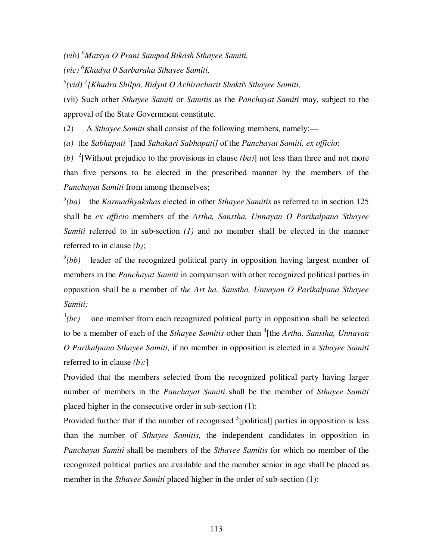*(vib) <sup>6</sup>Matsya O Prani Sampad Bikash Sthayee Samiti,*

*(vic) <sup>6</sup>Khadya 0 Sarbaraha Sthayee Samiti,*

*6 (vid) <sup>7</sup> [Khudra Shilpa, Bidyut O Achiracharit Shakti\ Sthayee Samiti,*

(vii) Such other *Sthayee Samiti* or *Samitis* as the *Panchayat Samiti* may, subject to the approval of the State Government constitute.

(2) A *Sthayee Samiti* shall consist of the following members, namely:—

*(a)* the *Sabhapati* <sup>1</sup> [and *Sahakari Sabhapati]* of the *Panchayat Samiti, ex officio*:

*(b)* 2 [Without prejudice to the provisions in clause *(ba)*] not less than three and not more than five persons to be elected in the prescribed manner by the members of the *Panchayat Samiti* from among themselves;

*3 (ba)* the *Karmadhyakshas* elected in other *Sthayee Samitis* as referred to in section 125 shall be *ex officio* members of the *Artha, Sanstha, Unnayan O Parikalpana Sthayee Samiti* referred to in sub-section *(1)* and no member shall be elected in the manner referred to in clause *(b)*;

 $3(bb)$  leader of the recognized political party in opposition having largest number of members in the *Panchayat Samiti* in comparison with other recognized political parties in opposition shall be a member of *the Art ha, Sanstha, Unnayan O Parikalpana Sthayee Samiti;* 

 $\frac{3}{2}(bc)$ *(bc)* one member from each recognized political party in opposition shall be selected to be a member of each of the *Sthayee Samitis* other than <sup>4</sup>[the *Artha, Sanstha, Unnayan O Parikalpana Sthayee Samiti,* if no member in opposition is elected in a *Sthayee Samiti*  referred to in clause *(b):*]

Provided that the members selected from the recognized political party having larger number of members in the *Panchayat Samiti* shall be the member of *Sthayee Samiti*  placed higher in the consecutive order in sub-section (1):

Provided further that if the number of recognised <sup>5</sup>[political] parties in opposition is less than the number of *Sthayee Samitis,* the independent candidates in opposition in *Panchayat Samiti* shall be members of the *Sthayee Samitis* for which no member of the recognized political parties are available and the member senior in age shall be placed as member in the *Sthayee Samiti* placed higher in the order of sub-section (1):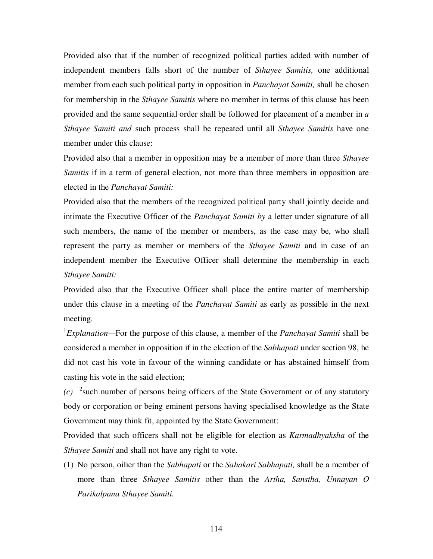Provided also that if the number of recognized political parties added with number of independent members falls short of the number of *Sthayee Samitis,* one additional member from each such political party in opposition in *Panchayat Samiti,* shall be chosen for membership in the *Sthayee Samitis* where no member in terms of this clause has been provided and the same sequential order shall be followed for placement of a member in *a Sthayee Samiti and* such process shall be repeated until all *Sthayee Samitis* have one member under this clause:

Provided also that a member in opposition may be a member of more than three *Sthayee Samitis* if in a term of general election, not more than three members in opposition are elected in the *Panchayat Samiti:* 

Provided also that the members of the recognized political party shall jointly decide and intimate the Executive Officer of the *Panchayat Samiti by* a letter under signature of all such members, the name of the member or members, as the case may be, who shall represent the party as member or members of the *Sthayee Samiti* and in case of an independent member the Executive Officer shall determine the membership in each *Sthayee Samiti:* 

Provided also that the Executive Officer shall place the entire matter of membership under this clause in a meeting of the *Panchayat Samiti* as early as possible in the next meeting.

1 *Explanation—*For the purpose of this clause, a member of the *Panchayat Samiti* shall be considered a member in opposition if in the election of the *Sabhapati* under section 98, he did not cast his vote in favour of the winning candidate or has abstained himself from casting his vote in the said election;

 $(c)$  <sup>2</sup> such number of persons being officers of the State Government or of any statutory body or corporation or being eminent persons having specialised knowledge as the State Government may think fit, appointed by the State Government:

Provided that such officers shall not be eligible for election as *Karmadhyaksha* of the *Sthayee Samiti* and shall not have any right to vote.

(1) No person, oilier than the *Sabhapati* or the *Sahakari Sabhapati,* shall be a member of more than three *Sthayee Samitis* other than the *Artha, Sanstha, Unnayan O Parikalpana Sthayee Samiti.*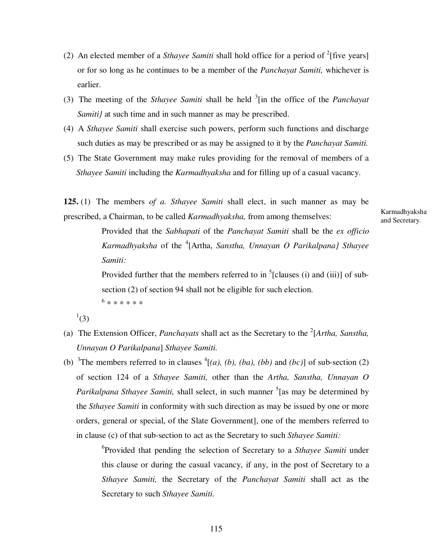- (2) An elected member of a *Sthayee Samiti* shall hold office for a period of  $^{2}$  [five years] or for so long as he continues to be a member of the *Panchayat Samiti,* whichever is earlier.
- (3) The meeting of the *Sthayee Samiti* shall be held <sup>3</sup> [in the office of the *Panchayat Samiti}* at such time and in such manner as may be prescribed.
- (4) A *Sthayee Samiti* shall exercise such powers, perform such functions and discharge such duties as may be prescribed or as may be assigned to it by the *Panchayat Samiti.*
- (5) The State Government may make rules providing for the removal of members of a *Sthayee Samiti* including the *Karmadhyaksha* and for filling up of a casual vacancy.

**125.** (1) The members *of a. Sthayee Samiti* shall elect, in such manner as may be prescribed, a Chairman, to be called *Karmadhyaksha,* from among themselves:

> Provided that the *Sabhapati* of the *Panchayat Samiti* shall be the *ex officio*  Karmadhyaksha of the <sup>4</sup>[Artha, *Sanstha, Unnayan O Parikalpana] Sthayee Samiti:*

> Provided further that the members referred to in  ${}^{5}$ [clauses (i) and (iii)] of subsection (2) of section 94 shall not be eligible for such election. 6 \* \* \* \* \* \*

 $^{1}(3)$ 

- (a) The Extension Officer, *Panchayats* shall act as the Secretary to the <sup>2</sup>[Artha, Sanstha, *Unnayan O Parikalpana*] *Sthayee Samiti.*
- (b) <sup>3</sup>The members referred to in clauses  $^{4}[(a), (b), (ba), (bb)$  and  $(bc)]$  of sub-section (2) of section 124 of a *Sthayee Samiti,* other than the *Artha, Sanstha, Unnayan O*  Parikalpana Sthayee Samiti, shall select, in such manner <sup>5</sup>[as may be determined by the *Sthayee Samiti* in conformity with such direction as may be issued by one or more orders, general or special, of the Slate Government], one of the members referred to in clause (c) of that sub-section to act as the Secretary to such *Sthayee Samiti:*

6 Provided that pending the selection of Secretary to a *Sthayee Samiti* under this clause or during the casual vacancy, if any, in the post of Secretary to a *Sthayee Samiti,* the Secretary of the *Panchayat Samiti* shall act as the Secretary to such *Sthayee Samiti.*

Karmadhyaksha and Secretary.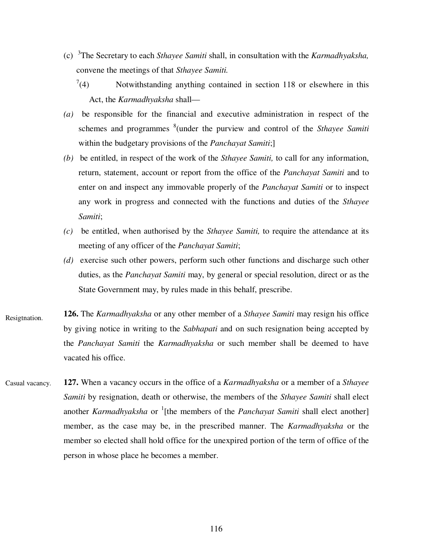- (c) 3 The Secretary to each *Sthayee Samiti* shall, in consultation with the *Karmadhyaksha,*  convene the meetings of that *Sthayee Samiti.*
	- $(4)$ Notwithstanding anything contained in section 118 or elsewhere in this Act, the *Karmadhyaksha* shall—
- *(a)* be responsible for the financial and executive administration in respect of the schemes and programmes <sup>8</sup>(under the purview and control of the *Sthayee Samiti* within the budgetary provisions of the *Panchayat Samiti*;]
- *(b)* be entitled, in respect of the work of the *Sthayee Samiti,* to call for any information, return, statement, account or report from the office of the *Panchayat Samiti* and to enter on and inspect any immovable properly of the *Panchayat Samiti* or to inspect any work in progress and connected with the functions and duties of the *Sthayee Samiti*;
- *(c)* be entitled, when authorised by the *Sthayee Samiti,* to require the attendance at its meeting of any officer of the *Panchayat Samiti*;
- *(d)* exercise such other powers, perform such other functions and discharge such other duties, as the *Panchayat Samiti* may, by general or special resolution, direct or as the State Government may, by rules made in this behalf, prescribe.
- **126.** The *Karmadhyaksha* or any other member of a *Sthayee Samiti* may resign his office by giving notice in writing to the *Sabhapati* and on such resignation being accepted by the *Panchayat Samiti* the *Karmadhyaksha* or such member shall be deemed to have vacated his office. Resigtnation.
- **127.** When a vacancy occurs in the office of a *Karmadhyaksha* or a member of a *Sthayee Samiti* by resignation, death or otherwise, the members of the *Sthayee Samiti* shall elect another *Karmadhyaksha* or 1 [the members of the *Panchayat Samiti* shall elect another] member, as the case may be, in the prescribed manner. The *Karmadhyaksha* or the member so elected shall hold office for the unexpired portion of the term of office of the person in whose place he becomes a member. Casual vacancy.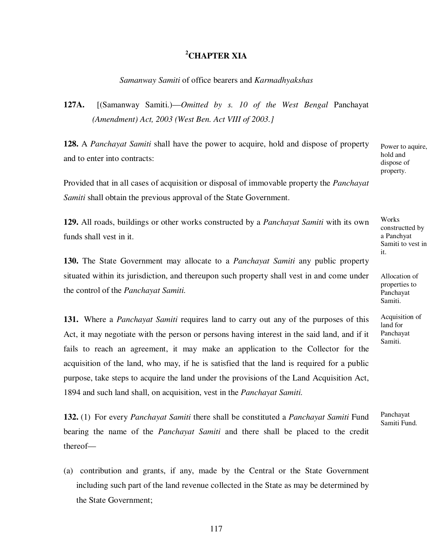### **<sup>2</sup>CHAPTER XIA**

### *Samanway Samiti* of office bearers and *Karmadhyakshas*

**127A.** [(Samanway Samiti.)—*Omitted by s. 10 of the West Bengal* Panchayat *(Amendment) Act, 2003 (West Ben. Act VIII of 2003.]*

**128.** A *Panchayat Samiti* shall have the power to acquire, hold and dispose of property and to enter into contracts:

Provided that in all cases of acquisition or disposal of immovable property the *Panchayat Samiti* shall obtain the previous approval of the State Government.

**129.** All roads, buildings or other works constructed by a *Panchayat Samiti* with its own funds shall vest in it.

**130.** The State Government may allocate to a *Panchayat Samiti* any public property situated within its jurisdiction, and thereupon such property shall vest in and come under the control of the *Panchayat Samiti.*

**131.** Where a *Panchayat Samiti* requires land to carry out any of the purposes of this Act, it may negotiate with the person or persons having interest in the said land, and if it fails to reach an agreement, it may make an application to the Collector for the acquisition of the land, who may, if he is satisfied that the land is required for a public purpose, take steps to acquire the land under the provisions of the Land Acquisition Act, 1894 and such land shall, on acquisition, vest in the *Panchayat Samiti.*

**132.** (1) For every *Panchayat Samiti* there shall be constituted a *Panchayat Samiti* Fund bearing the name of the *Panchayat Samiti* and there shall be placed to the credit thereof—

(a) contribution and grants, if any, made by the Central or the State Government including such part of the land revenue collected in the State as may be determined by the State Government;

Power to aquire, hold and dispose of property.

Works constructted by a Panchyat Samiti to vest in it.

Allocation of properties to Panchayat Samiti.

Acquisition of land for Panchayat Samiti.

Panchayat Samiti Fund.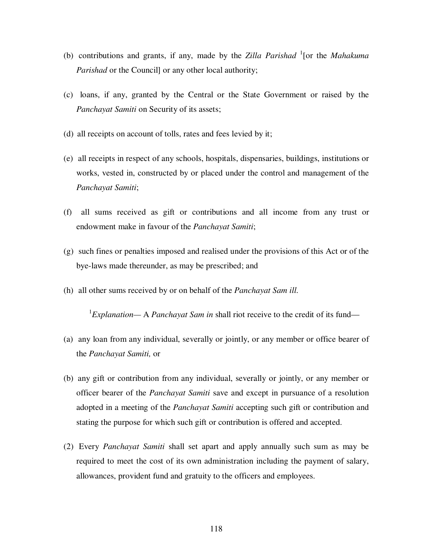- (b) contributions and grants, if any, made by the *Zilla Parishad* <sup>1</sup> [or the *Mahakuma Parishad* or the Councill or any other local authority;
- (c) loans, if any, granted by the Central or the State Government or raised by the *Panchayat Samiti* on Security of its assets;
- (d) all receipts on account of tolls, rates and fees levied by it;
- (e) all receipts in respect of any schools, hospitals, dispensaries, buildings, institutions or works, vested in, constructed by or placed under the control and management of the *Panchayat Samiti*;
- (f) all sums received as gift or contributions and all income from any trust or endowment make in favour of the *Panchayat Samiti*;
- (g) such fines or penalties imposed and realised under the provisions of this Act or of the bye-laws made thereunder, as may be prescribed; and
- (h) all other sums received by or on behalf of the *Panchayat Sam ill.*

<sup>1</sup>Explanation— A *Panchayat Sam in* shall riot receive to the credit of its fund—

- (a) any loan from any individual, severally or jointly, or any member or office bearer of the *Panchayat Samiti,* or
- (b) any gift or contribution from any individual, severally or jointly, or any member or officer bearer of the *Panchayat Samiti* save and except in pursuance of a resolution adopted in a meeting of the *Panchayat Samiti* accepting such gift or contribution and stating the purpose for which such gift or contribution is offered and accepted.
- (2) Every *Panchayat Samiti* shall set apart and apply annually such sum as may be required to meet the cost of its own administration including the payment of salary, allowances, provident fund and gratuity to the officers and employees.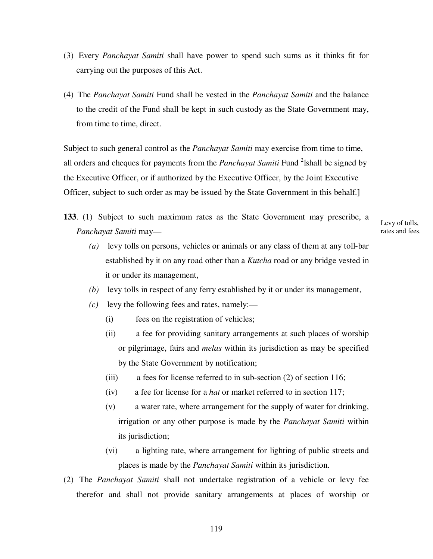- (3) Every *Panchayat Samiti* shall have power to spend such sums as it thinks fit for carrying out the purposes of this Act.
- (4) The *Panchayat Samiti* Fund shall be vested in the *Panchayat Samiti* and the balance to the credit of the Fund shall be kept in such custody as the State Government may, from time to time, direct.

Subject to such general control as the *Panchayat Samiti* may exercise from time to time, all orders and cheques for payments from the *Panchayat Samiti* Fund <sup>2</sup>lshall be signed by the Executive Officer, or if authorized by the Executive Officer, by the Joint Executive Officer, subject to such order as may be issued by the State Government in this behalf.]

**133**. (1) Subject to such maximum rates as the State Government may prescribe, a *Panchayat Samiti* may—

Levy of tolls, rates and fees.

- *(a)* levy tolls on persons, vehicles or animals or any class of them at any toll-bar established by it on any road other than a *Kutcha* road or any bridge vested in it or under its management,
- *(b)* levy tolls in respect of any ferry established by it or under its management,
- *(c)* levy the following fees and rates, namely:—
	- (i) fees on the registration of vehicles;
	- (ii) a fee for providing sanitary arrangements at such places of worship or pilgrimage, fairs and *melas* within its jurisdiction as may be specified by the State Government by notification;
	- (iii) a fees for license referred to in sub-section (2) of section 116;
	- (iv) a fee for license for a *hat* or market referred to in section 117;
	- (v) a water rate, where arrangement for the supply of water for drinking, irrigation or any other purpose is made by the *Panchayat Samiti* within its jurisdiction;
	- (vi) a lighting rate, where arrangement for lighting of public streets and places is made by the *Panchayat Samiti* within its jurisdiction.
- (2) The *Panchayat Samiti* shall not undertake registration of a vehicle or levy fee therefor and shall not provide sanitary arrangements at places of worship or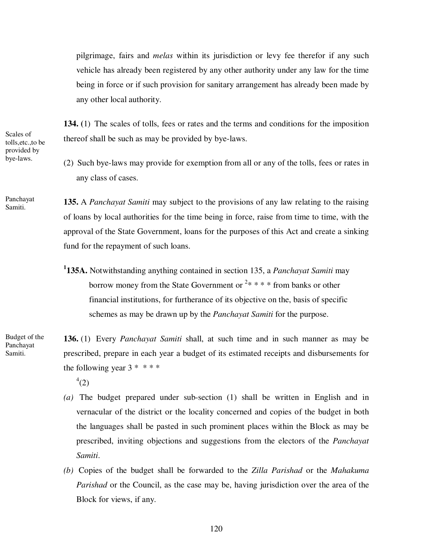pilgrimage, fairs and *melas* within its jurisdiction or levy fee therefor if any such vehicle has already been registered by any other authority under any law for the time being in force or if such provision for sanitary arrangement has already been made by any other local authority.

**134. (**1) The scales of tolls, fees or rates and the terms and conditions for the imposition thereof shall be such as may be provided by bye-laws.

(2) Such bye-laws may provide for exemption from all or any of the tolls, fees or rates in any class of cases.

**135.** A *Panchayat Samiti* may subject to the provisions of any law relating to the raising of loans by local authorities for the time being in force, raise from time to time, with the approval of the State Government, loans for the purposes of this Act and create a sinking fund for the repayment of such loans. Panchayat Samiti.

> **1 135A.** Notwithstanding anything contained in section 135, a *Panchayat Samiti* may borrow money from the State Government or  $2* ** *$  from banks or other financial institutions, for furtherance of its objective on the, basis of specific schemes as may be drawn up by the *Panchayat Samiti* for the purpose.

**136.** (1) Every *Panchayat Samiti* shall, at such time and in such manner as may be prescribed, prepare in each year a budget of its estimated receipts and disbursements for the following year  $3 * * * *$ 

 $^{4}(2)$ 

- *(a)* The budget prepared under sub-section (1) shall be written in English and in vernacular of the district or the locality concerned and copies of the budget in both the languages shall be pasted in such prominent places within the Block as may be prescribed, inviting objections and suggestions from the electors of the *Panchayat Samiti*.
- *(b)* Copies of the budget shall be forwarded to the *Zilla Parishad* or the *Mahakuma Parishad* or the Council, as the case may be, having jurisdiction over the area of the Block for views, if any.

Scales of tolls,etc.,to be provided by bye-laws.

Budget of the Panchayat Samiti.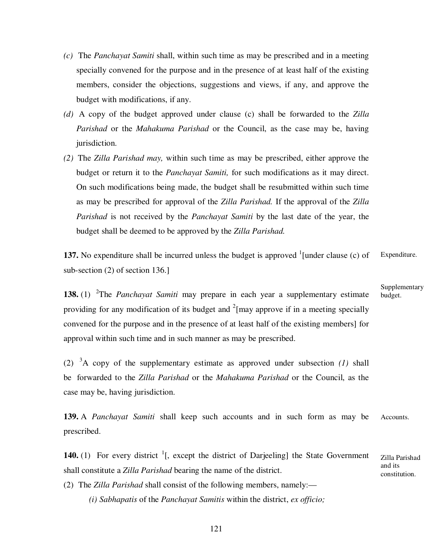- *(c)* The *Panchayat Samiti* shall, within such time as may be prescribed and in a meeting specially convened for the purpose and in the presence of at least half of the existing members, consider the objections, suggestions and views, if any, and approve the budget with modifications, if any.
- *(d)* A copy of the budget approved under clause (c) shall be forwarded to the *Zilla Parishad* or the *Mahakuma Parishad* or the Council, as the case may be, having jurisdiction.
- *(2)* The *Zilla Parishad may,* within such time as may be prescribed, either approve the budget or return it to the *Panchayat Samiti,* for such modifications as it may direct. On such modifications being made, the budget shall be resubmitted within such time as may be prescribed for approval of the *Zilla Parishad.* If the approval of the *Zilla Parishad* is not received by the *Panchayat Samiti* by the last date of the year, the budget shall be deemed to be approved by the *Zilla Parishad.*

137. No expenditure shall be incurred unless the budget is approved  $\frac{1}{2}$  [under clause (c) of sub-section (2) of section 136.] Expenditure.

**138.** (1) <sup>2</sup>The *Panchayat Samiti* may prepare in each year a supplementary estimate providing for any modification of its budget and  $2$ [may approve if in a meeting specially convened for the purpose and in the presence of at least half of the existing members] for approval within such time and in such manner as may be prescribed.

(2) <sup>3</sup>A copy of the supplementary estimate as approved under subsection *(1)* shall be forwarded to the *Zilla Parishad* or the *Mahakuma Parishad* or the Council, as the case may be, having jurisdiction.

**139.** A *Panchayat Samiti* shall keep such accounts and in such form as may be prescribed. Accounts.

**140.** (1) For every district  $\frac{1}{1}$ , except the district of Darjeeling] the State Government shall constitute a *Zilla Parishad* bearing the name of the district.

(2) The *Zilla Parishad* shall consist of the following members, namely:—

*(i) Sabhapatis* of the *Panchayat Samitis* within the district, *ex officio;* 

Supplementary budget.

Zilla Parishad and its constitution.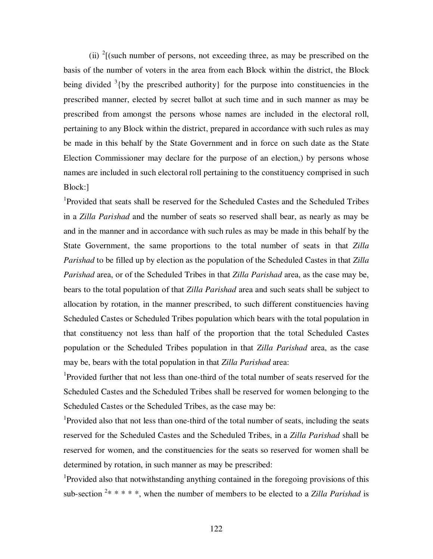(ii)  $2$ [(such number of persons, not exceeding three, as may be prescribed on the basis of the number of voters in the area from each Block within the district, the Block being divided  $3$ {by the prescribed authority} for the purpose into constituencies in the prescribed manner, elected by secret ballot at such time and in such manner as may be prescribed from amongst the persons whose names are included in the electoral roll, pertaining to any Block within the district, prepared in accordance with such rules as may be made in this behalf by the State Government and in force on such date as the State Election Commissioner may declare for the purpose of an election,) by persons whose names are included in such electoral roll pertaining to the constituency comprised in such Block:]

1 Provided that seats shall be reserved for the Scheduled Castes and the Scheduled Tribes in a *Zilla Parishad* and the number of seats so reserved shall bear, as nearly as may be and in the manner and in accordance with such rules as may be made in this behalf by the State Government, the same proportions to the total number of seats in that *Zilla Parishad* to be filled up by election as the population of the Scheduled Castes in that *Zilla Parishad* area, or of the Scheduled Tribes in that *Zilla Parishad* area, as the case may be, bears to the total population of that *Zilla Parishad* area and such seats shall be subject to allocation by rotation, in the manner prescribed, to such different constituencies having Scheduled Castes or Scheduled Tribes population which bears with the total population in that constituency not less than half of the proportion that the total Scheduled Castes population or the Scheduled Tribes population in that *Zilla Parishad* area, as the case may be, bears with the total population in that *Zilla Parishad* area:

<sup>1</sup>Provided further that not less than one-third of the total number of seats reserved for the Scheduled Castes and the Scheduled Tribes shall be reserved for women belonging to the Scheduled Castes or the Scheduled Tribes, as the case may be:

<sup>1</sup>Provided also that not less than one-third of the total number of seats, including the seats reserved for the Scheduled Castes and the Scheduled Tribes, in a *Zilla Parishad* shall be reserved for women, and the constituencies for the seats so reserved for women shall be determined by rotation, in such manner as may be prescribed:

<sup>1</sup>Provided also that notwithstanding anything contained in the foregoing provisions of this sub-section <sup>2\*</sup> \* \* \*, when the number of members to be elected to a *Zilla Parishad* is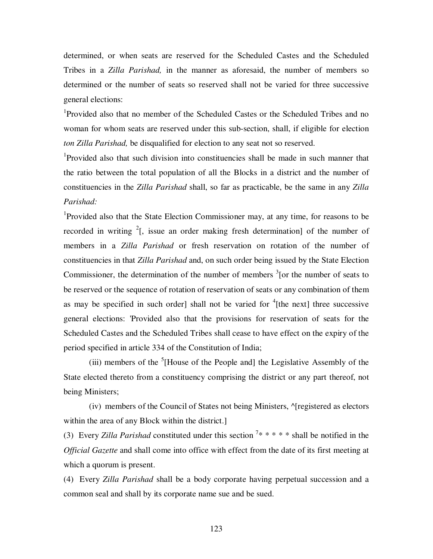determined, or when seats are reserved for the Scheduled Castes and the Scheduled Tribes in a *Zilla Parishad,* in the manner as aforesaid, the number of members so determined or the number of seats so reserved shall not be varied for three successive general elections:

1 Provided also that no member of the Scheduled Castes or the Scheduled Tribes and no woman for whom seats are reserved under this sub-section, shall, if eligible for election *ton Zilla Parishad,* be disqualified for election to any seat not so reserved.

1 Provided also that such division into constituencies shall be made in such manner that the ratio between the total population of all the Blocks in a district and the number of constituencies in the *Zilla Parishad* shall, so far as practicable, be the same in any *Zilla Parishad:* 

<sup>1</sup>Provided also that the State Election Commissioner may, at any time, for reasons to be recorded in writing  $2$ [, issue an order making fresh determination] of the number of members in a *Zilla Parishad* or fresh reservation on rotation of the number of constituencies in that *Zilla Parishad* and, on such order being issued by the State Election Commissioner, the determination of the number of members  $\frac{3}{5}$  [or the number of seats to be reserved or the sequence of rotation of reservation of seats or any combination of them as may be specified in such order] shall not be varied for  ${}^{4}$ [the next] three successive general elections: 'Provided also that the provisions for reservation of seats for the Scheduled Castes and the Scheduled Tribes shall cease to have effect on the expiry of the period specified in article 334 of the Constitution of India;

(iii) members of the  ${}^{5}$ [House of the People and] the Legislative Assembly of the State elected thereto from a constituency comprising the district or any part thereof, not being Ministers;

(iv) members of the Council of States not being Ministers, ^[registered as electors within the area of any Block within the district.]

(3) Every *Zilla Parishad* constituted under this section  $7$ \* \* \* \* \* shall be notified in the *Official Gazette* and shall come into office with effect from the date of its first meeting at which a quorum is present.

(4) Every *Zilla Parishad* shall be a body corporate having perpetual succession and a common seal and shall by its corporate name sue and be sued.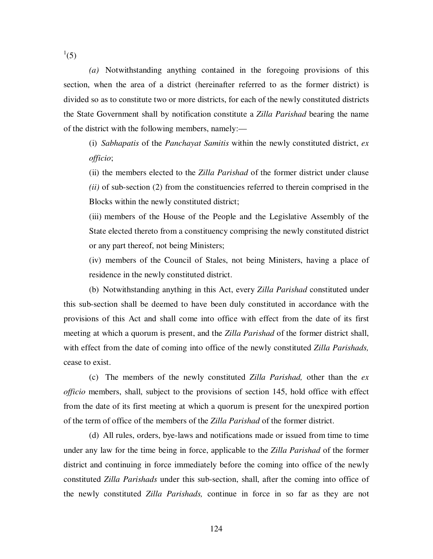$^{1}(5)$ 

*(a)* Notwithstanding anything contained in the foregoing provisions of this section, when the area of a district (hereinafter referred to as the former district) is divided so as to constitute two or more districts, for each of the newly constituted districts the State Government shall by notification constitute a *Zilla Parishad* bearing the name of the district with the following members, namely:—

(i) *Sabhapatis* of the *Panchayat Samitis* within the newly constituted district, *ex officio*;

(ii) the members elected to the *Zilla Parishad* of the former district under clause *(ii)* of sub-section (2) from the constituencies referred to therein comprised in the Blocks within the newly constituted district;

(iii) members of the House of the People and the Legislative Assembly of the State elected thereto from a constituency comprising the newly constituted district or any part thereof, not being Ministers;

(iv) members of the Council of Stales, not being Ministers, having a place of residence in the newly constituted district.

(b) Notwithstanding anything in this Act, every *Zilla Parishad* constituted under this sub-section shall be deemed to have been duly constituted in accordance with the provisions of this Act and shall come into office with effect from the date of its first meeting at which a quorum is present, and the *Zilla Parishad* of the former district shall, with effect from the date of coming into office of the newly constituted *Zilla Parishads,*  cease to exist.

(c) The members of the newly constituted *Zilla Parishad,* other than the *ex officio* members, shall, subject to the provisions of section 145, hold office with effect from the date of its first meeting at which a quorum is present for the unexpired portion of the term of office of the members of the *Zilla Parishad* of the former district.

(d) All rules, orders, bye-laws and notifications made or issued from time to time under any law for the time being in force, applicable to the *Zilla Parishad* of the former district and continuing in force immediately before the coming into office of the newly constituted *Zilla Parishads* under this sub-section, shall, after the coming into office of the newly constituted *Zilla Parishads,* continue in force in so far as they are not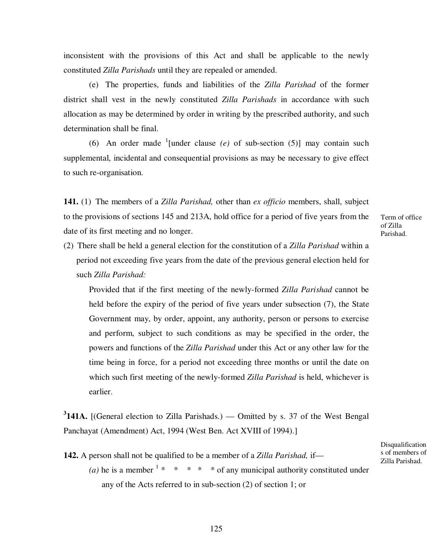inconsistent with the provisions of this Act and shall be applicable to the newly constituted *Zilla Parishads* until they are repealed or amended.

(e) The properties, funds and liabilities of the *Zilla Parishad* of the former district shall vest in the newly constituted *Zilla Parishads* in accordance with such allocation as may be determined by order in writing by the prescribed authority, and such determination shall be final.

(6) An order made <sup>1</sup>[under clause  $(e)$  of sub-section (5)] may contain such supplemental, incidental and consequential provisions as may be necessary to give effect to such re-organisation.

**141.** (1) The members of a *Zilla Parishad,* other than *ex officio* members, shall, subject to the provisions of sections 145 and 213A, hold office for a period of five years from the date of its first meeting and no longer.

Term of office of Zilla Parishad.

(2) There shall be held a general election for the constitution of a *Zilla Parishad* within a period not exceeding five years from the date of the previous general election held for such *Zilla Parishad:*

Provided that if the first meeting of the newly-formed *Zilla Parishad* cannot be held before the expiry of the period of five years under subsection (7), the State Government may, by order, appoint, any authority, person or persons to exercise and perform, subject to such conditions as may be specified in the order, the powers and functions of the *Zilla Parishad* under this Act or any other law for the time being in force, for a period not exceeding three months or until the date on which such first meeting of the newly-formed *Zilla Parishad* is held, whichever is earlier.

**3 141A.** [(General election to Zilla Parishads.) — Omitted by s. 37 of the West Bengal Panchayat (Amendment) Act, 1994 (West Ben. Act XVIII of 1994).]

**142.** A person shall not be qualified to be a member of a *Zilla Parishad,* if—

(*a*) he is a member  $1 * * * * *$  of any municipal authority constituted under any of the Acts referred to in sub-section (2) of section 1; or

Disqualification s of members of Zilla Parishad.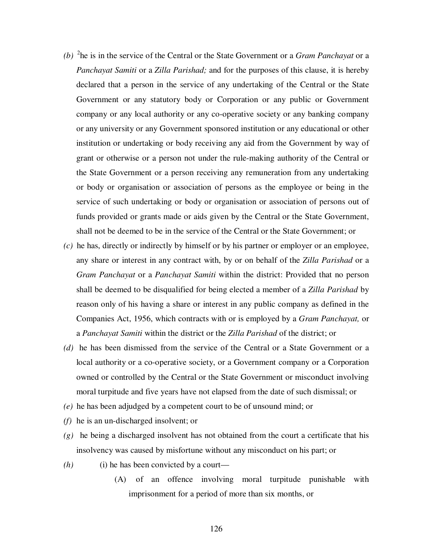- *(b)* 2 he is in the service of the Central or the State Government or a *Gram Panchayat* or a *Panchayat Samiti* or a *Zilla Parishad;* and for the purposes of this clause, it is hereby declared that a person in the service of any undertaking of the Central or the State Government or any statutory body or Corporation or any public or Government company or any local authority or any co-operative society or any banking company or any university or any Government sponsored institution or any educational or other institution or undertaking or body receiving any aid from the Government by way of grant or otherwise or a person not under the rule-making authority of the Central or the State Government or a person receiving any remuneration from any undertaking or body or organisation or association of persons as the employee or being in the service of such undertaking or body or organisation or association of persons out of funds provided or grants made or aids given by the Central or the State Government, shall not be deemed to be in the service of the Central or the State Government; or
- *(c)* he has, directly or indirectly by himself or by his partner or employer or an employee, any share or interest in any contract with, by or on behalf of the *Zilla Parishad* or a *Gram Panchayat* or a *Panchayat Samiti* within the district: Provided that no person shall be deemed to be disqualified for being elected a member of a *Zilla Parishad* by reason only of his having a share or interest in any public company as defined in the Companies Act, 1956, which contracts with or is employed by a *Gram Panchayat,* or a *Panchayat Samiti* within the district or the *Zilla Parishad* of the district; or
- *(d)* he has been dismissed from the service of the Central or a State Government or a local authority or a co-operative society, or a Government company or a Corporation owned or controlled by the Central or the State Government or misconduct involving moral turpitude and five years have not elapsed from the date of such dismissal; or
- *(e)* he has been adjudged by a competent court to be of unsound mind; or
- *(f)* he is an un-discharged insolvent; or
- *(g)* he being a discharged insolvent has not obtained from the court a certificate that his insolvency was caused by misfortune without any misconduct on his part; or
- *(h)* (i) he has been convicted by a court—
	- (A) of an offence involving moral turpitude punishable with imprisonment for a period of more than six months, or

126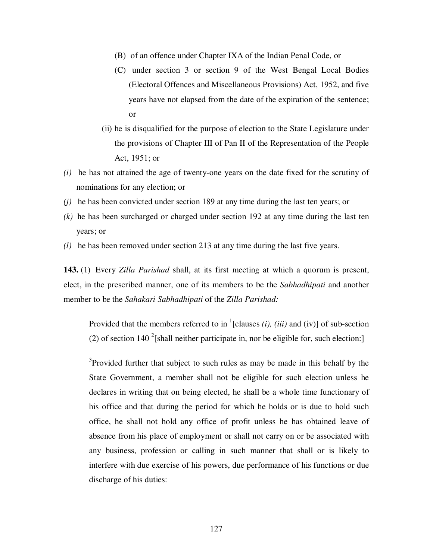- (B) of an offence under Chapter IXA of the Indian Penal Code, or
- (C) under section 3 or section 9 of the West Bengal Local Bodies (Electoral Offences and Miscellaneous Provisions) Act, 1952, and five years have not elapsed from the date of the expiration of the sentence; or
- (ii) he is disqualified for the purpose of election to the State Legislature under the provisions of Chapter III of Pan II of the Representation of the People Act, 1951; or
- *(i)* he has not attained the age of twenty-one years on the date fixed for the scrutiny of nominations for any election; or
- *(j)* he has been convicted under section 189 at any time during the last ten years; or
- *(k)* he has been surcharged or charged under section 192 at any time during the last ten years; or
- *(l)* he has been removed under section 213 at any time during the last five years.

**143.** (1) Every *Zilla Parishad* shall, at its first meeting at which a quorum is present, elect, in the prescribed manner, one of its members to be the *Sabhadhipati* and another member to be the *Sahakari Sabhadhipati* of the *Zilla Parishad:* 

Provided that the members referred to in  $<sup>1</sup>$ [clauses *(i), (iii)* and (iv)] of sub-section</sup> (2) of section 140  $^{2}$ [shall neither participate in, nor be eligible for, such election:]

 $3$ Provided further that subject to such rules as may be made in this behalf by the State Government, a member shall not be eligible for such election unless he declares in writing that on being elected, he shall be a whole time functionary of his office and that during the period for which he holds or is due to hold such office, he shall not hold any office of profit unless he has obtained leave of absence from his place of employment or shall not carry on or be associated with any business, profession or calling in such manner that shall or is likely to interfere with due exercise of his powers, due performance of his functions or due discharge of his duties: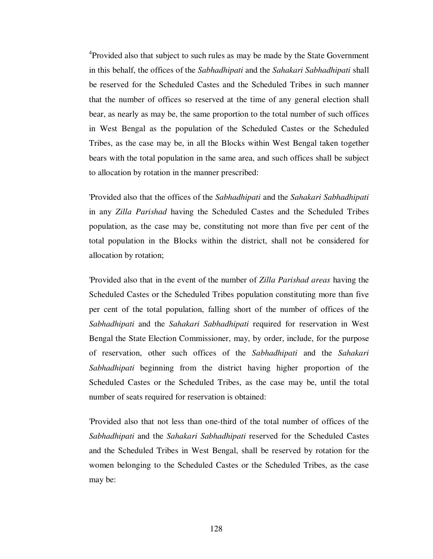<sup>4</sup>Provided also that subject to such rules as may be made by the State Government in this behalf, the offices of the *Sabhadhipati* and the *Sahakari Sabhadhipati* shall be reserved for the Scheduled Castes and the Scheduled Tribes in such manner that the number of offices so reserved at the time of any general election shall bear, as nearly as may be, the same proportion to the total number of such offices in West Bengal as the population of the Scheduled Castes or the Scheduled Tribes, as the case may be, in all the Blocks within West Bengal taken together bears with the total population in the same area, and such offices shall be subject to allocation by rotation in the manner prescribed:

'Provided also that the offices of the *Sabhadhipati* and the *Sahakari Sabhadhipati*  in any *Zilla Parishad* having the Scheduled Castes and the Scheduled Tribes population, as the case may be, constituting not more than five per cent of the total population in the Blocks within the district, shall not be considered for allocation by rotation;

'Provided also that in the event of the number of *Zilla Parishad areas* having the Scheduled Castes or the Scheduled Tribes population constituting more than five per cent of the total population, falling short of the number of offices of the *Sabhadhipati* and the *Sahakari Sabhadhipati* required for reservation in West Bengal the State Election Commissioner, may, by order, include, for the purpose of reservation, other such offices of the *Sabhadhipati* and the *Sahakari Sabhadhipati* beginning from the district having higher proportion of the Scheduled Castes or the Scheduled Tribes, as the case may be, until the total number of seats required for reservation is obtained:

'Provided also that not less than one-third of the total number of offices of the *Sabhadhipati* and the *Sahakari Sabhadhipati* reserved for the Scheduled Castes and the Scheduled Tribes in West Bengal, shall be reserved by rotation for the women belonging to the Scheduled Castes or the Scheduled Tribes, as the case may be: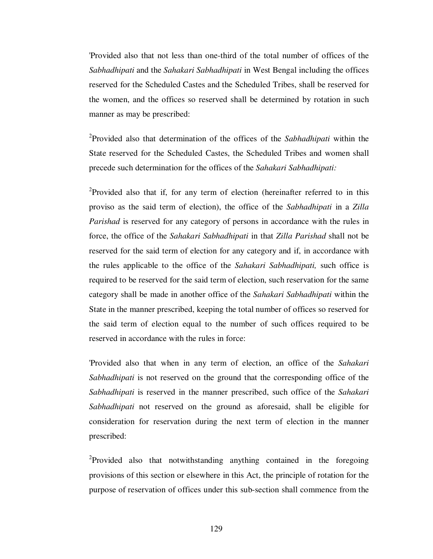'Provided also that not less than one-third of the total number of offices of the *Sabhadhipati* and the *Sahakari Sabhadhipati* in West Bengal including the offices reserved for the Scheduled Castes and the Scheduled Tribes, shall be reserved for the women, and the offices so reserved shall be determined by rotation in such manner as may be prescribed:

2 Provided also that determination of the offices of the *Sabhadhipati* within the State reserved for the Scheduled Castes, the Scheduled Tribes and women shall precede such determination for the offices of the *Sahakari Sabhadhipati:*

<sup>2</sup>Provided also that if, for any term of election (hereinafter referred to in this proviso as the said term of election), the office of the *Sabhadhipati* in a *Zilla Parishad* is reserved for any category of persons in accordance with the rules in force, the office of the *Sahakari Sabhadhipati* in that *Zilla Parishad* shall not be reserved for the said term of election for any category and if, in accordance with the rules applicable to the office of the *Sahakari Sabhadhipati,* such office is required to be reserved for the said term of election, such reservation for the same category shall be made in another office of the *Sahakari Sabhadhipati* within the State in the manner prescribed, keeping the total number of offices so reserved for the said term of election equal to the number of such offices required to be reserved in accordance with the rules in force:

'Provided also that when in any term of election, an office of the *Sahakari Sabhadhipati* is not reserved on the ground that the corresponding office of the *Sabhadhipati* is reserved in the manner prescribed, such office of the *Sahakari Sabhadhipati* not reserved on the ground as aforesaid, shall be eligible for consideration for reservation during the next term of election in the manner prescribed:

<sup>2</sup>Provided also that notwithstanding anything contained in the foregoing provisions of this section or elsewhere in this Act, the principle of rotation for the purpose of reservation of offices under this sub-section shall commence from the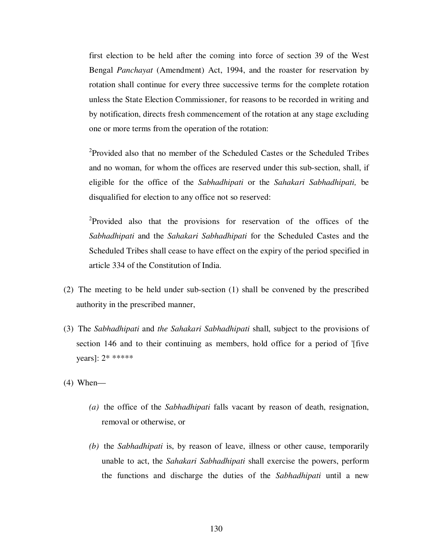first election to be held after the coming into force of section 39 of the West Bengal *Panchayat* (Amendment) Act, 1994, and the roaster for reservation by rotation shall continue for every three successive terms for the complete rotation unless the State Election Commissioner, for reasons to be recorded in writing and by notification, directs fresh commencement of the rotation at any stage excluding one or more terms from the operation of the rotation:

<sup>2</sup>Provided also that no member of the Scheduled Castes or the Scheduled Tribes and no woman, for whom the offices are reserved under this sub-section, shall, if eligible for the office of the *Sabhadhipati* or the *Sahakari Sabhadhipati,* be disqualified for election to any office not so reserved:

<sup>2</sup>Provided also that the provisions for reservation of the offices of the *Sabhadhipati* and the *Sahakari Sabhadhipati* for the Scheduled Castes and the Scheduled Tribes shall cease to have effect on the expiry of the period specified in article 334 of the Constitution of India.

- (2) The meeting to be held under sub-section (1) shall be convened by the prescribed authority in the prescribed manner,
- (3) The *Sabhadhipati* and *the Sahakari Sabhadhipati* shall, subject to the provisions of section 146 and to their continuing as members, hold office for a period of '[five years]: 2\* \*\*\*\*\*
- $(4)$  When—
	- *(a)* the office of the *Sabhadhipati* falls vacant by reason of death, resignation, removal or otherwise, or
	- *(b)* the *Sabhadhipati* is, by reason of leave, illness or other cause, temporarily unable to act, the *Sahakari Sabhadhipati* shall exercise the powers, perform the functions and discharge the duties of the *Sabhadhipati* until a new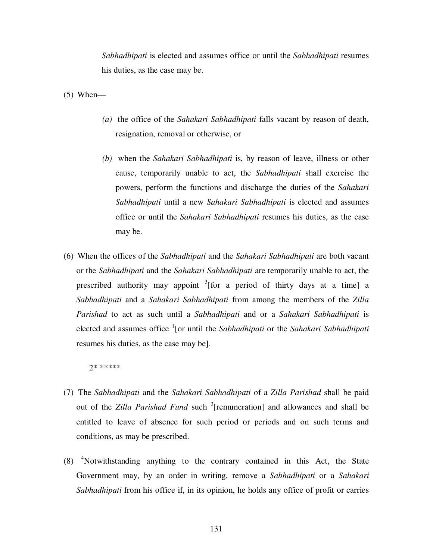*Sabhadhipati* is elected and assumes office or until the *Sabhadhipati* resumes his duties, as the case may be.

 $(5)$  When—

- *(a)* the office of the *Sahakari Sabhadhipati* falls vacant by reason of death, resignation, removal or otherwise, or
- *(b)* when the *Sahakari Sabhadhipati* is, by reason of leave, illness or other cause, temporarily unable to act, the *Sabhadhipati* shall exercise the powers, perform the functions and discharge the duties of the *Sahakari Sabhadhipati* until a new *Sahakari Sabhadhipati* is elected and assumes office or until the *Sahakari Sabhadhipati* resumes his duties, as the case may be.
- (6) When the offices of the *Sabhadhipati* and the *Sahakari Sabhadhipati* are both vacant or the *Sabhadhipati* and the *Sahakari Sabhadhipati* are temporarily unable to act, the prescribed authority may appoint  $3$ [for a period of thirty days at a time] a *Sabhadhipati* and a *Sahakari Sabhadhipati* from among the members of the *Zilla Parishad* to act as such until a *Sabhadhipati* and or a *Sahakari Sabhadhipati* is elected and assumes office <sup>1</sup>[or until the *Sabhadhipati* or the *Sahakari Sabhadhipati* resumes his duties, as the case may be].

2\* \*\*\*\*\*

- (7) The *Sabhadhipati* and the *Sahakari Sabhadhipati* of a *Zilla Parishad* shall be paid out of the *Zilla Parishad Fund* such <sup>3</sup>[remuneration] and allowances and shall be entitled to leave of absence for such period or periods and on such terms and conditions, as may be prescribed.
- (8) <sup>4</sup>Notwithstanding anything to the contrary contained in this Act, the State Government may, by an order in writing, remove a *Sabhadhipati* or a *Sahakari Sabhadhipati* from his office if, in its opinion, he holds any office of profit or carries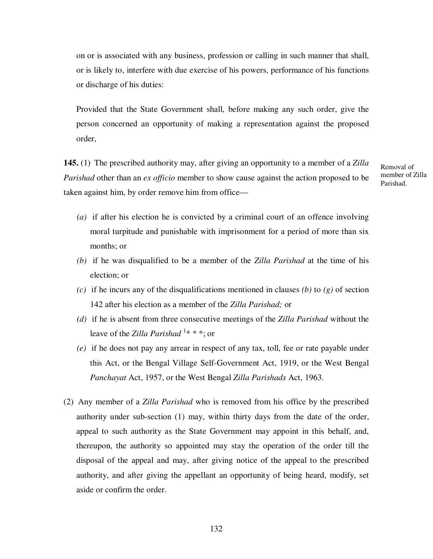on or is associated with any business, profession or calling in such manner that shall, or is likely to, interfere with due exercise of his powers, performance of his functions or discharge of his duties:

Provided that the State Government shall, before making any such order, give the person concerned an opportunity of making a representation against the proposed order,

**145.** (1) The prescribed authority may, after giving an opportunity to a member of a *Zilla Parishad* other than an *ex officio* member to show cause against the action proposed to be taken against him, by order remove him from office—

Removal of member of Zilla Parishad.

- *(a)* if after his election he is convicted by a criminal court of an offence involving moral turpitude and punishable with imprisonment for a period of more than six months; or
- *(b)* if he was disqualified to be a member of the *Zilla Parishad* at the time of his election; or
- *(c)* if he incurs any of the disqualifications mentioned in clauses *(b)* to *(g)* of section 142 after his election as a member of the *Zilla Parishad;* or
- *(d)* if he is absent from three consecutive meetings of the *Zilla Parishad* without the leave of the *Zilla Parishad* <sup>1</sup> \* \* \*; or
- *(e)* if he does not pay any arrear in respect of any tax, toll, fee or rate payable under this Act, or the Bengal Village Self-Government Act, 1919, or the West Bengal *Panchayat* Act, 1957, or the West Bengal *Zilla Parishads* Act, 1963.
- (2) Any member of a *Zilla Parishad* who is removed from his office by the prescribed authority under sub-section (1) may, within thirty days from the date of the order, appeal to such authority as the State Government may appoint in this behalf, and, thereupon, the authority so appointed may stay the operation of the order till the disposal of the appeal and may, after giving notice of the appeal to the prescribed authority, and after giving the appellant an opportunity of being heard, modify, set aside or confirm the order.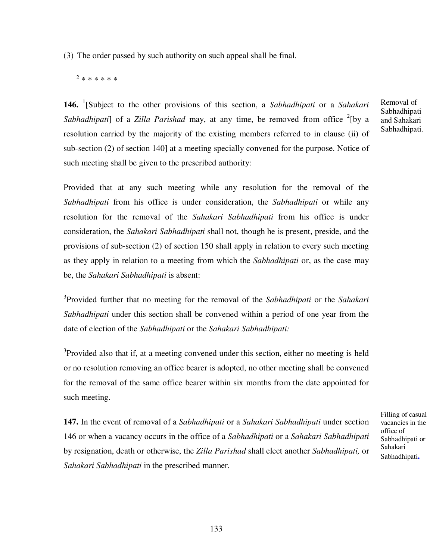(3) The order passed by such authority on such appeal shall be final.

2 \* \* \* \* \* \*

**146.** <sup>1</sup> [Subject to the other provisions of this section, a *Sabhadhipati* or a *Sahakari*  Sabhadhipati] of a Zilla Parishad may, at any time, be removed from office <sup>2</sup>[by a resolution carried by the majority of the existing members referred to in clause (ii) of sub-section (2) of section 140] at a meeting specially convened for the purpose. Notice of such meeting shall be given to the prescribed authority:

Provided that at any such meeting while any resolution for the removal of the *Sabhadhipati* from his office is under consideration, the *Sabhadhipati* or while any resolution for the removal of the *Sahakari Sabhadhipati* from his office is under consideration, the *Sahakari Sabhadhipati* shall not, though he is present, preside, and the provisions of sub-section (2) of section 150 shall apply in relation to every such meeting as they apply in relation to a meeting from which the *Sabhadhipati* or, as the case may be, the *Sahakari Sabhadhipati* is absent:

3 Provided further that no meeting for the removal of the *Sabhadhipati* or the *Sahakari Sabhadhipati* under this section shall be convened within a period of one year from the date of election of the *Sabhadhipati* or the *Sahakari Sabhadhipati:* 

<sup>3</sup>Provided also that if, at a meeting convened under this section, either no meeting is held or no resolution removing an office bearer is adopted, no other meeting shall be convened for the removal of the same office bearer within six months from the date appointed for such meeting.

**147.** In the event of removal of a *Sabhadhipati* or a *Sahakari Sabhadhipati* under section 146 or when a vacancy occurs in the office of a *Sabhadhipati* or a *Sahakari Sabhadhipati*  by resignation, death or otherwise, the *Zilla Parishad* shall elect another *Sabhadhipati,* or *Sahakari Sabhadhipati* in the prescribed manner.

Filling of casual vacancies in the office of Sabhadhipati or Sahakari Sabhadhipati**.**

Removal of Sabhadhipati and Sahakari Sabhadhipati.

133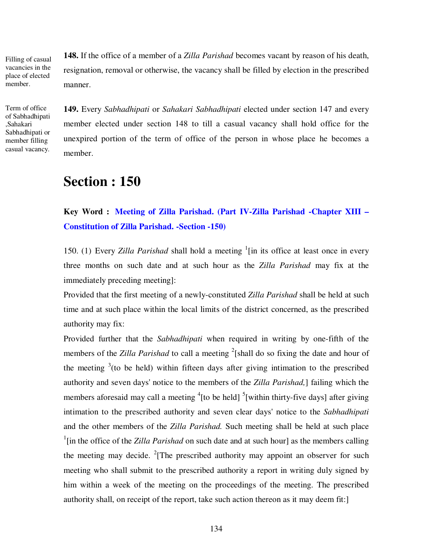Filling of casual vacancies in the place of elected member.

Term of office of Sabhadhipati ,Sahakari Sabhadhipati or member filling casual vacancy.

**148.** If the office of a member of a *Zilla Parishad* becomes vacant by reason of his death, resignation, removal or otherwise, the vacancy shall be filled by election in the prescribed manner.

**149.** Every *Sabhadhipati* or *Sahakari Sabhadhipati* elected under section 147 and every member elected under section 148 to till a casual vacancy shall hold office for the unexpired portion of the term of office of the person in whose place he becomes a member.

# **Section : 150**

## **Key Word : Meeting of Zilla Parishad. (Part IV-Zilla Parishad -Chapter XIII – Constitution of Zilla Parishad. -Section -150)**

150. (1) Every *Zilla Parishad* shall hold a meeting <sup>1</sup>[in its office at least once in every three months on such date and at such hour as the *Zilla Parishad* may fix at the immediately preceding meeting]:

Provided that the first meeting of a newly-constituted *Zilla Parishad* shall be held at such time and at such place within the local limits of the district concerned, as the prescribed authority may fix:

Provided further that the *Sabhadhipati* when required in writing by one-fifth of the members of the *Zilla Parishad* to call a meeting <sup>2</sup>[shall do so fixing the date and hour of the meeting  $3$  (to be held) within fifteen days after giving intimation to the prescribed authority and seven days' notice to the members of the *Zilla Parishad,*] failing which the members aforesaid may call a meeting  ${}^{4}$ [to be held]  ${}^{5}$ [within thirty-five days] after giving intimation to the prescribed authority and seven clear days' notice to the *Sabhadhipati*  and the other members of the *Zilla Parishad.* Such meeting shall be held at such place <sup>1</sup>[in the office of the *Zilla Parishad* on such date and at such hour] as the members calling the meeting may decide. <sup>2</sup> [The prescribed authority may appoint an observer for such meeting who shall submit to the prescribed authority a report in writing duly signed by him within a week of the meeting on the proceedings of the meeting. The prescribed authority shall, on receipt of the report, take such action thereon as it may deem fit:]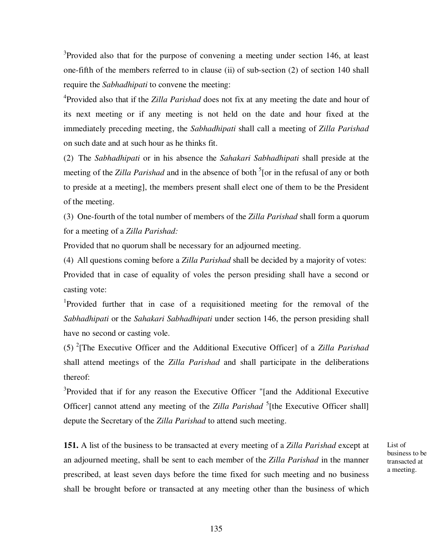$3$ Provided also that for the purpose of convening a meeting under section 146, at least one-fifth of the members referred to in clause (ii) of sub-section (2) of section 140 shall require the *Sabhadhipati* to convene the meeting:

4 Provided also that if the *Zilla Parishad* does not fix at any meeting the date and hour of its next meeting or if any meeting is not held on the date and hour fixed at the immediately preceding meeting, the *Sabhadhipati* shall call a meeting of *Zilla Parishad*  on such date and at such hour as he thinks fit.

(2) The *Sabhadhipati* or in his absence the *Sahakari Sabhadhipati* shall preside at the meeting of the *Zilla Parishad* and in the absence of both <sup>5</sup>[or in the refusal of any or both to preside at a meeting], the members present shall elect one of them to be the President of the meeting.

(3) One-fourth of the total number of members of the *Zilla Parishad* shall form a quorum for a meeting of a *Zilla Parishad:*

Provided that no quorum shall be necessary for an adjourned meeting.

(4) All questions coming before a *Zilla Parishad* shall be decided by a majority of votes: Provided that in case of equality of voles the person presiding shall have a second or casting vote:

<sup>1</sup>Provided further that in case of a requisitioned meeting for the removal of the *Sabhadhipati* or the *Sahakari Sabhadhipati* under section 146, the person presiding shall have no second or casting vole.

(5) <sup>2</sup> [The Executive Officer and the Additional Executive Officer] of a *Zilla Parishad*  shall attend meetings of the *Zilla Parishad* and shall participate in the deliberations thereof:

<sup>3</sup>Provided that if for any reason the Executive Officer "[and the Additional Executive Officer] cannot attend any meeting of the *Zilla Parishad* <sup>5</sup>[the Executive Officer shall] depute the Secretary of the *Zilla Parishad* to attend such meeting.

**151.** A list of the business to be transacted at every meeting of a *Zilla Parishad* except at an adjourned meeting, shall be sent to each member of the *Zilla Parishad* in the manner prescribed, at least seven days before the time fixed for such meeting and no business shall be brought before or transacted at any meeting other than the business of which

List of business to be transacted at a meeting.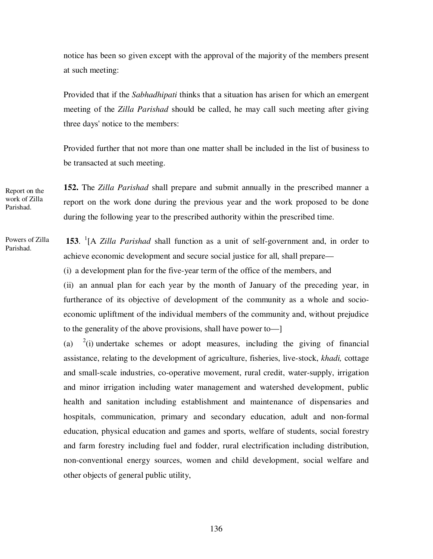notice has been so given except with the approval of the majority of the members present at such meeting:

Provided that if the *Sabhadhipati* thinks that a situation has arisen for which an emergent meeting of the *Zilla Parishad* should be called, he may call such meeting after giving three days' notice to the members:

Provided further that not more than one matter shall be included in the list of business to be transacted at such meeting.

**152.** The *Zilla Parishad* shall prepare and submit annually in the prescribed manner a report on the work done during the previous year and the work proposed to be done during the following year to the prescribed authority within the prescribed time. Report on the work of Zilla Parishad.

Powers of Zilla Parishad.

 **153**. 1 [A *Zilla Parishad* shall function as a unit of self-government and, in order to achieve economic development and secure social justice for all, shall prepare— (i) a development plan for the five-year term of the office of the members, and (ii) an annual plan for each year by the month of January of the preceding year, in

furtherance of its objective of development of the community as a whole and socioeconomic upliftment of the individual members of the community and, without prejudice to the generality of the above provisions, shall have power to—]

 $(a)$  $^{2}$ (i) undertake schemes or adopt measures, including the giving of financial assistance, relating to the development of agriculture, fisheries, live-stock, *khadi,* cottage and small-scale industries, co-operative movement, rural credit, water-supply, irrigation and minor irrigation including water management and watershed development, public health and sanitation including establishment and maintenance of dispensaries and hospitals, communication, primary and secondary education, adult and non-formal education, physical education and games and sports, welfare of students, social forestry and farm forestry including fuel and fodder, rural electrification including distribution, non-conventional energy sources, women and child development, social welfare and other objects of general public utility,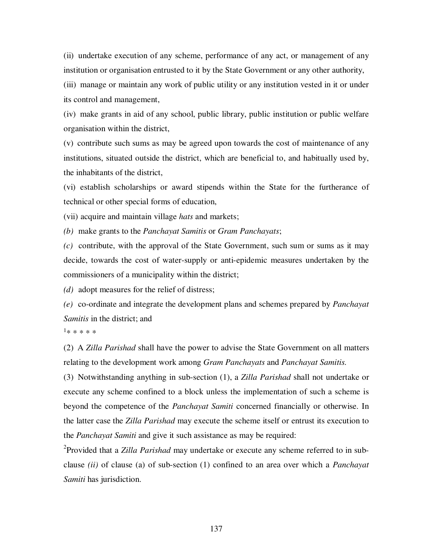(ii) undertake execution of any scheme, performance of any act, or management of any institution or organisation entrusted to it by the State Government or any other authority,

(iii) manage or maintain any work of public utility or any institution vested in it or under its control and management,

(iv) make grants in aid of any school, public library, public institution or public welfare organisation within the district,

(v) contribute such sums as may be agreed upon towards the cost of maintenance of any institutions, situated outside the district, which are beneficial to, and habitually used by, the inhabitants of the district,

(vi) establish scholarships or award stipends within the State for the furtherance of technical or other special forms of education,

(vii) acquire and maintain village *hats* and markets;

*(b)* make grants to the *Panchayat Samitis* or *Gram Panchayats*;

*(c)* contribute, with the approval of the State Government, such sum or sums as it may decide, towards the cost of water-supply or anti-epidemic measures undertaken by the commissioners of a municipality within the district;

*(d)* adopt measures for the relief of distress;

*(e)* co-ordinate and integrate the development plans and schemes prepared by *Panchayat Samitis* in the district; and

 $1*****$ 

(2) A *Zilla Parishad* shall have the power to advise the State Government on all matters relating to the development work among *Gram Panchayats* and *Panchayat Samitis.* 

(3) Notwithstanding anything in sub-section (1), a *Zilla Parishad* shall not undertake or execute any scheme confined to a block unless the implementation of such a scheme is beyond the competence of the *Panchayat Samiti* concerned financially or otherwise. In the latter case the *Zilla Parishad* may execute the scheme itself or entrust its execution to the *Panchayat Samiti* and give it such assistance as may be required:

2 Provided that a *Zilla Parishad* may undertake or execute any scheme referred to in subclause *(ii)* of clause (a) of sub-section (1) confined to an area over which a *Panchayat Samiti* has jurisdiction.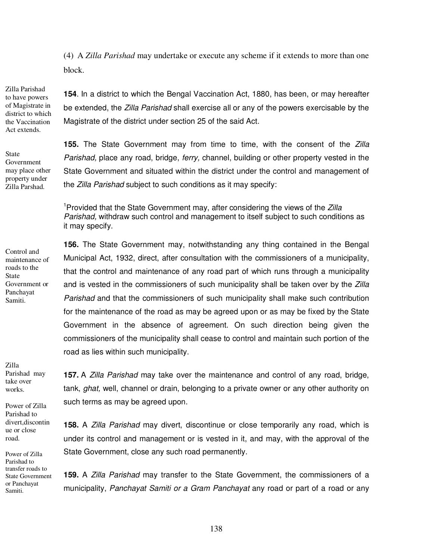(4) A *Zilla Parishad* may undertake or execute any scheme if it extends to more than one block.

Zilla Parishad to have powers of Magistrate in district to which the Vaccination Act extends.

State Government may place other property under Zilla Parshad.

Control and maintenance of roads to the State

Government or Panchayat Samiti.

**154**. In a district to which the Bengal Vaccination Act, 1880, has been, or may hereafter be extended, the *Zilla Parishad* shall exercise all or any of the powers exercisable by the Magistrate of the district under section 25 of the said Act.

**155.** The State Government may from time to time, with the consent of the Zilla Parishad, place any road, bridge, ferry, channel, building or other property vested in the State Government and situated within the district under the control and management of the Zilla Parishad subject to such conditions as it may specify:

<sup>1</sup>Provided that the State Government may, after considering the views of the Zilla Parishad, withdraw such control and management to itself subject to such conditions as it may specify.

**156.** The State Government may, notwithstanding any thing contained in the Bengal Municipal Act, 1932, direct, after consultation with the commissioners of a municipality, that the control and maintenance of any road part of which runs through a municipality and is vested in the commissioners of such municipality shall be taken over by the Zilla Parishad and that the commissioners of such municipality shall make such contribution for the maintenance of the road as may be agreed upon or as may be fixed by the State Government in the absence of agreement. On such direction being given the commissioners of the municipality shall cease to control and maintain such portion of the road as lies within such municipality.

Zilla Parishad may take over works.

Power of Zilla Parishad to divert,discontin ue or close road.

Power of Zilla Parishad to transfer roads to State Government or Panchayat Samiti.

**157.** A Zilla Parishad may take over the maintenance and control of any road, bridge, tank, *ghat*, well, channel or drain, belonging to a private owner or any other authority on such terms as may be agreed upon.

**158.** A Zilla Parishad may divert, discontinue or close temporarily any road, which is under its control and management or is vested in it, and may, with the approval of the State Government, close any such road permanently.

**159.** A Zilla Parishad may transfer to the State Government, the commissioners of a municipality, Panchayat Samiti or a Gram Panchayat any road or part of a road or any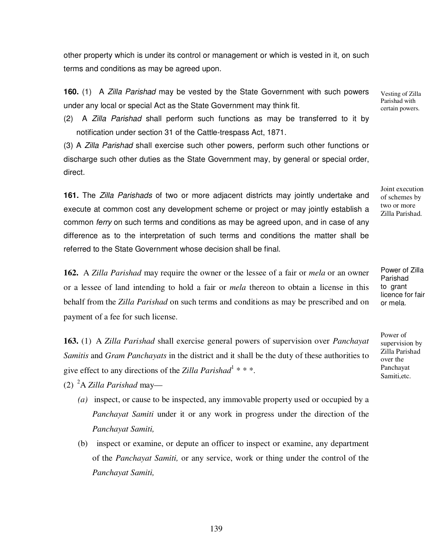other property which is under its control or management or which is vested in it, on such terms and conditions as may be agreed upon.

**160.** (1) A Zilla Parishad may be vested by the State Government with such powers under any local or special Act as the State Government may think fit.

(2) A Zilla Parishad shall perform such functions as may be transferred to it by notification under section 31 of the Cattle-trespass Act, 1871.

(3) A Zilla Parishad shall exercise such other powers, perform such other functions or discharge such other duties as the State Government may, by general or special order, direct.

**161.** The Zilla Parishads of two or more adjacent districts may jointly undertake and execute at common cost any development scheme or project or may jointly establish a common ferry on such terms and conditions as may be agreed upon, and in case of any difference as to the interpretation of such terms and conditions the matter shall be referred to the State Government whose decision shall be final.

**162.** A *Zilla Parishad* may require the owner or the lessee of a fair or *mela* or an owner or a lessee of land intending to hold a fair or *mela* thereon to obtain a license in this behalf from the *Zilla Parishad* on such terms and conditions as may be prescribed and on payment of a fee for such license.

**163.** (1) A *Zilla Parishad* shall exercise general powers of supervision over *Panchayat Samitis* and *Gram Panchayats* in the district and it shall be the duty of these authorities to give effect to any directions of the *Zilla Parishad*<sup>1</sup> \* \* \*.

(2) <sup>2</sup>A *Zilla Parishad* may—

- *(a)* inspect, or cause to be inspected, any immovable property used or occupied by a *Panchayat Samiti* under it or any work in progress under the direction of the *Panchayat Samiti,*
- (b) inspect or examine, or depute an officer to inspect or examine, any department of the *Panchayat Samiti,* or any service, work or thing under the control of the *Panchayat Samiti,*

Vesting of Zilla Parishad with certain powers.

Joint execution of schemes by two or more Zilla Parishad.

Power of Zilla Parishad to grant licence for fair or mela.

Power of supervision by Zilla Parishad over the Panchayat Samiti,etc.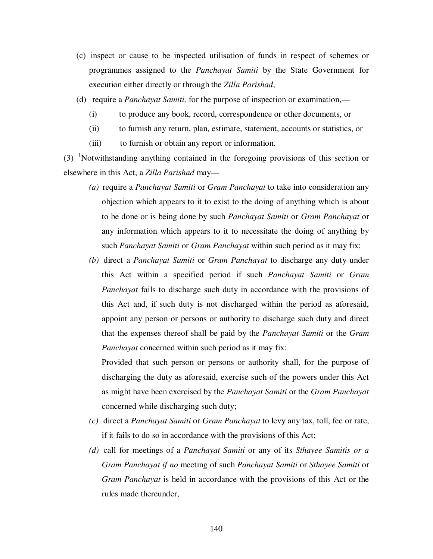- (c) inspect or cause to be inspected utilisation of funds in respect of schemes or programmes assigned to the *Panchayat Samiti* by the State Government for execution either directly or through the *Zilla Parishad*,
- (d) require a *Panchayat Samiti,* for the purpose of inspection or examination,—
	- (i) to produce any book, record, correspondence or other documents, or
	- (ii) to furnish any return, plan, estimate, statement, accounts or statistics, or
	- (iii) to furnish or obtain any report or information.

(3) <sup>1</sup>Notwithstanding anything contained in the foregoing provisions of this section or elsewhere in this Act, a *Zilla Parishad* may—

- *(a)* require a *Panchayat Samiti* or *Gram Panchayat* to take into consideration any objection which appears to it to exist to the doing of anything which is about to be done or is being done by such *Panchayat Samiti* or *Gram Panchayat* or any information which appears to it to necessitate the doing of anything by such *Panchayat Samiti* or *Gram Panchayat* within such period as it may fix;
- *(b)* direct a *Panchayat Samiti* or *Gram Panchayat* to discharge any duty under this Act within a specified period if such *Panchayat Samiti* or *Gram Panchayat* fails to discharge such duty in accordance with the provisions of this Act and, if such duty is not discharged within the period as aforesaid, appoint any person or persons or authority to discharge such duty and direct that the expenses thereof shall be paid by the *Panchayat Samiti* or the *Gram Panchayat* concerned within such period as it may fix:

Provided that such person or persons or authority shall, for the purpose of discharging the duty as aforesaid, exercise such of the powers under this Act as might have been exercised by the *Panchayat Samiti* or the *Gram Panchayat*  concerned while discharging such duty;

- *(c)* direct a *Panchayat Samiti* or *Gram Panchayat* to levy any tax, toll, fee or rate, if it fails to do so in accordance with the provisions of this Act;
- *(d)* call for meetings of a *Panchayat Samiti* or any of its *Sthayee Samitis or a Gram Panchayat if no* meeting of such *Panchayat Samiti* or *Sthayee Samiti* or *Gram Panchayat* is held in accordance with the provisions of this Act or the rules made thereunder,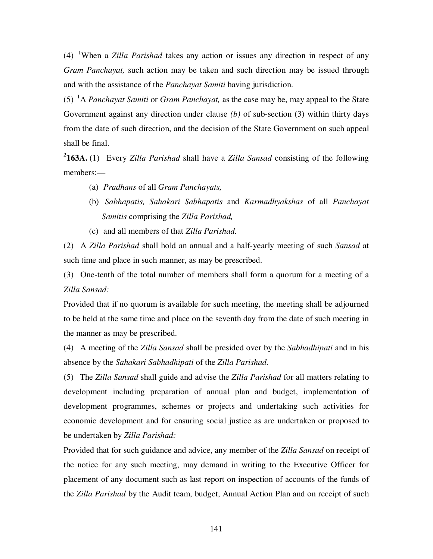(4) <sup>1</sup>When a *Zilla Parishad* takes any action or issues any direction in respect of any *Gram Panchayat,* such action may be taken and such direction may be issued through and with the assistance of the *Panchayat Samiti* having jurisdiction.

(5) <sup>1</sup>A *Panchayat Samiti* or *Gram Panchayat,* as the case may be, may appeal to the State Government against any direction under clause *(b)* of sub-section (3) within thirty days from the date of such direction, and the decision of the State Government on such appeal shall be final.

**2 163A.** (1) Every *Zilla Parishad* shall have a *Zilla Sansad* consisting of the following members:—

- (a) *Pradhans* of all *Gram Panchayats,*
- (b) *Sabhapatis, Sahakari Sabhapatis* and *Karmadhyakshas* of all *Panchayat Samitis* comprising the *Zilla Parishad,*
- (c) and all members of that *Zilla Parishad.*

(2) A *Zilla Parishad* shall hold an annual and a half-yearly meeting of such *Sansad* at such time and place in such manner, as may be prescribed.

(3) One-tenth of the total number of members shall form a quorum for a meeting of a *Zilla Sansad:*

Provided that if no quorum is available for such meeting, the meeting shall be adjourned to be held at the same time and place on the seventh day from the date of such meeting in the manner as may be prescribed.

(4) A meeting of the *Zilla Sansad* shall be presided over by the *Sabhadhipati* and in his absence by the *Sahakari Sabhadhipati* of the *Zilla Parishad.*

(5) The *Zilla Sansad* shall guide and advise the *Zilla Parishad* for all matters relating to development including preparation of annual plan and budget, implementation of development programmes, schemes or projects and undertaking such activities for economic development and for ensuring social justice as are undertaken or proposed to be undertaken by *Zilla Parishad:*

Provided that for such guidance and advice, any member of the *Zilla Sansad* on receipt of the notice for any such meeting, may demand in writing to the Executive Officer for placement of any document such as last report on inspection of accounts of the funds of the *Zilla Parishad* by the Audit team, budget, Annual Action Plan and on receipt of such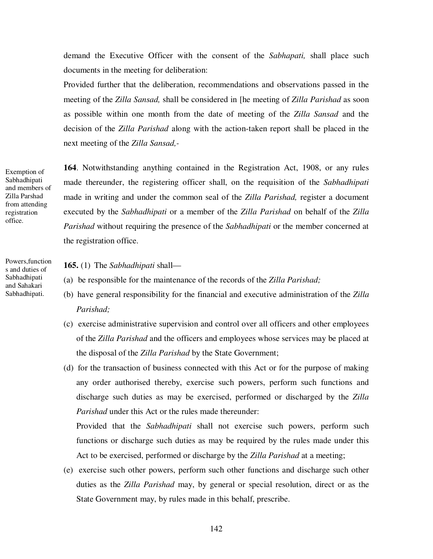demand the Executive Officer with the consent of the *Sabhapati,* shall place such documents in the meeting for deliberation:

Provided further that the deliberation, recommendations and observations passed in the meeting of the *Zilla Sansad,* shall be considered in [he meeting of *Zilla Parishad* as soon as possible within one month from the date of meeting of the *Zilla Sansad* and the decision of the *Zilla Parishad* along with the action-taken report shall be placed in the next meeting of the *Zilla Sansad,-*

Exemption of Sabhadhipati and members of Zilla Parshad from attending registration office.

Powers,function s and duties of Sabhadhipati and Sahakari Sabhadhipati.

**164**. Notwithstanding anything contained in the Registration Act, 1908, or any rules made thereunder, the registering officer shall, on the requisition of the *Sabhadhipati*  made in writing and under the common seal of the *Zilla Parishad,* register a document executed by the *Sabhadhipati* or a member of the *Zilla Parishad* on behalf of the *Zilla Parishad* without requiring the presence of the *Sabhadhipati* or the member concerned at the registration office.

### **165.** (1) The *Sabhadhipati* shall—

- (a) be responsible for the maintenance of the records of the *Zilla Parishad;*
- (b) have general responsibility for the financial and executive administration of the *Zilla Parishad;*
- (c) exercise administrative supervision and control over all officers and other employees of the *Zilla Parishad* and the officers and employees whose services may be placed at the disposal of the *Zilla Parishad* by the State Government;
- (d) for the transaction of business connected with this Act or for the purpose of making any order authorised thereby, exercise such powers, perform such functions and discharge such duties as may be exercised, performed or discharged by the *Zilla Parishad* under this Act or the rules made thereunder:

Provided that the *Sabhadhipati* shall not exercise such powers, perform such functions or discharge such duties as may be required by the rules made under this Act to be exercised, performed or discharge by the *Zilla Parishad* at a meeting;

(e) exercise such other powers, perform such other functions and discharge such other duties as the *Zilla Parishad* may, by general or special resolution, direct or as the State Government may, by rules made in this behalf, prescribe.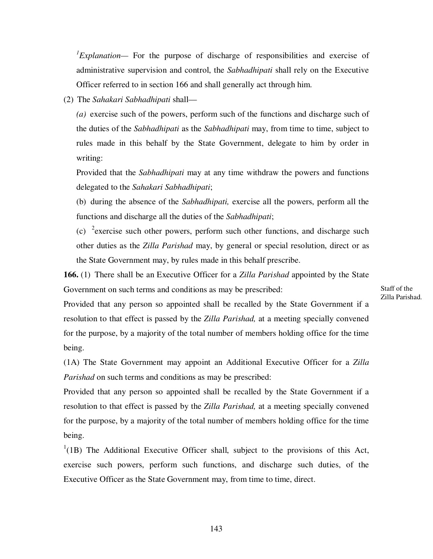*1 Explanation—* For the purpose of discharge of responsibilities and exercise of administrative supervision and control, the *Sabhadhipati* shall rely on the Executive Officer referred to in section 166 and shall generally act through him.

(2) The *Sahakari Sabhadhipati* shall—

*(a)* exercise such of the powers, perform such of the functions and discharge such of the duties of the *Sabhadhipati* as the *Sabhadhipati* may, from time to time, subject to rules made in this behalf by the State Government, delegate to him by order in writing:

Provided that the *Sabhadhipati* may at any time withdraw the powers and functions delegated to the *Sahakari Sabhadhipati*;

(b) during the absence of the *Sabhadhipati,* exercise all the powers, perform all the functions and discharge all the duties of the *Sabhadhipati*;

(c)  $2^{\circ}$  exercise such other powers, perform such other functions, and discharge such other duties as the *Zilla Parishad* may, by general or special resolution, direct or as the State Government may, by rules made in this behalf prescribe.

**166.** (1) There shall be an Executive Officer for a *Zilla Parishad* appointed by the State Government on such terms and conditions as may be prescribed:

Staff of the Zilla Parishad.

Provided that any person so appointed shall be recalled by the State Government if a resolution to that effect is passed by the *Zilla Parishad,* at a meeting specially convened for the purpose, by a majority of the total number of members holding office for the time being.

(1A) The State Government may appoint an Additional Executive Officer for a *Zilla Parishad* on such terms and conditions as may be prescribed:

Provided that any person so appointed shall be recalled by the State Government if a resolution to that effect is passed by the *Zilla Parishad,* at a meeting specially convened for the purpose, by a majority of the total number of members holding office for the time being.

 $1(1B)$  The Additional Executive Officer shall, subject to the provisions of this Act, exercise such powers, perform such functions, and discharge such duties, of the Executive Officer as the State Government may, from time to time, direct.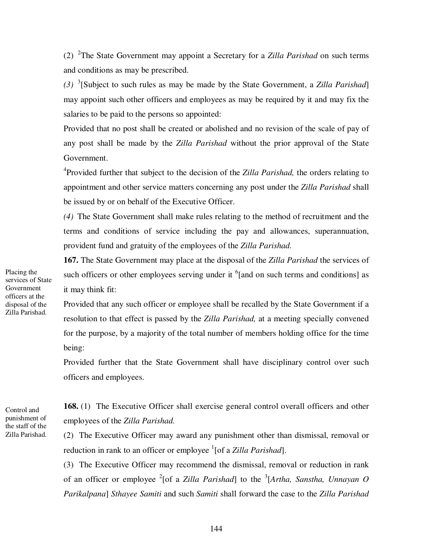(2) 2 The State Government may appoint a Secretary for a *Zilla Parishad* on such terms and conditions as may be prescribed.

*(3)* 3 [Subject to such rules as may be made by the State Government, a *Zilla Parishad*] may appoint such other officers and employees as may be required by it and may fix the salaries to be paid to the persons so appointed:

Provided that no post shall be created or abolished and no revision of the scale of pay of any post shall be made by the *Zilla Parishad* without the prior approval of the State Government.

4 Provided further that subject to the decision of the *Zilla Parishad,* the orders relating to appointment and other service matters concerning any post under the *Zilla Parishad* shall be issued by or on behalf of the Executive Officer.

*(4)* The State Government shall make rules relating to the method of recruitment and the terms and conditions of service including the pay and allowances, superannuation, provident fund and gratuity of the employees of the *Zilla Parishad.*

**167.** The State Government may place at the disposal of the *Zilla Parishad* the services of such officers or other employees serving under it  $6$  [and on such terms and conditions] as it may think fit:

Provided that any such officer or employee shall be recalled by the State Government if a resolution to that effect is passed by the *Zilla Parishad,* at a meeting specially convened for the purpose, by a majority of the total number of members holding office for the time being:

Provided further that the State Government shall have disciplinary control over such officers and employees.

**168.** (1) The Executive Officer shall exercise general control overall officers and other employees of the *Zilla Parishad.* 

(2) The Executive Officer may award any punishment other than dismissal, removal or reduction in rank to an officer or employee <sup>1</sup>[of a *Zilla Parishad*].

(3) The Executive Officer may recommend the dismissal, removal or reduction in rank of an officer or employee <sup>2</sup>[of a *Zilla Parishad*] to the <sup>3</sup>[Artha, Sanstha, Unnayan O *Parikalpana*] *Sthayee Samiti* and such *Samiti* shall forward the case to the *Zilla Parishad* 

Placing the services of State Government officers at the disposal of the Zilla Parishad.

Control and punishment of the staff of the Zilla Parishad.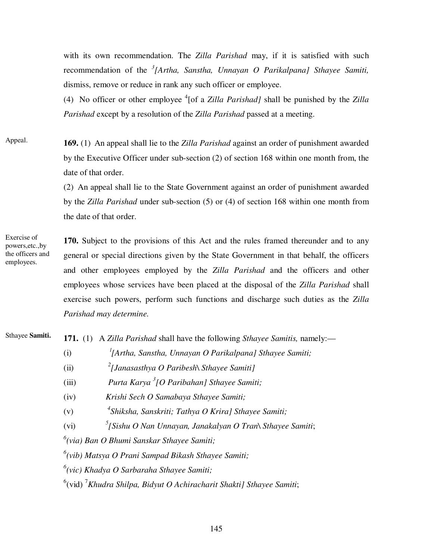with its own recommendation. The *Zilla Parishad* may, if it is satisfied with such recommendation of the *<sup>3</sup> [Artha, Sanstha, Unnayan O Parikalpana] Sthayee Samiti,*  dismiss, remove or reduce in rank any such officer or employee.

(4) No officer or other employee <sup>4</sup>[of a *Zilla Parishad]* shall be punished by the *Zilla Parishad* except by a resolution of the *Zilla Parishad* passed at a meeting.

**169.** (1) An appeal shall lie to the *Zilla Parishad* against an order of punishment awarded by the Executive Officer under sub-section (2) of section 168 within one month from, the date of that order. Appeal.

> (2) An appeal shall lie to the State Government against an order of punishment awarded by the *Zilla Parishad* under sub-section (5) or (4) of section 168 within one month from the date of that order.

Exercise of powers,etc.,by the officers and employees.

**170.** Subject to the provisions of this Act and the rules framed thereunder and to any general or special directions given by the State Government in that behalf, the officers and other employees employed by the *Zilla Parishad* and the officers and other employees whose services have been placed at the disposal of the *Zilla Parishad* shall exercise such powers, perform such functions and discharge such duties as the *Zilla Parishad may determine.*

Sthayee **Samiti.**

**171.** (1) A *Zilla Parishad* shall have the following *Sthayee Samitis,* namely:—

- $(i)$ *[Artha, Sanstha, Unnayan O Parikalpana] Sthayee Samiti;*
- $(i)$ *[Janasasthya O Paribesh\ Sthayee Samiti]*
- (iii) *Purta Karya <sup>3</sup> [O Paribahan] Sthayee Samiti;*

(iv) *Krishi Sech O Samabaya Sthayee Samiti;* 

- $(v)$ *Shiksha, Sanskriti; Tathya O Krira] Sthayee Samiti;*
- (vi) *<sup>5</sup> [Sishu O Nan Unnayan, Janakalyan O Tran\ Sthayee Samiti*;

*6 (via) Ban O Bhumi Sanskar Sthayee Samiti;* 

*6 (vib) Matsya O Prani Sampad Bikash Sthayee Samiti;* 

*6 (vic) Khadya O Sarbaraha Sthayee Samiti;* 

<sup>6</sup>(vid) <sup>7</sup> Khudra Shilpa, Bidyut O Achiracharit Shakti] Sthayee Samiti;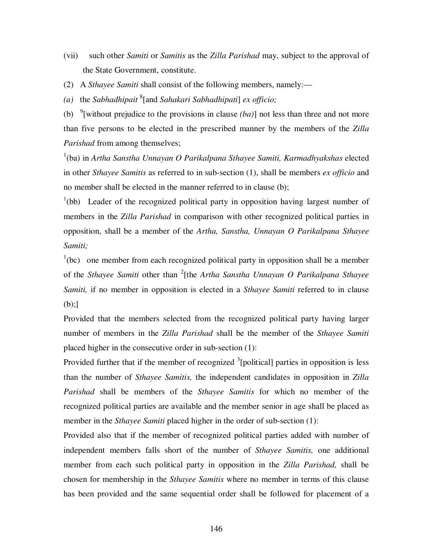- (vii) such other *Samiti* or *Samitis* as the *Zilla Parishad* may, subject to the approval of the State Government, constitute.
- (2) A *Sthayee Samiti* shall consist of the following members, namely:—
- *(a)* the *Sabhadhipait* <sup>8</sup> [and *Sahakari Sabhadhipati*] *ex officio;*

(b) <sup>9</sup>[without prejudice to the provisions in clause  $(ba)$ ] not less than three and not more than five persons to be elected in the prescribed manner by the members of the *Zilla Parishad* from among themselves;

<sup>1</sup>(ba) in *Artha Sanstha Unnayan O Parikalpana Sthayee Samiti, Karmadhyakshas elected* in other *Sthayee Samitis* as referred to in sub-section (1), shall be members *ex officio* and no member shall be elected in the manner referred to in clause (b);

 $1(bb)$  Leader of the recognized political party in opposition having largest number of members in the *Zilla Parishad* in comparison with other recognized political parties in opposition, shall be a member of the *Artha, Sanstha, Unnayan O Parikalpana Sthayee Samiti;* 

 $1$ <sup>1</sup>(bc) one member from each recognized political party in opposition shall be a member of the *Sthayee Samiti* other than <sup>2</sup> [the *Artha Sanstha Unnayan O Parikalpana Sthayee Samiti,* if no member in opposition is elected in a *Sthayee Samiti* referred to in clause  $(b);$ ]

Provided that the members selected from the recognized political party having larger number of members in the *Zilla Parishad* shall be the member of the *Sthayee Samiti*  placed higher in the consecutive order in sub-section (1):

Provided further that if the member of recognized <sup>3</sup>[political] parties in opposition is less than the number of *Sthayee Samitis,* the independent candidates in opposition in *Zilla Parishad* shall be members of the *Sthayee Samitis* for which no member of the recognized political parties are available and the member senior in age shall be placed as member in the *Sthayee Samiti* placed higher in the order of sub-section (1):

Provided also that if the member of recognized political parties added with number of independent members falls short of the number of *Sthayee Samitis,* one additional member from each such political party in opposition in the *Zilla Parishad,* shall be chosen for membership in the *Sthayee Samitis* where no member in terms of this clause has been provided and the same sequential order shall be followed for placement of a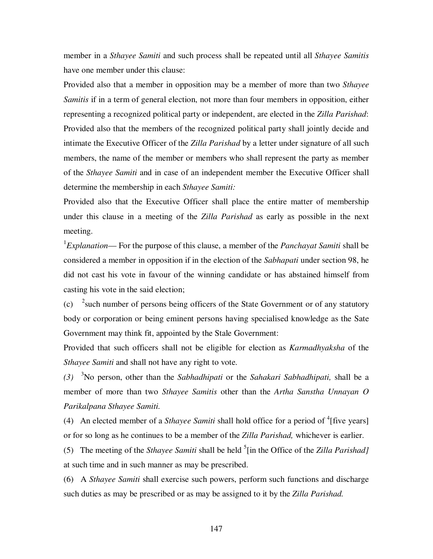member in a *Sthayee Samiti* and such process shall be repeated until all *Sthayee Samitis*  have one member under this clause:

Provided also that a member in opposition may be a member of more than two *Sthayee Samitis* if in a term of general election, not more than four members in opposition, either representing a recognized political party or independent, are elected in the *Zilla Parishad*: Provided also that the members of the recognized political party shall jointly decide and intimate the Executive Officer of the *Zilla Parishad* by a letter under signature of all such members, the name of the member or members who shall represent the party as member of the *Sthayee Samiti* and in case of an independent member the Executive Officer shall determine the membership in each *Sthayee Samiti:* 

Provided also that the Executive Officer shall place the entire matter of membership under this clause in a meeting of the *Zilla Parishad* as early as possible in the next meeting.

1 *Explanation*— For the purpose of this clause, a member of the *Panchayat Samiti* shall be considered a member in opposition if in the election of the *Sabhapati* under section 98, he did not cast his vote in favour of the winning candidate or has abstained himself from casting his vote in the said election;

(c)  $\frac{2}{3}$  auch number of persons being officers of the State Government or of any statutory body or corporation or being eminent persons having specialised knowledge as the Sate Government may think fit, appointed by the Stale Government:

Provided that such officers shall not be eligible for election as *Karmadhyaksha* of the *Sthayee Samiti* and shall not have any right to vote.

*(3)* <sup>3</sup>No person, other than the *Sabhadhipati* or the *Sahakari Sabhadhipati,* shall be a member of more than two *Sthayee Samitis* other than the *Artha Sanstha Unnayan O Parikalpana Sthayee Samiti.* 

(4) An elected member of a *Sthayee Samiti* shall hold office for a period of  $\mathrm{^{4}}$  [five years] or for so long as he continues to be a member of the *Zilla Parishad,* whichever is earlier.

(5) The meeting of the *Sthayee Samiti* shall be held <sup>5</sup>[in the Office of the *Zilla Parishad]* at such time and in such manner as may be prescribed.

(6) A *Sthayee Samiti* shall exercise such powers, perform such functions and discharge such duties as may be prescribed or as may be assigned to it by the *Zilla Parishad.*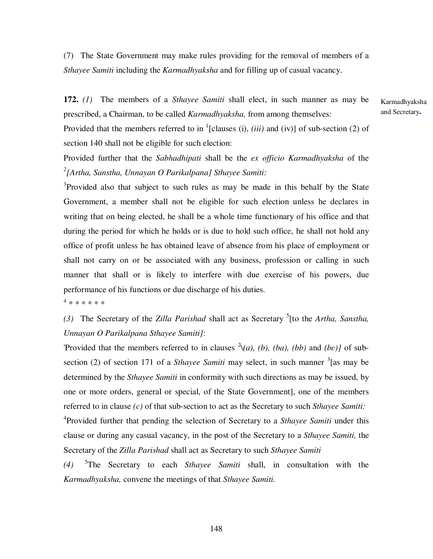(7) The State Government may make rules providing for the removal of members of a *Sthayee Samiti* including the *Karmadhyaksha* and for filling up of casual vacancy.

**172.** *(1)* The members of a *Sthayee Samiti* shall elect, in such manner as may be prescribed, a Chairman, to be called *Karmadhyaksha,* from among themselves:

Provided that the members referred to in  $^1$ [clauses (i), *(iii)* and *(iv)*] of sub-section (2) of section 140 shall not be eligible for such election:

Provided further that the *Sabhadhipati* shall be the *ex officio Karmadhyaksha* of the *2 [Artha, Sanstha, Unnayan O Parikalpana] Sthayee Samiti:* 

<sup>3</sup>Provided also that subject to such rules as may be made in this behalf by the State Government, a member shall not be eligible for such election unless he declares in writing that on being elected, he shall be a whole time functionary of his office and that during the period for which he holds or is due to hold such office, he shall not hold any office of profit unless he has obtained leave of absence from his place of employment or shall not carry on or be associated with any business, profession or calling in such manner that shall or is likely to interfere with due exercise of his powers, due performance of his functions or due discharge of his duties.

4 \* \* \* \* \* \*

(3) The Secretary of the *Zilla Parishad* shall act as Secretary <sup>5</sup> [to the *Artha, Sanstha, Unnayan O Parikalpana Sthayee Samiti]*:

'Provided that the members referred to in clauses <sup>2</sup> $\setminus$ (*a*), (*b*), (*ba*), (*bb*) and (*bc*)] of subsection (2) of section 171 of a *Sthayee Samiti* may select, in such manner <sup>3</sup> [as may be determined by the *Sthayee Samiti* in conformity with such directions as may be issued, by one or more orders, general or special, of the State Government], one of the members referred to in clause *(c)* of that sub-section to act as the Secretary to such *Sthayee Samiti:*  4 Provided further that pending the selection of Secretary to a *Sthayee Samiti* under this clause or during any casual vacancy, in the post of the Secretary to a *Sthayee Samiti,* the Secretary of the *Zilla Parishad* shall act as Secretary to such *Sthayee Samiti*

*(4)*  5 The Secretary to each *Sthayee Samiti* shall, in consultation with the *Karmadhyaksha,* convene the meetings of that *Sthayee Samiti.* 

Karmadhyaksha and Secretary**.**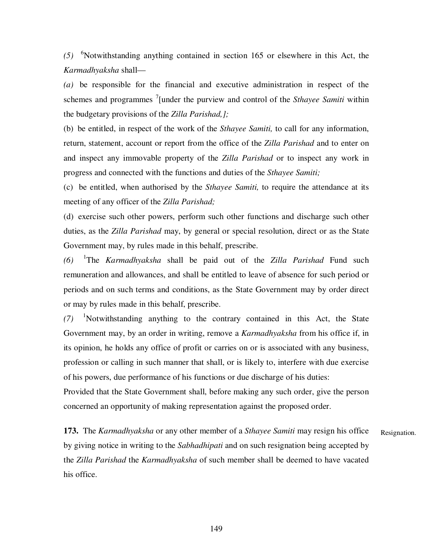*(5)*  <sup>6</sup>Notwithstanding anything contained in section 165 or elsewhere in this Act, the *Karmadhyaksha* shall—

*(a)* be responsible for the financial and executive administration in respect of the schemes and programmes <sup>7</sup>[under the purview and control of the *Sthayee Samiti* within the budgetary provisions of the *Zilla Parishad,];* 

(b) be entitled, in respect of the work of the *Sthayee Samiti,* to call for any information, return, statement, account or report from the office of the *Zilla Parishad* and to enter on and inspect any immovable property of the *Zilla Parishad* or to inspect any work in progress and connected with the functions and duties of the *Sthayee Samiti;*

(c) be entitled, when authorised by the *Sthayee Samiti,* to require the attendance at its meeting of any officer of the *Zilla Parishad;*

(d) exercise such other powers, perform such other functions and discharge such other duties, as the *Zilla Parishad* may, by general or special resolution, direct or as the State Government may, by rules made in this behalf, prescribe.

*(6)*  1 The *Karmadhyaksha* shall be paid out of the *Zilla Parishad* Fund such remuneration and allowances, and shall be entitled to leave of absence for such period or periods and on such terms and conditions, as the State Government may by order direct or may by rules made in this behalf, prescribe.

*(7)*  <sup>1</sup>Notwithstanding anything to the contrary contained in this Act, the State Government may, by an order in writing, remove a *Karmadhyaksha* from his office if, in its opinion, he holds any office of profit or carries on or is associated with any business, profession or calling in such manner that shall, or is likely to, interfere with due exercise of his powers, due performance of his functions or due discharge of his duties:

Provided that the State Government shall, before making any such order, give the person concerned an opportunity of making representation against the proposed order.

**173.** The *Karmadhyaksha* or any other member of a *Sthayee Samiti* may resign his office by giving notice in writing to the *Sabhadhipati* and on such resignation being accepted by the *Zilla Parishad* the *Karmadhyaksha* of such member shall be deemed to have vacated his office. Resignation.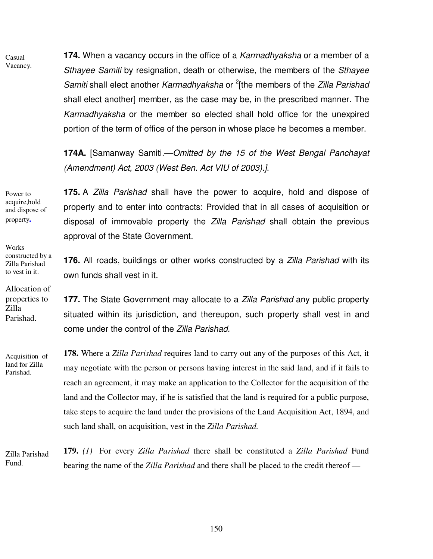Casual Vacancy. **174.** When a vacancy occurs in the office of a Karmadhyaksha or a member of a Sthayee Samiti by resignation, death or otherwise, the members of the Sthayee Samiti shall elect another Karmadhyaksha or <sup>2</sup>[the members of the Zilla Parishad shall elect another] member, as the case may be, in the prescribed manner. The Karmadhyaksha or the member so elected shall hold office for the unexpired portion of the term of office of the person in whose place he becomes a member.

**174A.** [Samanway Samiti.—Omitted by the 15 of the West Bengal Panchayat (Amendment) Act, 2003 (West Ben. Act VIU of 2003).].

Power to acquire,hold and dispose of property**.** 

Works constructed by a Zilla Parishad to vest in it.

Allocation of properties to Zilla Parishad.

Acquisition of land for Zilla Parishad.

**175.** A Zilla Parishad shall have the power to acquire, hold and dispose of property and to enter into contracts: Provided that in all cases of acquisition or disposal of immovable property the *Zilla Parishad* shall obtain the previous approval of the State Government.

**176.** All roads, buildings or other works constructed by a Zilla Parishad with its own funds shall vest in it.

**177.** The State Government may allocate to a Zilla Parishad any public property situated within its jurisdiction, and thereupon, such property shall vest in and come under the control of the Zilla Parishad.

**178.** Where a *Zilla Parishad* requires land to carry out any of the purposes of this Act, it may negotiate with the person or persons having interest in the said land, and if it fails to reach an agreement, it may make an application to the Collector for the acquisition of the land and the Collector may, if he is satisfied that the land is required for a public purpose, take steps to acquire the land under the provisions of the Land Acquisition Act, 1894, and such land shall, on acquisition, vest in the *Zilla Parishad.*

Zilla Parishad Fund.

**179.** *(1)* For every *Zilla Parishad* there shall be constituted a *Zilla Parishad* Fund bearing the name of the *Zilla Parishad* and there shall be placed to the credit thereof —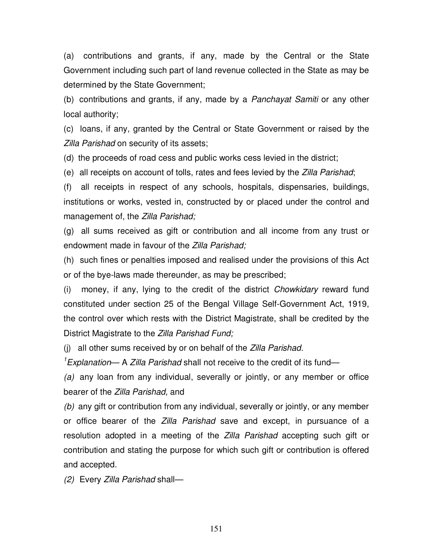(a) contributions and grants, if any, made by the Central or the State Government including such part of land revenue collected in the State as may be determined by the State Government;

(b) contributions and grants, if any, made by a Panchayat Samiti or any other local authority;

(c) loans, if any, granted by the Central or State Government or raised by the Zilla Parishad on security of its assets;

(d) the proceeds of road cess and public works cess levied in the district;

(e) all receipts on account of tolls, rates and fees levied by the Zilla Parishad;

(f) all receipts in respect of any schools, hospitals, dispensaries, buildings, institutions or works, vested in, constructed by or placed under the control and management of, the Zilla Parishad;

(g) all sums received as gift or contribution and all income from any trust or endowment made in favour of the Zilla Parishad:

(h) such fines or penalties imposed and realised under the provisions of this Act or of the bye-laws made thereunder, as may be prescribed;

(i) money, if any, lying to the credit of the district Chowkidary reward fund constituted under section 25 of the Bengal Village Self-Government Act, 1919, the control over which rests with the District Magistrate, shall be credited by the District Magistrate to the Zilla Parishad Fund;

(i) all other sums received by or on behalf of the Zilla Parishad.

 $1$ Explanation— A Zilla Parishad shall not receive to the credit of its fund—

(a) any loan from any individual, severally or jointly, or any member or office bearer of the Zilla Parishad, and

(b) any gift or contribution from any individual, severally or jointly, or any member or office bearer of the Zilla Parishad save and except, in pursuance of a resolution adopted in a meeting of the Zilla Parishad accepting such gift or contribution and stating the purpose for which such gift or contribution is offered and accepted.

(2) Every Zilla Parishad shall—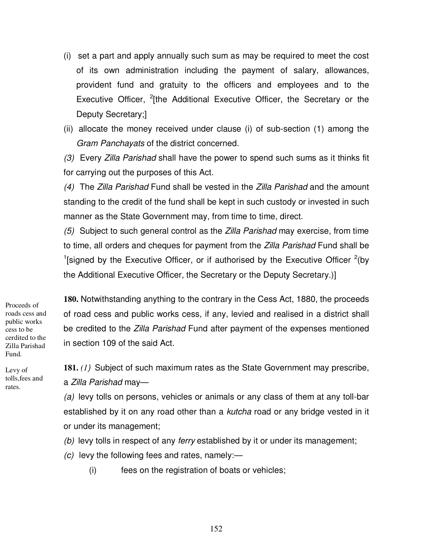- (i) set a part and apply annually such sum as may be required to meet the cost of its own administration including the payment of salary, allowances, provident fund and gratuity to the officers and employees and to the Executive Officer, <sup>2</sup>[the Additional Executive Officer, the Secretary or the Deputy Secretary;]
- (ii) allocate the money received under clause (i) of sub-section (1) among the Gram Panchayats of the district concerned.

(3) Every Zilla Parishad shall have the power to spend such sums as it thinks fit for carrying out the purposes of this Act.

(4) The Zilla Parishad Fund shall be vested in the Zilla Parishad and the amount standing to the credit of the fund shall be kept in such custody or invested in such manner as the State Government may, from time to time, direct.

(5) Subject to such general control as the *Zilla Parishad* may exercise, from time to time, all orders and cheques for payment from the Zilla Parishad Fund shall be <sup>1</sup>[signed by the Executive Officer, or if authorised by the Executive Officer  $2$ <sup>2</sup>(by the Additional Executive Officer, the Secretary or the Deputy Secretary.)]

Proceeds of roads cess and public works cess to be cerdited to the Zilla Parishad Fund.

Levy of tolls,fees and rates.

**180.** Notwithstanding anything to the contrary in the Cess Act, 1880, the proceeds of road cess and public works cess, if any, levied and realised in a district shall be credited to the Zilla Parishad Fund after payment of the expenses mentioned in section 109 of the said Act.

**181.** *(1*) Subject of such maximum rates as the State Government may prescribe, a Zilla Parishad may—

(a) levy tolls on persons, vehicles or animals or any class of them at any toll-bar established by it on any road other than a *kutcha* road or any bridge vested in it or under its management;

(b) levy tolls in respect of any ferry established by it or under its management;

- $(c)$  levy the following fees and rates, namely:—
	- (i) fees on the registration of boats or vehicles;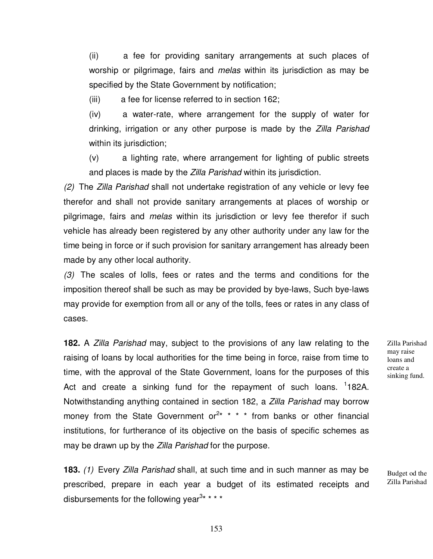(ii) a fee for providing sanitary arrangements at such places of worship or pilgrimage, fairs and *melas* within its jurisdiction as may be specified by the State Government by notification;

(iii) a fee for license referred to in section 162;

(iv) a water-rate, where arrangement for the supply of water for drinking, irrigation or any other purpose is made by the Zilla Parishad within its jurisdiction;

(v) a lighting rate, where arrangement for lighting of public streets and places is made by the Zilla Parishad within its jurisdiction.

(2) The Zilla Parishad shall not undertake registration of any vehicle or levy fee therefor and shall not provide sanitary arrangements at places of worship or pilgrimage, fairs and *melas* within its jurisdiction or levy fee therefor if such vehicle has already been registered by any other authority under any law for the time being in force or if such provision for sanitary arrangement has already been made by any other local authority.

(3) The scales of lolls, fees or rates and the terms and conditions for the imposition thereof shall be such as may be provided by bye-laws, Such bye-laws may provide for exemption from all or any of the tolls, fees or rates in any class of cases.

**182.** A Zilla Parishad may, subject to the provisions of any law relating to the raising of loans by local authorities for the time being in force, raise from time to time, with the approval of the State Government, loans for the purposes of this Act and create a sinking fund for the repayment of such loans. <sup>1</sup>182A. Notwithstanding anything contained in section 182, a Zilla Parishad may borrow money from the State Government or<sup>2\*</sup> \* \* \* from banks or other financial institutions, for furtherance of its objective on the basis of specific schemes as may be drawn up by the Zilla Parishad for the purpose.

**183.** (1) Every Zilla Parishad shall, at such time and in such manner as may be prescribed, prepare in each year a budget of its estimated receipts and disbursements for the following year<sup>3\*</sup> \* \* \*

Zilla Parishad may raise loans and create a sinking fund.

Budget od the Zilla Parishad

153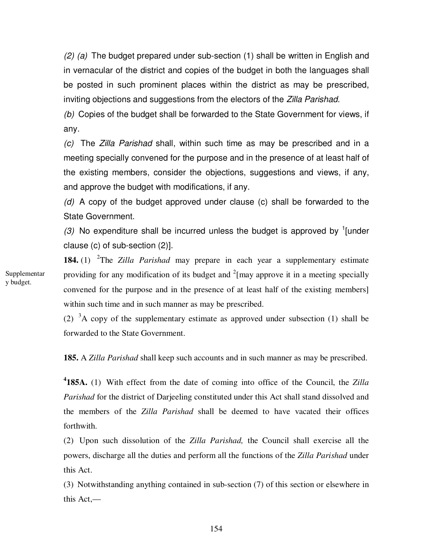$(2)$  (a) The budget prepared under sub-section (1) shall be written in English and in vernacular of the district and copies of the budget in both the languages shall be posted in such prominent places within the district as may be prescribed, inviting objections and suggestions from the electors of the Zilla Parishad.

(b) Copies of the budget shall be forwarded to the State Government for views, if any.

(c) The Zilla Parishad shall, within such time as may be prescribed and in a meeting specially convened for the purpose and in the presence of at least half of the existing members, consider the objections, suggestions and views, if any, and approve the budget with modifications, if any.

(d) A copy of the budget approved under clause (c) shall be forwarded to the State Government.

(3) No expenditure shall be incurred unless the budget is approved by  $\frac{1}{2}$  [under clause (c) of sub-section (2)].

**184.** (1) 2 The *Zilla Parishad* may prepare in each year a supplementary estimate providing for any modification of its budget and  $2$ [may approve it in a meeting specially convened for the purpose and in the presence of at least half of the existing members] within such time and in such manner as may be prescribed.

(2)  ${}^{3}$ A copy of the supplementary estimate as approved under subsection (1) shall be forwarded to the State Government.

**185.** A *Zilla Parishad* shall keep such accounts and in such manner as may be prescribed.

**4 185A.** (1) With effect from the date of coming into office of the Council, the *Zilla Parishad* for the district of Darjeeling constituted under this Act shall stand dissolved and the members of the *Zilla Parishad* shall be deemed to have vacated their offices forthwith.

(2) Upon such dissolution of the *Zilla Parishad,* the Council shall exercise all the powers, discharge all the duties and perform all the functions of the *Zilla Parishad* under this Act.

(3) Notwithstanding anything contained in sub-section (7) of this section or elsewhere in this Act,—

Supplementar y budget.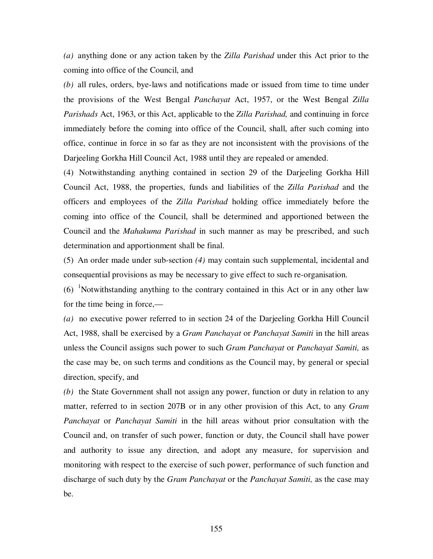*(a)* anything done or any action taken by the *Zilla Parishad* under this Act prior to the coming into office of the Council, and

*(b)* all rules, orders, bye-laws and notifications made or issued from time to time under the provisions of the West Bengal *Panchayat* Act, 1957, or the West Bengal *Zilla Parishads* Act, 1963, or this Act, applicable to the *Zilla Parishad,* and continuing in force immediately before the coming into office of the Council, shall, after such coming into office, continue in force in so far as they are not inconsistent with the provisions of the Darjeeling Gorkha Hill Council Act, 1988 until they are repealed or amended.

(4) Notwithstanding anything contained in section 29 of the Darjeeling Gorkha Hill Council Act, 1988, the properties, funds and liabilities of the *Zilla Parishad* and the officers and employees of the *Zilla Parishad* holding office immediately before the coming into office of the Council, shall be determined and apportioned between the Council and the *Mahakuma Parishad* in such manner as may be prescribed, and such determination and apportionment shall be final.

(5) An order made under sub-section *(4)* may contain such supplemental, incidental and consequential provisions as may be necessary to give effect to such re-organisation.

 $(6)$  <sup>1</sup>Notwithstanding anything to the contrary contained in this Act or in any other law for the time being in force,—

*(a)* no executive power referred to in section 24 of the Darjeeling Gorkha Hill Council Act, 1988, shall be exercised by a *Gram Panchayat* or *Panchayat Samiti* in the hill areas unless the Council assigns such power to such *Gram Panchayat* or *Panchayat Samiti,* as the case may be, on such terms and conditions as the Council may, by general or special direction, specify, and

*(b)* the State Government shall not assign any power, function or duty in relation to any matter, referred to in section 207B or in any other provision of this Act, to any *Gram Panchayat* or *Panchayat Samiti* in the hill areas without prior consultation with the Council and, on transfer of such power, function or duty, the Council shall have power and authority to issue any direction, and adopt any measure, for supervision and monitoring with respect to the exercise of such power, performance of such function and discharge of such duty by the *Gram Panchayat* or the *Panchayat Samiti,* as the case may be.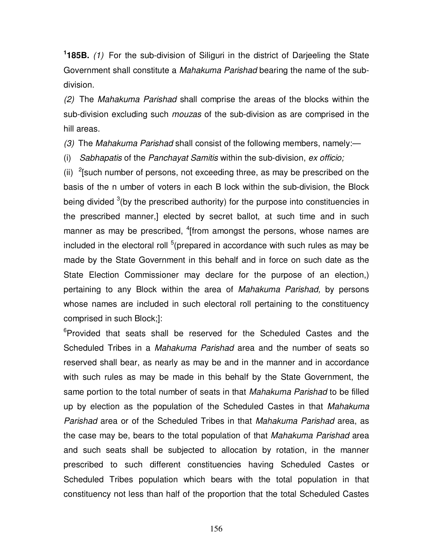**1 185B.** (1) For the sub-division of Siliguri in the district of Darjeeling the State Government shall constitute a Mahakuma Parishad bearing the name of the subdivision.

(2) The Mahakuma Parishad shall comprise the areas of the blocks within the sub-division excluding such *mouzas* of the sub-division as are comprised in the hill areas.

(3) The Mahakuma Parishad shall consist of the following members, namely:—

(i) Sabhapatis of the Panchayat Samitis within the sub-division, ex officio;

(ii)  $2$ [such number of persons, not exceeding three, as may be prescribed on the basis of the n umber of voters in each B lock within the sub-division, the Block being divided  $3$ (by the prescribed authority) for the purpose into constituencies in the prescribed manner,] elected by secret ballot, at such time and in such manner as may be prescribed, <sup>4</sup>[from amongst the persons, whose names are included in the electoral roll  $5$  (prepared in accordance with such rules as may be made by the State Government in this behalf and in force on such date as the State Election Commissioner may declare for the purpose of an election,) pertaining to any Block within the area of Mahakuma Parishad, by persons whose names are included in such electoral roll pertaining to the constituency comprised in such Block;]:

<sup>6</sup>Provided that seats shall be reserved for the Scheduled Castes and the Scheduled Tribes in a *Mahakuma Parishad* area and the number of seats so reserved shall bear, as nearly as may be and in the manner and in accordance with such rules as may be made in this behalf by the State Government, the same portion to the total number of seats in that Mahakuma Parishad to be filled up by election as the population of the Scheduled Castes in that Mahakuma Parishad area or of the Scheduled Tribes in that Mahakuma Parishad area, as the case may be, bears to the total population of that Mahakuma Parishad area and such seats shall be subjected to allocation by rotation, in the manner prescribed to such different constituencies having Scheduled Castes or Scheduled Tribes population which bears with the total population in that constituency not less than half of the proportion that the total Scheduled Castes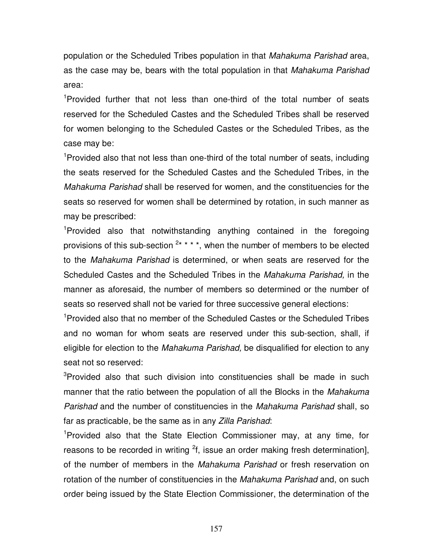population or the Scheduled Tribes population in that *Mahakuma Parishad* area, as the case may be, bears with the total population in that *Mahakuma Parishad* area:

<sup>1</sup>Provided further that not less than one-third of the total number of seats reserved for the Scheduled Castes and the Scheduled Tribes shall be reserved for women belonging to the Scheduled Castes or the Scheduled Tribes, as the case may be:

<sup>1</sup>Provided also that not less than one-third of the total number of seats, including the seats reserved for the Scheduled Castes and the Scheduled Tribes, in the Mahakuma Parishad shall be reserved for women, and the constituencies for the seats so reserved for women shall be determined by rotation, in such manner as may be prescribed:

<sup>1</sup>Provided also that notwithstanding anything contained in the foregoing provisions of this sub-section  $2***$ , when the number of members to be elected to the Mahakuma Parishad is determined, or when seats are reserved for the Scheduled Castes and the Scheduled Tribes in the Mahakuma Parishad, in the manner as aforesaid, the number of members so determined or the number of seats so reserved shall not be varied for three successive general elections:

<sup>1</sup>Provided also that no member of the Scheduled Castes or the Scheduled Tribes and no woman for whom seats are reserved under this sub-section, shall, if eligible for election to the Mahakuma Parishad, be disqualified for election to any seat not so reserved:

<sup>3</sup>Provided also that such division into constituencies shall be made in such manner that the ratio between the population of all the Blocks in the Mahakuma Parishad and the number of constituencies in the Mahakuma Parishad shall, so far as practicable, be the same as in any Zilla Parishad:

<sup>1</sup>Provided also that the State Election Commissioner may, at any time, for reasons to be recorded in writing  ${}^{2}f$ , issue an order making fresh determination], of the number of members in the *Mahakuma Parishad* or fresh reservation on rotation of the number of constituencies in the *Mahakuma Parishad* and, on such order being issued by the State Election Commissioner, the determination of the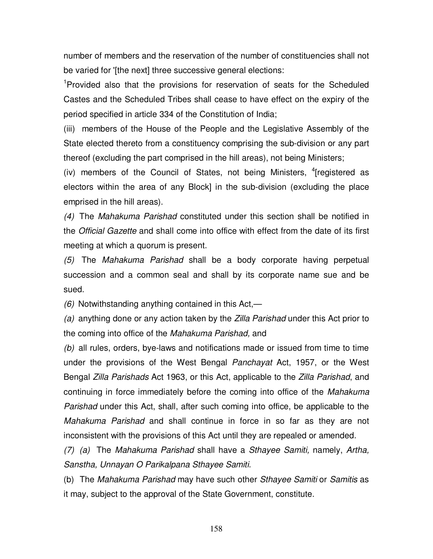number of members and the reservation of the number of constituencies shall not be varied for '[the next] three successive general elections:

<sup>1</sup>Provided also that the provisions for reservation of seats for the Scheduled Castes and the Scheduled Tribes shall cease to have effect on the expiry of the period specified in article 334 of the Constitution of India;

(iii) members of the House of the People and the Legislative Assembly of the State elected thereto from a constituency comprising the sub-division or any part thereof (excluding the part comprised in the hill areas), not being Ministers;

(iv) members of the Council of States, not being Ministers, <sup>4</sup>[registered as electors within the area of any Block] in the sub-division (excluding the place emprised in the hill areas).

(4) The Mahakuma Parishad constituted under this section shall be notified in the Official Gazette and shall come into office with effect from the date of its first meeting at which a quorum is present.

(5) The Mahakuma Parishad shall be a body corporate having perpetual succession and a common seal and shall by its corporate name sue and be sued.

 $(6)$  Notwithstanding anything contained in this Act,—

(a) anything done or any action taken by the Zilla Parishad under this Act prior to the coming into office of the Mahakuma Parishad, and

(b) all rules, orders, bye-laws and notifications made or issued from time to time under the provisions of the West Bengal Panchayat Act, 1957, or the West Bengal Zilla Parishads Act 1963, or this Act, applicable to the Zilla Parishad, and continuing in force immediately before the coming into office of the Mahakuma Parishad under this Act, shall, after such coming into office, be applicable to the Mahakuma Parishad and shall continue in force in so far as they are not inconsistent with the provisions of this Act until they are repealed or amended.

(7) (a) The Mahakuma Parishad shall have a Sthayee Samiti, namely, Artha, Sanstha, Unnayan O Parikalpana Sthayee Samiti.

(b) The Mahakuma Parishad may have such other Sthayee Samiti or Samitis as it may, subject to the approval of the State Government, constitute.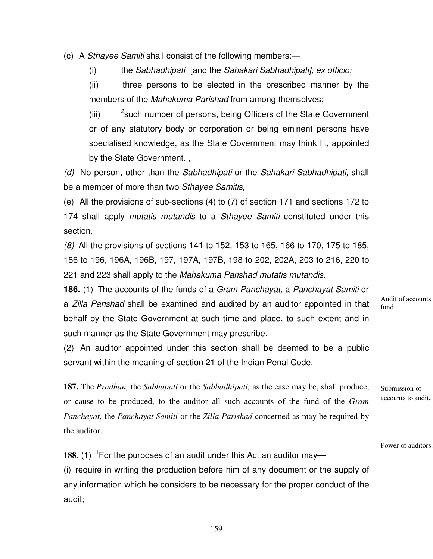(c) A Sthayee Samiti shall consist of the following members:—

(i) the Sabhadhipati  $1$ [and the Sahakari Sabhadhipati], ex officio;

(ii) three persons to be elected in the prescribed manner by the members of the Mahakuma Parishad from among themselves;

(iii) <sup>2</sup> such number of persons, being Officers of the State Government or of any statutory body or corporation or being eminent persons have specialised knowledge, as the State Government may think fit, appointed by the State Government. ,

(d) No person, other than the Sabhadhipati or the Sahakari Sabhadhipati, shall be a member of more than two Sthayee Samitis,

(e) All the provisions of sub-sections (4) to (7) of section 171 and sections 172 to 174 shall apply mutatis mutandis to a Sthayee Samiti constituted under this section.

(8) All the provisions of sections 141 to 152, 153 to 165, 166 to 170, 175 to 185, 186 to 196, 196A, 196B, 197, 197A, 197B, 198 to 202, 202A, 203 to 216, 220 to 221 and 223 shall apply to the Mahakuma Parishad mutatis mutandis.

**186.** (1) The accounts of the funds of a Gram Panchayat, a Panchayat Samiti or a Zilla Parishad shall be examined and audited by an auditor appointed in that behalf by the State Government at such time and place, to such extent and in such manner as the State Government may prescribe.

(2) An auditor appointed under this section shall be deemed to be a public servant within the meaning of section 21 of the Indian Penal Code.

**187.** The *Pradhan,* the *Sabhapati* or the *Sabhadhipati,* as the case may be, shall produce, or cause to be produced, to the auditor all such accounts of the fund of the *Gram Panchayat,* the *Panchayat Samiti* or the *Zilla Parishad* concerned as may be required by the auditor.

Audit of accounts fund.

Submission of accounts to audit**.**

Power of auditors.

188. (1) <sup>1</sup> For the purposes of an audit under this Act an auditor may— (i) require in writing the production before him of any document or the supply of any information which he considers to be necessary for the proper conduct of the audit;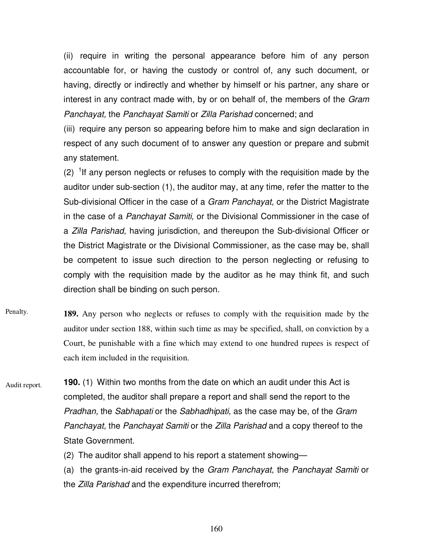(ii) require in writing the personal appearance before him of any person accountable for, or having the custody or control of, any such document, or having, directly or indirectly and whether by himself or his partner, any share or interest in any contract made with, by or on behalf of, the members of the Gram Panchayat, the Panchayat Samiti or Zilla Parishad concerned; and

(iii) require any person so appearing before him to make and sign declaration in respect of any such document of to answer any question or prepare and submit any statement.

 $(2)$  <sup>1</sup> If any person neglects or refuses to comply with the requisition made by the auditor under sub-section (1), the auditor may, at any time, refer the matter to the Sub-divisional Officer in the case of a *Gram Panchayat*, or the District Magistrate in the case of a Panchayat Samiti, or the Divisional Commissioner in the case of a Zilla Parishad, having jurisdiction, and thereupon the Sub-divisional Officer or the District Magistrate or the Divisional Commissioner, as the case may be, shall be competent to issue such direction to the person neglecting or refusing to comply with the requisition made by the auditor as he may think fit, and such direction shall be binding on such person.

**189.** Any person who neglects or refuses to comply with the requisition made by the auditor under section 188, within such time as may be specified, shall, on conviction by a Court, be punishable with a fine which may extend to one hundred rupees is respect of each item included in the requisition. Penalty.

**190.** (1) Within two months from the date on which an audit under this Act is completed, the auditor shall prepare a report and shall send the report to the Pradhan, the Sabhapati or the Sabhadhipati, as the case may be, of the Gram Panchayat, the Panchayat Samiti or the Zilla Parishad and a copy thereof to the State Government. Audit report.

(2) The auditor shall append to his report a statement showing—

(a) the grants-in-aid received by the Gram Panchayat, the Panchayat Samiti or the Zilla Parishad and the expenditure incurred therefrom;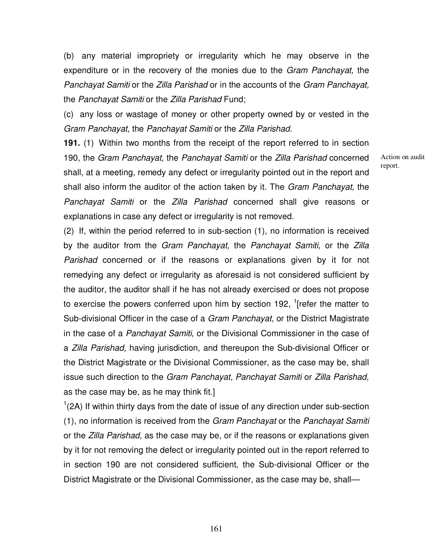(b) any material impropriety or irregularity which he may observe in the expenditure or in the recovery of the monies due to the *Gram Panchayat*, the Panchayat Samiti or the Zilla Parishad or in the accounts of the Gram Panchayat, the Panchayat Samiti or the Zilla Parishad Fund;

(c) any loss or wastage of money or other property owned by or vested in the Gram Panchayat, the Panchayat Samiti or the Zilla Parishad.

**191.** (1) Within two months from the receipt of the report referred to in section 190, the Gram Panchayat, the Panchayat Samiti or the Zilla Parishad concerned shall, at a meeting, remedy any defect or irregularity pointed out in the report and shall also inform the auditor of the action taken by it. The Gram Panchayat, the Panchayat Samiti or the Zilla Parishad concerned shall give reasons or explanations in case any defect or irregularity is not removed.

(2) If, within the period referred to in sub-section (1), no information is received by the auditor from the Gram Panchayat, the Panchayat Samiti, or the Zilla Parishad concerned or if the reasons or explanations given by it for not remedying any defect or irregularity as aforesaid is not considered sufficient by the auditor, the auditor shall if he has not already exercised or does not propose to exercise the powers conferred upon him by section 192,  $1$ [refer the matter to Sub-divisional Officer in the case of a *Gram Panchayat*, or the District Magistrate in the case of a Panchayat Samiti, or the Divisional Commissioner in the case of a Zilla Parishad, having jurisdiction, and thereupon the Sub-divisional Officer or the District Magistrate or the Divisional Commissioner, as the case may be, shall issue such direction to the Gram Panchayat, Panchayat Samiti or Zilla Parishad, as the case may be, as he may think fit.]

 $1(2A)$  If within thirty days from the date of issue of any direction under sub-section (1), no information is received from the Gram Panchayat or the Panchayat Samiti or the Zilla Parishad, as the case may be, or if the reasons or explanations given by it for not removing the defect or irregularity pointed out in the report referred to in section 190 are not considered sufficient, the Sub-divisional Officer or the District Magistrate or the Divisional Commissioner, as the case may be, shallAction on audit report.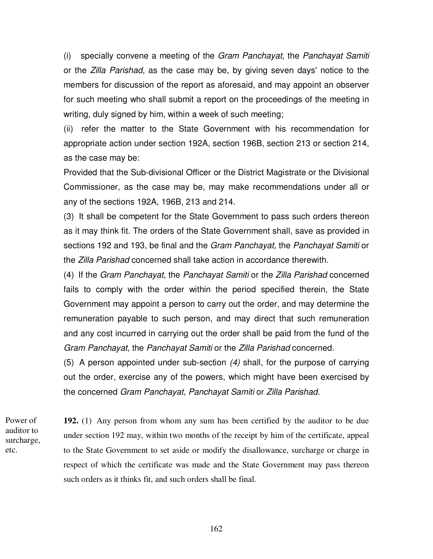(i) specially convene a meeting of the Gram Panchayat, the Panchayat Samiti or the Zilla Parishad, as the case may be, by giving seven days' notice to the members for discussion of the report as aforesaid, and may appoint an observer for such meeting who shall submit a report on the proceedings of the meeting in writing, duly signed by him, within a week of such meeting;

(ii) refer the matter to the State Government with his recommendation for appropriate action under section 192A, section 196B, section 213 or section 214, as the case may be:

Provided that the Sub-divisional Officer or the District Magistrate or the Divisional Commissioner, as the case may be, may make recommendations under all or any of the sections 192A, 196B, 213 and 214.

(3) It shall be competent for the State Government to pass such orders thereon as it may think fit. The orders of the State Government shall, save as provided in sections 192 and 193, be final and the Gram Panchayat, the Panchayat Samiti or the Zilla Parishad concerned shall take action in accordance therewith.

(4) If the Gram Panchayat, the Panchayat Samiti or the Zilla Parishad concerned fails to comply with the order within the period specified therein, the State Government may appoint a person to carry out the order, and may determine the remuneration payable to such person, and may direct that such remuneration and any cost incurred in carrying out the order shall be paid from the fund of the Gram Panchayat, the Panchayat Samiti or the Zilla Parishad concerned.

(5) A person appointed under sub-section (4) shall, for the purpose of carrying out the order, exercise any of the powers, which might have been exercised by the concerned Gram Panchayat, Panchayat Samiti or Zilla Parishad.

Power of auditor to surcharge, etc.

**192.** (1) Any person from whom any sum has been certified by the auditor to be due under section 192 may, within two months of the receipt by him of the certificate, appeal to the State Government to set aside or modify the disallowance, surcharge or charge in respect of which the certificate was made and the State Government may pass thereon such orders as it thinks fit, and such orders shall be final.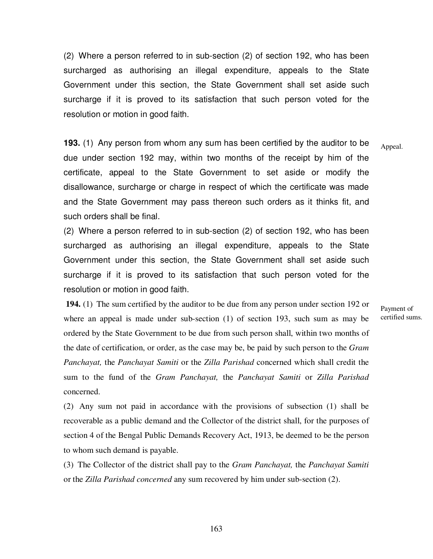(2) Where a person referred to in sub-section (2) of section 192, who has been surcharged as authorising an illegal expenditure, appeals to the State Government under this section, the State Government shall set aside such surcharge if it is proved to its satisfaction that such person voted for the resolution or motion in good faith.

**193.** (1) Any person from whom any sum has been certified by the auditor to be due under section 192 may, within two months of the receipt by him of the certificate, appeal to the State Government to set aside or modify the disallowance, surcharge or charge in respect of which the certificate was made and the State Government may pass thereon such orders as it thinks fit, and such orders shall be final. Appeal.

(2) Where a person referred to in sub-section (2) of section 192, who has been surcharged as authorising an illegal expenditure, appeals to the State Government under this section, the State Government shall set aside such surcharge if it is proved to its satisfaction that such person voted for the resolution or motion in good faith.

 **194.** (1) The sum certified by the auditor to be due from any person under section 192 or where an appeal is made under sub-section (1) of section 193, such sum as may be ordered by the State Government to be due from such person shall, within two months of the date of certification, or order, as the case may be, be paid by such person to the *Gram Panchayat,* the *Panchayat Samiti* or the *Zilla Parishad* concerned which shall credit the sum to the fund of the *Gram Panchayat,* the *Panchayat Samiti* or *Zilla Parishad*  concerned.

(2) Any sum not paid in accordance with the provisions of subsection (1) shall be recoverable as a public demand and the Collector of the district shall, for the purposes of section 4 of the Bengal Public Demands Recovery Act, 1913, be deemed to be the person to whom such demand is payable.

(3) The Collector of the district shall pay to the *Gram Panchayat,* the *Panchayat Samiti*  or the *Zilla Parishad concerned* any sum recovered by him under sub-section (2).

Payment of certified sums.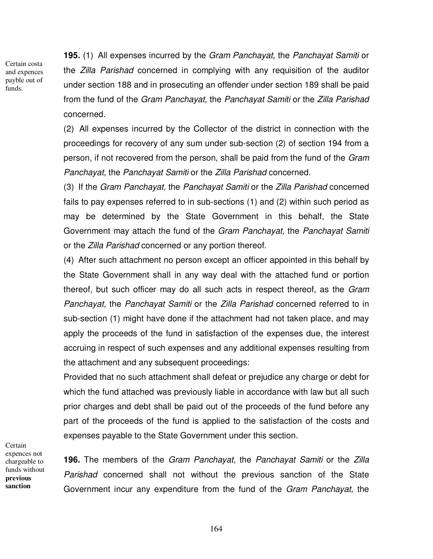Certain costa and expences payble out of funds.

**195.** (1) All expenses incurred by the Gram Panchayat, the Panchayat Samiti or the Zilla Parishad concerned in complying with any requisition of the auditor under section 188 and in prosecuting an offender under section 189 shall be paid from the fund of the Gram Panchayat, the Panchayat Samiti or the Zilla Parishad concerned.

(2) All expenses incurred by the Collector of the district in connection with the proceedings for recovery of any sum under sub-section (2) of section 194 from a person, if not recovered from the person, shall be paid from the fund of the Gram Panchayat, the Panchayat Samiti or the Zilla Parishad concerned.

(3) If the Gram Panchayat, the Panchayat Samiti or the Zilla Parishad concerned fails to pay expenses referred to in sub-sections (1) and (2) within such period as may be determined by the State Government in this behalf, the State Government may attach the fund of the Gram Panchayat, the Panchayat Samiti or the Zilla Parishad concerned or any portion thereof.

(4) After such attachment no person except an officer appointed in this behalf by the State Government shall in any way deal with the attached fund or portion thereof, but such officer may do all such acts in respect thereof, as the Gram Panchayat, the Panchayat Samiti or the Zilla Parishad concerned referred to in sub-section (1) might have done if the attachment had not taken place, and may apply the proceeds of the fund in satisfaction of the expenses due, the interest accruing in respect of such expenses and any additional expenses resulting from the attachment and any subsequent proceedings:

Provided that no such attachment shall defeat or prejudice any charge or debt for which the fund attached was previously liable in accordance with law but all such prior charges and debt shall be paid out of the proceeds of the fund before any part of the proceeds of the fund is applied to the satisfaction of the costs and expenses payable to the State Government under this section.

**Certain** expences not chargeable to funds without **previous sanction**

**196.** The members of the Gram Panchayat, the Panchayat Samiti or the Zilla Parishad concerned shall not without the previous sanction of the State Government incur any expenditure from the fund of the Gram Panchayat, the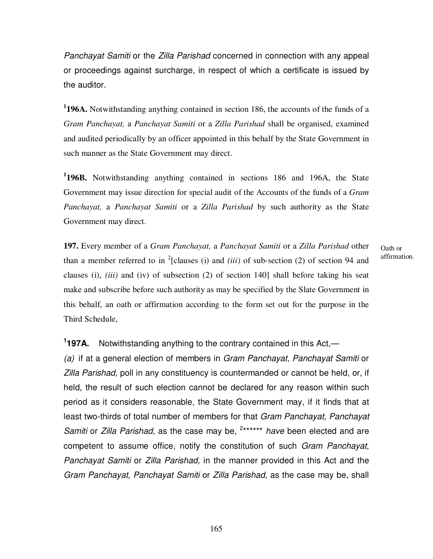Panchayat Samiti or the Zilla Parishad concerned in connection with any appeal or proceedings against surcharge, in respect of which a certificate is issued by the auditor.

**1 196A.** Notwithstanding anything contained in section 186, the accounts of the funds of a *Gram Panchayat,* a *Panchayat Samiti* or a *Zilla Parishad* shall be organised, examined and audited periodically by an officer appointed in this behalf by the State Government in such manner as the State Government may direct.

**1 196B.** Notwithstanding anything contained in sections 186 and 196A, the State Government may issue direction for special audit of the Accounts of the funds of a *Gram Panchayat,* a *Panchayat Samiti* or a *Zilla Parishad* by such authority as the State Government may direct.

**197.** Every member of a *Gram Panchayat,* a *Panchayat Samiti* or a *Zilla Parishad* other than a member referred to in <sup>2</sup>[clauses (i) and *(iii)* of sub-section (2) of section 94 and clauses (i), *(iii)* and (iv) of subsection (2) of section 140] shall before taking his seat make and subscribe before such authority as may be specified by the Slate Government in this behalf, an oath or affirmation according to the form set out for the purpose in the Third Schedule,

Oath or affirmation.

**1 197A.** Notwithstanding anything to the contrary contained in this Act,—

(a) if at a general election of members in Gram Panchayat, Panchayat Samiti or Zilla Parishad, poll in any constituency is countermanded or cannot be held, or, if held, the result of such election cannot be declared for any reason within such period as it considers reasonable, the State Government may, if it finds that at least two-thirds of total number of members for that Gram Panchayat, Panchayat Samiti or Zilla Parishad, as the case may be, <sup>2\*\*\*\*\*\*</sup> have been elected and are competent to assume office, notify the constitution of such Gram Panchayat, Panchayat Samiti or Zilla Parishad, in the manner provided in this Act and the Gram Panchayat, Panchayat Samiti or Zilla Parishad, as the case may be, shall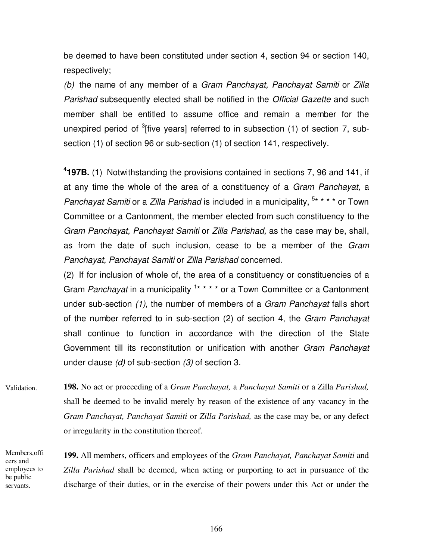be deemed to have been constituted under section 4, section 94 or section 140, respectively;

(b) the name of any member of a Gram Panchayat, Panchayat Samiti or Zilla Parishad subsequently elected shall be notified in the Official Gazette and such member shall be entitled to assume office and remain a member for the unexpired period of <sup>3</sup>[five years] referred to in subsection (1) of section 7, subsection (1) of section 96 or sub-section (1) of section 141, respectively.

**4 197B.** (1) Notwithstanding the provisions contained in sections 7, 96 and 141, if at any time the whole of the area of a constituency of a Gram Panchayat, a Panchayat Samiti or a Zilla Parishad is included in a municipality,  $5***$  or Town Committee or a Cantonment, the member elected from such constituency to the Gram Panchayat, Panchayat Samiti or Zilla Parishad, as the case may be, shall, as from the date of such inclusion, cease to be a member of the Gram Panchayat, Panchayat Samiti or Zilla Parishad concerned.

(2) If for inclusion of whole of, the area of a constituency or constituencies of a Gram Panchayat in a municipality <sup>1\*</sup> \* \* \* or a Town Committee or a Cantonment under sub-section (1), the number of members of a Gram Panchayat falls short of the number referred to in sub-section (2) of section 4, the Gram Panchayat shall continue to function in accordance with the direction of the State Government till its reconstitution or unification with another Gram Panchayat under clause  $(d)$  of sub-section  $(3)$  of section 3.

**198.** No act or proceeding of a *Gram Panchayat,* a *Panchayat Samiti* or a Zilla *Parishad,*  shall be deemed to be invalid merely by reason of the existence of any vacancy in the *Gram Panchayat, Panchayat Samiti* or *Zilla Parishad,* as the case may be, or any defect or irregularity in the constitution thereof. Validation.

**199.** All members, officers and employees of the *Gram Panchayat, Panchayat Samiti* and *Zilla Parishad* shall be deemed, when acting or purporting to act in pursuance of the discharge of their duties, or in the exercise of their powers under this Act or under the Members,offi cers and employees to be public servants.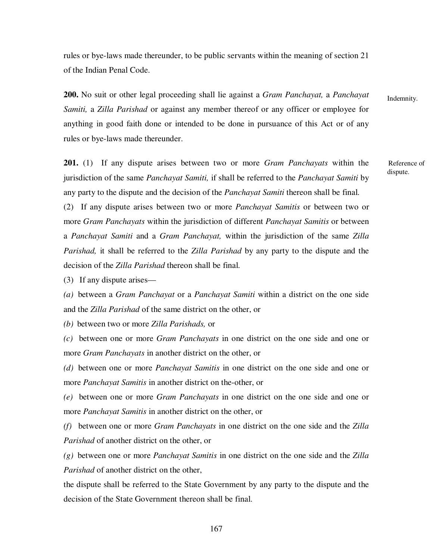rules or bye-laws made thereunder, to be public servants within the meaning of section 21 of the Indian Penal Code.

**200.** No suit or other legal proceeding shall lie against a *Gram Panchayat,* a *Panchayat Samiti,* a *Zilla Parishad* or against any member thereof or any officer or employee for anything in good faith done or intended to be done in pursuance of this Act or of any rules or bye-laws made thereunder.

**201.** (1) If any dispute arises between two or more *Gram Panchayats* within the jurisdiction of the same *Panchayat Samiti,* if shall be referred to the *Panchayat Samiti* by any party to the dispute and the decision of the *Panchayat Samiti* thereon shall be final.

(2) If any dispute arises between two or more *Panchayat Samitis* or between two or more *Gram Panchayats* within the jurisdiction of different *Panchayat Samitis* or between a *Panchayat Samiti* and a *Gram Panchayat,* within the jurisdiction of the same *Zilla Parishad,* it shall be referred to the *Zilla Parishad* by any party to the dispute and the decision of the *Zilla Parishad* thereon shall be final.

(3) If any dispute arises—

*(a)* between a *Gram Panchayat* or a *Panchayat Samiti* within a district on the one side and the *Zilla Parishad* of the same district on the other, or

*(b)* between two or more *Zilla Parishads,* or

*(c)* between one or more *Gram Panchayats* in one district on the one side and one or more *Gram Panchayats* in another district on the other, or

*(d)* between one or more *Panchayat Samitis* in one district on the one side and one or more *Panchayat Samitis* in another district on the-other, or

*(e)* between one or more *Gram Panchayats* in one district on the one side and one or more *Panchayat Samitis* in another district on the other, or

*(f)* between one or more *Gram Panchayats* in one district on the one side and the *Zilla Parishad* of another district on the other, or

*(g)* between one or more *Panchayat Samitis* in one district on the one side and the *Zilla Parishad* of another district on the other,

the dispute shall be referred to the State Government by any party to the dispute and the decision of the State Government thereon shall be final.

Indemnity.

Reference of dispute.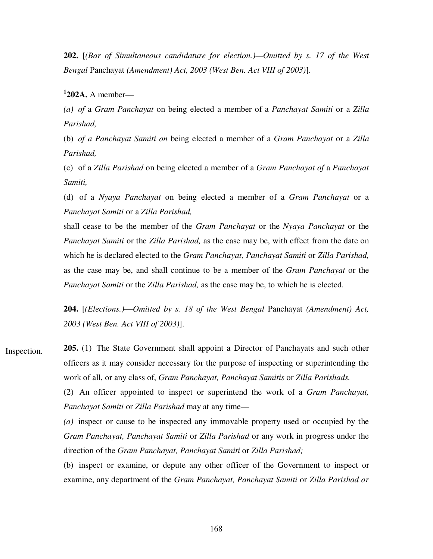**202.** [*(Bar of Simultaneous candidature for election.)—Omitted by s. 17 of the West Bengal* Panchayat *(Amendment) Act, 2003 (West Ben. Act VIII of 2003)*].

**1 202A.** A member—

*(a) of* a *Gram Panchayat* on being elected a member of a *Panchayat Samiti* or a *Zilla Parishad,* 

(b) *of a Panchayat Samiti on* being elected a member of a *Gram Panchayat* or a *Zilla Parishad,*

(c) of a *Zilla Parishad* on being elected a member of a *Gram Panchayat of* a *Panchayat Samiti,*

(d) of a *Nyaya Panchayat* on being elected a member of a *Gram Panchayat* or a *Panchayat Samiti* or a *Zilla Parishad,*

shall cease to be the member of the *Gram Panchayat* or the *Nyaya Panchayat* or the *Panchayat Samiti* or the *Zilla Parishad,* as the case may be, with effect from the date on which he is declared elected to the *Gram Panchayat, Panchayat Samiti* or *Zilla Parishad,*  as the case may be, and shall continue to be a member of the *Gram Panchayat* or the *Panchayat Samiti* or the *Zilla Parishad,* as the case may be, to which he is elected.

**204.** [*(Elections.)*—*Omitted by s. 18 of the West Bengal* Panchayat *(Amendment) Act, 2003 (West Ben. Act VIII of 2003)*].

**205.** (1) The State Government shall appoint a Director of Panchayats and such other officers as it may consider necessary for the purpose of inspecting or superintending the work of all, or any class of, *Gram Panchayat, Panchayat Samitis* or *Zilla Parishads.* Inspection.

> (2) An officer appointed to inspect or superintend the work of a *Gram Panchayat, Panchayat Samiti* or *Zilla Parishad* may at any time—

> *(a)* inspect or cause to be inspected any immovable property used or occupied by the *Gram Panchayat, Panchayat Samiti* or *Zilla Parishad* or any work in progress under the direction of the *Gram Panchayat, Panchayat Samiti* or *Zilla Parishad;*

> (b) inspect or examine, or depute any other officer of the Government to inspect or examine, any department of the *Gram Panchayat, Panchayat Samiti* or *Zilla Parishad or*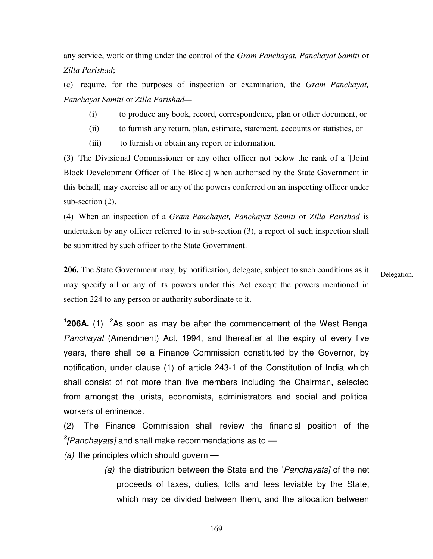any service, work or thing under the control of the *Gram Panchayat, Panchayat Samiti* or *Zilla Parishad*;

(c) require, for the purposes of inspection or examination, the *Gram Panchayat, Panchayat Samiti* or *Zilla Parishad—*

- (i) to produce any book, record, correspondence, plan or other document, or
- (ii) to furnish any return, plan, estimate, statement, accounts or statistics, or
- (iii) to furnish or obtain any report or information.

(3) The Divisional Commissioner or any other officer not below the rank of a '[Joint Block Development Officer of The Block] when authorised by the State Government in this behalf, may exercise all or any of the powers conferred on an inspecting officer under sub-section  $(2)$ .

(4) When an inspection of a *Gram Panchayat, Panchayat Samiti* or *Zilla Parishad* is undertaken by any officer referred to in sub-section (3), a report of such inspection shall be submitted by such officer to the State Government.

**206.** The State Government may, by notification, delegate, subject to such conditions as it may specify all or any of its powers under this Act except the powers mentioned in section 224 to any person or authority subordinate to it.

Delegation.

<sup>1</sup>206A. (1) <sup>2</sup>As soon as may be after the commencement of the West Bengal Panchayat (Amendment) Act, 1994, and thereafter at the expiry of every five years, there shall be a Finance Commission constituted by the Governor, by notification, under clause (1) of article 243-1 of the Constitution of India which shall consist of not more than five members including the Chairman, selected from amongst the jurists, economists, administrators and social and political workers of eminence.

(2) The Finance Commission shall review the financial position of the  $\frac{3}{2}$ [Panchayats] and shall make recommendations as to  $-$ 

- (a) the principles which should govern  $-$ 
	- (a) the distribution between the State and the  $\text{Panchayats}$  of the net proceeds of taxes, duties, tolls and fees leviable by the State, which may be divided between them, and the allocation between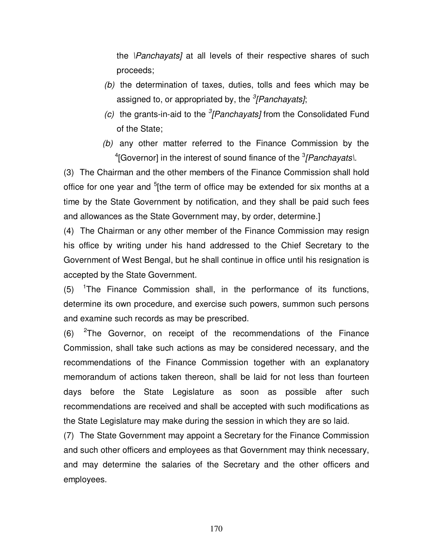the \Panchayats] at all levels of their respective shares of such proceeds;

- (b) the determination of taxes, duties, tolls and fees which may be assigned to, or appropriated by, the <sup>3</sup>[Panchayats];
- (c) the grants-in-aid to the  ${}^{3}$ [Panchayats] from the Consolidated Fund of the State;
- (b) any other matter referred to the Finance Commission by the  $\rm ^4$ [Governor] in the interest of sound finance of the  $\rm ^3$ *[Panchayats*].

(3) The Chairman and the other members of the Finance Commission shall hold office for one year and <sup>5</sup>[the term of office may be extended for six months at a time by the State Government by notification, and they shall be paid such fees and allowances as the State Government may, by order, determine.]

(4) The Chairman or any other member of the Finance Commission may resign his office by writing under his hand addressed to the Chief Secretary to the Government of West Bengal, but he shall continue in office until his resignation is accepted by the State Government.

(5) 1 The Finance Commission shall, in the performance of its functions, determine its own procedure, and exercise such powers, summon such persons and examine such records as may be prescribed.

 $(6)$  <sup>2</sup>The Governor, on receipt of the recommendations of the Finance Commission, shall take such actions as may be considered necessary, and the recommendations of the Finance Commission together with an explanatory memorandum of actions taken thereon, shall be laid for not less than fourteen days before the State Legislature as soon as possible after such recommendations are received and shall be accepted with such modifications as the State Legislature may make during the session in which they are so laid.

(7) The State Government may appoint a Secretary for the Finance Commission and such other officers and employees as that Government may think necessary, and may determine the salaries of the Secretary and the other officers and employees.

170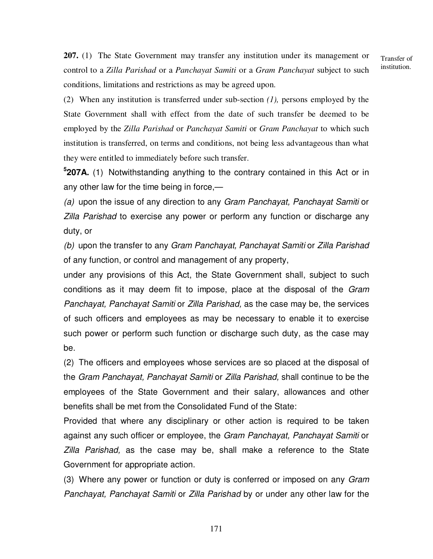**207.** (1) The State Government may transfer any institution under its management or control to a *Zilla Parishad* or a *Panchayat Samiti* or a *Gram Panchayat* subject to such conditions, limitations and restrictions as may be agreed upon.

Transfer of institution.

(2) When any institution is transferred under sub-section *(1),* persons employed by the State Government shall with effect from the date of such transfer be deemed to be employed by the *Zilla Parishad* or *Panchayat Samiti* or *Gram Panchayat* to which such institution is transferred, on terms and conditions, not being less advantageous than what they were entitled to immediately before such transfer.

**5 207A.** (1) Notwithstanding anything to the contrary contained in this Act or in any other law for the time being in force,—

(a) upon the issue of any direction to any Gram Panchayat, Panchayat Samiti or Zilla Parishad to exercise any power or perform any function or discharge any duty, or

(b) upon the transfer to any Gram Panchayat, Panchayat Samiti or Zilla Parishad of any function, or control and management of any property,

under any provisions of this Act, the State Government shall, subject to such conditions as it may deem fit to impose, place at the disposal of the Gram Panchayat, Panchayat Samiti or Zilla Parishad, as the case may be, the services of such officers and employees as may be necessary to enable it to exercise such power or perform such function or discharge such duty, as the case may be.

(2) The officers and employees whose services are so placed at the disposal of the Gram Panchayat, Panchayat Samiti or Zilla Parishad, shall continue to be the employees of the State Government and their salary, allowances and other benefits shall be met from the Consolidated Fund of the State:

Provided that where any disciplinary or other action is required to be taken against any such officer or employee, the Gram Panchayat, Panchayat Samiti or Zilla Parishad, as the case may be, shall make a reference to the State Government for appropriate action.

(3) Where any power or function or duty is conferred or imposed on any Gram Panchayat, Panchayat Samiti or Zilla Parishad by or under any other law for the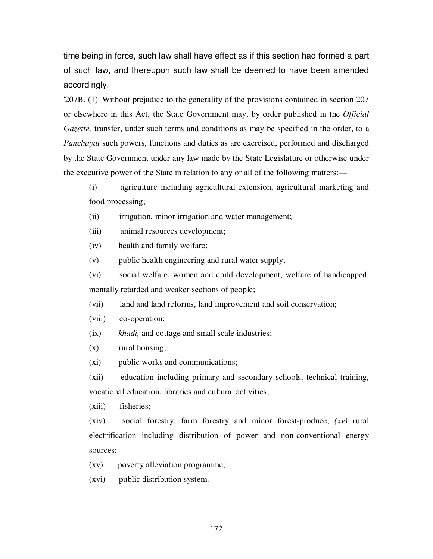time being in force, such law shall have effect as if this section had formed a part of such law, and thereupon such law shall be deemed to have been amended accordingly.

'207B. (1) Without prejudice to the generality of the provisions contained in section 207 or elsewhere in this Act, the State Government may, by order published in the *Official Gazette*, transfer, under such terms and conditions as may be specified in the order, to a *Panchayat* such powers, functions and duties as are exercised, performed and discharged by the State Government under any law made by the State Legislature or otherwise under the executive power of the State in relation to any or all of the following matters:—

(i) agriculture including agricultural extension, agricultural marketing and food processing;

(ii) irrigation, minor irrigation and water management;

(iii) animal resources development;

(iv) health and family welfare;

(v) public health engineering and rural water supply;

(vi) social welfare, women and child development, welfare of handicapped, mentally retarded and weaker sections of people;

(vii) land and land reforms, land improvement and soil conservation;

(viii) co-operation;

(ix) *khadi,* and cottage and small scale industries;

(x) rural housing;

(xi) public works and communications;

(xii) education including primary and secondary schools, technical training, vocational education, libraries and cultural activities;

(xiii) fisheries;

(xiv) social forestry, farm forestry and minor forest-produce; *(xv)* rural electrification including distribution of power and non-conventional energy sources;

(xv) poverty alleviation programme;

(xvi) public distribution system.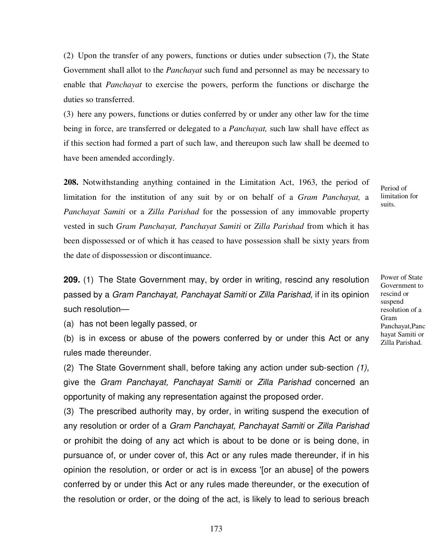(2) Upon the transfer of any powers, functions or duties under subsection (7), the State Government shall allot to the *Panchayat* such fund and personnel as may be necessary to enable that *Panchayat* to exercise the powers, perform the functions or discharge the duties so transferred.

(3) here any powers, functions or duties conferred by or under any other law for the time being in force, are transferred or delegated to a *Panchayat,* such law shall have effect as if this section had formed a part of such law, and thereupon such law shall be deemed to have been amended accordingly.

**208.** Notwithstanding anything contained in the Limitation Act, 1963, the period of limitation for the institution of any suit by or on behalf of a *Gram Panchayat,* a *Panchayat Samiti* or a *Zilla Parishad* for the possession of any immovable property vested in such *Gram Panchayat, Panchayat Samiti* or *Zilla Parishad* from which it has been dispossessed or of which it has ceased to have possession shall be sixty years from the date of dispossession or discontinuance.

**209.** (1) The State Government may, by order in writing, rescind any resolution passed by a Gram Panchayat, Panchayat Samiti or Zilla Parishad, if in its opinion such resolution—

(a) has not been legally passed, or

(b) is in excess or abuse of the powers conferred by or under this Act or any rules made thereunder.

(2) The State Government shall, before taking any action under sub-section (1), give the Gram Panchayat, Panchayat Samiti or Zilla Parishad concerned an opportunity of making any representation against the proposed order.

(3) The prescribed authority may, by order, in writing suspend the execution of any resolution or order of a Gram Panchayat, Panchayat Samiti or Zilla Parishad or prohibit the doing of any act which is about to be done or is being done, in pursuance of, or under cover of, this Act or any rules made thereunder, if in his opinion the resolution, or order or act is in excess '[or an abuse] of the powers conferred by or under this Act or any rules made thereunder, or the execution of the resolution or order, or the doing of the act, is likely to lead to serious breach Period of limitation for suits.

Power of State Government to rescind or suspend resolution of a Gram Panchayat,Panc hayat Samiti or Zilla Parishad.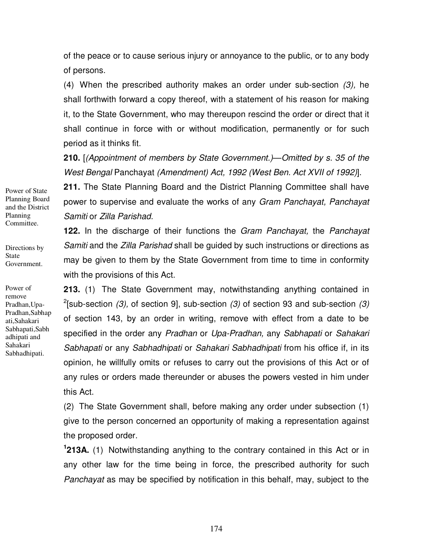of the peace or to cause serious injury or annoyance to the public, or to any body of persons.

(4) When the prescribed authority makes an order under sub-section (3), he shall forthwith forward a copy thereof, with a statement of his reason for making it, to the State Government, who may thereupon rescind the order or direct that it shall continue in force with or without modification, permanently or for such period as it thinks fit.

**210.** [(Appointment of members by State Government.)—Omitted by s. 35 of the West Bengal Panchayat (Amendment) Act, 1992 (West Ben. Act XVII of 1992)].

**211.** The State Planning Board and the District Planning Committee shall have power to supervise and evaluate the works of any Gram Panchayat, Panchayat Samiti or Zilla Parishad.

**122.** In the discharge of their functions the Gram Panchayat, the Panchayat Samiti and the Zilla Parishad shall be quided by such instructions or directions as may be given to them by the State Government from time to time in conformity with the provisions of this Act.

**213.** (1) The State Government may, notwithstanding anything contained in <sup>2</sup>[sub-section (3), of section 9], sub-section (3) of section 93 and sub-section (3) of section 143, by an order in writing, remove with effect from a date to be specified in the order any Pradhan or Upa-Pradhan, any Sabhapati or Sahakari Sabhapati or any Sabhadhipati or Sahakari Sabhadhipati from his office if, in its opinion, he willfully omits or refuses to carry out the provisions of this Act or of any rules or orders made thereunder or abuses the powers vested in him under this Act.

(2) The State Government shall, before making any order under subsection (1) give to the person concerned an opportunity of making a representation against the proposed order.

**1 213A.** (1) Notwithstanding anything to the contrary contained in this Act or in any other law for the time being in force, the prescribed authority for such Panchayat as may be specified by notification in this behalf, may, subject to the

Power of State Planning Board and the District Planning Committee.

Directions by State Government.

Power of remove Pradhan,Upa-Pradhan,Sabhap ati,Sahakari Sabhapati,Sabh adhipati and Sahakari Sabhadhipati.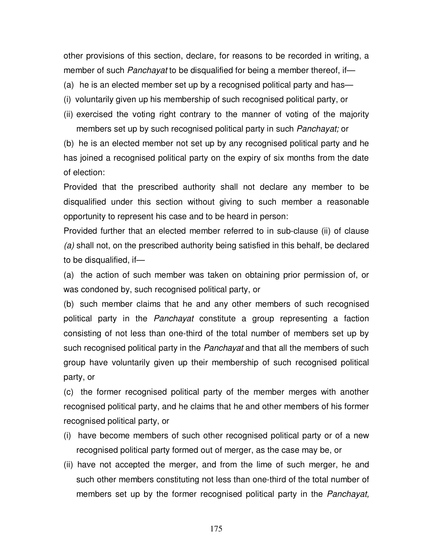other provisions of this section, declare, for reasons to be recorded in writing, a member of such *Panchayat* to be disqualified for being a member thereof, if—

- (a) he is an elected member set up by a recognised political party and has—
- (i) voluntarily given up his membership of such recognised political party, or
- (ii) exercised the voting right contrary to the manner of voting of the majority members set up by such recognised political party in such Panchayat; or

(b) he is an elected member not set up by any recognised political party and he has joined a recognised political party on the expiry of six months from the date of election:

Provided that the prescribed authority shall not declare any member to be disqualified under this section without giving to such member a reasonable opportunity to represent his case and to be heard in person:

Provided further that an elected member referred to in sub-clause (ii) of clause (a) shall not, on the prescribed authority being satisfied in this behalf, be declared to be disqualified, if—

(a) the action of such member was taken on obtaining prior permission of, or was condoned by, such recognised political party, or

(b) such member claims that he and any other members of such recognised political party in the Panchayat constitute a group representing a faction consisting of not less than one-third of the total number of members set up by such recognised political party in the Panchayat and that all the members of such group have voluntarily given up their membership of such recognised political party, or

(c) the former recognised political party of the member merges with another recognised political party, and he claims that he and other members of his former recognised political party, or

- (i) have become members of such other recognised political party or of a new recognised political party formed out of merger, as the case may be, or
- (ii) have not accepted the merger, and from the lime of such merger, he and such other members constituting not less than one-third of the total number of members set up by the former recognised political party in the *Panchayat*,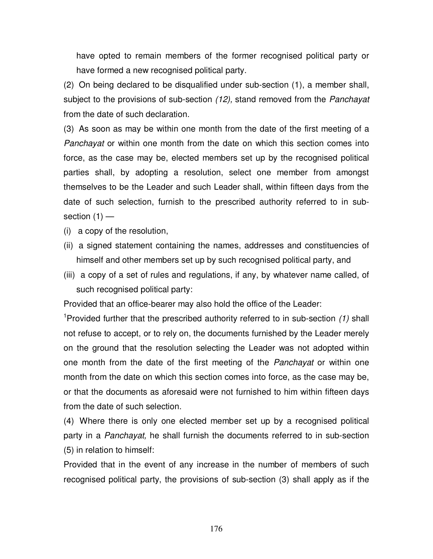have opted to remain members of the former recognised political party or have formed a new recognised political party.

(2) On being declared to be disqualified under sub-section (1), a member shall, subject to the provisions of sub-section (12), stand removed from the Panchayat from the date of such declaration.

(3) As soon as may be within one month from the date of the first meeting of a Panchayat or within one month from the date on which this section comes into force, as the case may be, elected members set up by the recognised political parties shall, by adopting a resolution, select one member from amongst themselves to be the Leader and such Leader shall, within fifteen days from the date of such selection, furnish to the prescribed authority referred to in subsection  $(1)$  —

- (i) a copy of the resolution,
- (ii) a signed statement containing the names, addresses and constituencies of himself and other members set up by such recognised political party, and
- (iii) a copy of a set of rules and regulations, if any, by whatever name called, of such recognised political party:

Provided that an office-bearer may also hold the office of the Leader:

<sup>1</sup>Provided further that the prescribed authority referred to in sub-section  $(1)$  shall not refuse to accept, or to rely on, the documents furnished by the Leader merely on the ground that the resolution selecting the Leader was not adopted within one month from the date of the first meeting of the *Panchayat* or within one month from the date on which this section comes into force, as the case may be, or that the documents as aforesaid were not furnished to him within fifteen days from the date of such selection.

(4) Where there is only one elected member set up by a recognised political party in a Panchayat, he shall furnish the documents referred to in sub-section (5) in relation to himself:

Provided that in the event of any increase in the number of members of such recognised political party, the provisions of sub-section (3) shall apply as if the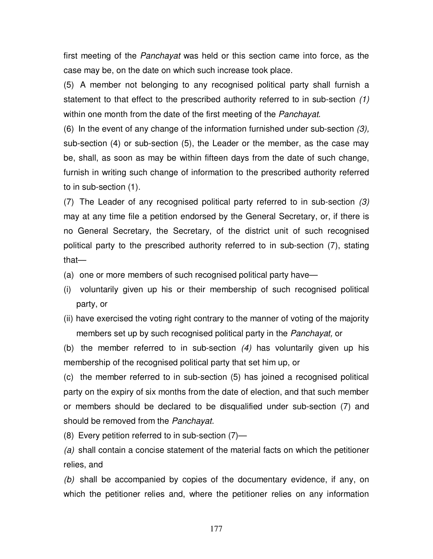first meeting of the *Panchayat* was held or this section came into force, as the case may be, on the date on which such increase took place.

(5) A member not belonging to any recognised political party shall furnish a statement to that effect to the prescribed authority referred to in sub-section (1) within one month from the date of the first meeting of the Panchayat.

(6) In the event of any change of the information furnished under sub-section (3), sub-section (4) or sub-section (5), the Leader or the member, as the case may be, shall, as soon as may be within fifteen days from the date of such change, furnish in writing such change of information to the prescribed authority referred to in sub-section (1).

(7) The Leader of any recognised political party referred to in sub-section (3) may at any time file a petition endorsed by the General Secretary, or, if there is no General Secretary, the Secretary, of the district unit of such recognised political party to the prescribed authority referred to in sub-section (7), stating that—

(a) one or more members of such recognised political party have—

- (i) voluntarily given up his or their membership of such recognised political party, or
- (ii) have exercised the voting right contrary to the manner of voting of the majority members set up by such recognised political party in the Panchayat, or

(b) the member referred to in sub-section (4) has voluntarily given up his membership of the recognised political party that set him up, or

(c) the member referred to in sub-section (5) has joined a recognised political party on the expiry of six months from the date of election, and that such member or members should be declared to be disqualified under sub-section (7) and should be removed from the Panchayat.

(8) Every petition referred to in sub-section (7)—

(a) shall contain a concise statement of the material facts on which the petitioner relies, and

(b) shall be accompanied by copies of the documentary evidence, if any, on which the petitioner relies and, where the petitioner relies on any information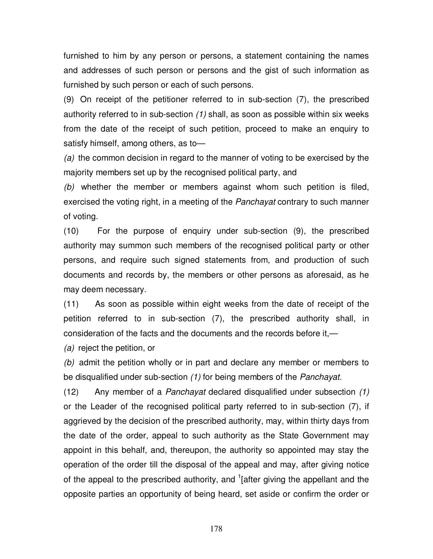furnished to him by any person or persons, a statement containing the names and addresses of such person or persons and the gist of such information as furnished by such person or each of such persons.

(9) On receipt of the petitioner referred to in sub-section (7), the prescribed authority referred to in sub-section (1) shall, as soon as possible within six weeks from the date of the receipt of such petition, proceed to make an enquiry to satisfy himself, among others, as to—

(a) the common decision in regard to the manner of voting to be exercised by the majority members set up by the recognised political party, and

(b) whether the member or members against whom such petition is filed, exercised the voting right, in a meeting of the Panchayat contrary to such manner of voting.

(10) For the purpose of enquiry under sub-section (9), the prescribed authority may summon such members of the recognised political party or other persons, and require such signed statements from, and production of such documents and records by, the members or other persons as aforesaid, as he may deem necessary.

(11) As soon as possible within eight weeks from the date of receipt of the petition referred to in sub-section (7), the prescribed authority shall, in consideration of the facts and the documents and the records before it,—

(a) reject the petition, or

(b) admit the petition wholly or in part and declare any member or members to be disqualified under sub-section (1) for being members of the Panchayat.

(12) Any member of a Panchayat declared disqualified under subsection (1) or the Leader of the recognised political party referred to in sub-section (7), if aggrieved by the decision of the prescribed authority, may, within thirty days from the date of the order, appeal to such authority as the State Government may appoint in this behalf, and, thereupon, the authority so appointed may stay the operation of the order till the disposal of the appeal and may, after giving notice of the appeal to the prescribed authority, and <sup>1</sup>[after giving the appellant and the opposite parties an opportunity of being heard, set aside or confirm the order or

178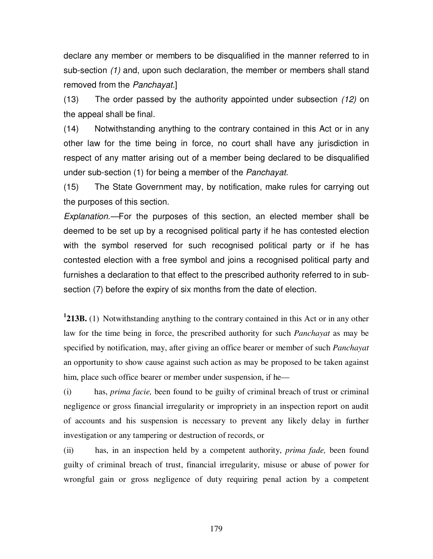declare any member or members to be disqualified in the manner referred to in sub-section (1) and, upon such declaration, the member or members shall stand removed from the Panchayat.]

(13) The order passed by the authority appointed under subsection (12) on the appeal shall be final.

(14) Notwithstanding anything to the contrary contained in this Act or in any other law for the time being in force, no court shall have any jurisdiction in respect of any matter arising out of a member being declared to be disqualified under sub-section (1) for being a member of the Panchayat.

(15) The State Government may, by notification, make rules for carrying out the purposes of this section.

Explanation.—For the purposes of this section, an elected member shall be deemed to be set up by a recognised political party if he has contested election with the symbol reserved for such recognised political party or if he has contested election with a free symbol and joins a recognised political party and furnishes a declaration to that effect to the prescribed authority referred to in subsection (7) before the expiry of six months from the date of election.

**1 213B.** (1) Notwithstanding anything to the contrary contained in this Act or in any other law for the time being in force, the prescribed authority for such *Panchayat* as may be specified by notification, may, after giving an office bearer or member of such *Panchayat*  an opportunity to show cause against such action as may be proposed to be taken against him, place such office bearer or member under suspension, if he—

(i) has, *prima facie,* been found to be guilty of criminal breach of trust or criminal negligence or gross financial irregularity or impropriety in an inspection report on audit of accounts and his suspension is necessary to prevent any likely delay in further investigation or any tampering or destruction of records, or

(ii) has, in an inspection held by a competent authority, *prima fade,* been found guilty of criminal breach of trust, financial irregularity, misuse or abuse of power for wrongful gain or gross negligence of duty requiring penal action by a competent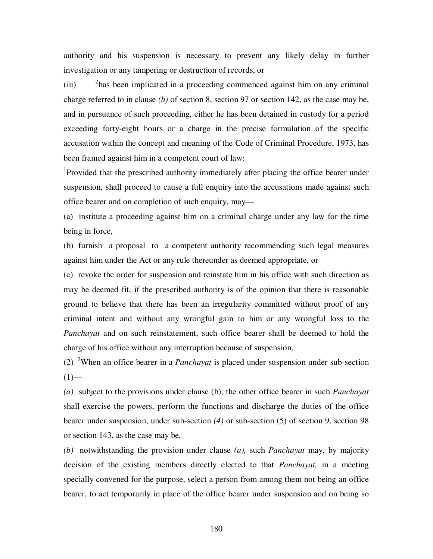authority and his suspension is necessary to prevent any likely delay in further investigation or any tampering or destruction of records, or

(iii) <sup>2</sup>has been implicated in a proceeding commenced against him on any criminal charge referred to in clause *(h)* of section 8, section 97 or section 142, as the case may be, and in pursuance of such proceeding, either he has been detained in custody for a period exceeding forty-eight hours or a charge in the precise formulation of the specific accusation within the concept and meaning of the Code of Criminal Procedure, 1973, has been framed against him in a competent court of law:

<sup>1</sup>Provided that the prescribed authority immediately after placing the office bearer under suspension, shall proceed to cause a full enquiry into the accusations made against such office bearer and on completion of such enquiry, may—

(a) institute a proceeding against him on a criminal charge under any law for the time being in force,

(b) furnish a proposal to a competent authority recommending such legal measures against him under the Act or any rule thereunder as deemed appropriate, or

(c) revoke the order for suspension and reinstate him in his office with such direction as may be deemed fit, if the prescribed authority is of the opinion that there is reasonable ground to believe that there has been an irregularity committed without proof of any criminal intent and without any wrongful gain to him or any wrongful loss to the *Panchayat* and on such reinstatement, such office bearer shall be deemed to hold the charge of his office without any interruption because of suspension,

(2) <sup>2</sup>When an office bearer in a *Panchayat* is placed under suspension under sub-section  $(1)$ —

*(a)* subject to the provisions under clause (b), the other office bearer in such *Panchayat*  shall exercise the powers, perform the functions and discharge the duties of the office bearer under suspension, under sub-section *(4)* or sub-section (5) of section 9, section 98 or section 143, as the case may be,

*(b)* notwithstanding the provision under clause *(a),* such *Panchayat* may, by majority decision of the existing members directly elected to that *Panchayat,* in a meeting specially convened for the purpose, select a person from among them not being an office bearer, to act temporarily in place of the office bearer under suspension and on being so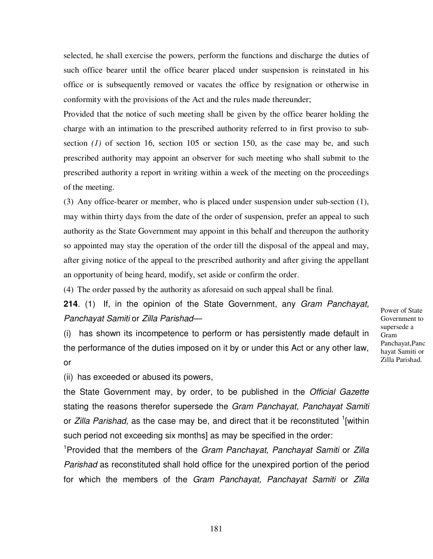selected, he shall exercise the powers, perform the functions and discharge the duties of such office bearer until the office bearer placed under suspension is reinstated in his office or is subsequently removed or vacates the office by resignation or otherwise in conformity with the provisions of the Act and the rules made thereunder;

Provided that the notice of such meeting shall be given by the office bearer holding the charge with an intimation to the prescribed authority referred to in first proviso to subsection (1) of section 16, section 105 or section 150, as the case may be, and such prescribed authority may appoint an observer for such meeting who shall submit to the prescribed authority a report in writing within a week of the meeting on the proceedings of the meeting.

(3) Any office-bearer or member, who is placed under suspension under sub-section (1), may within thirty days from the date of the order of suspension, prefer an appeal to such authority as the State Government may appoint in this behalf and thereupon the authority so appointed may stay the operation of the order till the disposal of the appeal and may, after giving notice of the appeal to the prescribed authority and after giving the appellant an opportunity of being heard, modify, set aside or confirm the order.

(4) The order passed by the authority as aforesaid on such appeal shall be final.

**214**. (1) If, in the opinion of the State Government, any Gram Panchayat, Panchayat Samiti or Zilla Parishad—

(i) has shown its incompetence to perform or has persistently made default in the performance of the duties imposed on it by or under this Act or any other law, or

(ii) has exceeded or abused its powers,

the State Government may, by order, to be published in the Official Gazette stating the reasons therefor supersede the Gram Panchayat, Panchayat Samiti or Zilla Parishad, as the case may be, and direct that it be reconstituted <sup>1</sup>[within such period not exceeding six months] as may be specified in the order:

<sup>1</sup>Provided that the members of the Gram Panchayat, Panchayat Samiti or Zilla Parishad as reconstituted shall hold office for the unexpired portion of the period for which the members of the Gram Panchayat, Panchayat Samiti or Zilla Power of State Government to supersede a Gram Panchayat,Panc hayat Samiti or Zilla Parishad.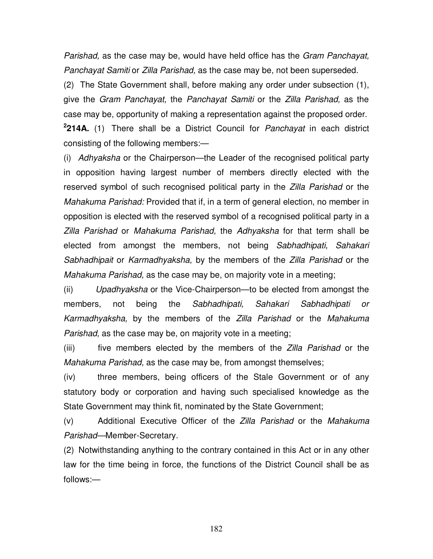Parishad, as the case may be, would have held office has the Gram Panchayat, Panchayat Samiti or Zilla Parishad, as the case may be, not been superseded.

(2) The State Government shall, before making any order under subsection (1), give the Gram Panchayat, the Panchayat Samiti or the Zilla Parishad, as the case may be, opportunity of making a representation against the proposed order. **2 214A.** (1) There shall be a District Council for Panchayat in each district consisting of the following members:—

(i) Adhyaksha or the Chairperson—the Leader of the recognised political party in opposition having largest number of members directly elected with the reserved symbol of such recognised political party in the *Zilla Parishad* or the Mahakuma Parishad: Provided that if, in a term of general election, no member in opposition is elected with the reserved symbol of a recognised political party in a Zilla Parishad or Mahakuma Parishad, the Adhyaksha for that term shall be elected from amongst the members, not being Sabhadhipati, Sahakari Sabhadhipait or Karmadhyaksha, by the members of the Zilla Parishad or the Mahakuma Parishad, as the case may be, on majority vote in a meeting;

(ii) Upadhyaksha or the Vice-Chairperson—to be elected from amongst the members, not being the Sabhadhipati, Sahakari Sabhadhipati or Karmadhyaksha, by the members of the Zilla Parishad or the Mahakuma Parishad, as the case may be, on majority vote in a meeting;

(iii) five members elected by the members of the Zilla Parishad or the Mahakuma Parishad, as the case may be, from amongst themselves;

(iv) three members, being officers of the Stale Government or of any statutory body or corporation and having such specialised knowledge as the State Government may think fit, nominated by the State Government;

(v) Additional Executive Officer of the Zilla Parishad or the Mahakuma Parishad—Member-Secretary.

(2) Notwithstanding anything to the contrary contained in this Act or in any other law for the time being in force, the functions of the District Council shall be as follows:—

182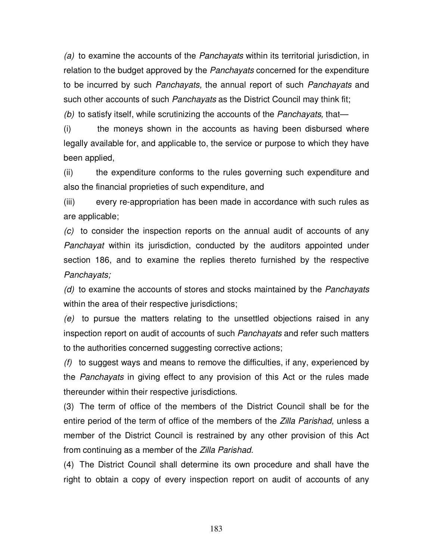(a) to examine the accounts of the Panchayats within its territorial jurisdiction, in relation to the budget approved by the *Panchayats* concerned for the expenditure to be incurred by such Panchayats, the annual report of such Panchayats and such other accounts of such *Panchayats* as the District Council may think fit;

(b) to satisfy itself, while scrutinizing the accounts of the *Panchayats*, that—

(i) the moneys shown in the accounts as having been disbursed where legally available for, and applicable to, the service or purpose to which they have been applied,

(ii) the expenditure conforms to the rules governing such expenditure and also the financial proprieties of such expenditure, and

(iii) every re-appropriation has been made in accordance with such rules as are applicable;

(c) to consider the inspection reports on the annual audit of accounts of any Panchayat within its jurisdiction, conducted by the auditors appointed under section 186, and to examine the replies thereto furnished by the respective Panchayats;

(d) to examine the accounts of stores and stocks maintained by the Panchayats within the area of their respective jurisdictions;

(e) to pursue the matters relating to the unsettled objections raised in any inspection report on audit of accounts of such Panchayats and refer such matters to the authorities concerned suggesting corrective actions;

 $(f)$  to suggest ways and means to remove the difficulties, if any, experienced by the Panchayats in giving effect to any provision of this Act or the rules made thereunder within their respective jurisdictions.

(3) The term of office of the members of the District Council shall be for the entire period of the term of office of the members of the *Zilla Parishad*, unless a member of the District Council is restrained by any other provision of this Act from continuing as a member of the Zilla Parishad.

(4) The District Council shall determine its own procedure and shall have the right to obtain a copy of every inspection report on audit of accounts of any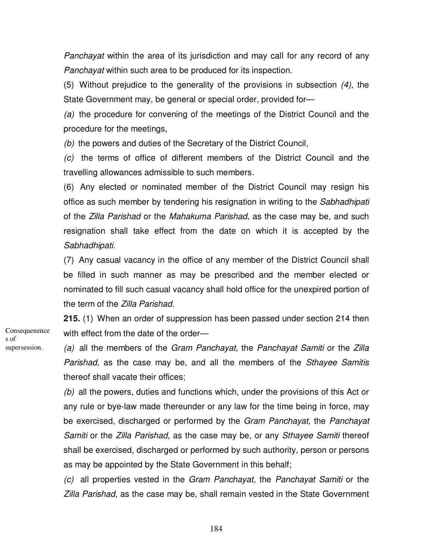Panchayat within the area of its jurisdiction and may call for any record of any Panchayat within such area to be produced for its inspection.

(5) Without prejudice to the generality of the provisions in subsection (4), the State Government may, be general or special order, provided for—

(a) the procedure for convening of the meetings of the District Council and the procedure for the meetings,

(b) the powers and duties of the Secretary of the District Council,

(c) the terms of office of different members of the District Council and the travelling allowances admissible to such members.

(6) Any elected or nominated member of the District Council may resign his office as such member by tendering his resignation in writing to the Sabhadhipati of the Zilla Parishad or the Mahakuma Parishad, as the case may be, and such resignation shall take effect from the date on which it is accepted by the Sabhadhipati.

(7) Any casual vacancy in the office of any member of the District Council shall be filled in such manner as may be prescribed and the member elected or nominated to fill such casual vacancy shall hold office for the unexpired portion of the term of the Zilla Parishad.

**215.** (1) When an order of suppression has been passed under section 214 then with effect from the date of the order—

(a) all the members of the Gram Panchayat, the Panchayat Samiti or the Zilla Parishad, as the case may be, and all the members of the Sthayee Samitis thereof shall vacate their offices;

(b) all the powers, duties and functions which, under the provisions of this Act or any rule or bye-law made thereunder or any law for the time being in force, may be exercised, discharged or performed by the *Gram Panchayat*, the *Panchayat* Samiti or the Zilla Parishad, as the case may be, or any Sthayee Samiti thereof shall be exercised, discharged or performed by such authority, person or persons as may be appointed by the State Government in this behalf;

(c) all properties vested in the Gram Panchayat, the Panchayat Samiti or the Zilla Parishad, as the case may be, shall remain vested in the State Government

**Consequenence** s of supersession.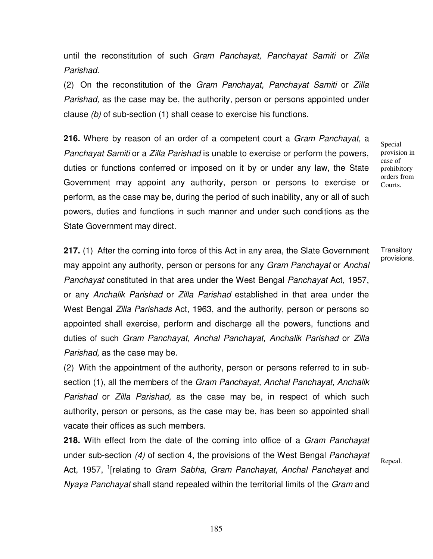until the reconstitution of such Gram Panchayat, Panchayat Samiti or Zilla Parishad.

(2) On the reconstitution of the Gram Panchayat, Panchayat Samiti or Zilla Parishad, as the case may be, the authority, person or persons appointed under clause (b) of sub-section (1) shall cease to exercise his functions.

**216.** Where by reason of an order of a competent court a Gram Panchayat, a Panchayat Samiti or a Zilla Parishad is unable to exercise or perform the powers, duties or functions conferred or imposed on it by or under any law, the State Government may appoint any authority, person or persons to exercise or perform, as the case may be, during the period of such inability, any or all of such powers, duties and functions in such manner and under such conditions as the State Government may direct.

Special provision in case of prohibitory orders from Courts.

**217.** (1) After the coming into force of this Act in any area, the Slate Government may appoint any authority, person or persons for any Gram Panchayat or Anchal Panchayat constituted in that area under the West Bengal Panchayat Act, 1957, or any Anchalik Parishad or Zilla Parishad established in that area under the West Bengal *Zilla Parishads* Act, 1963, and the authority, person or persons so appointed shall exercise, perform and discharge all the powers, functions and duties of such Gram Panchayat, Anchal Panchayat, Anchalik Parishad or Zilla Parishad, as the case may be.

(2) With the appointment of the authority, person or persons referred to in subsection (1), all the members of the *Gram Panchayat, Anchal Panchayat, Anchalik* Parishad or Zilla Parishad, as the case may be, in respect of which such authority, person or persons, as the case may be, has been so appointed shall vacate their offices as such members.

**218.** With effect from the date of the coming into office of a Gram Panchayat under sub-section (4) of section 4, the provisions of the West Bengal Panchayat Act, 1957, <sup>1</sup>[relating to Gram Sabha, Gram Panchayat, Anchal Panchayat and Nyaya Panchayat shall stand repealed within the territorial limits of the Gram and

**Transitory** provisions.

Repeal.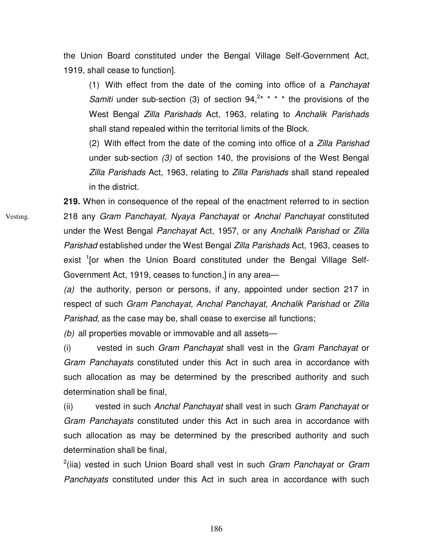the Union Board constituted under the Bengal Village Self-Government Act, 1919, shall cease to function].

(1) With effect from the date of the coming into office of a Panchayat Samiti under sub-section (3) of section  $94, ^{2*}$  \* \* \* the provisions of the West Bengal Zilla Parishads Act, 1963, relating to Anchalik Parishads shall stand repealed within the territorial limits of the Block.

(2) With effect from the date of the coming into office of a Zilla Parishad under sub-section (3) of section 140, the provisions of the West Bengal Zilla Parishads Act, 1963, relating to Zilla Parishads shall stand repealed in the district.

**219.** When in consequence of the repeal of the enactment referred to in section 218 any Gram Panchayat, Nyaya Panchayat or Anchal Panchayat constituted under the West Bengal Panchayat Act, 1957, or any Anchalik Parishad or Zilla Parishad established under the West Bengal Zilla Parishads Act, 1963, ceases to exist <sup>1</sup>[or when the Union Board constituted under the Bengal Village Self-Government Act, 1919, ceases to function,] in any area—

(a) the authority, person or persons, if any, appointed under section 217 in respect of such Gram Panchayat, Anchal Panchayat, Anchalik Parishad or Zilla Parishad, as the case may be, shall cease to exercise all functions;

(b) all properties movable or immovable and all assets-

(i) vested in such *Gram Panchayat* shall vest in the *Gram Panchayat* or Gram Panchayats constituted under this Act in such area in accordance with such allocation as may be determined by the prescribed authority and such determination shall be final,

(ii) vested in such Anchal Panchayat shall vest in such Gram Panchayat or Gram Panchayats constituted under this Act in such area in accordance with such allocation as may be determined by the prescribed authority and such determination shall be final,

 $2$ (iia) vested in such Union Board shall vest in such Gram Panchayat or Gram Panchayats constituted under this Act in such area in accordance with such

Vesting.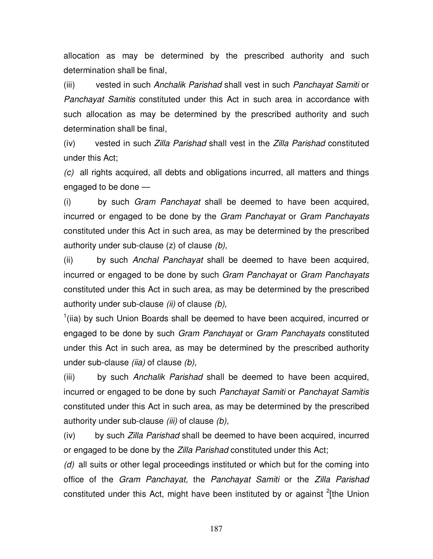allocation as may be determined by the prescribed authority and such determination shall be final,

(iii) vested in such Anchalik Parishad shall vest in such Panchayat Samiti or Panchayat Samitis constituted under this Act in such area in accordance with such allocation as may be determined by the prescribed authority and such determination shall be final,

(iv) vested in such *Zilla Parishad* shall vest in the *Zilla Parishad* constituted under this Act;

(c) all rights acquired, all debts and obligations incurred, all matters and things engaged to be done —

(i) by such Gram Panchayat shall be deemed to have been acquired, incurred or engaged to be done by the Gram Panchayat or Gram Panchayats constituted under this Act in such area, as may be determined by the prescribed authority under sub-clause (z) of clause (b),

(ii) by such Anchal Panchayat shall be deemed to have been acquired, incurred or engaged to be done by such Gram Panchayat or Gram Panchayats constituted under this Act in such area, as may be determined by the prescribed authority under sub-clause  $(ii)$  of clause  $(b)$ ,

 $1$ (iia) by such Union Boards shall be deemed to have been acquired, incurred or engaged to be done by such Gram Panchayat or Gram Panchayats constituted under this Act in such area, as may be determined by the prescribed authority under sub-clause  $(iia)$  of clause  $(b)$ ,

(iii) by such Anchalik Parishad shall be deemed to have been acquired, incurred or engaged to be done by such Panchayat Samiti or Panchayat Samitis constituted under this Act in such area, as may be determined by the prescribed authority under sub-clause  $(iii)$  of clause  $(b)$ ,

(iv) by such *Zilla Parishad* shall be deemed to have been acquired, incurred or engaged to be done by the Zilla Parishad constituted under this Act;

(d) all suits or other legal proceedings instituted or which but for the coming into office of the Gram Panchayat, the Panchayat Samiti or the Zilla Parishad constituted under this Act, might have been instituted by or against <sup>2</sup>[the Union

187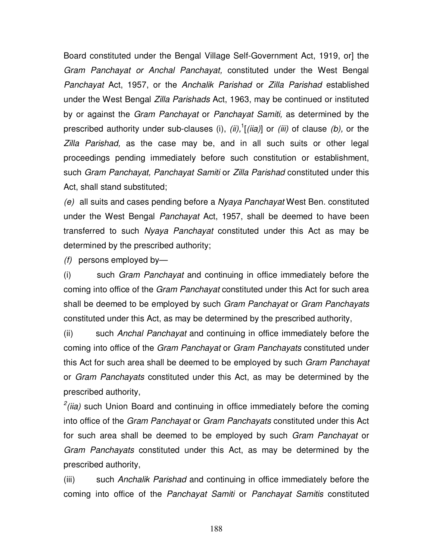Board constituted under the Bengal Village Self-Government Act, 1919, or] the Gram Panchayat or Anchal Panchayat, constituted under the West Bengal Panchayat Act, 1957, or the Anchalik Parishad or Zilla Parishad established under the West Bengal Zilla Parishads Act, 1963, may be continued or instituted by or against the Gram Panchayat or Panchayat Samiti, as determined by the prescribed authority under sub-clauses (i),  $(ii)$ ,  $(iii)$  or  $(iii)$  of clause (b), or the Zilla Parishad, as the case may be, and in all such suits or other legal proceedings pending immediately before such constitution or establishment, such Gram Panchayat, Panchayat Samiti or Zilla Parishad constituted under this Act, shall stand substituted;

(e) all suits and cases pending before a Nyaya Panchayat West Ben. constituted under the West Bengal Panchayat Act, 1957, shall be deemed to have been transferred to such Nyaya Panchayat constituted under this Act as may be determined by the prescribed authority;

 $(f)$  persons employed by-

(i) such Gram Panchayat and continuing in office immediately before the coming into office of the Gram Panchayat constituted under this Act for such area shall be deemed to be employed by such Gram Panchayat or Gram Panchayats constituted under this Act, as may be determined by the prescribed authority,

(ii) such Anchal Panchayat and continuing in office immediately before the coming into office of the Gram Panchayat or Gram Panchayats constituted under this Act for such area shall be deemed to be employed by such Gram Panchayat or Gram Panchayats constituted under this Act, as may be determined by the prescribed authority,

 $2$ (iia) such Union Board and continuing in office immediately before the coming into office of the Gram Panchayat or Gram Panchayats constituted under this Act for such area shall be deemed to be employed by such Gram Panchayat or Gram Panchayats constituted under this Act, as may be determined by the prescribed authority,

(iii) such Anchalik Parishad and continuing in office immediately before the coming into office of the Panchayat Samiti or Panchayat Samitis constituted

188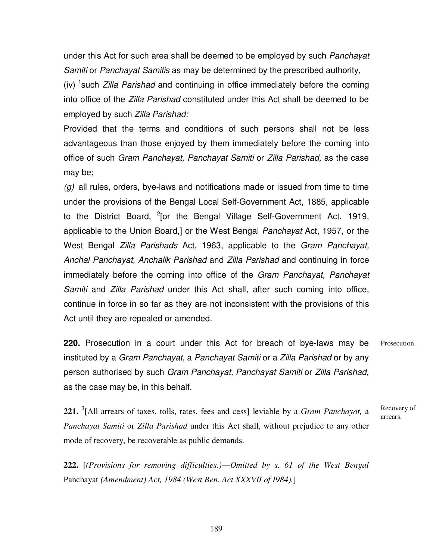under this Act for such area shall be deemed to be employed by such Panchayat Samiti or Panchayat Samitis as may be determined by the prescribed authority,

(iv)  $1$  such *Zilla Parishad* and continuing in office immediately before the coming into office of the Zilla Parishad constituted under this Act shall be deemed to be employed by such Zilla Parishad:

Provided that the terms and conditions of such persons shall not be less advantageous than those enjoyed by them immediately before the coming into office of such Gram Panchayat, Panchayat Samiti or Zilla Parishad, as the case may be;

 $(q)$  all rules, orders, bye-laws and notifications made or issued from time to time under the provisions of the Bengal Local Self-Government Act, 1885, applicable to the District Board, <sup>2</sup>[or the Bengal Village Self-Government Act, 1919, applicable to the Union Board,] or the West Bengal Panchayat Act, 1957, or the West Bengal Zilla Parishads Act, 1963, applicable to the Gram Panchayat, Anchal Panchayat, Anchalik Parishad and Zilla Parishad and continuing in force immediately before the coming into office of the Gram Panchayat, Panchayat Samiti and Zilla Parishad under this Act shall, after such coming into office, continue in force in so far as they are not inconsistent with the provisions of this Act until they are repealed or amended.

**220.** Prosecution in a court under this Act for breach of bye-laws may be instituted by a Gram Panchayat, a Panchayat Samiti or a Zilla Parishad or by any person authorised by such Gram Panchayat, Panchayat Samiti or Zilla Parishad, as the case may be, in this behalf. Prosecution.

**221.** <sup>3</sup> [All arrears of taxes, tolls, rates, fees and cess] leviable by a *Gram Panchayat,* a *Panchayat Samiti* or *Zilla Parishad* under this Act shall, without prejudice to any other mode of recovery, be recoverable as public demands. Recovery of arrears.

**222.** [*(Provisions for removing difficulties.)*—*Omitted by s. 61 of the West Bengal* Panchayat *(Amendment) Act, 1984 (West Ben. Act XXXVII of I984).*]